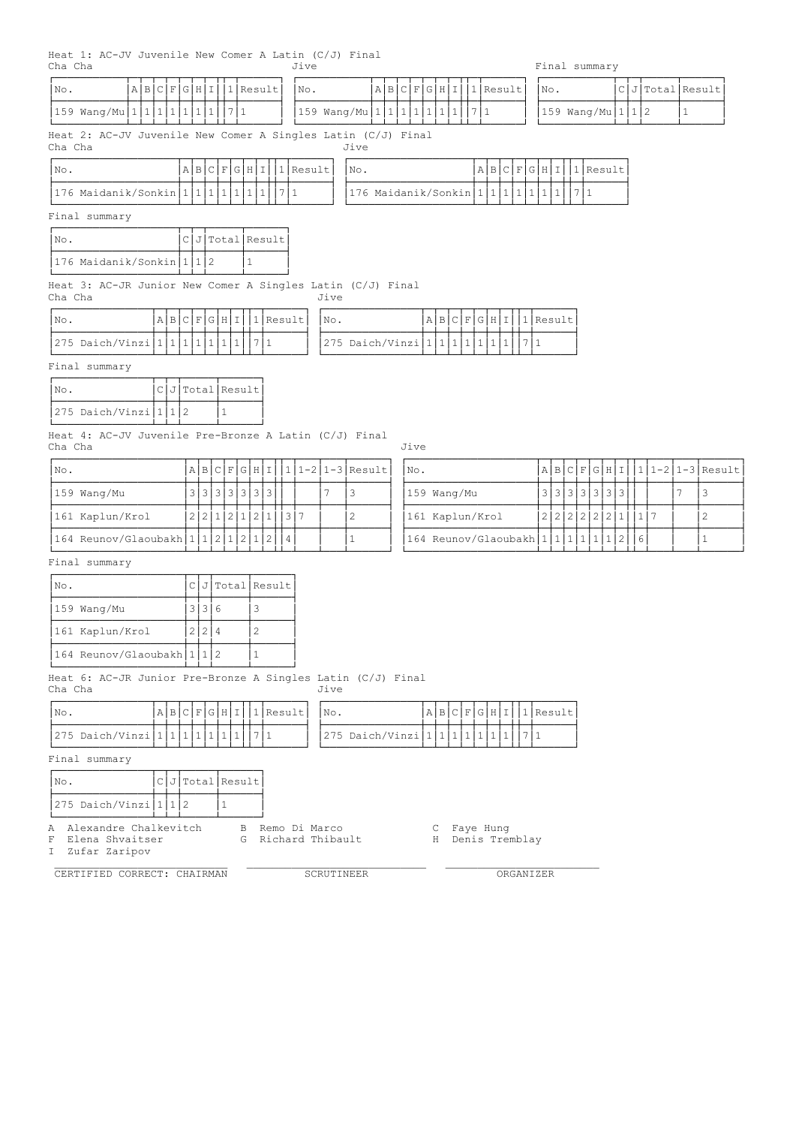| A B C F G H I<br>No.                                                    |                    |     |                    |              | $ 1 $ Result |                |              |           | No.          |      |                                                         | A B C F G H I                                |                 |  | 1 Result |                        |              | No. |  |                     |     | $CJ$ Total Result |              |                      |
|-------------------------------------------------------------------------|--------------------|-----|--------------------|--------------|--------------|----------------|--------------|-----------|--------------|------|---------------------------------------------------------|----------------------------------------------|-----------------|--|----------|------------------------|--------------|-----|--|---------------------|-----|-------------------|--------------|----------------------|
| 159 Wang/Mu 1 1 1 1 1 1  7 1                                            |                    |     |                    |              |              |                |              |           |              |      | 159 Wang/Mu 1 1 1 1 1 1  7 1                            |                                              |                 |  |          |                        |              |     |  | $159$ Wang/Mu 1 1 2 |     |                   | $\mathbf{1}$ |                      |
| Heat 2: AC-JV Juvenile New Comer A Singles Latin (C/J) Final<br>Cha Cha |                    |     |                    |              |              |                |              |           |              |      | Jive                                                    |                                              |                 |  |          |                        |              |     |  |                     |     |                   |              |                      |
| INo.                                                                    |                    |     | A B C F G H I      |              |              |                |              |           | $ 1 $ Result |      | No.                                                     |                                              |                 |  |          | A B C F G H I 1 Result |              |     |  |                     |     |                   |              |                      |
| 176 Maidanik/Sonkin   1   1   1   1   1   1   1                         |                    |     |                    |              |              |                |              | 7 1       |              |      | 176 Maidanik/Sonkin   1   1   1   1   1   1   1   7   1 |                                              |                 |  |          |                        |              |     |  |                     |     |                   |              |                      |
| Final summary                                                           |                    |     |                    |              |              |                |              |           |              |      |                                                         |                                              |                 |  |          |                        |              |     |  |                     |     |                   |              |                      |
| No.                                                                     |                    |     | $ClJ$ Total Result |              |              |                |              |           |              |      |                                                         |                                              |                 |  |          |                        |              |     |  |                     |     |                   |              |                      |
| 176 Maidanik/Sonkin 1 1 2                                               |                    |     |                    |              | $\mathbf{1}$ |                |              |           |              |      |                                                         |                                              |                 |  |          |                        |              |     |  |                     |     |                   |              |                      |
| Heat 3: AC-JR Junior New Comer A Singles Latin (C/J) Final<br>Cha Cha   |                    |     |                    |              |              |                |              |           |              | Jive |                                                         |                                              |                 |  |          |                        |              |     |  |                     |     |                   |              |                      |
| No.                                                                     | A B C F G H I      |     |                    |              |              |                | $ 1 $ Result |           |              | No.  |                                                         |                                              | A B C F G H I   |  |          |                        | $ 1 $ Result |     |  |                     |     |                   |              |                      |
| 275 Daich/Vinzi   1   1   1   1   1   1   1                             |                    |     |                    |              |              | 7 1            |              |           |              |      | 275 Daich/Vinzi 1 1 1 1 1 1                             |                                              |                 |  |          | 7 1                    |              |     |  |                     |     |                   |              |                      |
| Final summary                                                           |                    |     |                    |              |              |                |              |           |              |      |                                                         |                                              |                 |  |          |                        |              |     |  |                     |     |                   |              |                      |
| No.                                                                     | $ClJ$ Total Result |     |                    |              |              |                |              |           |              |      |                                                         |                                              |                 |  |          |                        |              |     |  |                     |     |                   |              |                      |
| 275 Daich/Vinzi $ 1 1 2$                                                |                    |     |                    | $\mathbf{1}$ |              |                |              |           |              |      |                                                         |                                              |                 |  |          |                        |              |     |  |                     |     |                   |              |                      |
| Heat 4: AC-JV Juvenile Pre-Bronze A Latin (C/J) Final<br>Cha Cha        |                    |     |                    |              |              |                |              |           |              |      |                                                         | Jive                                         |                 |  |          |                        |              |     |  |                     |     |                   |              |                      |
| No.                                                                     |                    |     | A B C F G H I      |              |              |                |              |           |              |      | $ 1 1-2 1-3 $ Result                                    | No.                                          |                 |  |          |                        |              |     |  | A B C F G H I       |     |                   |              | $ 1 1-2 1-3 $ Result |
| 159 Wang/Mu                                                             |                    |     | 3 3 3 3 3 3 3      |              |              |                |              |           |              | 7    | 3                                                       |                                              | 159 Wang/Mu     |  |          |                        |              |     |  | 3 3 3 3 3 3 3       |     |                   | 7            | 3                    |
| 161 Kaplun/Krol                                                         |                    | 2 2 |                    |              | 1 2 1 2      |                | $\mathbf{1}$ |           | 3 7          |      | 2                                                       |                                              | 161 Kaplun/Krol |  |          |                        |              |     |  | 2 2 2 2 2 2 1       | 117 |                   |              | $\overline{c}$       |
| 164 Reunov/Glaoubakh   1   1   2   1   2   1                            |                    |     |                    |              |              |                | 2            | $\vert 4$ |              |      | $1\,$                                                   | 164 Reunov/Glaoubakh   1   1   1   1   1   2 |                 |  |          |                        |              |     |  |                     | 6   |                   |              | $\mathbf{1}$         |
| Final summary                                                           |                    |     |                    |              |              |                |              |           |              |      |                                                         |                                              |                 |  |          |                        |              |     |  |                     |     |                   |              |                      |
| No.                                                                     |                    |     | $CJ $ Total Result |              |              |                |              |           |              |      |                                                         |                                              |                 |  |          |                        |              |     |  |                     |     |                   |              |                      |
| 159 Wang/Mu                                                             |                    |     | 3 3 6              |              |              | 3              |              |           |              |      |                                                         |                                              |                 |  |          |                        |              |     |  |                     |     |                   |              |                      |
| 161 Kaplun/Krol                                                         |                    |     | 2 2 4              |              |              | $\overline{c}$ |              |           |              |      |                                                         |                                              |                 |  |          |                        |              |     |  |                     |     |                   |              |                      |
| 164 Reunov/Glaoubakh   1   1   2                                        |                    |     |                    |              |              | $\mathbf{1}$   |              |           |              |      |                                                         |                                              |                 |  |          |                        |              |     |  |                     |     |                   |              |                      |
| Heat 6: AC-JR Junior Pre-Bronze A Singles Latin (C/J) Final<br>Cha Cha  |                    |     |                    |              |              |                |              |           |              | Jive |                                                         |                                              |                 |  |          |                        |              |     |  |                     |     |                   |              |                      |
| No.                                                                     | A B C F G H I      |     |                    |              |              |                |              |           | $1$ Result   | No.  |                                                         |                                              | A B C F G H I   |  |          |                        | $ 1 $ Result |     |  |                     |     |                   |              |                      |
| 275 Daich/Vinzi 1 1 1 1 1 1                                             |                    |     |                    |              |              | 7 1            |              |           |              |      | 275 Daich/Vinzi 1 1 1 1 1 1                             |                                              |                 |  |          | 1711                   |              |     |  |                     |     |                   |              |                      |
| Final summary                                                           |                    |     |                    |              |              |                |              |           |              |      |                                                         |                                              |                 |  |          |                        |              |     |  |                     |     |                   |              |                      |
| No.                                                                     | $CJ$ Total Result  |     |                    |              |              |                |              |           |              |      |                                                         |                                              |                 |  |          |                        |              |     |  |                     |     |                   |              |                      |
|                                                                         |                    |     |                    |              |              |                |              |           |              |      |                                                         |                                              |                 |  |          |                        |              |     |  |                     |     |                   |              |                      |

I Zufar Zaripov

CERTIFIED CORRECT: CHAIRMAN SCRUTINEER ORGANIZER

 $|275$  Daich/Vinzi $|1|1|2$   $|1$ ÀÄÄÄÄÄÄÄÄÄÄÄÄÄÄÄÁÄÁÄÁÄÄÄÄÄÁÄÄÄÄÄÄÙ

A Alexandre Chalkevitch B Remo Di Marco C Faye Hung

F Elena Shvaitser G Richard Thibault H Denis Tremblay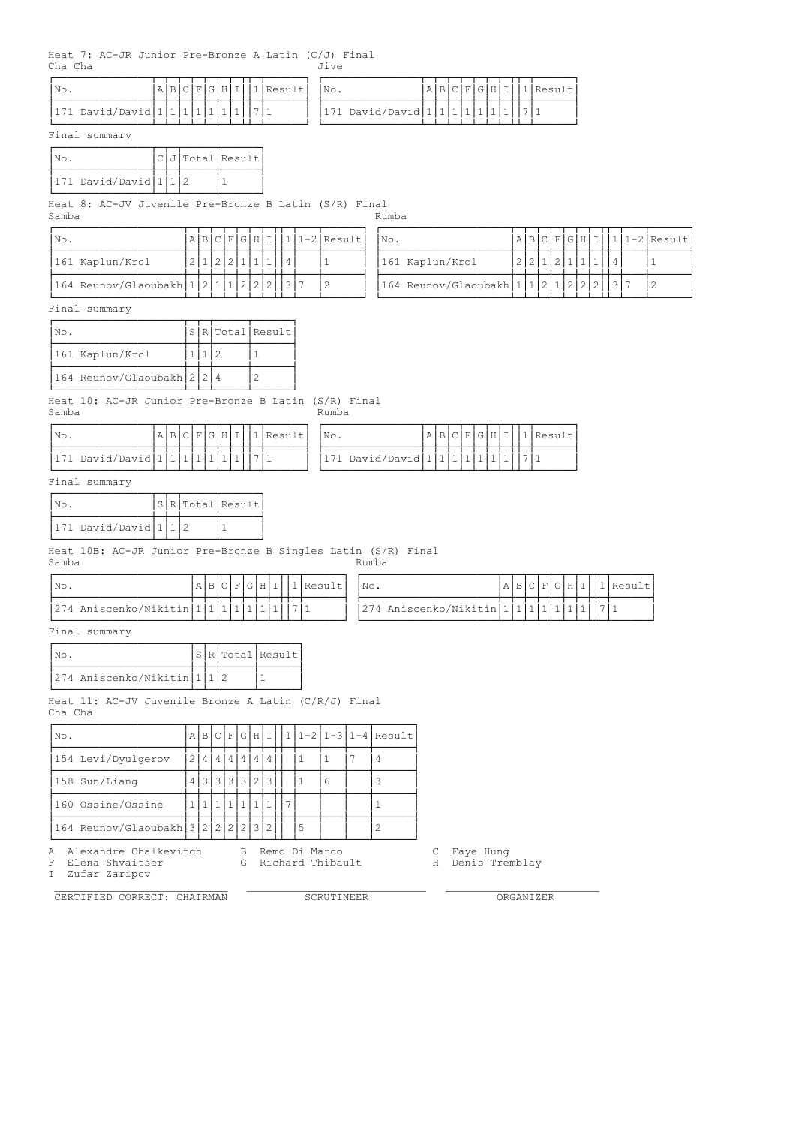Heat 7: AC-JR Junior Pre-Bronze A Latin  $(C/J)$  Final<br>Cha Cha Cha Cha

| $'$ No.                         |  |  |  |  | <i>I</i> Result | No. |                                   |  |  |  | ARCFCHIT |  | 1 Result |
|---------------------------------|--|--|--|--|-----------------|-----|-----------------------------------|--|--|--|----------|--|----------|
| $ 171$ David/David $ 1 1 1 1 1$ |  |  |  |  |                 |     | $ 171$ David/David $ 1 1 1 1 1 1$ |  |  |  |          |  |          |

Final summary

| INo.                        |  | $ C J $ Total Result |
|-----------------------------|--|----------------------|
| $ 171$ David/David $ 1 1 2$ |  |                      |

ÀÄÄÄÄÄÄÄÄÄÄÄÄÄÄÄÁÄÁÄÁÄÄÄÄÄÁÄÄÄÄÄÄÙ Heat 8: AC-JV Juvenile Pre-Bronze B Latin (S/R) Final Samba Rumba Rumba a na kasa na kasa na kasa na kasa na kasa na kasa na kasa na kasa na kasa na kasa na kasa na

| INo.                                  |                   |  |  |  |  | $A B C F G H I 1 1-2 Result$ |
|---------------------------------------|-------------------|--|--|--|--|------------------------------|
| 161 Kaplun/Krol                       | 2 1 2 2 1 1 1 1 4 |  |  |  |  |                              |
| $164$ Reunov/Glaoubakh $121112222137$ |                   |  |  |  |  |                              |

| INo.                         |  |  |  |  |  | $A B C F G H I 1 1-2 Result $ | NO. |                                    |  |  |  |  |  | $A B C F G H I 1 1-2 Result $ |
|------------------------------|--|--|--|--|--|-------------------------------|-----|------------------------------------|--|--|--|--|--|-------------------------------|
| 161 Kaplun/Krol              |  |  |  |  |  |                               |     | 161 Kaplun/Krol                    |  |  |  |  |  |                               |
| 164 Reunov/Glaoubakh 1 2 1 1 |  |  |  |  |  |                               |     | $164$ Reunov/Glaoubakh $111212122$ |  |  |  |  |  |                               |

Final summary

| INo.                       |  | S R Total Result |
|----------------------------|--|------------------|
| 161 Kaplun/Krol            |  |                  |
| 164 Reunov/Glaoubakh 2 2 4 |  |                  |

Heat 10: AC-JR Junior Pre-Bronze B Latin (S/R) Final

# Rumba

| $'$ No.         |  |  |  |  | Resul | No. |                 |  |  |  |  | <i>I</i> Result |
|-----------------|--|--|--|--|-------|-----|-----------------|--|--|--|--|-----------------|
|                 |  |  |  |  |       |     |                 |  |  |  |  |                 |
| 171 David/David |  |  |  |  |       |     | 171 David/David |  |  |  |  |                 |

Final summary

| INo.                 |  | SRTotal Result |
|----------------------|--|----------------|
| 171 David/David 1112 |  |                |

Heat 10B: AC-JR Junior Pre-Bronze B Singles Latin (S/R) Final

| Samba                                         |  |  |  |  |                               | Rumba                                                     |  |  |  |                        |
|-----------------------------------------------|--|--|--|--|-------------------------------|-----------------------------------------------------------|--|--|--|------------------------|
| INo.                                          |  |  |  |  | A B C F G H I  1 Result   No. |                                                           |  |  |  | A B C F G H I 1 Result |
| $ 274$ Aniscenko/Nikitin $ 1 1 1 1 1 1 1 1 1$ |  |  |  |  |                               | 274 Aniscenko/Nikitin   1   1   1   1   1   1   1   7   1 |  |  |  |                        |

| INo.                                    |  |  |  |  | $A B C F G H I 1 Result$   No. |                                                |  |  |  |  | A B C F G H I 1 Result |
|-----------------------------------------|--|--|--|--|--------------------------------|------------------------------------------------|--|--|--|--|------------------------|
| 274 Aniscenko/Nikitin 1 1 1 1 1 1 1 7 1 |  |  |  |  |                                | $ 274$ Aniscenko/Nikitin $ 1 1 1 1 1 1 1 1 11$ |  |  |  |  |                        |

Final summary

| Nο.                         |  | S R Total Result |
|-----------------------------|--|------------------|
| 274 Aniscenko/Nikitin 1 1 2 |  |                  |

Heat 11: AC-JV Juvenile Bronze A Latin (C/R/J) Final Cha Cha

| No.                                                | ΑI |  |     |  |   |  |   |  |  |               |  |  | BCFGHII 11-2 1-3 1-4 Result |  |
|----------------------------------------------------|----|--|-----|--|---|--|---|--|--|---------------|--|--|-----------------------------|--|
| 154 Levi/Dyulgerov                                 |    |  | 4 4 |  |   |  | 4 |  |  |               |  |  |                             |  |
| 4   4   4  <br>4 3 3 3 3 3 2<br>158 Sun/Liang<br>6 |    |  |     |  |   |  |   |  |  |               |  |  |                             |  |
| 160 Ossine/Ossine                                  |    |  |     |  |   |  |   |  |  |               |  |  |                             |  |
| 164 Reunov/Glaoubakh 3 2 2 2 2 3 2                 |    |  |     |  |   |  |   |  |  | -5            |  |  |                             |  |
| Alexandre Chalkevitch<br>Α                         |    |  |     |  | B |  |   |  |  | Remo Di Marco |  |  |                             |  |

G Richard Thibault F Elena Shvaitser<br>I Zufar Zaripov

CERTIFIED CORRECT: CHAIRMAN SCRUTINEER ORGANIZER

C Faye Hung<br>H Denis Tremblay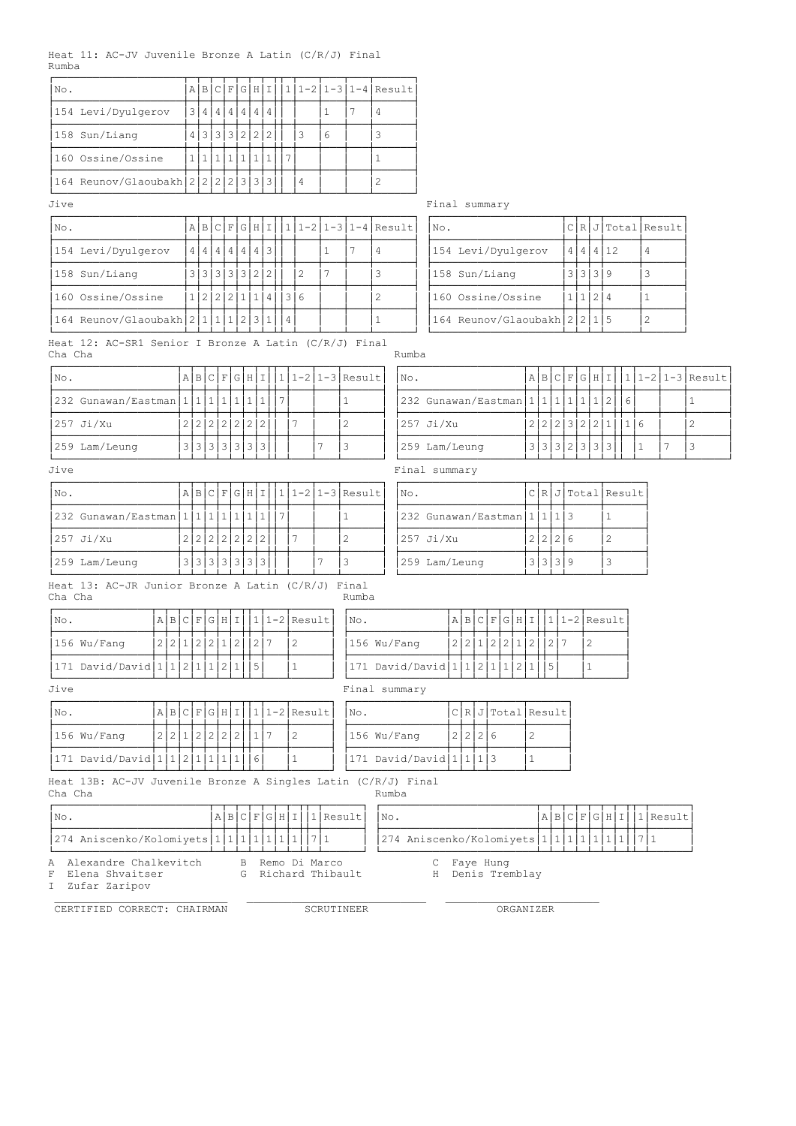|       |  | Heat 11: AC-JV Juvenile Bronze A Latin $(C/R/J)$ Final |  |  |  |
|-------|--|--------------------------------------------------------|--|--|--|
| Rumba |  |                                                        |  |  |  |

| No.                                                                           |                                                                                                                                                                                                                                                                                                                                                                     | $A \mid B$        |  | C F G H I     |           |                                              |  |           | $111-211-31-4$ Result             |                 |              |  |                |       |                                        |         |           |                    |              |                 |               |              |                  |                |                    |                      |
|-------------------------------------------------------------------------------|---------------------------------------------------------------------------------------------------------------------------------------------------------------------------------------------------------------------------------------------------------------------------------------------------------------------------------------------------------------------|-------------------|--|---------------|-----------|----------------------------------------------|--|-----------|-----------------------------------|-----------------|--------------|--|----------------|-------|----------------------------------------|---------|-----------|--------------------|--------------|-----------------|---------------|--------------|------------------|----------------|--------------------|----------------------|
| 154 Levi/Dyulgerov                                                            |                                                                                                                                                                                                                                                                                                                                                                     | 3 4 4 4 4 4 4 4   |  |               |           |                                              |  |           |                                   | $\mathbf{1}$    | 7            |  | $\overline{4}$ |       |                                        |         |           |                    |              |                 |               |              |                  |                |                    |                      |
| 158 Sun/Liang                                                                 |                                                                                                                                                                                                                                                                                                                                                                     | 4 3 3 3 2 2 2     |  |               |           |                                              |  |           | $\overline{3}$                    | $6\phantom{.}6$ |              |  | 3              |       |                                        |         |           |                    |              |                 |               |              |                  |                |                    |                      |
| 160 Ossine/Ossine                                                             |                                                                                                                                                                                                                                                                                                                                                                     | 1 1 1 1 1 1 1 1 1 |  |               |           |                                              |  |           |                                   |                 |              |  | $\mathbf{1}$   |       |                                        |         |           |                    |              |                 |               |              |                  |                |                    |                      |
| 164 Reunov/Glaoubakh $2 2 2 2 3 3 3$                                          |                                                                                                                                                                                                                                                                                                                                                                     |                   |  |               |           |                                              |  |           | $\overline{4}$                    |                 |              |  | $\mathbf{2}$   |       |                                        |         |           |                    |              |                 |               |              |                  |                |                    |                      |
| Jive                                                                          |                                                                                                                                                                                                                                                                                                                                                                     |                   |  |               |           |                                              |  |           |                                   |                 |              |  |                |       | Final summary                          |         |           |                    |              |                 |               |              |                  |                |                    |                      |
| No.                                                                           |                                                                                                                                                                                                                                                                                                                                                                     | $A \mid B$        |  | C F G H I     |           |                                              |  |           | $1 1-2 1-3 1-4 $ Result           |                 |              |  |                |       | No.                                    |         |           |                    |              |                 |               |              |                  |                | C R J Total Result |                      |
| 154 Levi/Dyulgerov                                                            |                                                                                                                                                                                                                                                                                                                                                                     | 4 4 4 4 4 4 43    |  |               |           |                                              |  |           |                                   | $\mathbf{1}$    | 7            |  | $\overline{4}$ |       | 154 Levi/Dyulgerov                     |         |           |                    |              |                 |               |              | 4   4   4   12   | 4              |                    |                      |
| 158 Sun/Liang                                                                 |                                                                                                                                                                                                                                                                                                                                                                     | 3 3 3 3 3 2 2     |  |               |           |                                              |  |           | $\mathbf{2}$                      | 7               |              |  | 3              |       | 158 Sun/Liang                          |         |           |                    |              |                 |               | 3 3 3 9      |                  | 3              |                    |                      |
| 160 Ossine/Ossine                                                             |                                                                                                                                                                                                                                                                                                                                                                     | 1 2 2 2 1 1 4     |  |               |           |                                              |  |           | $ 3 6$                            |                 |              |  | $\overline{c}$ |       | 160 Ossine/Ossine                      |         |           |                    |              |                 |               | 1 1 2 4      |                  | $\mathbf{1}$   |                    |                      |
| 164 Reunov/Glaoubakh 2   1   1   1                                            |                                                                                                                                                                                                                                                                                                                                                                     |                   |  |               |           | 2 3 1                                        |  | $\vert 4$ |                                   |                 |              |  | $\mathbf{1}$   |       | 164 Reunov/Glaoubakh 2 2 1 5           |         |           |                    |              |                 |               |              |                  | $\overline{c}$ |                    |                      |
| Heat 12: AC-SR1 Senior I Bronze A Latin (C/R/J) Final<br>Cha Cha              |                                                                                                                                                                                                                                                                                                                                                                     |                   |  |               |           |                                              |  |           |                                   |                 |              |  |                | Rumba |                                        |         |           |                    |              |                 |               |              |                  |                |                    |                      |
| No.                                                                           |                                                                                                                                                                                                                                                                                                                                                                     | A B C F G H I     |  |               |           |                                              |  |           | $ 1 1-2 1-3 $ Result              |                 |              |  |                | No.   |                                        |         |           |                    |              |                 | A B C F G H I |              |                  |                |                    | $ 1 1-2 1-3 $ Result |
|                                                                               |                                                                                                                                                                                                                                                                                                                                                                     |                   |  |               |           |                                              |  |           |                                   |                 | $\mathbf{1}$ |  |                |       |                                        |         |           |                    |              |                 |               |              |                  |                |                    | $\mathbf{1}$         |
| 257 Ji/Xu                                                                     |                                                                                                                                                                                                                                                                                                                                                                     |                   |  |               |           |                                              |  |           |                                   |                 | 2            |  |                |       |                                        |         |           |                    |              |                 |               |              |                  |                |                    | $\overline{c}$       |
| 259 Lam/Leung                                                                 |                                                                                                                                                                                                                                                                                                                                                                     |                   |  |               |           |                                              |  |           |                                   | 7               | 3            |  |                |       |                                        |         |           |                    |              |                 |               |              |                  | $\mathbf{1}$   | 7                  | 3                    |
| Jive                                                                          |                                                                                                                                                                                                                                                                                                                                                                     |                   |  |               |           |                                              |  |           |                                   |                 |              |  |                |       |                                        |         |           |                    |              |                 |               |              |                  |                |                    |                      |
| No.                                                                           | 232 Gunawan/Eastman   1   1   1   1   1   2  <br>232 Gunawan/Eastman   1   1   1   1   1   1   1<br> 7<br>  6<br>2 2 2 2 2 2 2<br>$\overline{7}$<br>2 2 2 3 2 2 1<br>$257$ Ji/Xu<br>116<br>3 3 3 3 3 3 3<br>3 3 3 2 3 3 3<br>259 Lam/Leung<br>Final summary<br>$1-2$   1-3   Result<br>$C[R]J$ Total Result<br>C F<br> G H <br>AB<br>$\mathbf I$<br>$1\vert$<br>No. |                   |  |               |           |                                              |  |           |                                   |                 |              |  |                |       |                                        |         |           |                    |              |                 |               |              |                  |                |                    |                      |
| 232 Gunawan/Eastman   1   1   1                                               |                                                                                                                                                                                                                                                                                                                                                                     |                   |  | 1 1           | $\vert$ 1 | $\mathbf{1}$                                 |  | 7         |                                   |                 | $\mathbf{1}$ |  |                |       | 232 Gunawan/Eastman $11113$            |         |           |                    |              |                 |               |              | $\mathbf{1}$     |                |                    |                      |
| $257$ Ji/Xu                                                                   |                                                                                                                                                                                                                                                                                                                                                                     | 2 2 2 2 2 2 2     |  |               |           |                                              |  |           | 7                                 |                 | 2            |  |                |       | $257$ Ji/Xu                            |         |           |                    |              |                 | 2 2 2 6       |              | $\overline{2}$   |                |                    |                      |
| 259 Lam/Leung                                                                 |                                                                                                                                                                                                                                                                                                                                                                     | 3 3 3 3 3 3 3 3   |  |               |           |                                              |  |           |                                   | 7               | 3            |  |                |       | 259 Lam/Leung                          |         |           |                    |              |                 | 3 3 3 9       |              | 3                |                |                    |                      |
| Heat 13: AC-JR Junior Bronze A Latin (C/R/J) Final<br>Cha Cha                 |                                                                                                                                                                                                                                                                                                                                                                     |                   |  |               |           |                                              |  |           |                                   |                 | Rumba        |  |                |       |                                        |         |           |                    |              |                 |               |              |                  |                |                    |                      |
| A B C F G H I<br>No.                                                          |                                                                                                                                                                                                                                                                                                                                                                     |                   |  |               |           |                                              |  |           | $111-2$ Result                    |                 | No.          |  |                |       |                                        |         |           | A B C F G H I      |              |                 |               |              | $ 1 1-2 $ Result |                |                    |                      |
| 2 2 1 2 2 1 2<br>156 Wu/Fang                                                  |                                                                                                                                                                                                                                                                                                                                                                     |                   |  |               |           | $\begin{array}{c c c c c} 2 & 7 \end{array}$ |  |           | $\mathbf{2}$                      |                 |              |  | 156 Wu/Fang    |       |                                        |         |           | 2 2 1 2 2 1 2      |              |                 | 2 7           | $\mathbf{2}$ |                  |                |                    |                      |
| 171 David/David $\left 1\right 2\left 1\right 2\left 1\right 2\left 1\right $ |                                                                                                                                                                                                                                                                                                                                                                     |                   |  |               |           | $\vert 5 \vert$                              |  |           | $\mathbf{1}$                      |                 |              |  |                |       | 171 David/David $1/1/2$ 1 $1/2$        |         |           |                    |              | $\vert 5 \vert$ |               | $\mathbf{1}$ |                  |                |                    |                      |
| Jive                                                                          |                                                                                                                                                                                                                                                                                                                                                                     |                   |  |               |           |                                              |  |           |                                   |                 |              |  | Final summary  |       |                                        |         |           |                    |              |                 |               |              |                  |                |                    |                      |
| $A B C F G H I 1 1-2 Result$<br>No.                                           |                                                                                                                                                                                                                                                                                                                                                                     |                   |  |               |           |                                              |  |           |                                   |                 | No.          |  |                |       |                                        |         |           | C[R J Total Result |              |                 |               |              |                  |                |                    |                      |
| 2 2 1 2 2 2 2 1 1 7<br>156 Wu/Fang                                            |                                                                                                                                                                                                                                                                                                                                                                     |                   |  |               |           |                                              |  |           | $\overline{c}$                    |                 |              |  | 156 Wu/Fang    |       |                                        | 2 2 2 6 |           |                    | 2            |                 |               |              |                  |                |                    |                      |
| 171 David/David   1   1   2   1   1   1   1                                   |                                                                                                                                                                                                                                                                                                                                                                     |                   |  |               |           | 6                                            |  |           | $\mathbf{1}$                      |                 |              |  |                |       | 171 David/David $1 1 1 3$              |         |           |                    | $\mathbf{1}$ |                 |               |              |                  |                |                    |                      |
| Heat 13B: AC-JV Juvenile Bronze A Singles Latin (C/R/J) Final<br>Cha Cha      |                                                                                                                                                                                                                                                                                                                                                                     |                   |  |               |           |                                              |  |           |                                   |                 |              |  | Rumba          |       |                                        |         |           |                    |              |                 |               |              |                  |                |                    |                      |
| No.                                                                           |                                                                                                                                                                                                                                                                                                                                                                     |                   |  | A B C F G H I |           |                                              |  |           |                                   | $ 1 $ Result    |              |  | No.            |       |                                        |         |           |                    |              |                 |               |              | A B C F G H I    |                | $ 1 $ Result       |                      |
| 274 Aniscenko/Kolomiyets 1 1 1 1 1 1 1                                        |                                                                                                                                                                                                                                                                                                                                                                     |                   |  |               |           |                                              |  |           |                                   | 7 1             |              |  |                |       | 274 Aniscenko/Kolomiyets 1 1 1 1 1 1 1 |         |           |                    |              |                 |               |              |                  | 7 1            |                    |                      |
| A Alexandre Chalkevitch<br>Elena Shvaitser<br>F<br>I Zufar Zaripov            |                                                                                                                                                                                                                                                                                                                                                                     |                   |  |               | В<br>G.   |                                              |  |           | Remo Di Marco<br>Richard Thibault |                 |              |  |                |       | С<br>H                                 |         | Faye Hung | Denis Tremblay     |              |                 |               |              |                  |                |                    |                      |

 $\mathcal{L}_\text{max}$  , and the contribution of the contribution of the contribution of the contribution of the contribution of the contribution of the contribution of the contribution of the contribution of the contribution of t CERTIFIED CORRECT: CHAIRMAN SCRUTINEER ORGANIZER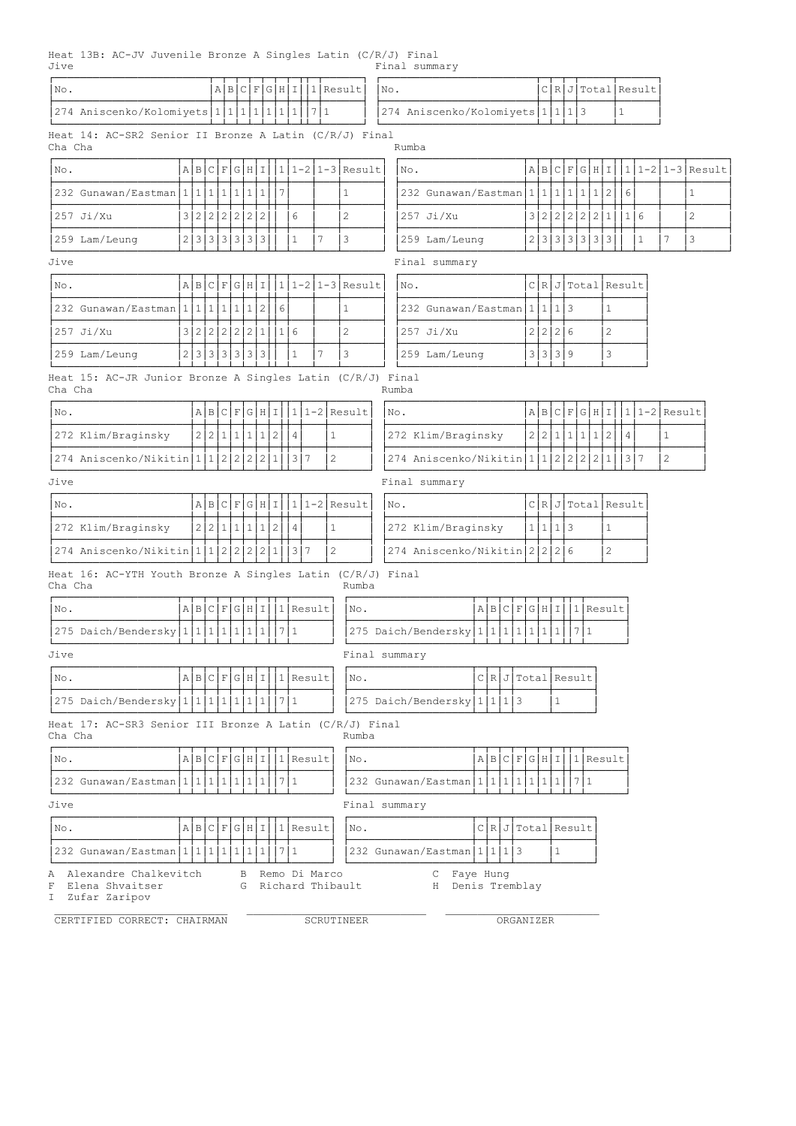Heat 13B: AC-JV Juvenile Bronze A Singles Latin (C/R/J) Final Jive Final summary

| No.                                                                      |                 |           | A B      |   | $\vert$ C      | F            |              | GHI |     |                            | $1$ Result                        |                |                      | No. |                                                         |                        |     |              |     |                    |              |                   |              | ClRJTotal Result |                  |                  |
|--------------------------------------------------------------------------|-----------------|-----------|----------|---|----------------|--------------|--------------|-----|-----|----------------------------|-----------------------------------|----------------|----------------------|-----|---------------------------------------------------------|------------------------|-----|--------------|-----|--------------------|--------------|-------------------|--------------|------------------|------------------|------------------|
| 274 Aniscenko/Kolomiyets 1 1 1 1 1 1 1 7 1                               |                 |           |          |   |                |              |              |     |     |                            |                                   |                |                      |     | 274 Aniscenko/Kolomiyets 1 1 1 3                        |                        |     |              |     |                    |              |                   | $\mathbf{1}$ |                  |                  |                  |
| Heat 14: AC-SR2 Senior II Bronze A Latin (C/R/J) Final<br>Cha Cha        |                 |           |          |   |                |              |              |     |     |                            |                                   |                |                      |     | Rumba                                                   |                        |     |              |     |                    |              |                   |              |                  |                  |                  |
| No.                                                                      | A B C F G H I   |           |          |   |                |              |              |     |     |                            |                                   |                | $ 1 1-2 1-3 $ Result |     | No.                                                     |                        |     |              |     | A B C F G H I      |              |                   |              |                  |                  | 1 1-2 1-3 Result |
| 232 Gunawan/Eastman   1   1   1                                          |                 |           |          |   | 1 1 1 1        |              |              | 7   |     |                            |                                   | $\mathbf{1}$   |                      |     | 232 Gunawan/Eastman 1 1 1 1 1 1 1 1 1                   |                        |     |              |     |                    |              | 2                 | 6            |                  |                  | $\mathbf{1}$     |
| $257$ Ji/Xu                                                              | 3 2 2 2 2 2 2 2 |           |          |   |                |              |              |     | 6   |                            |                                   | $\overline{2}$ |                      |     | $257$ Ji/Xu                                             |                        |     |              |     | 3 2 2 2 2 2 2      |              | $\mathbf{1}$      | 116          |                  |                  | 2                |
| 259 Lam/Leung                                                            | 2 3 3 3 3 3 3   |           |          |   |                |              |              |     | 1   |                            | 7                                 | 3              |                      |     | 259 Lam/Leung                                           |                        |     |              |     | 2 3 3 3 3 3        |              | $\lceil 3 \rceil$ |              | $\mathbf{1}$     | 7                | 3                |
| Jive                                                                     |                 |           |          |   |                |              |              |     |     |                            |                                   |                |                      |     | Final summary                                           |                        |     |              |     |                    |              |                   |              |                  |                  |                  |
| No.                                                                      | A B C F G H I   |           |          |   |                |              |              |     |     |                            |                                   |                | $ 1 1-2 1-3 $ Result |     | No.                                                     |                        |     |              |     | ClRJTotal Result   |              |                   |              |                  |                  |                  |
| 232 Gunawan/Eastman   1   1   1   1   1   2                              |                 |           |          |   |                |              |              | 6   |     |                            |                                   | $\mathbf{1}$   |                      |     | 232 Gunawan/Eastman   1   1   1   3                     |                        |     |              |     |                    |              | $\mathbf{1}$      |              |                  |                  |                  |
| $257$ Ji/Xu                                                              | 3 2 2 2 2 2 1   |           |          |   |                |              |              | 1 6 |     |                            |                                   | 2              |                      |     | 257 Ji/Xu                                               |                        |     | 2 2 2 6      |     |                    |              | $\overline{c}$    |              |                  |                  |                  |
| 259 Lam/Leung                                                            | 2 3 3           |           |          |   | 3 3 3 3        |              |              |     | 1   |                            | 7                                 | 3              |                      |     | 259 Lam/Leung                                           |                        |     | 3 3 3 9      |     |                    |              | 3                 |              |                  |                  |                  |
| Heat 15: AC-JR Junior Bronze A Singles Latin (C/R/J) Final<br>Cha Cha    |                 |           |          |   |                |              |              |     |     |                            |                                   |                |                      |     | Rumba                                                   |                        |     |              |     |                    |              |                   |              |                  |                  |                  |
| No.                                                                      |                 | AB        |          |   | CIFIGIHII      |              |              |     |     |                            |                                   |                | $ 1 1-2 $ Result     | No. |                                                         |                        |     |              |     | ABCFGHI            |              |                   |              |                  | $ 1 1-2 $ Result |                  |
| 272 Klim/Braginsky                                                       |                 | 2 2       | $1\vert$ | 1 | 1              | $\mathbf{1}$ | 2            |     | 4   |                            | $\mathbf{1}$                      |                |                      |     | 272 Klim/Braginsky                                      |                        | 2 2 |              | 1 1 | 1                  | $\mathbf{1}$ | $\mathbf{2}$      | 4            |                  | $\mathbf{1}$     |                  |
| 274 Aniscenko/Nikitin 1                                                  |                 | $\vert$ 1 | 2        | 2 | $\overline{c}$ | 2            | $\mathbf{1}$ |     | 3   | 7                          | 2                                 |                |                      |     | 274 Aniscenko/Nikitin 1                                 |                        |     | 1 2 2 2      |     |                    | 2            | $\mathbf{1}$      |              | 3 7              | $\overline{2}$   |                  |
| Jive                                                                     |                 |           |          |   |                |              |              |     |     |                            |                                   |                |                      |     | Final summary                                           |                        |     |              |     |                    |              |                   |              |                  |                  |                  |
| No.                                                                      |                 | AB        |          |   | C F G H I      |              |              |     |     |                            |                                   |                | $1 1-2 $ Result      | No. |                                                         |                        |     |              |     | CIRIJITotalIResult |              |                   |              |                  |                  |                  |
| 272 Klim/Braginsky                                                       |                 | 2 2       |          |   | 1 1 1 1        |              | 2            |     | 4   |                            | 1                                 |                |                      |     | 272 Klim/Braginsky                                      |                        |     | 1 1 1 3      |     |                    |              | $\mathbf{1}$      |              |                  |                  |                  |
| 274 Aniscenko/Nikitin                                                    | 1 1             |           | 2        | 2 | $\overline{c}$ | 2            | 1            |     | 3 7 |                            | $\overline{2}$                    |                |                      |     | 274 Aniscenko/Nikitin 2 2 2 6                           |                        |     |              |     |                    |              | $\overline{c}$    |              |                  |                  |                  |
| Heat 16: AC-YTH Youth Bronze A Singles Latin (C/R/J) Final<br>Cha Cha    |                 |           |          |   |                |              |              |     |     |                            |                                   |                | Rumba                |     |                                                         |                        |     |              |     |                    |              |                   |              |                  |                  |                  |
| No.                                                                      |                 |           |          |   |                |              |              |     |     | $A B C F G H I  1 $ Result |                                   |                | No.                  |     |                                                         | A B C F G H I 1 Result |     |              |     |                    |              |                   |              |                  |                  |                  |
| $ 275$ Daich/Bendersky $ 1 1 1 1 1 1$                                    |                 |           |          |   |                |              |              | 7 1 |     |                            |                                   |                |                      |     | 275 Daich/Bendersky   1   1   1   1   1   1   1         |                        |     |              |     | 1711               |              |                   |              |                  |                  |                  |
| Jive                                                                     |                 |           |          |   |                |              |              |     |     |                            |                                   |                |                      |     | Final summary                                           |                        |     |              |     |                    |              |                   |              |                  |                  |                  |
| No.                                                                      |                 |           |          |   |                |              |              |     |     | A B C F G H I 1 Result     |                                   |                | No.                  |     |                                                         | C[R J Total Result     |     |              |     |                    |              |                   |              |                  |                  |                  |
| 275 Daich/Bendersky $ 1 1 1 1 1 1 1$                                     |                 |           |          |   |                |              |              | 7 1 |     |                            |                                   |                |                      |     | 275 Daich/Bendersky 1 1 1 3                             |                        |     | 1            |     |                    |              |                   |              |                  |                  |                  |
| Heat 17: AC-SR3 Senior III Bronze A Latin (C/R/J) Final<br>Cha Cha       |                 |           |          |   |                |              |              |     |     |                            |                                   |                | Rumba                |     |                                                         |                        |     |              |     |                    |              |                   |              |                  |                  |                  |
| No.                                                                      |                 |           |          |   |                |              |              |     |     | A B C F G H I 1 Result     |                                   |                | No.                  |     |                                                         | A B C F G H I 1 Result |     |              |     |                    |              |                   |              |                  |                  |                  |
| 232 Gunawan/Eastman   1   1   1   1   1   1   1   7   1                  |                 |           |          |   |                |              |              |     |     |                            |                                   |                |                      |     | 232 Gunawan/Eastman   1   1   1   1   1   1   1   7   1 |                        |     |              |     |                    |              |                   |              |                  |                  |                  |
| Jive                                                                     |                 |           |          |   |                |              |              |     |     |                            |                                   |                |                      |     | Final summary                                           |                        |     |              |     |                    |              |                   |              |                  |                  |                  |
| No.                                                                      |                 |           |          |   |                |              |              |     |     | A B C F G H I 1 Result     |                                   |                | No.                  |     |                                                         | C[R J Total Result     |     |              |     |                    |              |                   |              |                  |                  |                  |
| 232 Gunawan/Eastman   1   1   1                                          |                 |           |          |   | 1 1 1 1        |              |              | 71  |     |                            |                                   |                |                      |     | 232 Gunawan/Eastman   1   1   1   3                     |                        |     | $\mathbf{1}$ |     |                    |              |                   |              |                  |                  |                  |
| Alexandre Chalkevitch<br>Α<br>Elena Shvaitser<br>F<br>I<br>Zufar Zaripov |                 |           |          |   | B<br>G         |              |              |     |     |                            | Remo Di Marco<br>Richard Thibault |                |                      |     | Faye Hung<br>С<br>H Denis Tremblay                      |                        |     |              |     |                    |              |                   |              |                  |                  |                  |

CERTIFIED CORRECT: CHAIRMAN SCRUTINEER SCRUTINEER ORGANIZER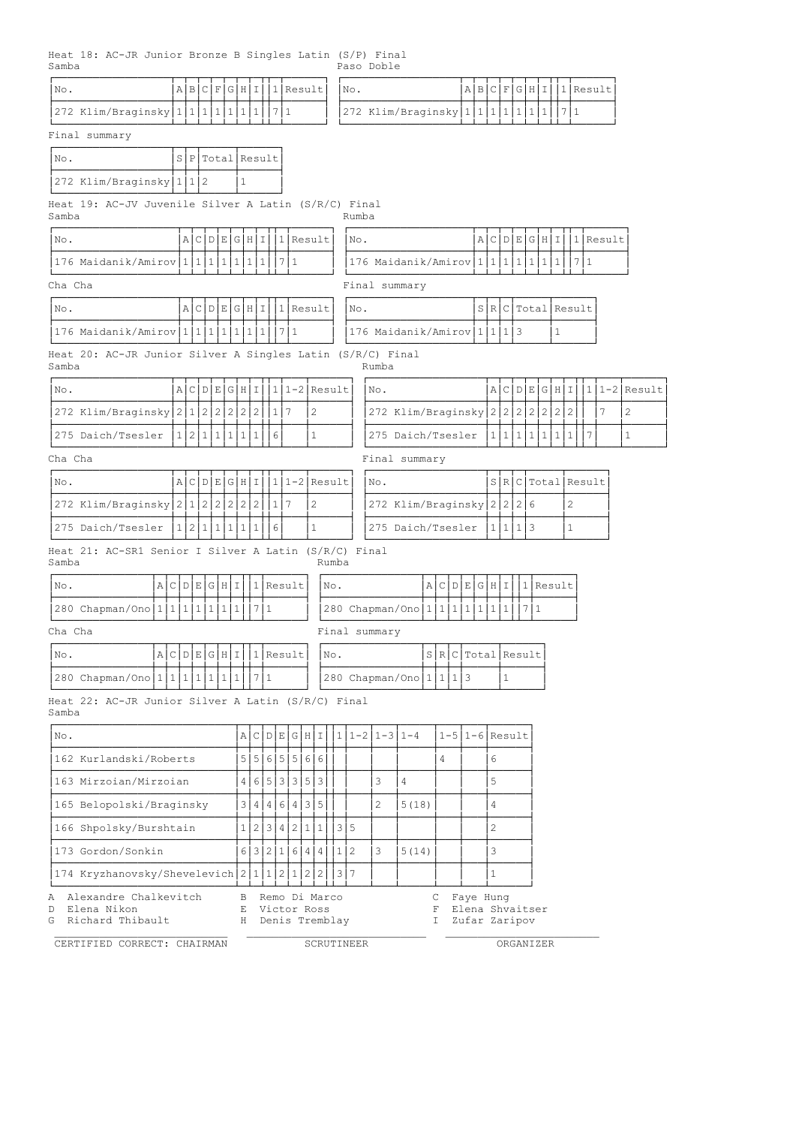Heat 18: AC-JR Junior Bronze B Singles Latin (S/P) Final Samba Paso Doble

| No.     |                                                            |               |    | AIB       |           | C F            |   | G H I          |     |              | $1\vert$ | Result          |              |       | No. |       |                 |                                         |              | A B                  | C              | F            |          | G H | Ι   |               | 1 Result           |      |   |            |              |                  |
|---------|------------------------------------------------------------|---------------|----|-----------|-----------|----------------|---|----------------|-----|--------------|----------|-----------------|--------------|-------|-----|-------|-----------------|-----------------------------------------|--------------|----------------------|----------------|--------------|----------|-----|-----|---------------|--------------------|------|---|------------|--------------|------------------|
|         | 272 Klim/Braginsky $ 1 1 1 1 1 $                           |               |    |           |           |                |   |                | 1 1 |              | 7   1    |                 |              |       |     |       |                 | 272 Klim/Braginsky 1 1 1 1              |              |                      |                |              | $1\vert$ |     | 1 1 |               | 7 1                |      |   |            |              |                  |
|         | Final summary                                              |               |    |           |           |                |   |                |     |              |          |                 |              |       |     |       |                 |                                         |              |                      |                |              |          |     |     |               |                    |      |   |            |              |                  |
| No.     |                                                            |               | s  |           |           |                |   | P Total Result |     |              |          |                 |              |       |     |       |                 |                                         |              |                      |                |              |          |     |     |               |                    |      |   |            |              |                  |
|         | 272 Klim/Braginsky 1 1 2                                   |               |    |           |           |                |   | 1              |     |              |          |                 |              |       |     |       |                 |                                         |              |                      |                |              |          |     |     |               |                    |      |   |            |              |                  |
| Samba   | Heat 19: AC-JV Juvenile Silver A Latin (S/R/C) Final       |               |    |           |           |                |   |                |     |              |          |                 |              |       |     | Rumba |                 |                                         |              |                      |                |              |          |     |     |               |                    |      |   |            |              |                  |
| No.     |                                                            |               |    |           |           |                |   | A C D E G H I  |     |              |          | 1 Result        |              |       |     | No.   |                 |                                         |              |                      |                |              |          |     |     | A C D E G H I |                    |      |   | $1$ Result |              |                  |
|         | 176 Maidanik/Amirov 1 1 1 1 1 1                            |               |    |           |           |                |   |                |     |              | 7 1      |                 |              |       |     |       |                 | 176 Maidanik/Amirov $ 1 1 1 1 1 1 1$    |              |                      |                |              |          |     |     |               |                    | 1711 |   |            |              |                  |
| Cha Cha |                                                            |               |    |           |           |                |   |                |     |              |          |                 |              |       |     |       |                 | Final summary                           |              |                      |                |              |          |     |     |               |                    |      |   |            |              |                  |
| No.     |                                                            |               |    |           |           |                |   | A C D E G H I  |     |              |          | $ 1 $ Result    |              |       |     | No.   |                 |                                         |              |                      |                |              |          |     |     |               | S R C Total Result |      |   |            |              |                  |
|         | 176 Maidanik/Amirov   1   1   1   1                        |               |    |           |           |                |   | 1 1            |     | $\mathbf{1}$ | 1711     |                 |              |       |     |       |                 | 176 Maidanik/Amirov 111113              |              |                      |                |              |          |     |     | 1             |                    |      |   |            |              |                  |
| Samba   | Heat 20: AC-JR Junior Silver A Singles Latin (S/R/C) Final |               |    |           |           |                |   |                |     |              |          |                 |              |       |     |       | Rumba           |                                         |              |                      |                |              |          |     |     |               |                    |      |   |            |              |                  |
| No.     |                                                            |               |    |           |           |                |   | A C D E G H I  |     |              |          | $1 1-2 $ Result |              |       |     |       | No.             |                                         |              |                      |                |              |          |     |     |               | A C D E G H I      |      |   |            |              | $ 1 1-2 $ Result |
|         | 272 Klim/Braginsky 2 1 2 2 2 2 2 2                         |               |    |           |           |                |   |                |     |              | 117      |                 | 2            |       |     |       |                 | 272 Klim/Braginsky 2 2 2 2 2 2 2 2      |              |                      |                |              |          |     |     |               |                    |      |   | 7          | 2            |                  |
|         | 275 Daich/Tsesler                                          |               |    |           |           | 1 2 1 1 1      |   | $\mathbf{1}$   | 1   |              | 6        |                 | $\mathbf{1}$ |       |     |       |                 | 275 Daich/Tsesler                       |              |                      |                | $1 1 $       |          |     |     | 1 1 1 1       | $\overline{1}$     |      | 7 |            | $\mathbf{1}$ |                  |
| Cha Cha |                                                            |               |    |           |           |                |   |                |     |              |          |                 |              |       |     |       |                 | Final summary                           |              |                      |                |              |          |     |     |               |                    |      |   |            |              |                  |
| No.     |                                                            |               |    |           |           |                |   | ACDEGHI        |     |              |          | $1 1-2 $ Result |              |       |     |       | No.             |                                         |              |                      |                |              |          |     |     |               | SRCTotal Result    |      |   |            |              |                  |
|         | 272 Klim/Braginsky 2   1                                   |               |    |           | 2         | $\overline{c}$ | 2 | 2              | 2   |              | $1\vert$ | 7               | 2            |       |     |       |                 | 272 Klim/Braginsky 2                    |              |                      |                | 2            | 2        | 6   |     |               | 2                  |      |   |            |              |                  |
|         | 275 Daich/Tsesler                                          |               | 11 | $\vert$ 2 | $\vert$ 1 | $\mathbf{1}$   | 1 | 1              | 1   |              | 6        |                 | $\mathbf{1}$ |       |     |       |                 | 275 Daich/Tsesler                       |              |                      |                | 1 1          |          | 113 |     |               | $\mathbf{1}$       |      |   |            |              |                  |
| Samba   | Heat 21: AC-SR1 Senior I Silver A Latin (S/R/C) Final      |               |    |           |           |                |   |                |     |              |          |                 |              | Rumba |     |       |                 |                                         |              |                      |                |              |          |     |     |               |                    |      |   |            |              |                  |
| No.     |                                                            | A C D E G H I |    |           |           |                |   |                |     |              |          | $1$ Result      |              | No.   |     |       |                 |                                         |              | A C D E G H I        |                |              |          |     |     | $1$ Result    |                    |      |   |            |              |                  |
|         | 280 Chapman/Ono   1   1   1   1   1   1                    |               |    |           |           |                |   | $\mathbf{1}$   |     | 711          |          |                 |              |       |     |       |                 | 280 Chapman/Ono   1   1   1   1   1   1 |              |                      |                | 1            |          | 71  |     |               |                    |      |   |            |              |                  |
| Cha Cha |                                                            |               |    |           |           |                |   |                |     |              |          |                 |              |       |     |       | Final summary   |                                         |              |                      |                |              |          |     |     |               |                    |      |   |            |              |                  |
| No.     |                                                            | A C D E G H I |    |           |           |                |   |                |     |              |          | 11 Result       |              | No.   |     |       |                 |                                         |              | SRCTotal Result      |                |              |          |     |     |               |                    |      |   |            |              |                  |
|         | 280 Chapman/Ono 1 1 1 1 1 1 1 1 1 1 7 1                    |               |    |           |           |                |   |                |     |              |          |                 |              |       |     |       |                 | 280 Chapman/Ono 1 1 1 1 3               |              |                      |                | $\mathbf{1}$ |          |     |     |               |                    |      |   |            |              |                  |
| Samba   | Heat 22: AC-JR Junior Silver A Latin (S/R/C) Final         |               |    |           |           |                |   |                |     |              |          |                 |              |       |     |       |                 |                                         |              |                      |                |              |          |     |     |               |                    |      |   |            |              |                  |
| No.     |                                                            |               |    |           |           |                |   |                |     |              |          | A C D E G H I   |              |       |     |       | $111-211-311-4$ |                                         |              | $1-5$   1-6   Result |                |              |          |     |     |               |                    |      |   |            |              |                  |
|         | 162 Kurlandski/Roberts                                     |               |    |           |           |                |   |                |     |              |          | 5 5 6 5 5 6 6   |              |       |     |       |                 |                                         | 4            |                      | 6              |              |          |     |     |               |                    |      |   |            |              |                  |
|         | 163 Mirzoian/Mirzoian                                      |               |    |           |           |                |   |                |     |              |          | 4 6 5 3 3 5 3   |              |       |     |       | 3               | $\overline{4}$                          |              |                      | 5              |              |          |     |     |               |                    |      |   |            |              |                  |
|         | 165 Belopolski/Braginsky                                   |               |    |           |           |                |   |                |     |              |          | 3 4 4 6 4 3 5   |              |       |     |       | $\mathbf{2}$    | 5(18)                                   |              |                      | $\overline{4}$ |              |          |     |     |               |                    |      |   |            |              |                  |
|         | 166 Shpolsky/Burshtain                                     |               |    |           |           |                |   |                |     |              |          | 1 2 3 4 2 1 1   |              |       | 3 5 |       |                 |                                         |              |                      | 2              |              |          |     |     |               |                    |      |   |            |              |                  |
|         | 173 Gordon/Sonkin                                          |               |    |           |           |                |   |                |     |              |          | 6 3 2 1 6 4 4   |              |       | 1 2 |       | 3               | 5(14)                                   |              |                      | 3              |              |          |     |     |               |                    |      |   |            |              |                  |
|         | 174 Kryzhanovsky/Shevelevich 2 1 1 2 1 2 2                 |               |    |           |           |                |   |                |     |              |          |                 |              |       | 317 |       |                 |                                         |              |                      | 1              |              |          |     |     |               |                    |      |   |            |              |                  |
|         | A Alexandre Chalkevitch                                    |               |    |           |           |                |   | В              |     |              |          | Remo Di Marco   |              |       |     |       |                 |                                         | $\mathbb{C}$ | Faye Hung            |                |              |          |     |     |               |                    |      |   |            |              |                  |

D Elena Nikon E Victor Ross F Elena Shvaitser

G Richard Thibault H Denis Tremblay I Zufar Zaripov \_\_\_\_\_\_\_\_\_\_\_\_\_\_\_\_\_\_\_\_\_\_\_\_\_\_\_ \_\_\_\_\_\_\_\_\_\_\_\_\_\_\_\_\_\_\_\_\_\_\_\_\_\_\_\_ \_\_\_\_\_\_\_\_\_\_\_\_\_\_\_\_\_\_\_\_\_\_\_\_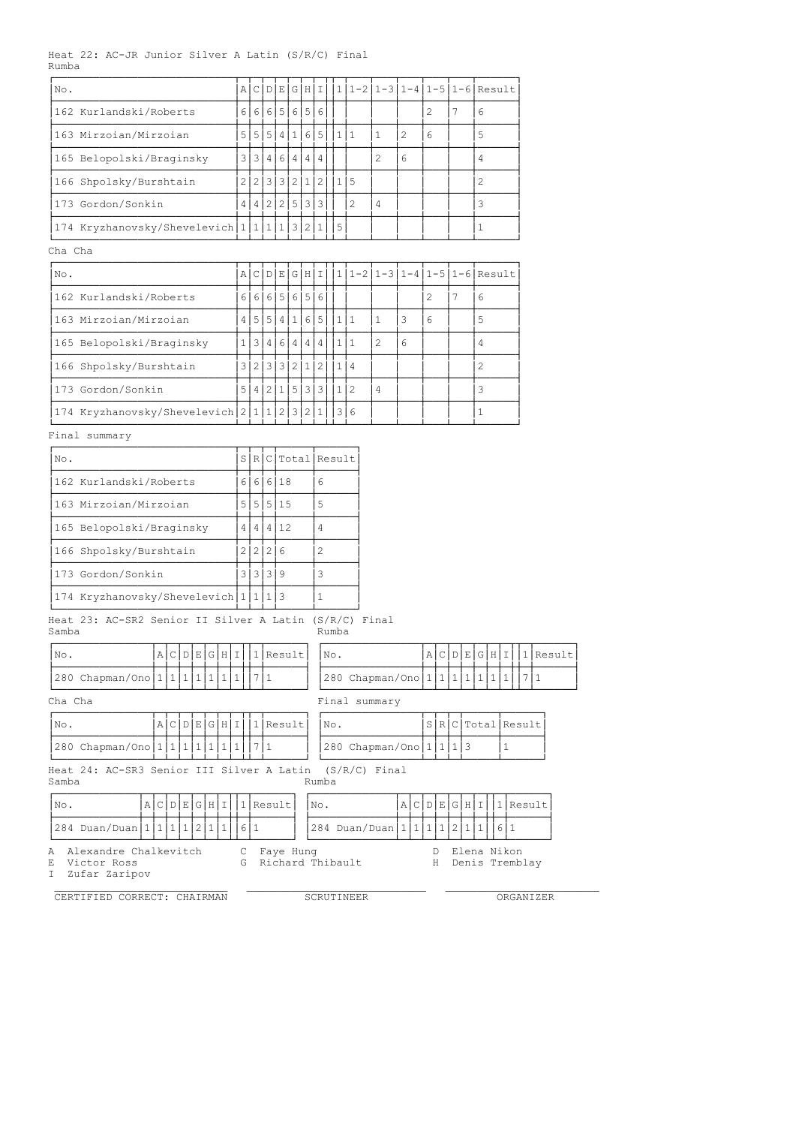#### Heat 22: AC-JR Junior Silver A Latin (S/R/C) Final Rumba

| No.                                                                                                                                                                                     | ΑI     |   | C[D E]        |  |  | GHI |                    |       |                                 |                |                |        |               | 1 1-2 1-3 1-4 1-5 1-6 Result                        |                            |
|-----------------------------------------------------------------------------------------------------------------------------------------------------------------------------------------|--------|---|---------------|--|--|-----|--------------------|-------|---------------------------------|----------------|----------------|--------|---------------|-----------------------------------------------------|----------------------------|
| 162 Kurlandski/Roberts                                                                                                                                                                  |        |   | 6 6 6 5 6 5 6 |  |  |     |                    |       |                                 |                |                | 2      | 7             | 6                                                   |                            |
| 163 Mirzoian/Mirzoian                                                                                                                                                                   |        |   |               |  |  |     | 5 5 5 4 1 6 5 11 1 |       |                                 | $\mathbf{1}$   | $\overline{2}$ | 6      |               | 5                                                   |                            |
| 165 Belopolski/Braginsky                                                                                                                                                                |        |   | 3 3 4 6 4 4 4 |  |  |     |                    |       |                                 | $\overline{c}$ | 6              |        |               | 4                                                   |                            |
| 166 Shpolsky/Burshtain                                                                                                                                                                  |        |   | 2 2 3 3 2 1 2 |  |  |     |                    |       | 1 5                             |                |                |        |               | 2                                                   |                            |
| 173 Gordon/Sonkin                                                                                                                                                                       |        |   | 4 4 2 2 5 3 3 |  |  |     |                    |       | 2                               | 4              |                |        |               | 3                                                   |                            |
| 174 Kryzhanovsky/Shevelevich   1   1   1   1   3   2   1                                                                                                                                |        |   |               |  |  |     |                    | 5     |                                 |                |                |        |               | 1                                                   |                            |
| Cha Cha                                                                                                                                                                                 |        |   |               |  |  |     |                    |       |                                 |                |                |        |               |                                                     |                            |
| No.                                                                                                                                                                                     |        |   |               |  |  |     |                    |       |                                 |                |                |        |               | $A C D E G H I 1 1-2 1-3 1-4 1-5 1-6 Result$        |                            |
| 162 Kurlandski/Roberts                                                                                                                                                                  |        |   | 6 6 6 5 6 5 6 |  |  |     |                    |       |                                 |                |                | 2      | 7             | 6                                                   |                            |
| 163 Mirzoian/Mirzoian                                                                                                                                                                   |        |   |               |  |  |     | 4 5 5 4 1 6 5 11 1 |       |                                 | $\mathbf{1}$   | 3              | 6      |               | 5                                                   |                            |
| 165 Belopolski/Braginsky                                                                                                                                                                |        |   | 1 3 4 6 4 4 4 |  |  |     |                    |       | 1 1                             | 2              | 6              |        |               | 4                                                   |                            |
| 166 Shpolsky/Burshtain                                                                                                                                                                  |        |   |               |  |  |     |                    |       | 114                             |                |                |        |               | 2                                                   |                            |
| 3 2 3 3 2 1 2<br>173 Gordon/Sonkin<br>5 4 2 1 5 3 3<br>112<br>4<br>3<br>174 Kryzhanovsky/Shevelevich 211123<br>2 1<br>3 6<br>$\mathbf{1}$<br>Final summary<br>S R C Total Result<br>No. |        |   |               |  |  |     |                    |       |                                 |                |                |        |               |                                                     |                            |
|                                                                                                                                                                                         |        |   |               |  |  |     |                    |       |                                 |                |                |        |               |                                                     |                            |
|                                                                                                                                                                                         |        |   |               |  |  |     |                    |       |                                 |                |                |        |               |                                                     |                            |
| 6 6 6 18<br>6                                                                                                                                                                           |        |   |               |  |  |     |                    |       |                                 |                |                |        |               |                                                     |                            |
| 162 Kurlandski/Roberts                                                                                                                                                                  |        |   |               |  |  |     |                    |       |                                 |                |                |        |               |                                                     |                            |
| 163 Mirzoian/Mirzoian<br>5 5 5 15<br>5                                                                                                                                                  |        |   |               |  |  |     |                    |       |                                 |                |                |        |               |                                                     |                            |
| 165 Belopolski/Braginsky                                                                                                                                                                |        | 4 | 4 4 12        |  |  |     | 4                  |       |                                 |                |                |        |               |                                                     |                            |
| 166 Shpolsky/Burshtain                                                                                                                                                                  |        |   | 2 2 2 6       |  |  |     | 2                  |       |                                 |                |                |        |               |                                                     |                            |
| 173 Gordon/Sonkin                                                                                                                                                                       |        |   | 3 3 3 9       |  |  |     | 3                  |       |                                 |                |                |        |               |                                                     |                            |
| 174 Kryzhanovsky/Shevelevich 1 1 1 3                                                                                                                                                    |        |   |               |  |  |     | 1                  |       |                                 |                |                |        |               |                                                     |                            |
| Heat 23: AC-SR2 Senior II Silver A Latin (S/R/C) Final<br>Samba                                                                                                                         |        |   |               |  |  |     |                    | Rumba |                                 |                |                |        |               |                                                     |                            |
| A C D E G H I <br>No.                                                                                                                                                                   |        |   | $1$  Result   |  |  |     |                    | No.   |                                 |                |                |        |               |                                                     | $A C D E G H I  1 $ Result |
| 280 Chapman/Ono 1 1 1 1 1 1 1 1 1 1 7 1                                                                                                                                                 |        |   |               |  |  |     |                    |       |                                 |                |                |        |               | 280 Chapman/Ono   1   1   1   1   1   1   1   7   1 |                            |
| Cha Cha                                                                                                                                                                                 |        |   |               |  |  |     |                    |       | Final summary                   |                |                |        |               |                                                     |                            |
| A C D E G H I <br>No.                                                                                                                                                                   |        |   | 1 Result      |  |  |     |                    | No.   |                                 |                |                |        |               | S R C Total Result                                  |                            |
| 280 Chapman/Ono 1 1 1 1 1 1 1                                                                                                                                                           |        |   | 7   1         |  |  |     |                    |       | 280 Chapman/Ono   1   1   1   3 |                |                |        |               | 1                                                   |                            |
| Heat 24: AC-SR3 Senior III Silver A Latin<br>Samba                                                                                                                                      |        |   |               |  |  |     | Rumba              |       | $(S/R/C)$ Final                 |                |                |        |               |                                                     |                            |
| No.<br>A C D E G H I                                                                                                                                                                    |        |   | 1 Result      |  |  |     | No.                |       |                                 |                |                |        | A C D E G H I |                                                     | 1 Result                   |
| 284 Duan/Duan   1   1   1   1   2   1   1   1   6   1                                                                                                                                   |        |   |               |  |  |     |                    |       | 284 Duan/Duan 1 1 1 1 2 1 1     |                |                |        |               | 1611                                                |                            |
| Alexandre Chalkevitch<br>Α<br>Victor Ross<br>Е<br>I<br>Zufar Zaripov                                                                                                                    | С<br>G |   | Faye Hung     |  |  |     |                    |       | Richard Thibault                |                |                | D<br>Η |               | Elena Nikon<br>Denis Tremblay                       |                            |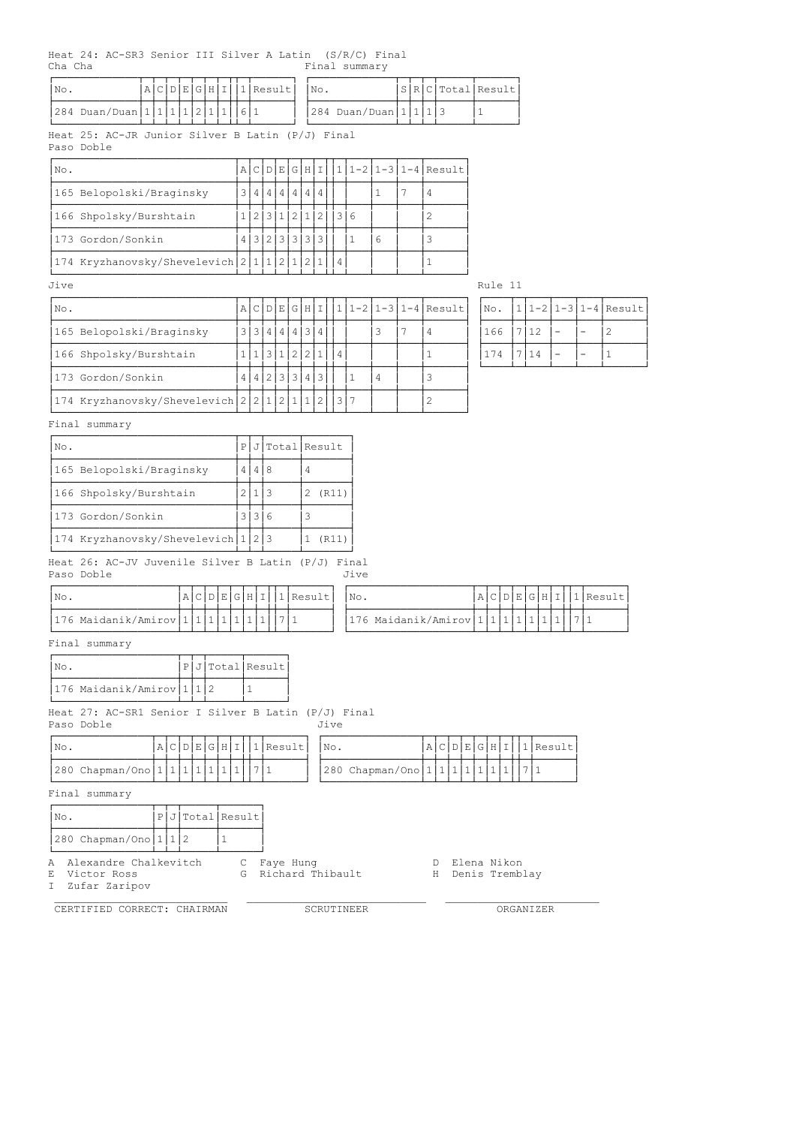Heat 24: AC-SR3 Senior III Silver A Latin (S/R/C) Final Cha Cha Final summary

| INo.                                  |  |  |  |  | A C D E G H I  1 Result   No. |                             |  |  | S R C Total Result |
|---------------------------------------|--|--|--|--|-------------------------------|-----------------------------|--|--|--------------------|
| $ 284$ Duan/Duan $ 1 1 1 1 2 1 1 6 1$ |  |  |  |  |                               | $ 284$ Duan/Duan $ 1 1 1 3$ |  |  |                    |

Heat 25: AC-JR Junior Silver B Latin (P/J) Final

Paso Doble

| No.                                      |  | A C D E     |     |     |     |                 |   | G H I  1 1-2 1-3 1-4 Result |
|------------------------------------------|--|-------------|-----|-----|-----|-----------------|---|-----------------------------|
| 165 Belopolski/Braginsky                 |  | 4 I         | 4   |     |     |                 |   |                             |
| 166 Shpolsky/Burshtain                   |  | 3 I         | 1 I | 2 1 | 2 I | $\overline{13}$ |   |                             |
| 173 Gordon/Sonkin                        |  | 13121313131 |     |     | 3   |                 | 6 |                             |
| 174 Kryzhanovsky/Shevelevich 2 1 1 2 1 2 |  |             |     |     |     |                 |   |                             |

| Jive                                       |  |       |           |     |     |   |   |   |                                     | Rule 11 |     |   |   |                      |
|--------------------------------------------|--|-------|-----------|-----|-----|---|---|---|-------------------------------------|---------|-----|---|---|----------------------|
| No.                                        |  |       |           |     |     |   |   |   | A C D E G H I  1 1-2 1-3 1-4 Result | No.     |     |   |   | . 1-2 1-3 1-4 Result |
| 165 Belopolski/Braginsky                   |  |       | 3 3 4 4 4 |     | 3 I | 4 |   |   |                                     | 166     |     | - | - |                      |
| 166 Shpolsky/Burshtain                     |  |       |           | 2   | 2   |   | 4 |   |                                     | 74      | 114 | - |   |                      |
| 173 Gordon/Sonkin                          |  | 4 4 2 |           | 3 3 | 4   |   |   | 4 |                                     |         |     |   |   |                      |
| 174 Kryzhanovsky/Shevelevich 2 2 1 2 1 1 2 |  |       |           |     |     |   |   |   |                                     |         |     |   |   |                      |

|              |  |  | No.  1 1-2 1-3 1-4 Result |
|--------------|--|--|---------------------------|
| 166 7 12     |  |  | $\mathcal{L}$             |
| 174   7   14 |  |  |                           |
|              |  |  |                           |

Final summary

| No.                                | P |  | J Total Result |
|------------------------------------|---|--|----------------|
| 165 Belopolski/Braginsky           | 4 |  |                |
| 166 Shpolsky/Burshtain             |   |  | (R11)          |
| 173 Gordon/Sonkin                  |   |  |                |
| 174 Kryzhanovsky/Shevelevich 1 2 3 |   |  | R11            |

#### ÀÄÄÄÄÄÄÄÄÄÄÄÄÄÄÄÄÄÄÄÄÄÄÄÄÄÄÄÄÁÄÁÄÁÄÄÄÄÄÁÄÄÄÄÄÄÄÙ Heat 26: AC-JV Juvenile Silver B Latin (P/J) Final Paso Doble Jive John States and Dive

| I No                                  |  |  |  |  | $ A C D E G H I 1 Result$   No. |                                           |  |  |  |  | A C D E G H I 1 Result |
|---------------------------------------|--|--|--|--|---------------------------------|-------------------------------------------|--|--|--|--|------------------------|
|                                       |  |  |  |  |                                 |                                           |  |  |  |  |                        |
| 176 Maidanik/Amirov 1 1 1 1 1 1 1 7 1 |  |  |  |  |                                 | $ 176$ Maidanik/Amirov $ 1 1 1 1 1 1 1 1$ |  |  |  |  |                        |
|                                       |  |  |  |  |                                 |                                           |  |  |  |  |                        |

Final summary

| No.           |                                                       |  |  |  |   |                          | PJ Total Result                 |                             |               |  |   |              |                |
|---------------|-------------------------------------------------------|--|--|--|---|--------------------------|---------------------------------|-----------------------------|---------------|--|---|--------------|----------------|
|               | 176 Maidanik/Amirov 1 1 2                             |  |  |  |   |                          |                                 |                             |               |  |   |              |                |
| Paso Doble    | Heat 27: AC-SR1 Senior I Silver B Latin (P/J) Final   |  |  |  |   |                          |                                 | Jive                        |               |  |   |              |                |
| No.           |                                                       |  |  |  |   |                          | $A C D E G H I  1 $ Result      | No.                         | A C D E G H I |  |   |              | 1 Result       |
|               | 280 Chapman/Ono   1   1   1   1   1   1   1           |  |  |  |   |                          |                                 | 280 Chapman/Ono 1 1 1 1 1 1 |               |  | 1 | $\mathbf{1}$ | .7 1           |
| Final summary |                                                       |  |  |  |   |                          |                                 |                             |               |  |   |              |                |
| No.           |                                                       |  |  |  |   | $P$ $J$ $Total$ $Result$ |                                 |                             |               |  |   |              |                |
|               | 280 Chapman/Ono $1/1$                                 |  |  |  |   |                          |                                 |                             |               |  |   |              |                |
| A<br>Е<br>I   | Alexandre Chalkevitch<br>Victor Ross<br>Zufar Zaripov |  |  |  | G |                          | C Faye Hung<br>Richard Thibault |                             | D.<br>H       |  |   | Elena Nikon  | Denis Tremblay |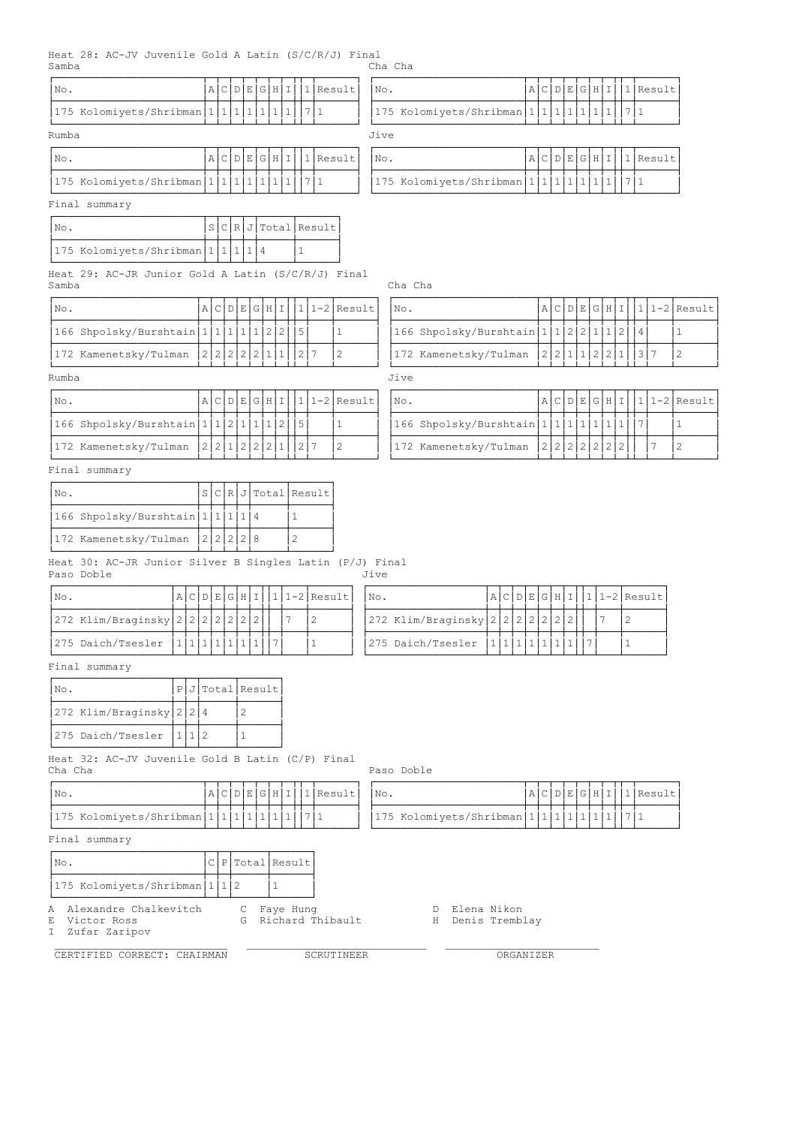### Heat 28: AC-JV Juvenile Gold A Latin (S/C/R/J) Final ...<br>Cha Cha

| No.                                                                    |               |                     |                |     | A C D E G H I    |   |                 |       | $1$ Result           | No.  |                                                    |                               |   |         |     | A C D E G H I |                                          |                | 1 Result                   |                 |
|------------------------------------------------------------------------|---------------|---------------------|----------------|-----|------------------|---|-----------------|-------|----------------------|------|----------------------------------------------------|-------------------------------|---|---------|-----|---------------|------------------------------------------|----------------|----------------------------|-----------------|
| 175 Kolomiyets/Shribman 1 1 1 1 1 1                                    |               |                     |                |     |                  |   |                 | 7   1 |                      |      | 175 Kolomiyets/Shribman 1 1 1 1 1 1                |                               |   |         |     |               |                                          | 7 1            |                            |                 |
| Rumba                                                                  |               |                     |                |     |                  |   |                 |       |                      | Jive |                                                    |                               |   |         |     |               |                                          |                |                            |                 |
| No.                                                                    |               |                     |                |     | A C D E G H I    |   |                 |       | 1 Result             | No.  |                                                    |                               |   |         |     | A C D E G H I |                                          |                | $ 1 $ Result               |                 |
| 175 Kolomiyets/Shribman 1 1 1 1 1 1                                    |               |                     |                |     |                  |   | $\vert$ 1       | 7 1   |                      |      | 175 Kolomiyets/Shribman 1 1 1 1 1 1                |                               |   |         |     |               |                                          | 7 1            |                            |                 |
| Final summary                                                          |               |                     |                |     |                  |   |                 |       |                      |      |                                                    |                               |   |         |     |               |                                          |                |                            |                 |
| INo.                                                                   |               |                     |                |     |                  |   |                 |       | S C R J Total Result |      |                                                    |                               |   |         |     |               |                                          |                |                            |                 |
| 175 Kolomiyets/Shribman   1   1   1   1   4                            |               |                     |                |     |                  |   | $\mathbf{1}$    |       |                      |      |                                                    |                               |   |         |     |               |                                          |                |                            |                 |
| Heat 29: AC-JR Junior Gold A Latin (S/C/R/J) Final<br>Samba            |               |                     |                |     |                  |   |                 |       |                      |      | Cha Cha                                            |                               |   |         |     |               |                                          |                |                            |                 |
| No.                                                                    | A C D E G H I |                     |                |     |                  |   |                 |       | $ 1 1-2 $ Result     |      | No.                                                |                               |   |         |     | A C D E G H I |                                          |                |                            | $1 1-2 $ Result |
| 166 Shpolsky/Burshtain   1   1   1                                     |               |                     |                |     | 112215           |   |                 |       | $\mathbf{1}$         |      | 166 Shpolsky/Burshtain 1 1 2 2 1 1                 |                               |   |         |     |               | $\begin{array}{c} \boxed{2} \end{array}$ | $ 4\rangle$    |                            | $\mathbf{1}$    |
| 172 Kamenetsky/Tulman                                                  | 2 2 2 2 2 1   |                     |                |     |                  | 1 |                 | 2 7   | $\mathbf{2}$         |      | 172 Kamenetsky/Tulman                              |                               |   |         |     | 2 2 1 1 2 2   | $\vert$ 1                                |                | 3 7                        | $\mathbf{2}$    |
| Rumba                                                                  |               |                     |                |     |                  |   |                 |       |                      |      | Jive                                               |                               |   |         |     |               |                                          |                |                            |                 |
| No.                                                                    | A C           |                     |                |     | D E G H I        |   |                 |       | $ 1 1-2 $ Result     |      | No.                                                |                               | A | $\circ$ |     | D E G H I     |                                          |                |                            | $1 1-2 $ Result |
| 166 Shpolsky/Burshtain   1   1   2   1   1   2                         |               |                     |                |     |                  |   | $\vert 5 \vert$ |       | $\mathbf{1}$         |      | 166 Shpolsky/Burshtain   1   1   1   1   1   1   1 |                               |   |         |     |               |                                          | 7 <sup>1</sup> |                            | $\mathbf{1}$    |
| 172 Kamenetsky/Tulman                                                  | 2 2 1 2 2 2   |                     |                |     |                  | 1 |                 | 2 7   | $\mathbf{2}$         |      | 172 Kamenetsky/Tulman                              |                               |   | $2 2 $  | 2 2 | 2 2           | $\overline{2}$                           |                | 7                          | $\overline{c}$  |
| Final summary                                                          |               |                     |                |     |                  |   |                 |       |                      |      |                                                    |                               |   |         |     |               |                                          |                |                            |                 |
| No.                                                                    | S C           | $\lfloor R \rfloor$ |                |     |                  |   |                 |       | J Total Result       |      |                                                    |                               |   |         |     |               |                                          |                |                            |                 |
| 166 Shpolsky/Burshtain   1   1                                         |               | 1                   |                | 1 4 |                  |   | $\mathbf{1}$    |       |                      |      |                                                    |                               |   |         |     |               |                                          |                |                            |                 |
| 172 Kamenetsky/Tulman                                                  | 2 2 2 2 8     |                     |                |     |                  |   | 2               |       |                      |      |                                                    |                               |   |         |     |               |                                          |                |                            |                 |
| Heat 30: AC-JR Junior Silver B Singles Latin (P/J) Final<br>Paso Doble |               |                     |                |     |                  |   |                 |       |                      | Jive |                                                    |                               |   |         |     |               |                                          |                |                            |                 |
| ACDEGHI<br>No.                                                         |               |                     |                |     |                  |   |                 |       | $1 1-2 $ Result      | No.  |                                                    | $A C D E G H I 1 1-2 Result$  |   |         |     |               |                                          |                |                            |                 |
| 272 Klim/Braginsky 2 2 2 2 2 2 1                                       |               |                     | 2 2            |     |                  |   | 7               |       | $\overline{c}$       |      | 272 Klim/Braginsky $ 2 2 2 2 2 2 2 2 $             |                               |   |         |     | 7             |                                          | 2              |                            |                 |
| 275 Daich/Tsesler<br> 1 1 1 1 1 1 1                                    |               |                     |                |     | 7                |   |                 |       | $\mathbf{1}$         |      | 275 Daich/Tsesler                                  | 1 1 1 1 1 1 1 1               |   |         | 7   |               |                                          | 1              |                            |                 |
| Final summary                                                          |               |                     |                |     |                  |   |                 |       |                      |      |                                                    |                               |   |         |     |               |                                          |                |                            |                 |
| No.<br>P J Total Result                                                |               |                     |                |     |                  |   |                 |       |                      |      |                                                    |                               |   |         |     |               |                                          |                |                            |                 |
| 272 Klim/Braginsky 2 2 4                                               |               |                     | $\overline{2}$ |     |                  |   |                 |       |                      |      |                                                    |                               |   |         |     |               |                                          |                |                            |                 |
| 275 Daich/Tsesler<br>1 1 2                                             |               |                     | 1              |     |                  |   |                 |       |                      |      |                                                    |                               |   |         |     |               |                                          |                |                            |                 |
| Heat 32: AC-JV Juvenile Gold B Latin (C/P) Final<br>Cha Cha            |               |                     |                |     |                  |   |                 |       |                      |      | Paso Doble                                         |                               |   |         |     |               |                                          |                |                            |                 |
| No.                                                                    |               |                     |                |     | A C D E G H I    |   |                 |       | $ 1 $ Result         | No.  |                                                    |                               |   |         |     |               |                                          |                | $A C D E G H I  1 $ Result |                 |
| 175 Kolomiyets/Shribman 1 1 1 1 1 1                                    |               |                     |                |     |                  |   |                 | 7 1   |                      |      | 175 Kolomiyets/Shribman 1 1 1 1 1 1 7 1            |                               |   |         |     |               |                                          |                |                            |                 |
| Final summary                                                          |               |                     |                |     |                  |   |                 |       |                      |      |                                                    |                               |   |         |     |               |                                          |                |                            |                 |
| No.                                                                    |               |                     |                |     | C P Total Result |   |                 |       |                      |      |                                                    |                               |   |         |     |               |                                          |                |                            |                 |
| 175 Kolomiyets/Shribman   1   1   2                                    |               |                     |                |     | $\mathbf{1}$     |   |                 |       |                      |      |                                                    |                               |   |         |     |               |                                          |                |                            |                 |
| Alexandre Chalkevitch<br>Α<br>Victor Ross<br>Ε<br>Zufar Zaripov<br>I   |               |                     | С<br>G         |     | Faye Hung        |   |                 |       | Richard Thibault     |      | D<br>H                                             | Elena Nikon<br>Denis Tremblay |   |         |     |               |                                          |                |                            |                 |
| CERTIFIED CORRECT: CHAIRMAN                                            |               |                     |                |     |                  |   |                 |       | SCRUTINEER           |      |                                                    | ORGANIZER                     |   |         |     |               |                                          |                |                            |                 |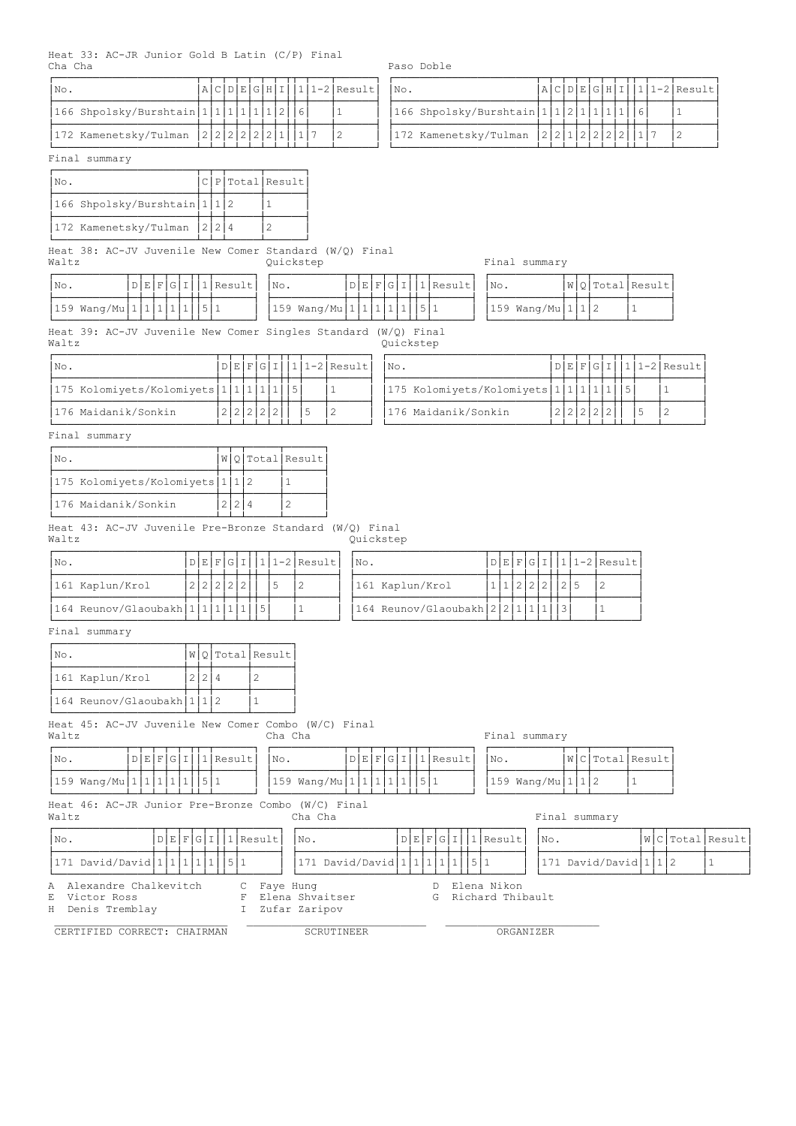Heat 33: AC-JR Junior Gold B Latin (C/P) Final<br>Cha Cha

Paso Doble

| INo. |                                         |  |  |  |  | A C D E G H I  1 1-2 Result | $\overline{\text{NO}}$ . |                                        |  |  |  |  | $A C D E G H I 1 1-2 Result $ |
|------|-----------------------------------------|--|--|--|--|-----------------------------|--------------------------|----------------------------------------|--|--|--|--|-------------------------------|
|      | 166 Shpolsky/Burshtain 1 1 1 1 1 2  6   |  |  |  |  |                             |                          | 166 Shpolsky/Burshtain 1 1 2 1 1 1 1 6 |  |  |  |  |                               |
|      | 172 Kamenetsky/Tulman  2 2 2 2 2 1  1 7 |  |  |  |  |                             |                          | 172 Kamenetsky/Tulman  2 2 1 2 2 2 2 1 |  |  |  |  |                               |
|      | Final summarv                           |  |  |  |  |                             |                          |                                        |  |  |  |  |                               |

# ÚÄÄÄÄÄÄÄÄÄÄÄÄÄÄÄÄÄÄÄÄÄÄÂÄÂÄÂÄÂÄÂÄÂÄÂÄÂÂÄÂÄÄÄÂÄÄÄÄÄÄ¿ ÚÄÄÄÄÄÄÄÄÄÄÄÄÄÄÄÄÄÄÄÄÄÄÂÄÂÄÂÄÂÄÂÄÂÄÂÄÂÂÄÂÄÄÄÂÄÄÄÄÄÄ¿  $\vert$ No.  $\vert$ A $\vert$ C $\vert$ D $\vert$ E $\vert$ G $\vert$ H $\vert$ I $\vert$ 1 $\vert$ 1-2 $\vert$ Result  $\vert$ 166 Shpolsky/Burshtain $\vert 1\vert 1\vert 2\vert 1\vert 1\vert 1\vert 1\vert 1\vert$ 1||6|  $\vert 1\vert$  $\vert$ 172 Kamenetsky/Tulman  $\vert 2\vert 2\vert 1\vert 2\vert 2\vert 2\vert 2\vert 1\vert 1$ 7  $\vert 2$

#### Final summary

| No.                          |  | C P Total Result |
|------------------------------|--|------------------|
| 166 Shpolsky/Burshtain 1112  |  |                  |
| 172 Kamenetsky/Tulman  2 2 4 |  |                  |

Heat 38: AC-JV Juvenile New Comer Standard (W/Q) Final Standard (w/g/ Final summary Final summary Final summary  $\alpha$ 

| INo.                                 |  |  |  | $D[E[F[G][1]]$ Result $ $ No. |                             |  |  |  | $D[E]F[G][1][1]$ Result | INo. |                              |  | $ W Q $ Total Result |
|--------------------------------------|--|--|--|-------------------------------|-----------------------------|--|--|--|-------------------------|------|------------------------------|--|----------------------|
| $ 159 \text{ Wang/Mu} 1 1 1 1 1 5 1$ |  |  |  |                               | $159$ Wang/Mu 1 1 1 1 1 5 1 |  |  |  |                         |      | $ 159 \text{ Wang/Mu} 1 1 2$ |  |                      |

|     | Final summary     |  |                      |
|-----|-------------------|--|----------------------|
| No. |                   |  | $ W Q $ Total Result |
|     | 159 Wang/Mu 1 1 2 |  |                      |

Heat 39: AC-JV Juvenile New Comer Singles Standard (W/Q) Final Waltz Quickstep

| INo.                |                                              |  |  |  |  | $D[E]F[G]I$  1 1-2 Result |
|---------------------|----------------------------------------------|--|--|--|--|---------------------------|
|                     | $ 175$ Kolomiyets/Kolomiyets $ 1 1 1 1 1 5 $ |  |  |  |  |                           |
| 176 Maidanik/Sonkin |                                              |  |  |  |  |                           |

| $ N\circ.$                                   |           |  |  |  | $D[E[F G I 1 1-2 Result $ No. | $D[E]F[G][1][1]1-2[Result]$                  |  |
|----------------------------------------------|-----------|--|--|--|-------------------------------|----------------------------------------------|--|
| $ 175$ Kolomiyets/Kolomiyets $ 1 1 1 1 1 5 $ |           |  |  |  |                               | $ 175$ Kolomiyets/Kolomiyets $ 1 1 1 1 1 5 $ |  |
| 176 Maidanik/Sonkin                          | 2 2 2 2 2 |  |  |  |                               | 2 2 2 2 2<br>176 Maidanik/Sonkin             |  |

#### Final summary

| No.                            |  | $ W Q $ Total Result |
|--------------------------------|--|----------------------|
| 175 Kolomiyets/Kolomiyets 1112 |  |                      |
| 176 Maidanik/Sonkin            |  |                      |

Heat 43: AC-JV Juvenile Pre-Bronze Standard (W/Q) Final Waltz **Quickstep** 

| No.                              |             |  |  |    | $D[E[F[G][1][1]1-2]$ Result   No. |                                |  |  |  |  | $D[E[F[G][1][1]2-2]$ Result |
|----------------------------------|-------------|--|--|----|-----------------------------------|--------------------------------|--|--|--|--|-----------------------------|
| 1161 Kaplun/Krol                 | 12121212121 |  |  | .5 |                                   | 161 Kaplun/Krol                |  |  |  |  |                             |
| 164 Reunov/Glaoubakh 1 1 1 1 1 1 |             |  |  |    |                                   | 164 Reunov/Glaoubakh 2 2 1 1 1 |  |  |  |  |                             |

# Final summary

| INo.                       |       | $ W Q $ Total Result |
|----------------------------|-------|----------------------|
| 161 Kaplun/Krol            | 2 2 4 |                      |
| 164 Reunov/Glaoubakh 1 1 2 |       |                      |

Heat 45: AC-JV Juvenile New Comer Combo (W/C) Final Waltz **Cha Cha Final summary** Cha Cha Final summary

| D E F G I 1 Result <br> No.          | $D[E]F[G][1][1]$ Result<br>INO. | W C Total Result <br>INO. |
|--------------------------------------|---------------------------------|---------------------------|
|                                      |                                 |                           |
| $ 159 \text{ Wang/Mu} 1 1 1 1 1 5 1$ | $159$ Wang/Mu 1 1 1 1 1 5 1     | $159$ Wang/Mu 1 1 2       |

Heat 46: AC-JR Junior Pre-Bronze Combo (W/C) Final Waltz **Cha Cha Final summary** Cha Cha Final summary

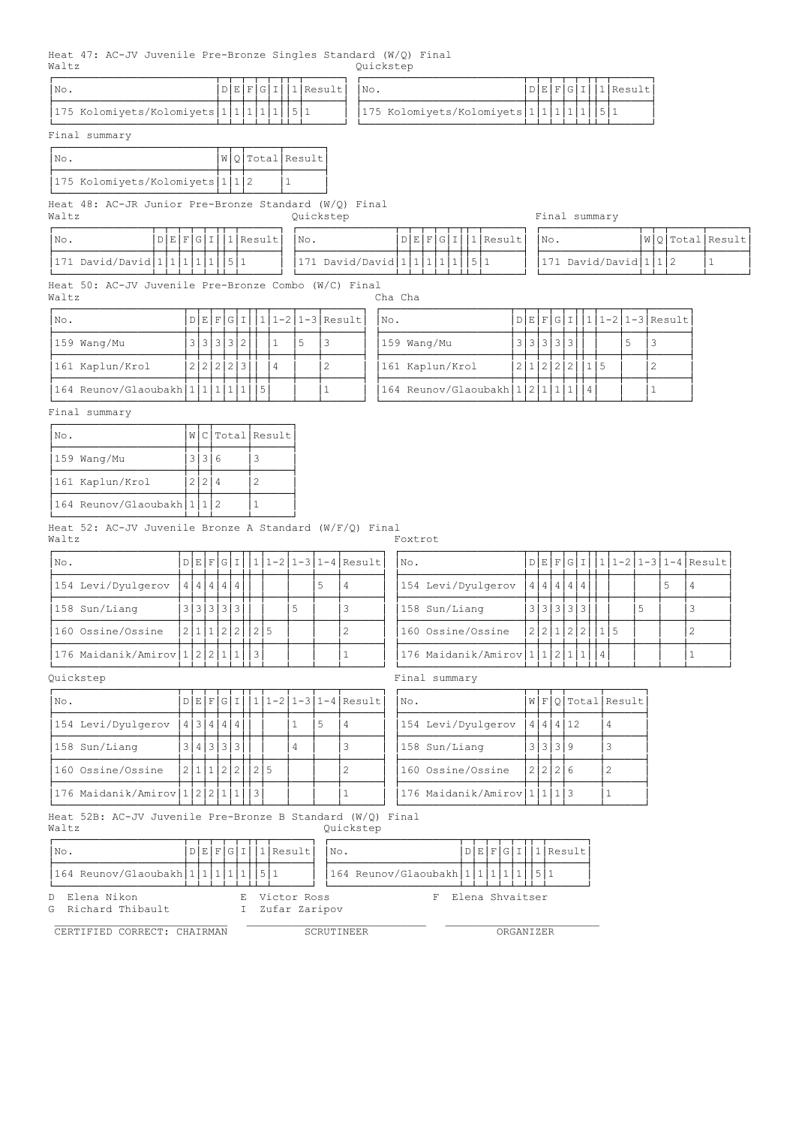Heat 47: AC-JV Juvenile Pre-Bronze Singles Standard (W/Q) Final<br>Waltz 0uickstep Quickstep

|                                         |  |  |  | 'Result | No.                               |  |  |  | 1 Result |
|-----------------------------------------|--|--|--|---------|-----------------------------------|--|--|--|----------|
| 175 Kolomiyets/Kolomiyets 1 1 1 1 1 5 1 |  |  |  |         | 175 Kolomiyets/Kolomiyets 1 1 1 1 |  |  |  |          |

| 'No. |                                         |  |  |  | D E F G I  1 Result |
|------|-----------------------------------------|--|--|--|---------------------|
|      | 175 Kolomiyets/Kolomiyets 1 1 1 1 1 5 1 |  |  |  |                     |

Final summary

| INo. |                                 |  | $ W $ O $ Total Result $ |
|------|---------------------------------|--|--------------------------|
|      | 1175 Kolomiyets/Kolomiyets 1112 |  |                          |

ÀÄÄÄÄÄÄÄÄÄÄÄÄÄÄÄÄÄÄÄÄÄÄÄÄÄÁÄÁÄÁÄÄÄÄÄÁÄÄÄÄÄÄÙ Heat 48: AC-JR Junior Pre-Bronze Standard (W/Q) Final Waltz **Manual Strauber Community** Cuickstep **Final summary** Final summary

| INo.                                |  |  | D E F G I  1 Result   No. |                               |  |  |  | D E F G I 1 Result | $\mathbb{N} \circ$ . |                       |  | $ W Q $ Total Result |
|-------------------------------------|--|--|---------------------------|-------------------------------|--|--|--|--------------------|----------------------|-----------------------|--|----------------------|
| $ 171$ David/David $ 1 1 1 1 1 5 1$ |  |  |                           | 171 David/David 1 1 1 1 1 5 1 |  |  |  |                    |                      | 171 David/David 1 1 2 |  |                      |

Heat 50: AC-JV Juvenile Pre-Bronze Combo (W/C) Final Waltz Cha Cha

| $ N\circ.$                       |           |  |  |   | $D E F G I   1 1-2 1-3 Result $ | INo.                             |            |  |  |  | $D E F G I   1 1-2 1-3 Result$ |
|----------------------------------|-----------|--|--|---|---------------------------------|----------------------------------|------------|--|--|--|--------------------------------|
| $159$ Wang/Mu                    | 3 3 3 3 2 |  |  |   |                                 | 159 Wang/Mu                      |            |  |  |  |                                |
| 161 Kaplun/Krol                  | 2 2 2 2   |  |  | 4 |                                 | 161 Kaplun/Krol                  | 1211212121 |  |  |  |                                |
| 164 Reunov/Glaoubakh 1 1 1 1 1 5 |           |  |  |   |                                 | 164 Reunov/Glaoubakh 1 2 1 1 1 4 |            |  |  |  |                                |

| $ $ No.                          |  |  |  |  | $D E F G I   1 1-2 1-3 Result $ | No.                          |  |  |  |  | 'D E F G I  1 1-2 1-3 Result |
|----------------------------------|--|--|--|--|---------------------------------|------------------------------|--|--|--|--|------------------------------|
| 159 Wang/Mu                      |  |  |  |  |                                 | 159 Wang/Mu                  |  |  |  |  |                              |
| 161 Kaplun/Krol                  |  |  |  |  |                                 | 161 Kaplun/Krol              |  |  |  |  |                              |
| 164 Reunov/Glaoubakh 1 1 1 1 1 5 |  |  |  |  |                                 | 164 Reunov/Glaoubakh 1 2 1 1 |  |  |  |  |                              |

Final summary

| INo.                       |  | WC Total Result |
|----------------------------|--|-----------------|
| 159 Wang/Mu                |  |                 |
| 161 Kaplun/Krol            |  |                 |
| 164 Reunov/Glaoubakh 1 1 2 |  |                 |

Heat 52: AC-JV Juvenile Bronze A Standard (W/F/Q) Final Waltz **Foxtrot** 

| $ N\circ.$                       |                   |  |  |                |  |  | $D[E[F[G][1][11-2]1-3]1-4]$ Result | No. |                               |  |                   |  |  |  | D E F G I  1 1-2 1-3 1-4 Result |
|----------------------------------|-------------------|--|--|----------------|--|--|------------------------------------|-----|-------------------------------|--|-------------------|--|--|--|---------------------------------|
| 154 Levi/Dyulgerov               | 4   4   4   4   4 |  |  |                |  |  |                                    |     | 154 Levi/Dyulgerov            |  | 4   4   4   4   4 |  |  |  |                                 |
| 158 Sun/Liang                    | 3 3 3 3 3         |  |  |                |  |  |                                    |     | 158 Sun/Liang                 |  | 3 3 3 3 3         |  |  |  |                                 |
| 160 Ossine/Ossine                |                   |  |  | 2 1 1 2 2  2 5 |  |  |                                    |     | 160 Ossine/Ossine             |  | 2 2 1 2 2         |  |  |  |                                 |
| 176 Maidanik/Amirov 1 2 2 1 1  3 |                   |  |  |                |  |  |                                    |     | 176 Maidanik/Amirov 1 1 2 1 1 |  |                   |  |  |  |                                 |

| No.                           |  |  |           |  |   |    | D E F G I  1 1-2 1-3 1-4 Result | INo. |                            |         |          | W F Q Total Result |
|-------------------------------|--|--|-----------|--|---|----|---------------------------------|------|----------------------------|---------|----------|--------------------|
| 154 Levi/Dyulgerov            |  |  | 4 3 4 4 4 |  |   | -5 |                                 |      | 154 Levi/Dyulgerov         |         | 4 4 4 12 |                    |
| 158 Sun/Liang                 |  |  | 3 4 3 3 3 |  | 4 |    |                                 |      | 158 Sun/Liang              | 3 3 3 9 |          | З                  |
| 160 Ossine/Ossine             |  |  | 2 1 1 2 2 |  |   |    |                                 |      | 160 Ossine/Ossine          | 2 2 2 6 |          |                    |
| 176 Maidanik/Amirov 1 2 2 1 1 |  |  |           |  |   |    |                                 |      | 176 Maidanik/Amirov 111113 |         |          |                    |

Heat 52B: AC-JV Juvenile Pre-Bronze B Standard (W/Q) Final Quickstep

| (W/0) | na |
|-------|----|
| ---   |    |

| $\overline{\text{NO}}$ .         |  |  |  | $D E F G I  1 $ Result   No. |  |                                       |  |  |  | D E F G I  1 Result |
|----------------------------------|--|--|--|------------------------------|--|---------------------------------------|--|--|--|---------------------|
| $164$ Reunov/Glaoubakh $1111111$ |  |  |  |                              |  | $ 164$ Reunov/Glaoubakh $ 1 1 1 1 1 $ |  |  |  |                     |
| D Elena Nikon                    |  |  |  | E Victor Ross                |  | F Elena Shvaitser                     |  |  |  |                     |

CERTIFIED CORRECT: CHAIRMAN SCRUTINEER SCRUTINEER ORGANIZER

G Richard Thibault **I** Zufar Zaripov

\_\_\_\_\_\_\_\_\_\_\_\_\_\_\_\_\_\_\_\_\_\_\_\_\_\_\_ \_\_\_\_\_\_\_\_\_\_\_\_\_\_\_\_\_\_\_\_\_\_\_\_\_\_\_\_ \_\_\_\_\_\_\_\_\_\_\_\_\_\_\_\_\_\_\_\_\_\_\_\_

| No.                              |           |  |              |  |  | $D E F G I  1 1-2 1-3 1-4 Result$ |
|----------------------------------|-----------|--|--------------|--|--|-----------------------------------|
| 154 Levi/Dyulgerov               | 4 4 4 4 4 |  |              |  |  |                                   |
| 158 Sun/Liang                    |           |  | 3 3 3 3 3    |  |  |                                   |
| 160 Ossine/Ossine                |           |  | 2 2 1 2 2  1 |  |  |                                   |
| 176 Maidanik/Amirov 1 1 2 1 1  4 |           |  |              |  |  |                                   |

Quickstep Final summary

| No. |                            |         |          | $W$   F Q  Total   Result |
|-----|----------------------------|---------|----------|---------------------------|
|     | 154 Levi/Dyulgerov         |         | 4 4 4 12 | 4                         |
|     | 158 Sun/Liang              | 3 3 3 9 |          |                           |
|     | 160 Ossine/Ossine          | 2 2 2 6 |          | 2                         |
|     | 176 Maidanik/Amirov 111113 |         |          |                           |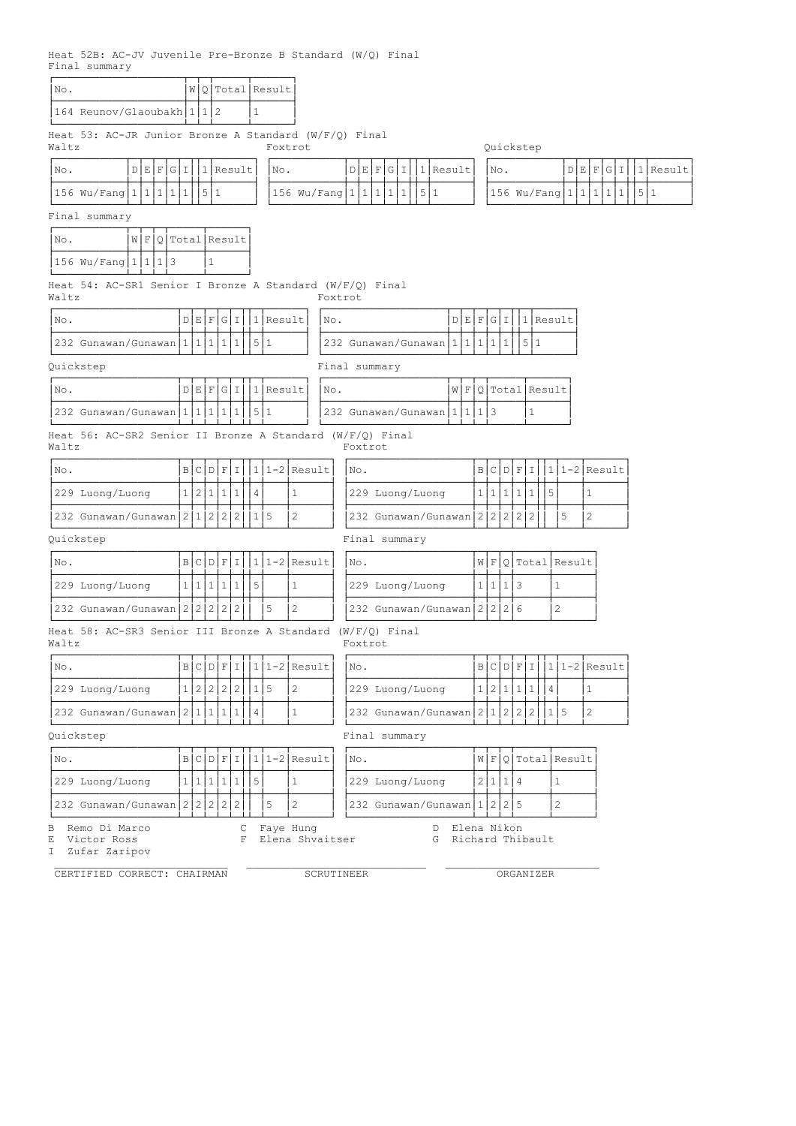Heat 52B: AC-JV Juvenile Pre-Bronze B Standard (W/Q) Final Final summary

| No.                                                                 |  |               |   |                 | W Q Total Result       |                          |         |                                                 |             |         |                              |                |   |                                 |
|---------------------------------------------------------------------|--|---------------|---|-----------------|------------------------|--------------------------|---------|-------------------------------------------------|-------------|---------|------------------------------|----------------|---|---------------------------------|
| 164 Reunov/Glaoubakh 11112                                          |  |               |   | $\mathbf{1}$    |                        |                          |         |                                                 |             |         |                              |                |   |                                 |
| Heat 53: AC-JR Junior Bronze A Standard $(W/F/Q)$ Final<br>Waltz    |  |               |   |                 | Foxtrot                |                          |         |                                                 |             |         | Quickstep                    |                |   |                                 |
| D E F G I <br>No.                                                   |  | $ 1 $ Result  |   |                 | No.                    |                          |         | D E F G I<br>11 Result                          |             | No.     |                              |                |   | D E F G I                       |
| 156 Wu/Fang   1   1   1   1   1   5   1                             |  |               |   |                 |                        |                          |         | 156 Wu/Fang   1   1   1   1   1<br> 5 1         |             |         |                              |                |   | 156 Wu/Fang   1   1   1   1   1 |
| Final summary                                                       |  |               |   |                 |                        |                          |         |                                                 |             |         |                              |                |   |                                 |
| $W$   F Q  Total  Result<br>INo.                                    |  |               |   |                 |                        |                          |         |                                                 |             |         |                              |                |   |                                 |
| 156 Wu/Fang 11113                                                   |  | $\mathbf{1}$  |   |                 |                        |                          |         |                                                 |             |         |                              |                |   |                                 |
| Heat 54: AC-SR1 Senior I Bronze A Standard (W/F/Q) Final<br>Waltz   |  |               |   |                 |                        |                          | Foxtrot |                                                 |             |         |                              |                |   |                                 |
| No.                                                                 |  | D E F G I     |   |                 | $1$ Result             |                          | No.     |                                                 |             |         | $D E F G I  1 $ Result       |                |   |                                 |
| 232 Gunawan/Gunawan 1 1 1 1 1                                       |  |               |   | 5 1             |                        |                          |         | 232 Gunawan/Gunawan   1   1   1   1   1   5   1 |             |         |                              |                |   |                                 |
| Quickstep                                                           |  |               |   |                 |                        |                          |         | Final summary                                   |             |         |                              |                |   |                                 |
| No.                                                                 |  |               |   |                 | $D E F G I  1 $ Result |                          | No.     |                                                 |             |         | W F O Total Result           |                |   |                                 |
| 232 Gunawan/Gunawan   1   1   1   1   1                             |  |               |   | 5 1             |                        |                          |         | 232 Gunawan/Gunawan1111113                      |             |         | 1                            |                |   |                                 |
| Heat 56: AC-SR2 Senior II Bronze A Standard (W/F/Q) Final<br>Waltz  |  |               |   |                 |                        |                          |         | Foxtrot                                         |             |         |                              |                |   |                                 |
| No.                                                                 |  | B C D F I     |   |                 |                        | $11-2$ Result            |         | No.                                             |             |         | B C D F I                    |                |   | $1 1-2 $ Result                 |
| 229 Luong/Luong                                                     |  | 1 2 1 1 1     |   | $\overline{4}$  |                        | $\mathbf{1}$             |         | 229 Luong/Luong                                 |             |         | 1 1 1 1 1                    | 5              |   | $\mathbf{1}$                    |
| 232 Gunawan/Gunawan 211222                                          |  |               |   | 115             |                        | $\overline{c}$           |         | 232 Gunawan/Gunawan                             |             |         | 2 2 2 2 2                    |                | 5 | 2                               |
| Quickstep                                                           |  |               |   |                 |                        |                          |         | Final summary                                   |             |         |                              |                |   |                                 |
| No.                                                                 |  | B C D F I     |   |                 |                        | $ 1 1-2 $ Result         |         | No.                                             |             |         | W F Q Total Result           |                |   |                                 |
| 229 Luong/Luong                                                     |  | 1 1 1 1 1     |   | 5               |                        | $\mathbf{1}$             |         | 229 Luong/Luong                                 |             | 1 1 1 3 |                              | $\mathbf{1}$   |   |                                 |
| 232 Gunawan/Gunawan $2222$                                          |  |               |   |                 | 5                      | $\mathbf{2}$             |         | 232 Gunawan/Gunawan 22226                       |             |         |                              | 2              |   |                                 |
| Heat 58: AC-SR3 Senior III Bronze A Standard (W/F/Q) Final<br>Waltz |  |               |   |                 |                        |                          |         | Foxtrot                                         |             |         |                              |                |   |                                 |
| No.                                                                 |  |               |   |                 |                        | $B C D F I 1 1-2 Result$ |         | No.                                             |             |         |                              |                |   | $B C D F I 1 1-2 Result$        |
| 229 Luong/Luong                                                     |  |               |   | 1 2 2 2 2 1 5   |                        | $\mathbf{2}$             |         | 229 Luong/Luong                                 |             |         | 1 2 1 1 1 1                  | $\overline{4}$ |   | $\mathbf{1}$                    |
| 232 Gunawan/Gunawan   2   1   1   1   1                             |  |               |   | $\vert 4 \vert$ |                        | $\mathbf{1}$             |         | 232 Gunawan/Gunawan 211222                      |             |         |                              | 115            |   | $\overline{2}$                  |
| Quickstep                                                           |  |               |   |                 |                        |                          |         | Final summary                                   |             |         |                              |                |   |                                 |
| No.                                                                 |  | B C D F I     |   |                 |                        | $111-2$ Result           |         | No.                                             |             |         | $W$   F   Q   Total   Result |                |   |                                 |
| 229 Luong/Luong                                                     |  | 1 1 1 1 1 1 5 |   |                 |                        | $\mathbf{1}$             |         | 229 Luong/Luong                                 |             | 2 1 1 4 |                              | $\mathbf{1}$   |   |                                 |
|                                                                     |  |               |   |                 | 5                      | $\overline{c}$           |         | 232 Gunawan/Gunawan   1   2   2   5             |             |         |                              | 2              |   |                                 |
| 232 Gunawan/Gunawan 222222                                          |  |               | С |                 |                        | Faye Hung                |         | D                                               | Elena Nikon |         |                              |                |   |                                 |
| Remo Di Marco<br>В<br>Victor Ross<br>Ε<br>Zufar Zaripov<br>I.       |  |               | F |                 |                        | Elena Shvaitser          |         | G                                               |             |         | Richard Thibault             |                |   |                                 |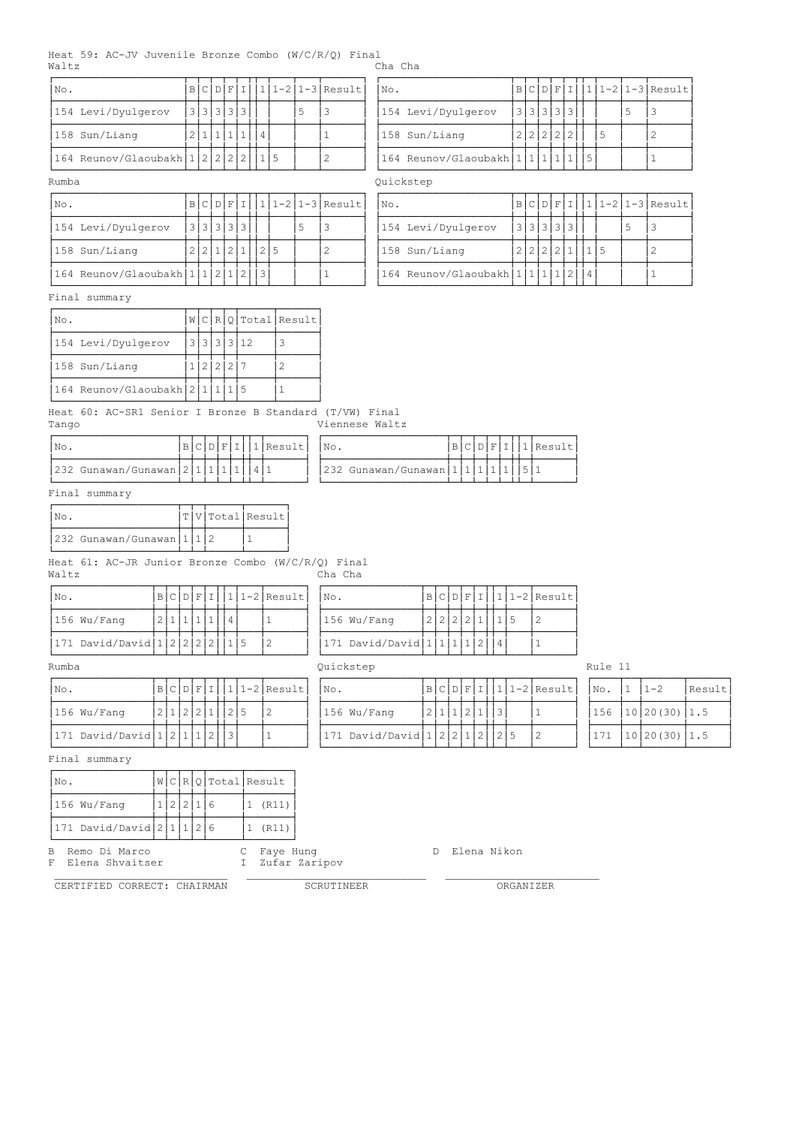|       |  |  | Heat 59: AC-JV Juvenile Bronze Combo (W/C/R/O) Final |         |  |
|-------|--|--|------------------------------------------------------|---------|--|
| Waltz |  |  |                                                      | Cha Cha |  |

| INo.                                      |  |  |        |  |  | $ B C D F I  1 1-2 1-3 Result $ | No.                        |               |  | BCDFII |   | $1111-21-3$ Result |
|-------------------------------------------|--|--|--------|--|--|---------------------------------|----------------------------|---------------|--|--------|---|--------------------|
| 154 Levi/Dyulgerov                        |  |  | 333333 |  |  |                                 | 154 Levi/Dyulgerov         | 3 3 3 3 3 3 3 |  |        |   |                    |
| 158 Sun/Liang                             |  |  |        |  |  |                                 | 158 Sun/Liang              |               |  |        | 5 |                    |
| $ 164$ Reunov/Glaoubakh $ 1 2 2 2 2 1 15$ |  |  |        |  |  |                                 | 164 Reunov/Glaoubakh 1 1 1 |               |  |        |   |                    |

| INo.                              |  |             |  |  |  | $ B C D F I  1 1-2 1-3 Result $ | $\overline{\text{NO}}$ . |                              |               |  |  |  | B C D F I  1 1-2 1-3 Result |
|-----------------------------------|--|-------------|--|--|--|---------------------------------|--------------------------|------------------------------|---------------|--|--|--|-----------------------------|
| 154 Levi/Dyulgerov                |  | 3 3 3 3 3 3 |  |  |  |                                 |                          | 154 Levi/Dyulgerov           | 3 3 3 3 3 3 1 |  |  |  |                             |
| 158 Sun/Liang                     |  |             |  |  |  |                                 |                          | 158 Sun/Liang                |               |  |  |  |                             |
| 164 Reunov/Glaoubakh 1 1 2 1 2  3 |  |             |  |  |  |                                 |                          | 164 Reunov/Glaoubakh 1 1 1 1 |               |  |  |  |                             |

#### Final summary

| INo.                               |           |  |            | W C R Q Total Result |
|------------------------------------|-----------|--|------------|----------------------|
| 154 Levi/Dyulgerov                 |           |  | 3 3 3 3 12 |                      |
| 1158 Sun/Liang                     | 1 2 2 2 7 |  |            |                      |
| $164$ Reunov/Glaoubakh $2 1 1 1 5$ |           |  |            |                      |

Heat 60: AC-SR1 Senior I Bronze<br>Tango Tango Viennese Waltz

| INo.                      |  |  |  | `IF I  1 Result | INO.                      |  |  |  | DIFIIIIIResultI |
|---------------------------|--|--|--|-----------------|---------------------------|--|--|--|-----------------|
| 232 Gunawan/Gunawan 2 1 1 |  |  |  |                 | 232 Gunawan/Gunawan 1 1 1 |  |  |  |                 |

| INo. |                                  |  | T V Total Result |
|------|----------------------------------|--|------------------|
|      | $ 232 \tGunawan/Gunawan  1  1 2$ |  |                  |

ÀÄÄÄÄÄÄÄÄÄÄÄÄÄÄÄÄÄÄÄÁÄÁÄÁÄÄÄÄÄÁÄÄÄÄÄÄÙ Heat 61: AC-JR Junior Bronze Combo (W/C/R/Q) Final Waltz Cha Cha

| INo.                           |  |  |  |  | $ B C D F I  1 1-2 Result $ | INo. |                                  |  |  |              |  | $ B C D F I 11-2 Result $ |
|--------------------------------|--|--|--|--|-----------------------------|------|----------------------------------|--|--|--------------|--|---------------------------|
| 156 Wu/Fanq                    |  |  |  |  |                             |      | 156 Wu/Fang                      |  |  | 2 2 2 2 1  1 |  |                           |
| 171 David/David 1 2 2 2 2  1 5 |  |  |  |  |                             |      | $ 171$ David/David $ 1 1 1 1 2 $ |  |  |              |  |                           |

| $ N\circ.$                   |  |  |  |                | $ B C D F I   1 1-2 Result   No.$ |                                |  |  |              |  | $B C D F I  1 1-2 Result $ No. 1 |  | $1 - 2$                   | Result |
|------------------------------|--|--|--|----------------|-----------------------------------|--------------------------------|--|--|--------------|--|----------------------------------|--|---------------------------|--------|
| 156 Wu/Fanq                  |  |  |  | 2 1 2 2 1  2 5 |                                   | 156 Wu/Fang                    |  |  | 2 1 1 2 1  3 |  |                                  |  | $156$ $ 10 20(30)$ $ 1.5$ |        |
| 171 David/David 1 2 1 1 2  3 |  |  |  |                |                                   | 171 David/David 1 2 2 1 2  2 5 |  |  |              |  |                                  |  | 10 20(30) 1.5             |        |

| No. | $1 - 2$            | Result |
|-----|--------------------|--------|
|     | 156 10 20 (30) 1.5 |        |
| 171 | 10 20(30) 1.5      |        |

Final summary

| No.                       |  |           |  | $ W C R Q $ Total Result |
|---------------------------|--|-----------|--|--------------------------|
| 156 Wu/Fang               |  | 1 2 2 1 6 |  | (R11)                    |
| 171 David/David 2 1 1 2 6 |  |           |  | (R11)                    |

B Remo Di Marco C Faye Hung D Elena Nikon

F Elena Shvaitser i I Zufar Zaripov

CERTIFIED CORRECT: CHAIRMAN SCRUTINEER CORGANIZER

 $\mathcal{L}_\text{max}$  , and the contribution of the contribution of the contribution of the contribution of the contribution of the contribution of the contribution of the contribution of the contribution of the contribution of t

| . .<br>-       | _ | - |
|----------------|---|---|
|                |   |   |
|                |   |   |
| $- - -$<br>− − |   |   |

| 171 David/David 1 2 2 2 2  1 5  2 | $ 171$ David/David 1 $ 1 1 1 2 14 $ |         |
|-----------------------------------|-------------------------------------|---------|
| Rumba                             | Ouickstep                           | Rule 11 |

| B Standard (T/VW) Final | Viennese Waltz |  |
|-------------------------|----------------|--|
| $1$  Result   No.       |                |  |

| INo.                           |     |  |           |  |  |   | B C D F I  1 1-2 1-3 Result | INO.                       |  |           |  |  |    | B C D F I  1 1-2 1-3 Result |
|--------------------------------|-----|--|-----------|--|--|---|-----------------------------|----------------------------|--|-----------|--|--|----|-----------------------------|
| 154 Levi/Dyulgerov             |     |  | 3 3 3 3 3 |  |  | ರ |                             | 154 Levi/Dyulgerov         |  | 3 3 3 3 3 |  |  |    |                             |
| $158$ Sun/Liang                | 2 I |  |           |  |  |   |                             | 158 Sun/Liang              |  |           |  |  | .5 |                             |
| 164 Reunov/Glaoubakh 1 2 2 2 2 |     |  |           |  |  |   |                             | 164 Reunov/Glaoubakh 1 1 1 |  |           |  |  |    |                             |

## Rumba Quickstep

| $ $ No.                             |  |  |  |  | $B C D F I   1 1-2 1-3 $ Result | $ B C D F I  1 1-2 1-3 Result $<br>$\overline{\text{No}}$ . |  |
|-------------------------------------|--|--|--|--|---------------------------------|-------------------------------------------------------------|--|
| 154 Levi/Dyulgerov                  |  |  |  |  |                                 | 3 3 3 3 3 <br>154 Levi/Dyulgerov                            |  |
| 158 Sun/Liang                       |  |  |  |  |                                 | 2222211115<br>158 Sun/Liang                                 |  |
| $ 164$ Reunov/Glaoubakh $ 1 1 2 1 $ |  |  |  |  |                                 | $164$ Reunov/Glaoubakh $1111112$                            |  |

| 'No.                  |  |  |  |  | 'No.                              |  |  |  |  |
|-----------------------|--|--|--|--|-----------------------------------|--|--|--|--|
| 232 Gunawan/Gunawan 2 |  |  |  |  | 1232 Gunawan/Gunawan <sup>1</sup> |  |  |  |  |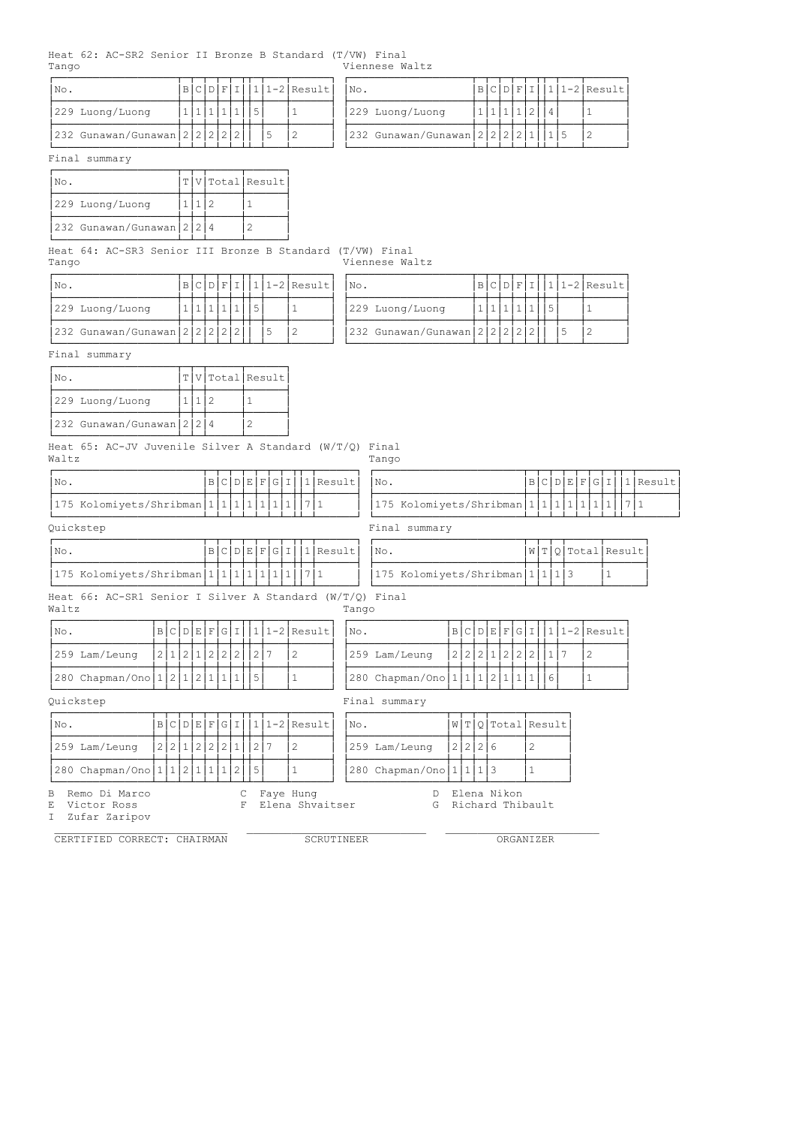Heat 62: AC-SR2 Senior II Bronze B Standard (T/VW) Final Viennese Waltz

| INo.                                 |  |  |  | $B C D F I   1 1-2 Result $ | $\mathsf{N}_\mathsf{O}$ .                       |  |  |  | $ B C D F I  1 1-2 Result $ |
|--------------------------------------|--|--|--|-----------------------------|-------------------------------------------------|--|--|--|-----------------------------|
| 229 Luong/Luong                      |  |  |  |                             | 229 Luong/Luong                                 |  |  |  |                             |
| $ 232 \tGunawan/Gunawan  2 2 2 2 2 $ |  |  |  |                             | $ 232 \text{ Gunawan/Gunawan}  2 2 2 2 1   1 5$ |  |  |  |                             |

| $ N\circ.$ |                                         |  |  | <b>IBICIDIFITIL</b> |  | $ 111-2 $ Result | No. |                                    |  |  | دلفعاها واهل |  | $ 1 1-2 $ Result |
|------------|-----------------------------------------|--|--|---------------------|--|------------------|-----|------------------------------------|--|--|--------------|--|------------------|
|            | 229 Luong/Luong                         |  |  |                     |  |                  |     | 229 Luong/Luong                    |  |  |              |  |                  |
|            | 232 Gunawan/Gunawan   2   2   2   2   2 |  |  |                     |  |                  |     | $ 232$ Gunawan/Gunawan $ 2 2 2 2 $ |  |  |              |  |                  |

### Final summary

| No.                             |  | T V Total Result |
|---------------------------------|--|------------------|
| 229 Luong/Luong                 |  |                  |
| 232 Gunawan/Gunawan   2   2   4 |  |                  |

Heat 64: AC-SR3 Senior III Bronze B Standard (T/VW) Final Tango Viennese Waltz

| $\overline{\text{No}}$ .                |  |  |  |  | $ B C D F I  1 1-2 Result $ | INo.                              |  |  |  | $ B C D F I  1 1-2 Result $ |
|-----------------------------------------|--|--|--|--|-----------------------------|-----------------------------------|--|--|--|-----------------------------|
| 229 Luong/Luong                         |  |  |  |  |                             | 229 Luong/Luong                   |  |  |  |                             |
| 232 Gunawan/Gunawan   2   2   2   2   1 |  |  |  |  |                             | 232 Gunawan/Gunawan 2 2 2 2 2 2 2 |  |  |  |                             |

| INO.                                    |  |  |  | $B C D F I   1 1-2 Result$ | $\mathsf{^{1}No}$ .                     |  |  |  | $ B C D F I  1 1-2 Result $ |
|-----------------------------------------|--|--|--|----------------------------|-----------------------------------------|--|--|--|-----------------------------|
| 229 Luong/Luong                         |  |  |  |                            | 229 Luong/Luong                         |  |  |  |                             |
| 232 Gunawan/Gunawan   2   2   2   2   2 |  |  |  |                            | 232 Gunawan/Gunawan   2   2   2   2   2 |  |  |  |                             |

Final summary

| INo.                     |  | $ T V $ Total Result |
|--------------------------|--|----------------------|
| 229 Luong/Luong          |  |                      |
| 232 Gunawan/Gunawan 2224 |  |                      |

Heat 65: AC-JV Juvenile Silver A Standard (W/T/Q) Final Waltz Tango

| 1 No                                      |  |  |  |  | BCDEFGII 1 Result |
|-------------------------------------------|--|--|--|--|-------------------|
| $ 175$ Kolomiyets/Shribman $ 1 1 1 1 1 1$ |  |  |  |  |                   |

| $\overline{\text{No}}$ .  |  |  |  |  |  |                         |  |  |  |  |  |
|---------------------------|--|--|--|--|--|-------------------------|--|--|--|--|--|
| [175 Kolomiyets/Shribman] |  |  |  |  |  | 175 Kolomiyets/Shribman |  |  |  |  |  |

| B C D E F G I 1 Result <br> No.<br>INo.                                       |  |  |                    |
|-------------------------------------------------------------------------------|--|--|--------------------|
|                                                                               |  |  | W T Q Total Result |
| 175 Kolomiyets/Shribman 1 1 1 1 1 1 1 7 1<br> 175 Kolomiyets/Shribman 1 1 1 3 |  |  |                    |

| INo. |                                 |  |  | W T Q Total Result |
|------|---------------------------------|--|--|--------------------|
|      | 175 Kolomiyets/Shribman 1 1 1 3 |  |  |                    |

Heat 66: AC-SR1 Senior I Silver A Standard  $(W/T/Q)$  Final Waltz<br>
Tango Tango

| 'No. |                                         |  |  |  |  |  | $B C D E F G I 11-2 Result$ | INo.                                    |  |  |               |  |  | $ B C D E F G I 111-2 Result $ |
|------|-----------------------------------------|--|--|--|--|--|-----------------------------|-----------------------------------------|--|--|---------------|--|--|--------------------------------|
|      | 259 Lam/Leung                           |  |  |  |  |  |                             | 259 Lam/Leung                           |  |  | 2 2 2 1 2 2 2 |  |  |                                |
|      | 280 Chapman/Ono   1   2   1   2   1   1 |  |  |  |  |  |                             | 280 Chapman/Ono   1   1   1   2   1   1 |  |  |               |  |  |                                |

Quickstep Final summary

| No.                                          |  |  |  |                     | $B C D E F G I  1 1-2 Result $ | No. |                                 |  |             | W T Q Total Result |
|----------------------------------------------|--|--|--|---------------------|--------------------------------|-----|---------------------------------|--|-------------|--------------------|
| 1259 Lam/Leung                               |  |  |  | 2 2 1 2 2 2 1 1 2 7 |                                |     | $ 259$ Lam/Leung $ 2 2 2 6$     |  |             |                    |
| $ 280 \text{ Chapman/Ono} 1 1 2 1 1 1 2 15 $ |  |  |  |                     |                                |     | 280 Chapman/Ono   1   1   1   3 |  |             |                    |
| B Remo Di Marco                              |  |  |  |                     | Fave Hung                      |     |                                 |  | Elena Nikon |                    |

E Victor Ross F Elena Shvaitser G Richard Thibault E Victor Ross<br>I Zufar Zaripov

 $\mathcal{L}_\text{max}$  , and the contribution of the contribution of the contribution of the contribution of the contribution of the contribution of the contribution of the contribution of the contribution of the contribution of t CERTIFIED CORRECT: CHAIRMAN SCRUTINEER ORGANIZER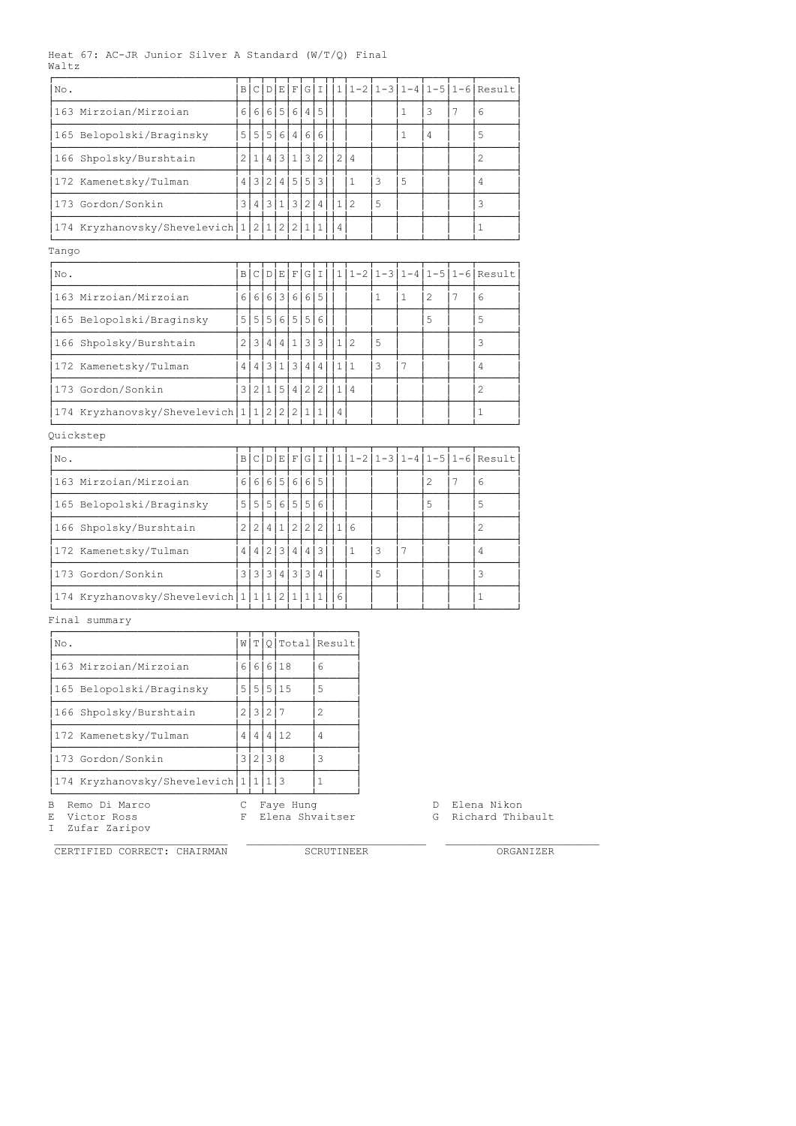### Heat 67: AC-JR Junior Silver A Standard (W/T/Q) Final Waltz

| No.                                        | $\overline{B}$ | C        | $\mathbb{D}$            | Е                       | F                 | GII            |                | 1               | $1 - 2$        |   |              |                |   | $1 - 3   1 - 4   1 - 5   1 - 6  $ Result |
|--------------------------------------------|----------------|----------|-------------------------|-------------------------|-------------------|----------------|----------------|-----------------|----------------|---|--------------|----------------|---|------------------------------------------|
| 163 Mirzoian/Mirzoian                      | 61             | $6 \mid$ |                         |                         | 6 5 6             | 4 5            |                |                 |                |   | 1            | 3              | 7 | 6                                        |
| 165 Belopolski/Braginsky                   | 5              | 5        | 5 <sup>1</sup>          |                         | 6 4 6 6           |                |                |                 |                |   | 1.           | 4              |   | 5                                        |
| 166 Shpolsky/Burshtain                     | $\overline{2}$ | 1        | 4                       | $\overline{3}$          | $\mathbf{1}$      | 3              | $\overline{2}$ | $\overline{2}$  | $\overline{4}$ |   |              |                |   | $\overline{c}$                           |
| 172 Kamenetsky/Tulman                      | 4              | 3 I      | 2 <sup>1</sup>          |                         | 4 5 5             |                | $\overline{3}$ |                 | 1.             | 3 | 5            |                |   | 4                                        |
| 173 Gordon/Sonkin                          | 3 I            | 4        | $\overline{\mathbf{3}}$ | 1                       |                   | 3 2 4          |                | 112             |                | 5 |              |                |   | 3                                        |
| 174 Kryzhanovsky/Shevelevich   1   2   1   |                |          |                         | 2                       | 2 <sup>1</sup>    | $1\vert$       | $\mathbf{1}$   | 4               |                |   |              |                |   | $\mathbf{1}$                             |
| Tango                                      |                |          |                         |                         |                   |                |                |                 |                |   |              |                |   |                                          |
| No.                                        | вI             | c        | D                       | E                       | F                 |                | GII            |                 |                |   |              |                |   | $ 1 1-2 1-3 1-4 1-5 1-6 $ Result         |
| 163 Mirzoian/Mirzoian                      | 6 I            | 6        | 6                       | $\overline{\mathbf{3}}$ | 6                 | 6 5            |                |                 |                | 1 | $\mathbf{1}$ | $\overline{c}$ | 7 | 6                                        |
| 165 Belopolski/Braginsky                   |                |          | 5 5 5                   |                         | 6 5 5             |                | 6              |                 |                |   |              | 5              |   | 5                                        |
| 166 Shpolsky/Burshtain                     | 2              | 3        | 4 <sup>1</sup>          |                         | 4 1               | 3 3            |                | 1 2             |                | 5 |              |                |   | 3                                        |
| 172 Kamenetsky/Tulman                      | 4 <sup>1</sup> | 4        | $\overline{\mathbf{3}}$ | 1 <sup>1</sup>          | $\lceil 3 \rceil$ | 4              | 4              | 1 1             |                | 3 | 7            |                |   | 4                                        |
| 173 Gordon/Sonkin                          |                |          | 3 2 1                   | 5                       | 4 <sub>1</sub>    | 2              | $\overline{2}$ | 1 4             |                |   |              |                |   | $\mathfrak{D}$                           |
| 174 Kryzhanovsky/Shevelevich 1 1 2 2 2 1 1 |                |          |                         |                         |                   |                |                | $\vert 4 \vert$ |                |   |              |                |   | 1                                        |
| Quickstep                                  |                |          |                         |                         |                   |                |                |                 |                |   |              |                |   |                                          |
| No.                                        | вI             | сI       | D                       |                         | E F               |                | GII            |                 |                |   |              |                |   | $1 1-2 1-3 1-4 1-5 1-6 $ Result          |
| 163 Mirzoian/Mirzoian                      | $6 \mid$       | 6        | 6                       | 5                       | 6                 | 6 5            |                |                 |                |   |              | 2              | 7 | 6                                        |
| 165 Belopolski/Braginsky                   | 5              | 5        | 5                       | 6                       | 5                 | 5              | 6              |                 |                |   |              | 5              |   | 5                                        |
| 166 Shpolsky/Burshtain                     | 2 <sup>1</sup> | 2        | $\overline{4}$          | $\mathbf{1}$            | $\overline{2}$    | $\overline{2}$ | $\overline{c}$ | 1               | 6              |   |              |                |   | $\overline{2}$                           |
| 172 Kamenetsky/Tulman                      | 4              |          | 4 2 3                   |                         |                   | 4   4   3      |                |                 | 1              | 3 | 7            |                |   | $\overline{4}$                           |
| 173 Gordon/Sonkin                          | 3              | 3        | 3                       | $\overline{4}$          | 3                 | 3              | 4              |                 |                | 5 |              |                |   | 3                                        |
|                                            |                |          |                         |                         |                   |                |                |                 |                |   |              |                |   |                                          |

|174 Kryzhanovsky/Shevelevich|1|1|1|2|1|1|1||6| | | | | |1 |1

#### ÀÄÄÄÄÄÄÄÄÄÄÄÄÄÄÄÄÄÄÄÄÄÄÄÄÄÄÄÄÁÄÁÄÁÄÁÄÁÄÁÄÁÄÁÁÄÁÄÄÄÁÄÄÄÁÄÄÄÁÄÄÄÁÄÄÄÁÄÄÄÄÄÄÙ Final summary

| No.                                    |   |         |           | W T O Total Result |
|----------------------------------------|---|---------|-----------|--------------------|
| 163 Mirzoian/Mirzoian                  |   |         | 6 6 6 18  | 6                  |
| 165 Belopolski/Braginsky               |   |         | 5 5 5 15  | 5                  |
| 166 Shpolsky/Burshtain                 |   | 2 3 2 7 |           |                    |
| 172 Kamenetsky/Tulman                  | 4 |         | 4 4 12    | 4                  |
| 173 Gordon/Sonkin                      |   | 3 2 3 8 |           |                    |
| 174 Kryzhanovsky/Shevelevich 1 1 1 1 3 |   |         |           |                    |
| B.<br>Remo Di Marco                    |   |         | Faye Hung |                    |

I Zufar Zaripov

CERTIFIED CORRECT: CHAIRMAN SCRUTINEER SCRUTINEER ORGANIZER

E Victor Ross F Elena Shvaitser G Richard Thibault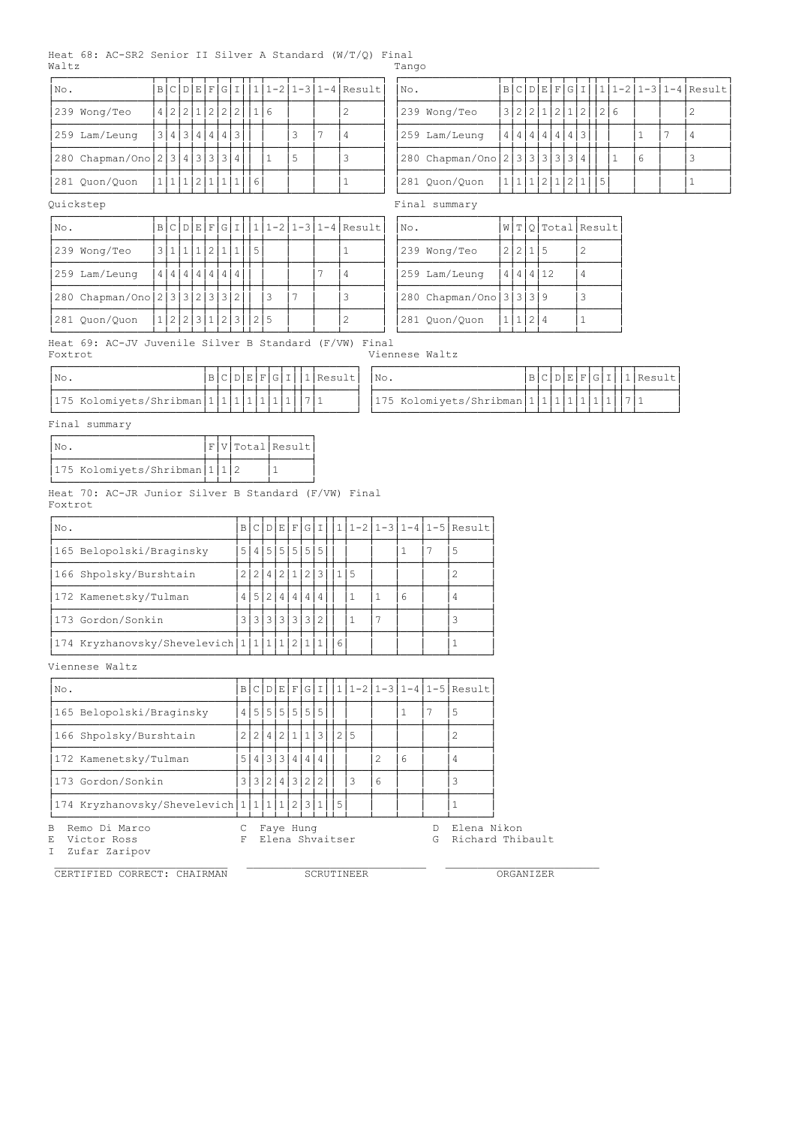## Heat 68: AC-SR2 Senior II Silver A Standard (W/T/Q) Final Waltz Tango

| No. |                               |               |  |                       |  |             |   |                | B C D E F G I  1 1-2 1-3 1-4 Result   |
|-----|-------------------------------|---------------|--|-----------------------|--|-------------|---|----------------|---------------------------------------|
|     | 239 Wong/Teo                  |               |  | 4 2 2 1 2 2 2         |  | 1 6         |   |                | 2                                     |
|     | 259 Lam/Leung                 |               |  | 3 4 3 4 4 4 3         |  |             |   | $\overline{ }$ | 4                                     |
|     | 280 Chapman/Ono 2 3 4 3 3 3 4 |               |  |                       |  |             | 5 |                | 3                                     |
|     | 281 Quon/Quon                 |               |  |                       |  | 11112111116 |   |                |                                       |
|     | Ouickstep                     |               |  |                       |  |             |   |                |                                       |
| No. |                               |               |  |                       |  |             |   |                | $B C D E F G I  1 1-2 1-3 1-4 Result$ |
|     | 239 Wong/Teo                  | $\frac{3}{ }$ |  | 1 1 1 2 1 1           |  | $\vert 5$   |   |                |                                       |
|     | 259 Lam/Leung                 | 4             |  | 4   4   4   4   4   4 |  |             |   |                | 4                                     |

| No.                           |           |  |  |                   |  |  | $ B C D E F G I 111-2 1-3 1-4 Result $ | $\mathsf{No}$ . |                                 |     |               |  |                    |   | B C D E F G I  1 1-2 1-3 1-4 Result |
|-------------------------------|-----------|--|--|-------------------|--|--|----------------------------------------|-----------------|---------------------------------|-----|---------------|--|--------------------|---|-------------------------------------|
| 239 Wong/Teo                  |           |  |  | 12 2 1 2 2 2 1 16 |  |  |                                        |                 | 239 Wong/Teo                    |     |               |  | 3 2 2 1 2 1 2  2 6 |   |                                     |
| 259 Lam/Leung                 |           |  |  | 3 4 3 4 4 4 3     |  |  |                                        |                 | 259 Lam/Leung                   |     | 4 4 4 4 4 4 3 |  |                    |   |                                     |
| 280 Chapman/Ono 2 3 4 3 3 3 4 |           |  |  |                   |  |  |                                        |                 | 280 Chapman/Ono 2 3 3 3 3 3 3 4 |     |               |  |                    | 6 |                                     |
| 281 Quon/Quon                 | 1 1 2 1 1 |  |  |                   |  |  |                                        |                 | 281 Ouon/Ouon                   | 1 1 | .   2   1   2 |  |                    |   |                                     |

| No.                             |               |  |       |                           |    |  | B C D E F G I  1 1-2 1-3 1-4 Result | No.                      |   |       |     |      | W T Q Total Result |
|---------------------------------|---------------|--|-------|---------------------------|----|--|-------------------------------------|--------------------------|---|-------|-----|------|--------------------|
| 239 Wong/Teo                    | 3 1 1         |  | 2 1 1 |                           |    |  |                                     | 239 Wong/Teo             |   | 22115 |     |      |                    |
| 259 Lam/Leung                   | 4 4 4 4 4 4 4 |  |       | $\overline{4}$            |    |  | 4                                   | 259 Lam/Leung            | 4 |       |     | 4412 |                    |
| 280 Chapman/Ono 2 3 3 2 3 3 3 2 |               |  |       |                           | 3  |  |                                     | 1280 Chapman/Ono 3 3 3 9 |   |       |     |      |                    |
| 281 Quon/Quon                   |               |  |       | .   2   2   3   1   2   3 | 15 |  |                                     | 281 Quon/Quon            |   |       | 2 4 |      |                    |

Heat 69: AC-JV Juvenile Silver B Standard (F/VW) Final Foxtrot Viennese Waltz

| INo. |                                           |  |  |  |  | $ B C D E F G I  1 $ Result |
|------|-------------------------------------------|--|--|--|--|-----------------------------|
|      | 175 Kolomiyets/Shribman 1 1 1 1 1 1 1 7 1 |  |  |  |  |                             |

| INo.                          |  |  |  |  | $ B C D E F G I   1 $ Result | 'No. |                               |  |  |  |  | B C D E F G I  1 Result |
|-------------------------------|--|--|--|--|------------------------------|------|-------------------------------|--|--|--|--|-------------------------|
| [175 Kolomiyets/Shribman]1[1] |  |  |  |  |                              |      | 175 Kolomiyets/Shribman 1 1 1 |  |  |  |  |                         |

Final summary

|  |                                     |  | F V Total Result |
|--|-------------------------------------|--|------------------|
|  | 175 Kolomiyets/Shribman   1   1   2 |  |                  |

ÀÄÄÄÄÄÄÄÄÄÄÄÄÄÄÄÄÄÄÄÄÄÄÄÁÄÁÄÁÄÄÄÄÄÁÄÄÄÄÄÄÙ Heat 70: AC-JR Junior Silver B Standard (F/VW) Final Foxtrot

| No.                                      | ΒI     |             |             |  |               |   |  |   | C D E F G I  1 1-2 1-3 1-4 1-5 Result |
|------------------------------------------|--------|-------------|-------------|--|---------------|---|--|---|---------------------------------------|
| 165 Belopolski/Braginsky                 | 5      | 4 5 5 5 5 5 |             |  |               |   |  |   |                                       |
| 166 Shpolsky/Burshtain                   |        |             | 4 2 1 2 3 1 |  |               |   |  |   |                                       |
| 172 Kamenetsky/Tulman                    | 5<br>4 | 2 4 4 4     |             |  | 4             |   |  | 6 |                                       |
| 173 Gordon/Sonkin                        | 3      | 131313131   |             |  | $\mathcal{L}$ |   |  |   |                                       |
| 174 Kryzhanovsky/Shevelevich 1 1 1 2 1 1 |        |             |             |  |               | 6 |  |   |                                       |

Viennese Waltz

| No.                                                 |                |                |               |  |   |             |  |    |   |   | $B C D E F G I   1 1-2 1-3 1-4 1-5 Result$ |
|-----------------------------------------------------|----------------|----------------|---------------|--|---|-------------|--|----|---|---|--------------------------------------------|
| 165 Belopolski/Braginsky                            |                |                | 4 5 5 5 5 5 5 |  |   |             |  |    |   |   | 5                                          |
| 166 Shpolsky/Burshtain                              | 2 <sub>1</sub> | 2 <sup>1</sup> |               |  |   | 4 2 1 1 3 2 |  | -5 |   |   |                                            |
| 172 Kamenetsky/Tulman                               | 5              |                | 4 3 3 4       |  | 4 | 4           |  |    |   | 6 | 4                                          |
| 173 Gordon/Sonkin                                   |                |                | 3 3 2 4 3 2 2 |  |   |             |  | 3  | 6 |   |                                            |
| $ 174$ Kryzhanovsky/Shevelevich $ 1 1 1 1 2 3 1 15$ |                |                |               |  |   |             |  |    |   |   |                                            |
| B.<br>Remo Di Marco                                 |                |                | Faye Hung     |  |   |             |  |    |   |   | Elena Nikon                                |

I Zufar Zaripov

CERTIFIED CORRECT: CHAIRMAN SCRUTINEER ORGANIZER

E Victor Ross F Elena Shvaitser G Richard Thibault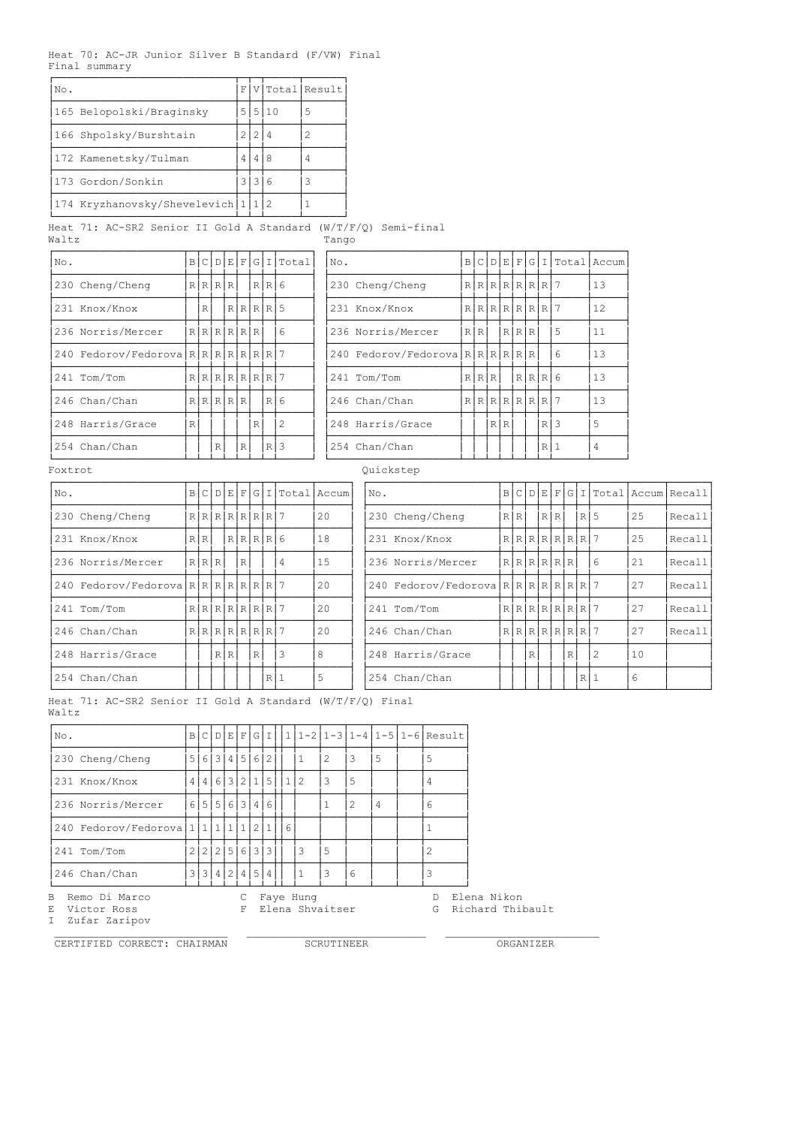Heat 70: AC-JR Junior Silver B Standard (F/VW) Final Final summary

| No.                              | F |        | V Total Result |
|----------------------------------|---|--------|----------------|
| 165 Belopolski/Braginsky         |   | 515110 | 5              |
| 166 Shpolsky/Burshtain           |   |        |                |
| 172 Kamenetsky/Tulman            |   |        |                |
| 1173 Gordon/Sonkin               | 3 |        |                |
| 174 Kryzhanovsky/Shevelevich 1 1 |   |        |                |

Heat 71: AC-SR2 Senior II Gold A Standard (W/T/F/Q) Semi-final Waltz Tango

| No.                             |              |             |   |               |   |   |              | B C D E F G I Tota1 | No.                          |                 |     |             |        |    | B C D E F G I Total Accum |
|---------------------------------|--------------|-------------|---|---------------|---|---|--------------|---------------------|------------------------------|-----------------|-----|-------------|--------|----|---------------------------|
| 230 Cheng/Cheng                 |              |             |   | R[R R R       |   |   | R R 6        |                     | 230 Cheng/Cheng              | RRRRRRRRR       |     |             |        |    | 13                        |
| 231 Knox/Knox                   |              | $\mathbb R$ |   |               |   |   | R[R R        |                     | 231 Knox/Knox                | R[R[R[R[R[R R]) |     |             |        |    | 12                        |
| 236 Norris/Mercer               |              |             |   | R[R[R R R]    |   |   |              | 6                   | 236 Norris/Mercer            | R R             |     | $R$ $R$ $R$ |        | 5  | 11                        |
| 240 Fedorov/Fedorova RRRRRRRRRR |              |             |   |               |   |   |              |                     | 240 Fedorov/Fedorova RRRRRRR |                 |     |             |        | 6  | 13                        |
| 241 Tom/Tom                     |              |             |   | R[R[R[R[R R ] |   |   |              |                     | 241 Tom/Tom                  | R R R           |     |             | R[R R] |    | 13                        |
| 246 Chan/Chan                   |              |             |   | R[R[R R R]    |   |   | $R$ 6        |                     | 246 Chan/Chan                | RRRRRRRRR       |     |             |        |    | 13                        |
| 248 Harris/Grace                | $\mathbb{R}$ |             |   |               |   | R |              | $\overline{c}$      | 248 Harris/Grace             |                 | R R |             | R      | 13 | 5                         |
| 254 Chan/Chan                   |              |             | R |               | R |   | $\mathbb{R}$ | 3                   | 254 Chan/Chan                |                 |     |             | R      |    | 4                         |

| No.                            | $\mathbb B$ |               |   |              |   |           | C[D E F G I Total | No.                          |               |      |        |   |   | BCDEFGIITotal Accum |
|--------------------------------|-------------|---------------|---|--------------|---|-----------|-------------------|------------------------------|---------------|------|--------|---|---|---------------------|
| 230 Cheng/Cheng                |             | R[R R R]      |   |              |   | R R 6     |                   | 230 Cheng/Cheng              | RRRRRRRRRP    |      |        |   |   | 13                  |
| 231 Knox/Knox                  |             | R.            |   |              |   | R R R R 5 |                   | 231 Knox/Knox                | RRRRRRRRRP    |      |        |   |   | 12                  |
| 236 Norris/Mercer              |             | R[R[R[R R]    |   |              |   |           | 6                 | 236 Norris/Mercer            | R R           | RRRR |        |   | 5 | 11                  |
| 240 Fedorov/Fedorova RRRRRRRRR |             |               |   |              |   |           |                   | 240 Fedorov/Fedorova RRRRRRR |               |      |        |   | 6 | 13                  |
| 241 Tom/Tom                    |             | R[R[R[R[R R 7 |   |              |   |           |                   | 241 Tom/Tom                  | R[R R]        |      | R[R R] |   |   | 13                  |
| 246 Chan/Chan                  |             | R[R[R R R]    |   |              |   | R I       | 16                | 246 Chan/Chan                | R[R[R[R[R R ] |      |        |   |   | 13                  |
| 248 Harris/Grace               | R           |               |   |              | R |           | 2                 | 248 Harris/Grace             |               | RIR  |        | R | 3 | 5                   |
| 254 Chan/Chan                  |             |               | R | $\mathbb{R}$ |   | $R$   3   |                   | 254 Chan/Chan                |               |      |        | R |   | 4                   |

Foxtrot **Quickstep** 

| No.                            | $\vert$ B | C               |     |   |           |    | D E F G I Total Accum |    | No. |                                | B |     |               |     |   |     |   |    | C   D   E   F   G   I   Total   Accum   Recall |
|--------------------------------|-----------|-----------------|-----|---|-----------|----|-----------------------|----|-----|--------------------------------|---|-----|---------------|-----|---|-----|---|----|------------------------------------------------|
| 230 Cheng/Cheng                |           | $R[R[R[R R R ]$ |     |   |           |    |                       | 20 |     | 230 Cheng/Cheng                |   | R R |               | RRI |   | RI5 |   | 25 | Recall                                         |
| 231 Knox/Knox                  |           | R R             |     |   | R R R R 6 |    |                       | 18 |     | 231 Knox/Knox                  |   |     | R[R[R[R R R ] |     |   |     |   | 25 | Recall                                         |
| 236 Norris/Mercer              |           | R[R R]          |     | R |           |    | 4                     | 15 |     | 236 Norris/Mercer              |   |     | R[R[R R R]    |     |   |     | 6 | 21 | Recall                                         |
| 240 Fedorov/Fedorova RRRRRRRRR |           |                 |     |   |           |    |                       | 20 |     | 240 Fedorov/Fedorova RRRRRRRRR |   |     |               |     |   |     |   | 27 | Recall                                         |
| 241 Tom/Tom                    |           | R[R[R[R[R R 7   |     |   |           |    |                       | 20 |     | 241 Tom/Tom                    |   |     | R[R[R[R R R ] |     |   |     |   | 27 | Recall                                         |
| 246 Chan/Chan                  |           | R[R R R R R     |     |   |           |    |                       | 20 |     | 246 Chan/Chan                  |   |     | R[R[R R R R ] |     |   |     |   | 27 | Recall                                         |
| 248 Harris/Grace               |           |                 | R R |   | $\,$ R    |    | 3                     | 8  |     | 248 Harris/Grace               |   |     | $\mathbb R$   |     | R |     | 2 | 10 |                                                |
| 254 Chan/Chan                  |           |                 |     |   |           | R1 |                       | 5  |     | 254 Chan/Chan                  |   |     |               |     |   | R 1 |   | 6  |                                                |

| INo.                               |     |       |                   |   |              |        | B C D E F G I Total Accum |    | No. |                                 |     |             |                   |             |     |   |    | BCDEFGIITotal Accum Recall |
|------------------------------------|-----|-------|-------------------|---|--------------|--------|---------------------------|----|-----|---------------------------------|-----|-------------|-------------------|-------------|-----|---|----|----------------------------|
|                                    |     |       |                   |   |              |        |                           |    |     |                                 |     |             |                   |             |     |   |    |                            |
| 230 Cheng/Cheng                    |     |       | R[R[R[R[R R 7     |   |              |        |                           | 20 |     | 230 Cheng/Cheng                 | R R |             | RIR               |             | R15 |   | 25 | Recall                     |
| 231 Knox/Knox                      | R R |       |                   |   |              | RRRRR6 |                           | 18 |     | 231 Knox/Knox                   |     |             | R[R[R[R[R R R])   |             |     |   | 25 | Recall                     |
| 236 Norris/Mercer                  |     | R R R |                   | R |              |        | 4                         | 15 |     | 236 Norris/Mercer               |     |             | RRRRRRRR          |             |     | 6 | 21 | Recall                     |
| 240 Fedorov/Fedorova R R R R R R R |     |       |                   |   |              |        |                           | 20 |     | 240 Fedorov/Fedorova RRRRRRRRRR |     |             |                   |             |     |   | 27 | Recall <sup> </sup>        |
| 241 Tom/Tom                        |     |       | $R[R[R[R[R[R R])$ |   |              |        |                           | 20 |     | 241 Tom/Tom                     |     |             | $R[R[R[R[R R R])$ |             |     |   | 27 | Recall                     |
| 246 Chan/Chan                      |     |       | R[R[R[R[R R 7     |   |              |        |                           | 20 |     | 246 Chan/Chan                   |     |             | RRRRRRRRRR        |             |     |   | 27 | Recall                     |
| 248 Harris/Grace                   |     |       | R R               |   | $\mathbb{R}$ |        | 3                         | 8  |     | 248 Harris/Grace                |     | $\mathbb R$ |                   | $\mathbb R$ |     | 2 | 10 |                            |
| 1254 Chan/Chan                     |     |       |                   |   |              | R 1    |                           | 5  |     | 254 Chan/Chan                   |     |             |                   |             | R 1 |   | 6  |                            |

Heat 71: AC-SR2 Senior II Gold A Standard (W/T/F/Q) Final Waltz

| No.                                                |   |                         |             |   |     |                |                     |   |   |   | $B C D E F G I  1 1-2 1-3 1-4 1-5 1-6 Result$ |
|----------------------------------------------------|---|-------------------------|-------------|---|-----|----------------|---------------------|---|---|---|-----------------------------------------------|
| 230 Cheng/Cheng                                    |   |                         |             |   |     | 5 6 3 4 5 6 2  |                     | 2 | 3 | 5 | .5                                            |
| 231 Knox/Knox                                      |   |                         |             |   |     |                | 4 4 6 3 2 1 5   1 2 | 3 | 5 |   | 4                                             |
| 236 Norris/Mercer                                  |   |                         |             |   |     | 6 5 5 6 3 4 6  |                     |   | 2 | 4 | 6                                             |
| 240 Fedorov/Fedorova   1   1   1   1   2   1     6 |   |                         |             |   |     |                |                     |   |   |   |                                               |
| 241 Tom/Tom                                        | 2 |                         | 2 2 5 6 3 3 |   |     |                | 3                   | 5 |   |   | 2                                             |
| 246 Chan/Chan                                      | 3 | $\overline{\mathbf{3}}$ | 4           | 2 | 4 5 | $\overline{4}$ |                     | 3 | 6 |   | 3                                             |
| B.<br>Remo Di Marco                                |   |                         |             |   |     |                | Fave Hung           |   |   |   | Elena Nikon                                   |

I Zufar Zaripov

```
E Victor Ross F Elena Shvaitser G Richard Thibault
```
 \_\_\_\_\_\_\_\_\_\_\_\_\_\_\_\_\_\_\_\_\_\_\_\_\_\_\_ \_\_\_\_\_\_\_\_\_\_\_\_\_\_\_\_\_\_\_\_\_\_\_\_\_\_\_\_ \_\_\_\_\_\_\_\_\_\_\_\_\_\_\_\_\_\_\_\_\_\_\_\_ CERTIFIED CORRECT: CHAIRMAN SCRUTINEER ORGANIZER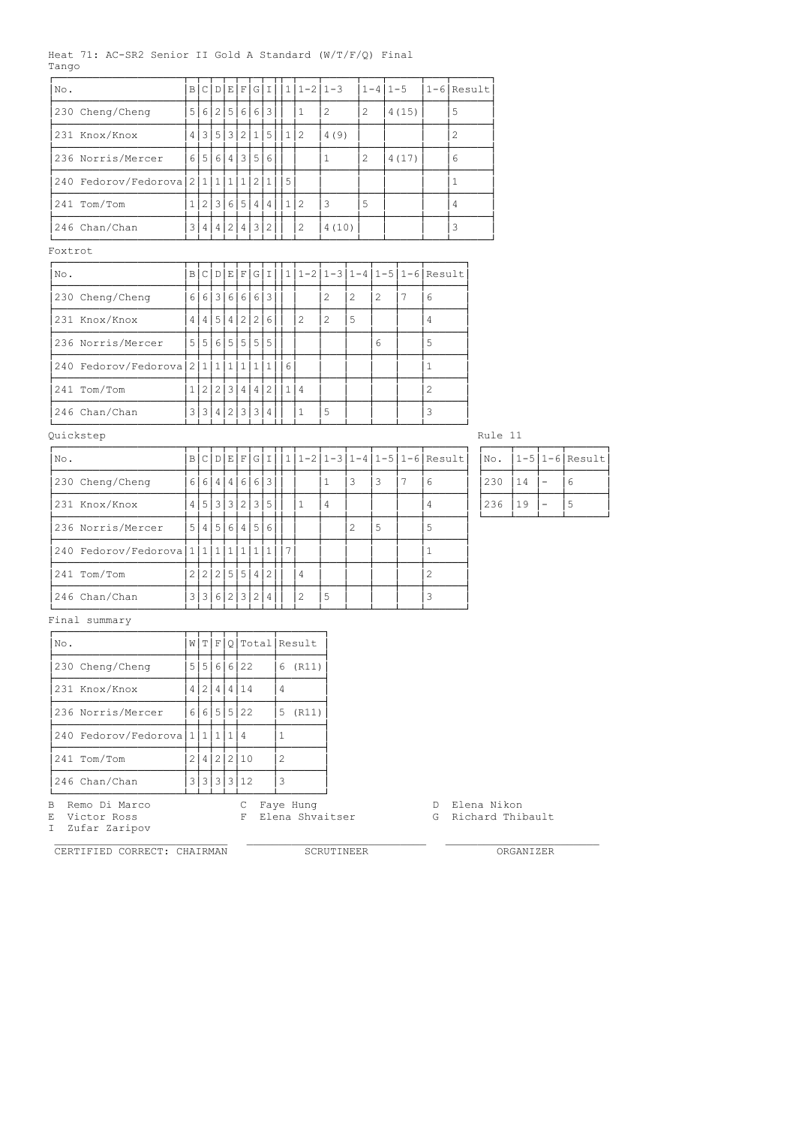## Heat 71: AC-SR2 Senior II Gold A Standard (W/T/F/Q) Final Tango

| No.                        | B              | C D           | E                      | $\mathbf F$ | G            | I              |          |   | $1 1-2 1-3$  |   | $1 - 4$   $1 - 5$ |                                 |                | $1 - 6$ Result |         |
|----------------------------|----------------|---------------|------------------------|-------------|--------------|----------------|----------|---|--------------|---|-------------------|---------------------------------|----------------|----------------|---------|
| 230 Cheng/Cheng            |                | 5 6 2 5 6     |                        |             |              | 6 3            |          | 1 | 2            |   | 2                 | 4(15)                           |                | 5              |         |
| 231 Knox/Knox              | 4 <sup>1</sup> |               |                        |             |              | 3 5 3 2 1 5    | 1 2      |   | 4(9)         |   |                   |                                 |                | 2              |         |
| 236 Norris/Mercer          |                | 6 5 6         | $\binom{1}{4}$         |             |              | 3 5 6          |          |   | $\mathbf{1}$ |   | 2                 | 4(17)                           |                | 6              |         |
| 240 Fedorov/Fedorova 21111 |                |               |                        | 1           |              | 2 1            | 5        |   |              |   |                   |                                 |                | 1              |         |
| 241 Tom/Tom                | 1 <sup>1</sup> | 2 3 6         |                        | 5           | $\vert$ 4    | 4              | 1 2      |   | 3            |   | 5                 |                                 |                | 4              |         |
| 246 Chan/Chan              | 3              | 4 4 2         |                        |             |              | 4 3 2          |          | 2 | 4(10)        |   |                   |                                 |                | 3              |         |
| Foxtrot                    |                |               |                        |             |              |                |          |   |              |   |                   |                                 |                |                |         |
| No.                        | $\mathbb{B}$   | C[D]E[F]      |                        |             |              | G I            |          |   |              |   |                   | $1 1-2 1-3 1-4 1-5 1-6 $ Result |                |                |         |
| 230 Cheng/Cheng            | $6 \mid$       | 6 3 6         |                        | $6 \mid$    |              | 6 3            |          |   | 2            | 2 | 2                 | 7                               | 6              |                |         |
| 231 Knox/Knox              | 4              | 4 5           | $\scriptstyle{(\,4\,)$ |             | 2 2          | 6              |          | 2 | 2            | 5 |                   |                                 | 4              |                |         |
| 236 Norris/Mercer          |                | 5 5 6 5 5 5 5 |                        |             |              |                |          |   |              |   | 6                 |                                 | 5              |                |         |
| 240 Fedorov/Fedoroval      | 2 <sup>1</sup> | 1 1           | $\vert$ 1              | 1           | $\mathbf{1}$ | $\overline{1}$ | $6 \mid$ |   |              |   |                   |                                 | $\mathbf{1}$   |                |         |
| 241 Tom/Tom                | $1\vert$       | 2 2 3 4       |                        |             |              | 4 2            | 1 4      |   |              |   |                   |                                 | $\overline{c}$ |                |         |
| 246 Chan/Chan              |                | 3 3 4 2 3 3   |                        |             |              | 4              |          | 1 | 5            |   |                   |                                 | 3              |                |         |
| Quickstep                  |                |               |                        |             |              |                |          |   |              |   |                   |                                 |                |                | Rule 11 |
|                            |                |               |                        |             |              |                |          |   |              |   |                   |                                 |                |                |         |

| No.                                | $\vert$ B |        |   |       |                 |  |   |   |   |    |    | $C[D E F G I  1 1-2 1-3 1-4 1-5 1-6 Result$ | INO. |    |                          | $ 1-5 1-6 $ Result |
|------------------------------------|-----------|--------|---|-------|-----------------|--|---|---|---|----|----|---------------------------------------------|------|----|--------------------------|--------------------|
| 230 Cheng/Cheng                    | $6 \mid$  | $6 4 $ | 4 | 6 6 3 |                 |  |   |   | 3 | 3  | -7 | 6                                           | 230  | 14 | $\overline{\phantom{0}}$ | 6                  |
| 231 Knox/Knox                      | 4'        |        |   |       | 5 3 3 3 2 3 5 5 |  |   | 4 |   |    |    | 4                                           | 236  | 19 | $\overline{\phantom{a}}$ | 5                  |
| 236 Norris/Mercer                  |           |        |   |       | 5 4 5 6 4 5 6   |  |   |   | 2 | -5 |    | 5                                           |      |    |                          |                    |
| 240 Fedorov/Fedorova $11111111111$ |           |        |   |       |                 |  |   |   |   |    |    |                                             |      |    |                          |                    |
| 241 Tom/Tom                        |           |        |   |       | 2 2 2 5 5 4 2   |  | 4 |   |   |    |    | $\overline{2}$                              |      |    |                          |                    |
| 246 Chan/Chan                      |           |        |   |       | 3 3 6 2 3 2 4   |  | 2 | 5 |   |    |    | 3                                           |      |    |                          |                    |

| No. |    | $1-5$  1-6 Result |
|-----|----|-------------------|
| 230 | 14 | 6                 |
| 236 | 19 | 5                 |

# Final summary

| No.                       |   |     |      |                    | W T F Q Total Result |
|---------------------------|---|-----|------|--------------------|----------------------|
| 230 Cheng/Cheng           |   |     |      | 5   5   6   6   22 | 6<br>(R11)           |
| 231 Knox/Knox             | 4 | 2 4 | 14 I | 14                 |                      |
| 236 Norris/Mercer         |   |     |      | 6 6 5 5 22         | 5<br>(R11)           |
| 240 Fedorov/Fedorova 1111 |   |     |      |                    |                      |
| 1241 Tom/Tom              |   |     |      | 2 4 2 2 10         | 2                    |
| 1246 Chan/Chan            |   |     |      | 3 3 3 3 3 12       | 3                    |
|                           |   |     |      |                    |                      |

I Zufar Zaripov

CERTIFIED CORRECT: CHAIRMAN SCRUTINEER ORGANIZER

B Remo Di Marco C Faye Hung D Elena Nikon

E Victor Ross F Elena Shvaitser G Richard Thibault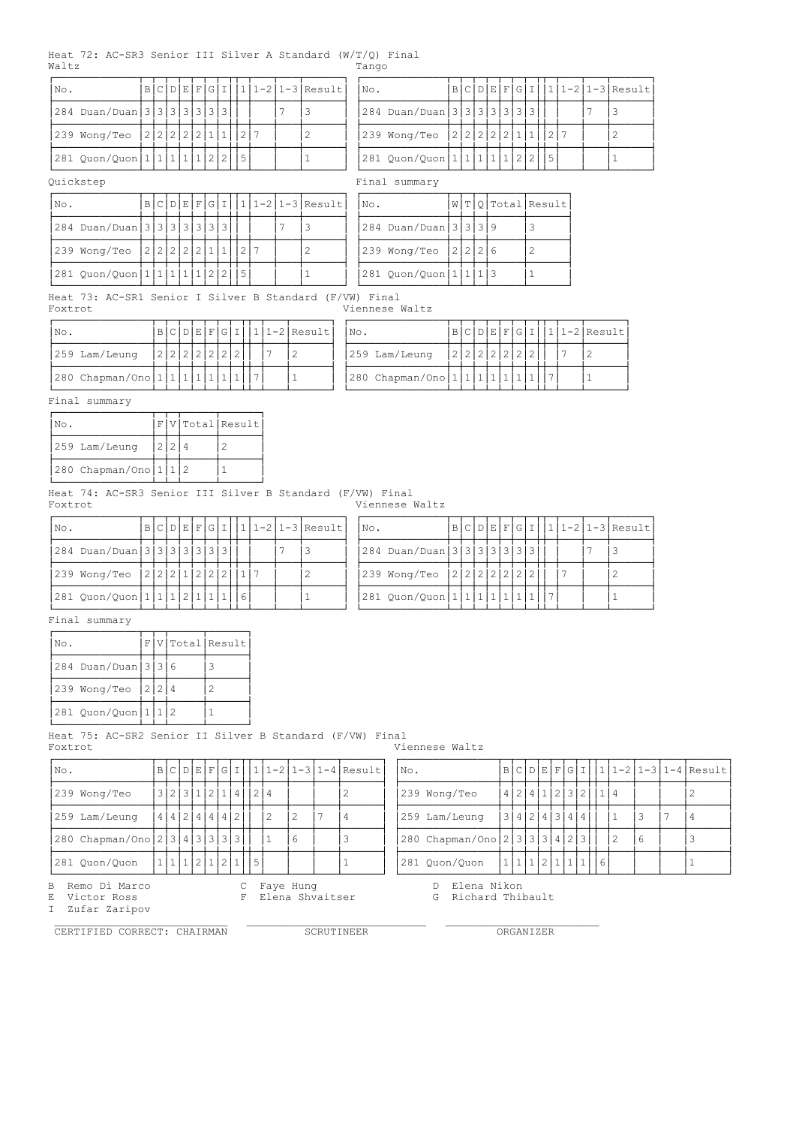#### Heat 72: AC-SR3 Senior III Silver A Standard (W/T/Q) Final Waltz Tango

| No. |                                             |  |  |  |  |  | B C D E F G I  1 1-2 1-3 Result | No. |                                   |  |  |  |  |  | B C D E F G I  1 1-2 1-3 Result |
|-----|---------------------------------------------|--|--|--|--|--|---------------------------------|-----|-----------------------------------|--|--|--|--|--|---------------------------------|
|     | 284 Duan/Duan   3   3   3   3   3   3   3   |  |  |  |  |  |                                 |     | 284 Duan/Duan 3 3 3 3 3 3 3 3 3 1 |  |  |  |  |  |                                 |
|     | 239 Wong/Teo  2 2 2 2 2 1 1  2 7            |  |  |  |  |  |                                 |     | 239 Wong/Teo  2 2 2 2 1 1  2      |  |  |  |  |  |                                 |
|     | 281 Quon/Quon   1   1   1   1   2   2     5 |  |  |  |  |  |                                 |     | 281 Quon/Quon 1 1 1 1 1 2 2  5    |  |  |  |  |  |                                 |

Quickstep Final summary

|     | ししエンいっ いいい                                    |  |  |  |  |  |                                 |     | TTTTCT ORIGINATY              |  |  |                    |
|-----|-----------------------------------------------|--|--|--|--|--|---------------------------------|-----|-------------------------------|--|--|--------------------|
| No. |                                               |  |  |  |  |  | B C D E F G I  1 1-2 1-3 Result | No. |                               |  |  | W T Q Total Result |
|     | 284 Duan/Duan   3   3   3   3   3   3   3   1 |  |  |  |  |  |                                 |     | 284 Duan/Duan   3   3   3   9 |  |  |                    |
|     | 239 Wong/Teo  2 2 2 2 2 1 1  2 7              |  |  |  |  |  |                                 |     | 239 Wong/Teo  2 2 2 6         |  |  |                    |
|     | 281 Quon/Quon 1 1 1 1 2 2  5                  |  |  |  |  |  |                                 |     | 281 Quon/Quon 1 1 1 3         |  |  |                    |

ÀÄÄÄÄÄÄÄÄÄÄÄÄÄÁÄÁÄÁÄÁÄÁÄÁÄÁÄÁÁÄÁÄÄÄÁÄÄÄÁÄÄÄÄÄÄÙ ÀÄÄÄÄÄÄÄÄÄÄÄÄÄÁÄÁÄÁÄÁÄÄÄÄÄÁÄÄÄÄÄÄÙ Heat 73: AC-SR1 Senior I Silver B Standard (F/VW) Final Foxtrot Viennese Waltz

| INo. |                                |  |  |  |               |  | $ B C D E F G I  1 1-2 Result$ |
|------|--------------------------------|--|--|--|---------------|--|--------------------------------|
|      | 259 Lam/Leung                  |  |  |  | 2 2 2 2 2 2 1 |  |                                |
|      | 280 Chapman/Ono 1 1 1 1 1 1  7 |  |  |  |               |  |                                |

| INo. |                                     |  |             |  |  |  | $ B C D E F G I  1 1-2 Result $ No. |  |                                |  |           |  |  |  | $ B C D E F G I  1 1-2 Result $ |
|------|-------------------------------------|--|-------------|--|--|--|-------------------------------------|--|--------------------------------|--|-----------|--|--|--|---------------------------------|
|      | 259 Lam/Leung                       |  | 2 2 2 2 2 2 |  |  |  |                                     |  | 259 Lam/Leung                  |  | 2 2 2 2 2 |  |  |  |                                 |
|      | 280 Chapman/Ono   1   1   1   1   1 |  |             |  |  |  |                                     |  | $ 280 \tChapman/Ono 1 1 1 1 1$ |  |           |  |  |  |                                 |

Final summary

| No.                         |     | F V Total Result |
|-----------------------------|-----|------------------|
| 1259 Lam/Leung              | 212 |                  |
| 280 Chapman/Ono   1   1   2 |     |                  |

Heat 74: AC-SR3 Senior III Silver B Standard (F/VW) Final Foxtrot Viennese Waltz

| INo.                                              |  |  |  |  |  | $B C D E F G I  1 1-2 1-3 Result $ | INo.                              |  |  |  |  |  | $ B C D E F G I   1 1-2 1-3 Result $ |
|---------------------------------------------------|--|--|--|--|--|------------------------------------|-----------------------------------|--|--|--|--|--|--------------------------------------|
| 284 Duan/Duan 3 3 3 3 3 3 3                       |  |  |  |  |  |                                    | 284 Duan/Duan 3 3 3 3 3 3 3 3 3 1 |  |  |  |  |  |                                      |
| 239 Wong/Teo  2 2 2 1 2 2 2                       |  |  |  |  |  |                                    | 239 Wong/Teo  2 2 2 2 2 2 2       |  |  |  |  |  |                                      |
| 281 Quon/Quon   1   1   1   2   1   1   1   1   6 |  |  |  |  |  |                                    | 281 Quon/Quon 1 1 1 1 1 1         |  |  |  |  |  |                                      |

Final summary

| No.                 |  | $F V  \text{Total}  \text{Result} $ |
|---------------------|--|-------------------------------------|
| 284 Duan/Duan 3 3 6 |  | 3                                   |
| 239 Wong/Teo 2224   |  |                                     |
| 281 Quon/Quon 1 1 2 |  |                                     |

Heat 75: AC-SR2 Senior II Silver B Standard (F/VW) Final Foxtrot Viennese Waltz

| No.                               |           |  |  |               |                     |   |   | $ B C D E F G I  1 1-2 1-3 1-4 Result $ | No. |                               |  |  |               |  |  |  | $ B C D E F G I  1 1-2 1-3 1-4 Result $ |
|-----------------------------------|-----------|--|--|---------------|---------------------|---|---|-----------------------------------------|-----|-------------------------------|--|--|---------------|--|--|--|-----------------------------------------|
| 239 Wong/Teo                      |           |  |  |               | 3 2 3 1 2 1 4   2 4 |   |   |                                         |     | 239 Wong/Teo                  |  |  | 4 2 4 1 2 3 2 |  |  |  |                                         |
| 259 Lam/Leung                     | 4 4 2 4 4 |  |  | 4 2           |                     | 2 |   |                                         |     | 259 Lam/Leung                 |  |  | 3 4 2 4 3 4 4 |  |  |  |                                         |
| 280 Chapman/Ono 2 3 4 3 3 3 3 3 1 |           |  |  |               |                     |   | h |                                         |     | 280 Chapman/Ono 2 3 3 3 4 2 3 |  |  |               |  |  |  |                                         |
| 281 Quon/Quon                     |           |  |  | 1 1 1 2 1 2 1 |                     |   |   |                                         |     | 281 Quon/Quon                 |  |  | 1 1 1 2 1 1 1 |  |  |  |                                         |

I Zufar Zaripov

| No. |                               |               |  |  |          |    |    | $\lfloor B \rfloor$ C $\lfloor D \rfloor$ E $\lfloor F \rfloor$ G $\lfloor I \rfloor$ $\lfloor 1 \rfloor$ 1-2 $\lfloor 1-3 \rfloor$ 1-4 $\lfloor$ Result |
|-----|-------------------------------|---------------|--|--|----------|----|----|----------------------------------------------------------------------------------------------------------------------------------------------------------|
|     | 239 Wong/Teo                  | 4 2 4 1       |  |  | 2 3 2  1 |    |    |                                                                                                                                                          |
|     | 259 Lam/Leung                 | 3 4 2 4 3 4 4 |  |  |          |    |    | 4                                                                                                                                                        |
|     | 280 Chapman/Ono 2 3 3 3 4 2 3 |               |  |  |          |    | -6 |                                                                                                                                                          |
|     | 281 Ouon/Ouon                 |               |  |  |          | 16 |    |                                                                                                                                                          |

B Remo Di Marco C Faye Hung D Elena Nikon

E Victor Ross F Elena Shvaitser G Richard Thibault

CERTIFIED CORRECT: CHAIRMAN SCRUTINEER ORGANIZER

\_\_\_\_\_\_\_\_\_\_\_\_\_\_\_\_\_\_\_\_\_\_\_\_\_\_\_ \_\_\_\_\_\_\_\_\_\_\_\_\_\_\_\_\_\_\_\_\_\_\_\_\_\_\_\_ \_\_\_\_\_\_\_\_\_\_\_\_\_\_\_\_\_\_\_\_\_\_\_\_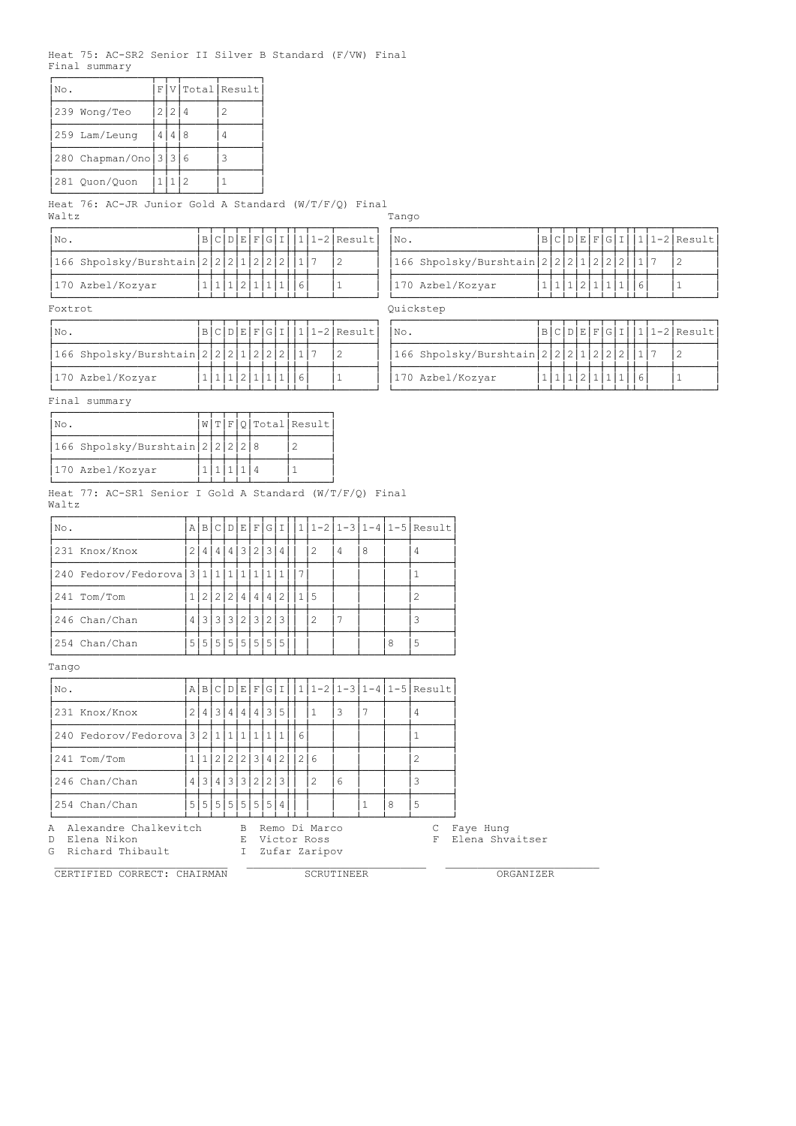#### Heat 75: AC-SR2 Senior II Silver B Standard (F/VW) Final Final summary

| No.                   | FΙ |           |   | V Total Result |
|-----------------------|----|-----------|---|----------------|
| 239 Wong/Teo          | 21 | $\cdot$ 2 |   |                |
| 1259 Lam/Leung        | 4  |           | 8 |                |
| 280 Chapman/Ono 3 3 6 |    |           |   |                |
| 281 Ouon/Ouon         |    |           |   |                |

Heat 76: AC-JR Junior Gold A Standard (W/T/F/Q) Final Waltz Tango

| INo.    |                                           |  |  |  |                   |  | $ B C D E F G I  1 1-2 Result $ | $\overline{\text{No}}$ . |                                            |                   |  |  |  | $ B C D E F G I  1 1-2 Result $ |
|---------|-------------------------------------------|--|--|--|-------------------|--|---------------------------------|--------------------------|--------------------------------------------|-------------------|--|--|--|---------------------------------|
|         | 166 Shpolsky/Burshtain 2 2 2 1 2 2 2  1 7 |  |  |  |                   |  |                                 |                          | 166 Shpolsky/Burshtain 2 2 2 1 2 2 2 1 1 7 |                   |  |  |  |                                 |
|         | 170 Azbel/Kozyar                          |  |  |  | 1 1 1 2 1 1 1 1 6 |  |                                 |                          | 170 Azbel/Kozyar                           | 1 1 1 2 1 1 1 1 6 |  |  |  |                                 |
| Foxtrot |                                           |  |  |  |                   |  |                                 |                          | Ouickstep                                  |                   |  |  |  |                                 |

| No. |                                           |  |           |  |  |  | $ B C D E F G I 111-2 Result $ | $'$ No. |                                            |  |  |  |  | $ B C D E F G I 111-2 Result $ |
|-----|-------------------------------------------|--|-----------|--|--|--|--------------------------------|---------|--------------------------------------------|--|--|--|--|--------------------------------|
|     | 166 Shpolsky/Burshtain 2 2 2 1 2 2 2  1 7 |  |           |  |  |  |                                |         | 166 Shpolsky/Burshtain 2 2 2 1 2 2 2 1 1 7 |  |  |  |  |                                |
|     | 170 Azbel/Kozyar                          |  | 111211111 |  |  |  |                                |         | 170 Azbel/Kozyar                           |  |  |  |  |                                |

| INo.             |                                           |  |  |             |  | $B C D E F G I   1 1-2 Result $ | No. |                                            |  |  |  |  | $ B C D E F G I 111-2 Result $ |  |
|------------------|-------------------------------------------|--|--|-------------|--|---------------------------------|-----|--------------------------------------------|--|--|--|--|--------------------------------|--|
|                  | 166 Shpolsky/Burshtain 2 2 2 1 2 2 2  1 7 |  |  |             |  |                                 |     | 166 Shpolsky/Burshtain 2 2 2 1 2 2 2 1 1 7 |  |  |  |  |                                |  |
| 170 Azbel/Kozyar |                                           |  |  | 1 1 1 2 1 1 |  |                                 |     | 170 Azbel/Kozyar                           |  |  |  |  |                                |  |

# Quickstep

| INO. |                                           |  |  |  |  |  | $ B C D E F G I 11-2 Result $ | $\mathbb{N} \circ$ . |                                            |  |  |  |  | B C D E F G I  1 1-2 Result |
|------|-------------------------------------------|--|--|--|--|--|-------------------------------|----------------------|--------------------------------------------|--|--|--|--|-----------------------------|
|      | 166 Shpolsky/Burshtain 2 2 2 1 2 2 2  1 7 |  |  |  |  |  |                               |                      | 1166 Shpolsky/Burshtain 2 2 2 1 2 2 2  1 7 |  |  |  |  |                             |
|      | 170 Azbel/Kozyar                          |  |  |  |  |  |                               |                      | 170 Azbel/Kozyar                           |  |  |  |  |                             |

Final summary

| No.                              |  |  | W T F Q Total Result |
|----------------------------------|--|--|----------------------|
| 166 Shpolsky/Burshtain 2 2 2 2 8 |  |  |                      |
| 170 Azbel/Kozyar                 |  |  |                      |

Heat 77: AC-SR1 Senior I Gold A Standard (W/T/F/Q) Final Waltz

| No. |                                            |    |  |  |                               |   |     |               |                |   |   | $A B C D E F G I  1 1-2 1-3 1-4 1-5 Result$ |
|-----|--------------------------------------------|----|--|--|-------------------------------|---|-----|---------------|----------------|---|---|---------------------------------------------|
|     | 231 Knox/Knox                              | 21 |  |  | 4 4 4 3 2 3                   | 4 |     | -2            | $\overline{4}$ | 8 |   |                                             |
|     | 240 Fedorov/Fedorova 3 1 1 1 1 1 1 1 1 1 1 |    |  |  |                               |   | -17 |               |                |   |   |                                             |
|     | 241 Tom/Tom                                |    |  |  | 22224442115                   |   |     |               |                |   |   |                                             |
|     | 246 Chan/Chan                              |    |  |  | 4 3 3 3 2 3 2 3               |   |     | $\mathcal{L}$ |                |   |   |                                             |
|     | 254 Chan/Chan                              |    |  |  | 5   5   5   5   5   5   5   5 |   |     |               |                |   | 8 |                                             |

Tango

| No.                                        |                |                 |               |  |                    |   |   |     |   | $A B C D E F G I   1 1-2 1-3 1-4 1-5 Result$ |
|--------------------------------------------|----------------|-----------------|---------------|--|--------------------|---|---|-----|---|----------------------------------------------|
| 231 Knox/Knox                              | 2 <sup>1</sup> |                 | 4 3 4 4 4 3 5 |  |                    |   |   | l 3 |   |                                              |
| 240 Fedorov/Fedorova 3 2 1 1 1 1 1 1 1 1 1 |                |                 |               |  |                    | 6 |   |     |   |                                              |
| 241 Tom/Tom                                |                |                 |               |  | 1 2 2 2 3 4 2  2 6 |   |   |     |   |                                              |
| 246 Chan/Chan                              |                | 4 3 4 3 3 2 2 3 |               |  |                    |   | 2 | 6   |   |                                              |
| 254 Chan/Chan                              |                | 5 5 5 5 5 5 5 4 |               |  |                    |   |   |     | 8 | 5                                            |

A Alexandre Chalkevitch B Remo Di Marco C Faye Hung

G Richard Thibault **I** Zufar Zaripov

D Elena Nikon E Victor Ross F Elena Shvaitser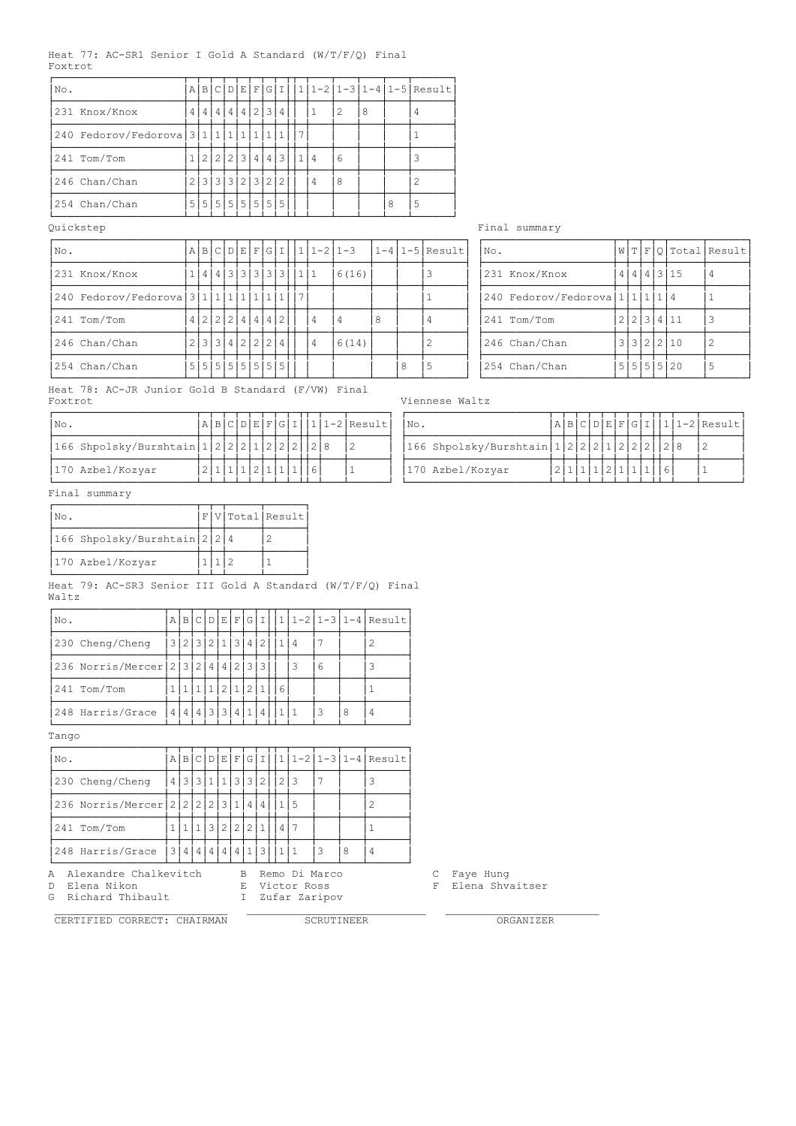### Heat 77: AC-SR1 Senior I Gold A Standard (W/T/F/Q) Final Foxtrot

| No.                                        | Α |  |  |                 |  |  |                |   |     |   | $B C D E F G I   1 1-2 1-3 1-4 1-5 Result$ |
|--------------------------------------------|---|--|--|-----------------|--|--|----------------|---|-----|---|--------------------------------------------|
| 231 Knox/Knox                              |   |  |  | 4 4 4 4 2 3 4   |  |  |                | 2 | i 8 |   |                                            |
| 240 Fedorov/Fedorova 3 1 1 1 1 1 1 1 1 1 1 |   |  |  |                 |  |  |                |   |     |   |                                            |
| 241 Tom/Tom                                |   |  |  | 2 2 2 3 4 4 3   |  |  | $\overline{4}$ | 6 |     |   |                                            |
| 246 Chan/Chan                              |   |  |  | 2 3 3 3 2 3 2 2 |  |  | $\overline{4}$ | 8 |     |   |                                            |
| 254 Chan/Chan                              |   |  |  | 5 5 5 5 5 5 5 5 |  |  |                |   |     | 8 |                                            |

# Quickstep Final summary

| No.                                        |  |  |  |                       | $A B C D E F G I   1 1-2 1-3$ |       |   |   | $1-4$  1-5 Result | No.                            |  |  |          | W T F Q Total Result |
|--------------------------------------------|--|--|--|-----------------------|-------------------------------|-------|---|---|-------------------|--------------------------------|--|--|----------|----------------------|
| 231 Knox/Knox                              |  |  |  | 1 4 4 3 3 3 3 3 1 1 1 |                               | 6(16) |   |   |                   | 231 Knox/Knox                  |  |  | 4 4 3 15 |                      |
| 240 Fedorov/Fedorova 3 1 1 1 1 1 1 1 1 1 1 |  |  |  |                       |                               |       |   |   |                   | 240 Fedorov/Fedorova $1111114$ |  |  |          |                      |
| 241 Tom/Tom                                |  |  |  | 4 2 2 2 4 4 4 2       | 4                             |       | 8 |   |                   | 241 Tom/Tom                    |  |  | 223411   |                      |
| 246 Chan/Chan                              |  |  |  | 2 3 3 4 2 2 2 4       | 4                             | 6(14) |   |   |                   | 246 Chan/Chan                  |  |  | 3322210  |                      |
| 254 Chan/Chan                              |  |  |  | 5 5 5 5 5 5 5 5       |                               |       |   | 8 |                   | 254 Chan/Chan                  |  |  | 5555520  |                      |

Heat 78: AC-JR Junior Gold B Standard (F/VW) Final

| $\overline{\text{No}}$ .             |  |  |  |  |  |  | $'A B C D E F G I  1 1-2 Result $ | No. |                                     |  |  |  |  |  | $A B C D E F G I  1 1-2 Result $ |
|--------------------------------------|--|--|--|--|--|--|-----------------------------------|-----|-------------------------------------|--|--|--|--|--|----------------------------------|
| 166 Shpolsky/Burshtain 1 2 2 2 1 2 2 |  |  |  |  |  |  |                                   |     | $1166$ Shpolsky/Burshtain $1222212$ |  |  |  |  |  |                                  |
| 170 Azbel/Kozyar                     |  |  |  |  |  |  |                                   |     | 170 Azbel/Kozyar                    |  |  |  |  |  |                                  |

|  | No. |                              |    |      |      |     | W[T F Q Total Resu |   |
|--|-----|------------------------------|----|------|------|-----|--------------------|---|
|  |     | 231 Knox/Knox                |    |      |      |     | 4 3 15             |   |
|  |     | 240 Fedorov/Fedorova 1111114 |    |      |      |     |                    |   |
|  |     | 241 Tom/Tom                  |    | 212. | 1314 |     |                    |   |
|  |     | 246 Chan/Chan                |    | l 3  |      | 2 2 | 110                | 2 |
|  |     | $251$ $Chon/Chon$            | сI | Е.   | а    | ЕI  | $\cap$             |   |

Viennese Waltz

| No. |                                |  |  |  |  |  | $A B C D E F G I  1 1-2 Result $ |
|-----|--------------------------------|--|--|--|--|--|----------------------------------|
|     | 166 Shpolsky/Burshtain   1   2 |  |  |  |  |  |                                  |
|     | 170 Azbel/Kozyar               |  |  |  |  |  |                                  |

Final summary

| INo.                         |  | F V Total Result |
|------------------------------|--|------------------|
| 166 Shpolsky/Burshtain 2 2 4 |  |                  |
| 170 Azbel/Kozyar             |  |                  |

Heat 79: AC-SR3 Senior III Gold A Standard (W/T/F/Q) Final Waltz

| No.                               |  |       |           | A B C D E F |     |             |  |   |   | G I  1 1-2 1-3 1-4 Result |
|-----------------------------------|--|-------|-----------|-------------|-----|-------------|--|---|---|---------------------------|
| 230 Cheng/Cheng                   |  | 3 2 3 |           |             |     | 2 1 3 4 2 1 |  |   |   |                           |
| 236 Norris/Mercer 2 3 2 4 4 2 3 3 |  |       |           |             |     |             |  | 3 | 6 |                           |
| 241 Tom/Tom                       |  |       |           | 2 1 2 1     |     |             |  |   |   |                           |
| 248 Harris/Grace                  |  |       | 4 4 4 3 3 | 4           | 114 |             |  |   |   |                           |

Tango

| No.                                  |                      |      |                   |   |   |       |  |    |   | $A B C D E F G I  1 1-2 1-3 1-4 Result$ |
|--------------------------------------|----------------------|------|-------------------|---|---|-------|--|----|---|-----------------------------------------|
| 230 Cheng/Cheng                      | 4 3 3 1 1 3 3 2  2 3 |      |                   |   |   |       |  |    |   |                                         |
| 236 Norris/Mercer 2 2 2 2 3 1 4 4  1 |                      |      |                   |   |   |       |  | 15 |   |                                         |
| 241 Tom/Tom                          |                      |      | 1   1   1   3   2 |   |   | 2 2 1 |  |    |   |                                         |
| 248 Harris/Grace                     | 3                    | 4141 | 4                 | 4 | 4 |       |  |    | 8 |                                         |

A Alexandre Chalkevitch B Remo Di Marco C Faye Hung A Alexandre Chalkevitch B Remo Di Marco C Faye Hung<br>
D Elena Nikon E Victor Ross F Elena Shvaitser<br>
G Richard Thibault I Zufar Zaripov G Richard Thibault

 \_\_\_\_\_\_\_\_\_\_\_\_\_\_\_\_\_\_\_\_\_\_\_\_\_\_\_ \_\_\_\_\_\_\_\_\_\_\_\_\_\_\_\_\_\_\_\_\_\_\_\_\_\_\_\_ \_\_\_\_\_\_\_\_\_\_\_\_\_\_\_\_\_\_\_\_\_\_\_\_ CERTIFIED CORRECT: CHAIRMAN SCRUTINEER CORRECTION ORGANIZER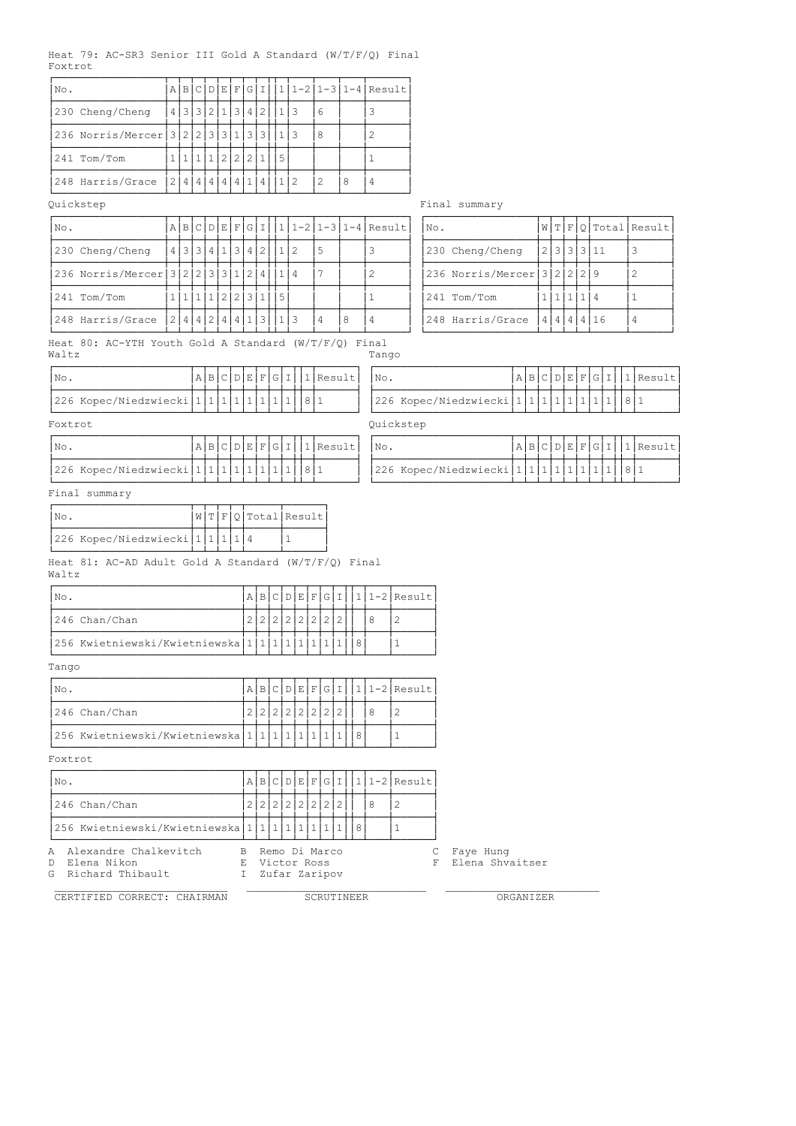# Heat 79: AC-SR3 Senior III Gold A Standard (W/T/F/Q) Final Foxtrot

| No.                                 |                                                                                                                                                                                                                                                                                                                                                                                                                                  | A B | C |  | D E | F | G            | Ι              |  | 1   |  |           |                   |                                    |   |                | $1-2$ $1-3$ $1-4$ $Recult$   |                                  |        |                              |  |  |                 |           |   |   |   |                      |  |
|-------------------------------------|----------------------------------------------------------------------------------------------------------------------------------------------------------------------------------------------------------------------------------------------------------------------------------------------------------------------------------------------------------------------------------------------------------------------------------|-----|---|--|-----|---|--------------|----------------|--|-----|--|-----------|-------------------|------------------------------------|---|----------------|------------------------------|----------------------------------|--------|------------------------------|--|--|-----------------|-----------|---|---|---|----------------------|--|
| 230 Cheng/Cheng                     |                                                                                                                                                                                                                                                                                                                                                                                                                                  |     |   |  |     |   |              |                |  | 1 3 |  |           | 6                 |                                    |   | 3              |                              |                                  |        |                              |  |  |                 |           |   |   |   |                      |  |
|                                     |                                                                                                                                                                                                                                                                                                                                                                                                                                  |     |   |  |     |   | 3            | 3              |  | 1 3 |  |           | 8                 |                                    |   | $\mathbf{2}$   |                              |                                  |        |                              |  |  |                 |           |   |   |   |                      |  |
| 241 Tom/Tom                         |                                                                                                                                                                                                                                                                                                                                                                                                                                  |     |   |  |     |   | 2            | 1              |  | 15  |  |           |                   |                                    |   | 1              |                              |                                  |        |                              |  |  |                 |           |   |   |   |                      |  |
| 248 Harris/Grace                    |                                                                                                                                                                                                                                                                                                                                                                                                                                  |     |   |  |     |   |              | $\overline{4}$ |  | 1 2 |  |           | 2                 | 8                                  |   | 4              |                              |                                  |        |                              |  |  |                 |           |   |   |   |                      |  |
| Quickstep                           |                                                                                                                                                                                                                                                                                                                                                                                                                                  |     |   |  |     |   |              |                |  |     |  |           |                   |                                    |   |                |                              |                                  |        | Final summary                |  |  |                 |           |   |   |   |                      |  |
| No.                                 |                                                                                                                                                                                                                                                                                                                                                                                                                                  |     |   |  |     |   | G            | I              |  |     |  |           |                   |                                    |   |                | $111 - 211 - 311 - 4$ Result |                                  | No.    |                              |  |  |                 |           |   |   |   | W T F O Total Result |  |
| 230 Cheng/Cheng                     |                                                                                                                                                                                                                                                                                                                                                                                                                                  |     |   |  |     |   | 3 4          | 2              |  | 112 |  |           | 5                 |                                    |   | 3              |                              |                                  |        | 230 Cheng/Cheng              |  |  | 2 3 3 3 11      |           |   |   |   | 3                    |  |
|                                     |                                                                                                                                                                                                                                                                                                                                                                                                                                  |     |   |  |     |   | 2            | 4              |  | 114 |  |           | 7                 |                                    |   | $\overline{c}$ |                              |                                  |        | 236 Norris/Mercer 3 2 2 2 9  |  |  |                 |           |   |   |   | $\overline{c}$       |  |
| 241 Tom/Tom                         |                                                                                                                                                                                                                                                                                                                                                                                                                                  |     |   |  |     |   |              | $\mathbf{1}$   |  | 5   |  |           |                   |                                    |   | $\mathbf{1}$   |                              |                                  |        | 241 Tom/Tom                  |  |  | 1 1 1 1 4       |           |   |   |   | $\mathbf 1$          |  |
| 248 Harris/Grace                    |                                                                                                                                                                                                                                                                                                                                                                                                                                  |     |   |  |     | 4 | $\mathbf{1}$ | 3              |  | 1 3 |  |           | 4                 | 8                                  |   | 4              |                              |                                  |        | 248 Harris/Grace             |  |  | 4 4 4 4 16      |           |   |   |   | 4                    |  |
| Waltz                               |                                                                                                                                                                                                                                                                                                                                                                                                                                  |     |   |  |     |   |              |                |  |     |  |           |                   |                                    |   |                |                              |                                  |        |                              |  |  |                 |           |   |   |   |                      |  |
| No.                                 |                                                                                                                                                                                                                                                                                                                                                                                                                                  |     |   |  |     |   |              |                |  |     |  |           |                   |                                    |   |                |                              |                                  |        |                              |  |  | A B C D E F G I |           |   |   |   | 1 Result             |  |
|                                     |                                                                                                                                                                                                                                                                                                                                                                                                                                  |     |   |  |     |   |              |                |  |     |  |           |                   |                                    |   |                |                              |                                  |        |                              |  |  |                 |           |   |   |   | 8 1                  |  |
| Foxtrot                             |                                                                                                                                                                                                                                                                                                                                                                                                                                  |     |   |  |     |   |              |                |  |     |  |           |                   |                                    |   |                |                              |                                  |        |                              |  |  |                 |           |   |   |   |                      |  |
| No.                                 |                                                                                                                                                                                                                                                                                                                                                                                                                                  |     |   |  |     |   |              |                |  |     |  |           |                   |                                    |   |                |                              |                                  |        |                              |  |  | A B C D E F G I |           |   |   |   | $1$ Result           |  |
|                                     |                                                                                                                                                                                                                                                                                                                                                                                                                                  |     |   |  |     |   |              |                |  |     |  |           |                   |                                    |   |                |                              |                                  |        |                              |  |  | $1\vert$        | $\vert$ 1 | 1 | 1 | 1 | 8 1                  |  |
| Final summary                       |                                                                                                                                                                                                                                                                                                                                                                                                                                  |     |   |  |     |   |              |                |  |     |  |           |                   |                                    |   |                |                              |                                  |        |                              |  |  |                 |           |   |   |   |                      |  |
| INo.                                |                                                                                                                                                                                                                                                                                                                                                                                                                                  |     |   |  |     |   |              |                |  |     |  |           |                   |                                    |   |                |                              |                                  |        |                              |  |  |                 |           |   |   |   |                      |  |
|                                     | Tango<br>A B C D E F G I<br>1 Result<br>No.<br>226 Kopec/Niedzwiecki   1   1   1   1<br>1 <br>8 1<br>226 Kopec/Niedzwiecki $ 1 1 1 1 1 1 1$<br>1 1 <br>1<br>Quickstep<br>$C[D E F G I$<br>1 Result<br>A B <br>No.<br>8 1<br>$1\vert$<br>1 <br>226 Kopec/Niedzwiecki   1   1   1<br>$\vert$<br>$\mathbf{1}$<br>1<br>Q Total Result<br>W[T F]<br>1<br>Heat 81: AC-AD Adult Gold A Standard (W/T/F/Q) Final                         |     |   |  |     |   |              |                |  |     |  |           |                   |                                    |   |                |                              |                                  |        |                              |  |  |                 |           |   |   |   |                      |  |
| Waltz                               |                                                                                                                                                                                                                                                                                                                                                                                                                                  |     |   |  |     |   |              |                |  |     |  |           |                   |                                    |   |                |                              |                                  |        |                              |  |  |                 |           |   |   |   |                      |  |
| No.                                 | 226 Kopec/Niedzwiecki   1   1   1<br>226 Kopec/Niedzwiecki   1   1   1   4<br>A B C D E F G I<br>2 2 2 2 2                                                                                                                                                                                                                                                                                                                       |     |   |  |     |   |              |                |  |     |  |           |                   |                                    |   |                |                              | $ 1 1-2 $ Result                 |        |                              |  |  |                 |           |   |   |   |                      |  |
| 246 Chan/Chan                       |                                                                                                                                                                                                                                                                                                                                                                                                                                  |     |   |  |     |   |              |                |  |     |  | 2         |                   | 2 2                                |   | 8              |                              | $\mathbf{2}$                     |        |                              |  |  |                 |           |   |   |   |                      |  |
|                                     |                                                                                                                                                                                                                                                                                                                                                                                                                                  |     |   |  |     |   |              |                |  |     |  | $\vert$ 1 | $\frac{1}{2}$     | 1                                  | 8 |                |                              | 1                                |        |                              |  |  |                 |           |   |   |   |                      |  |
| Tango                               |                                                                                                                                                                                                                                                                                                                                                                                                                                  |     |   |  |     |   |              |                |  |     |  |           |                   |                                    |   |                |                              |                                  |        |                              |  |  |                 |           |   |   |   |                      |  |
| No.                                 |                                                                                                                                                                                                                                                                                                                                                                                                                                  |     |   |  |     |   |              |                |  |     |  |           |                   |                                    |   |                |                              | $A B C D E F G I   1 1-2 Result$ |        |                              |  |  |                 |           |   |   |   |                      |  |
| 246 Chan/Chan                       |                                                                                                                                                                                                                                                                                                                                                                                                                                  |     |   |  |     |   |              |                |  |     |  |           | 2 2 2 2 2 2 2 2 2 |                                    |   | 8              |                              | 2                                |        |                              |  |  |                 |           |   |   |   |                      |  |
|                                     |                                                                                                                                                                                                                                                                                                                                                                                                                                  |     |   |  |     |   |              |                |  |     |  |           |                   |                                    | 8 |                |                              | $\mathbf{1}$                     |        |                              |  |  |                 |           |   |   |   |                      |  |
| Foxtrot                             |                                                                                                                                                                                                                                                                                                                                                                                                                                  |     |   |  |     |   |              |                |  |     |  |           |                   |                                    |   |                |                              |                                  |        |                              |  |  |                 |           |   |   |   |                      |  |
| No.                                 |                                                                                                                                                                                                                                                                                                                                                                                                                                  |     |   |  |     |   |              |                |  |     |  |           |                   |                                    |   |                |                              | $A B C D E F G I   1 1-2 Result$ |        |                              |  |  |                 |           |   |   |   |                      |  |
| 246 Chan/Chan                       |                                                                                                                                                                                                                                                                                                                                                                                                                                  |     |   |  |     |   |              |                |  |     |  |           | 2 2 2 2 2 2 2 2 2 |                                    |   | 8              |                              | 2                                |        |                              |  |  |                 |           |   |   |   |                      |  |
|                                     |                                                                                                                                                                                                                                                                                                                                                                                                                                  |     |   |  |     |   |              |                |  |     |  |           |                   |                                    | 8 |                |                              | 1                                |        |                              |  |  |                 |           |   |   |   |                      |  |
| D Elena Nikon<br>G Richard Thibault | 4 3 3 2 1 3 4 2<br>236 Norris/Mercer 3 2 2 3 3 1 <br>1 1 1 1 2 2 <br>2 4 4 4 4 4 1 <br>A B C D E F <br>4 3 3 4 1 <br>236 Norris/Mercer 3 2 2 3 3 3 1<br>1 1 1 1 2 2 3 <br>2 4 4 <br> 2 <br>4<br>Heat 80: AC-YTH Youth Gold A Standard (W/T/F/O) Final<br>256 Kwietniewski/Kwietniewska 1 1 1 1 1 <br> 256 Kwietniewski/Kwietniewska 1 1 1 1 1 1 1 1 <br>256 Kwietniewski/Kwietniewska 1 1 1 1 1 1 1 1<br>A Alexandre Chalkevitch |     |   |  |     |   |              |                |  |     |  |           |                   | B Remo Di Marco<br>I Zufar Zaripov |   |                |                              |                                  | С<br>F | Faye Hung<br>Elena Shvaitser |  |  |                 |           |   |   |   |                      |  |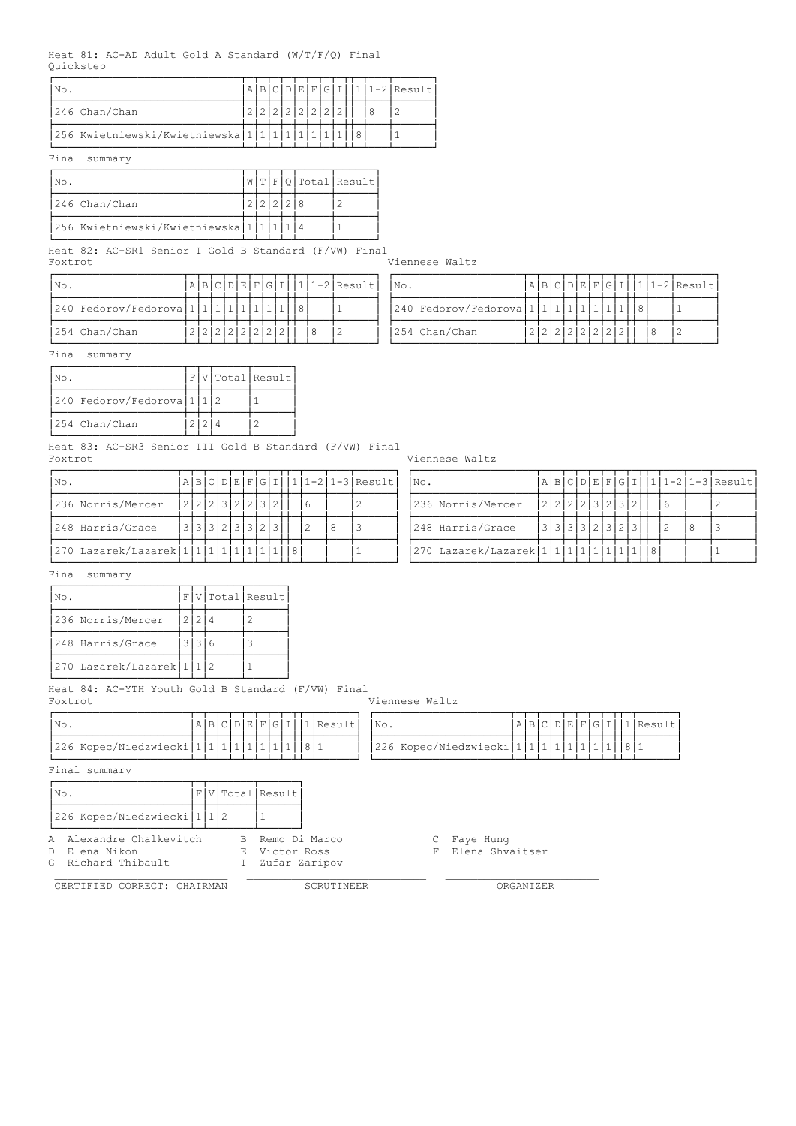#### Heat 81: AC-AD Adult Gold A Standard (W/T/F/Q) Final Quickstep

| No.                                   | A |            |  |  |  |  | $ c D E F G I  1 1-2 Result $ |
|---------------------------------------|---|------------|--|--|--|--|-------------------------------|
| 1246 Chan/Chan                        |   | 2222222222 |  |  |  |  |                               |
| 256 Kwietniewski/Kwietniewska 1 1 1 1 |   |            |  |  |  |  |                               |

# Final summary

| INo.                                              |  |           |  | W T F Q Total Result |
|---------------------------------------------------|--|-----------|--|----------------------|
| 246 Chan/Chan                                     |  | 2 2 2 2 8 |  |                      |
| 256 Kwietniewski/Kwietniewska   1   1   1   1   4 |  |           |  |                      |

Heat 82: AC-SR1 Senior I Gold B Standard (F/VW) Final Foxtrot Viennese Waltz

| INo.                                          |                   |  |  |  |  |  | A B C D E F G I  1 1-2 Result   No. |  |                                        |  |                 |  |  |  | $ A B C D E F G I  1 1-2 Result $ |
|-----------------------------------------------|-------------------|--|--|--|--|--|-------------------------------------|--|----------------------------------------|--|-----------------|--|--|--|-----------------------------------|
| $ 240$ Fedorov/Fedorova $ 1 1 1 1 1 1 1 1 8 $ |                   |  |  |  |  |  |                                     |  | 240 Fedorov/Fedorova 1 1 1 1 1 1 1 1 8 |  |                 |  |  |  |                                   |
| 1254 Chan/Chan                                | 2 2 2 2 2 2 2 2 2 |  |  |  |  |  |                                     |  | 254 Chan/Chan                          |  | 2 2 2 2 2 2 2 2 |  |  |  |                                   |

| $ NO$ . |                                                      |            |  |  |  |  |  | $ A B C D E F G I 11-2 Result $ | $\mathsf{N} \circ \mathsf{N}$ |                                 |  |                 |  |  |  | $[A B C D E F G I  1 1-2 Result $ |
|---------|------------------------------------------------------|------------|--|--|--|--|--|---------------------------------|-------------------------------|---------------------------------|--|-----------------|--|--|--|-----------------------------------|
|         | 240 Fedorov/Fedorova   1   1   1   1   1   1   1   1 |            |  |  |  |  |  |                                 |                               | 240 Fedorov/Fedorova 1111111111 |  |                 |  |  |  |                                   |
|         | 254 Chan/Chan                                        | 2222222222 |  |  |  |  |  |                                 |                               | 254 Chan/Chan                   |  | 2 2 2 2 2 2 2 2 |  |  |  |                                   |

Final summary

| INo.                       |  | $F[V] \cdot \text{Total}$ |
|----------------------------|--|---------------------------|
| 240 Fedorov/Fedorova 1 1 2 |  |                           |
| 254 Chan/Chan              |  |                           |

Heat 83: AC-SR3 Senior III Gold B Standard (F/VW) Final Foxtrot Control Communication Control Communication Communication Communication Communication Communication Communication Communication Communication Communication Communication Communication Communication Communication Co

| INo.                              |  |                 |  |  |  |  | $ \mathbf{A} \mathbf{B} \mathbf{C} \mathbf{D} \mathbf{E} \mathbf{F} \mathbf{G} \mathbf{I}  1 1-2 1-3 \text{Result} $ | INO. |                                          |  |               |  |  |                     |  | A B C D E F G I  1 1-2 1-3 Result |
|-----------------------------------|--|-----------------|--|--|--|--|----------------------------------------------------------------------------------------------------------------------|------|------------------------------------------|--|---------------|--|--|---------------------|--|-----------------------------------|
| 236 Norris/Mercer                 |  | 2 2 2 3 2 2 3 2 |  |  |  |  |                                                                                                                      |      | 236 Norris/Mercer                        |  | 2 2 2 2 3 2 3 |  |  |                     |  |                                   |
| 248 Harris/Grace                  |  | 3 3 3 2 3 3 2 3 |  |  |  |  |                                                                                                                      |      | 248 Harris/Grace                         |  |               |  |  | $ 3 3 3 3 2 3 2 3 $ |  |                                   |
| 270 Lazarek/Lazarek 1 1 1 1 1 1 1 |  |                 |  |  |  |  |                                                                                                                      |      | $ 270$ Lazarek/Lazarek $ 1 1 1 1 1 1 1 $ |  |               |  |  |                     |  |                                   |

| $ N\circ.$                                      |  |                 |  |  | A B C D E F G I   1 |  | 1-2 1-3 Result | 'No.                              |  |               |  |  |  | a b c p ɛ F G ɪ  1 1-2 1-3 Result |
|-------------------------------------------------|--|-----------------|--|--|---------------------|--|----------------|-----------------------------------|--|---------------|--|--|--|-----------------------------------|
| 236 Norris/Mercer                               |  | 2 2 2 3 2 2 3   |  |  |                     |  |                | 236 Norris/Mercer                 |  | 2 2 2 2 3 2   |  |  |  |                                   |
| 248 Harris/Grace                                |  | 3 3 3 2 3 3 2 3 |  |  |                     |  |                | 248 Harris/Grace                  |  | 3 3 3 3 2 3 2 |  |  |  |                                   |
| 270 Lazarek/Lazarek   1   1   1   1   1   1   1 |  |                 |  |  |                     |  |                | 270 Lazarek/Lazarek 1 1 1 1 1 1 1 |  |               |  |  |  |                                   |

Final summary

| No.                       |       | F V Total Result |
|---------------------------|-------|------------------|
| 236 Norris/Mercer         | 2 2 4 |                  |
| 248 Harris/Grace          | 31316 |                  |
| 270 Lazarek/Lazarek 1 1 2 |       |                  |

Heat 84: AC-YTH Youth Gold B Standard (F/VW) Final Foxtrot Viennese Waltz

| Ino.                                              |   |  |    |  | A B C D E F G I | 1   | Result                         |
|---------------------------------------------------|---|--|----|--|-----------------|-----|--------------------------------|
| 226 Kopec/Niedzwiecki   1   1   1   1   1   1   1 |   |  |    |  |                 | 8 1 |                                |
| Final summary                                     |   |  |    |  |                 |     |                                |
| No.                                               | F |  |    |  | V Total Result  |     |                                |
| 226 Kopec/Niedzwiecki 1 1 2                       |   |  |    |  |                 |     |                                |
| A Alexandre Chalkevitch                           |   |  |    |  |                 |     | B Remo Di Marco                |
| D. Elena Nikon<br>G. Richard Thibault             |   |  | I. |  |                 |     | E Victor Ross<br>Zufar Zaripov |
| CERTIFIED CORRECT: CHAIRMAN                       |   |  |    |  |                 |     | SCRUTINEER                     |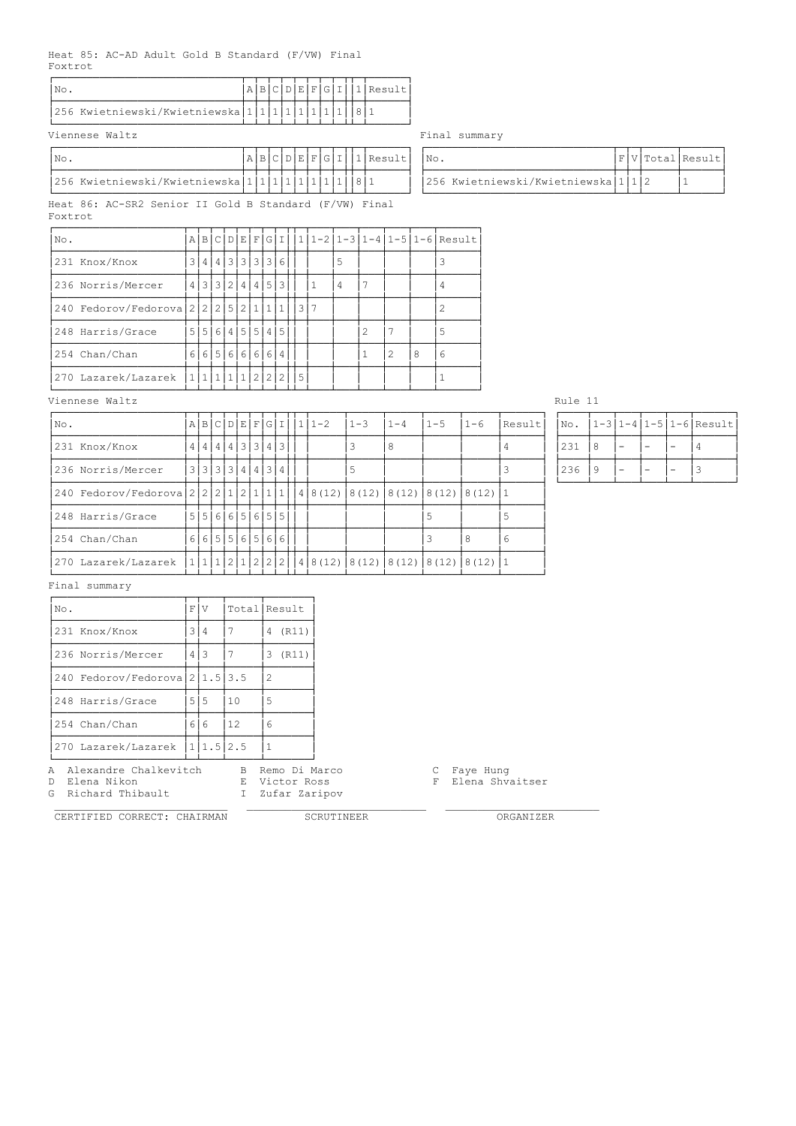### Heat 85: AC-AD Adult Gold B Standard (F/VW) Final Foxtrot

| Nο                                            |  |  |  |  |  | $ G I  1 $ Result |
|-----------------------------------------------|--|--|--|--|--|-------------------|
| 256 Kwietniewski/Kwietniewska 1 1 1 1 1 1 1 1 |  |  |  |  |  |                   |

Viennese Waltz **Final summary** 

| INo.                                              |  |  |  |  | $A B C D E F G I  1 Result $  No. |                                           |  | $ F V $ Total Result |
|---------------------------------------------------|--|--|--|--|-----------------------------------|-------------------------------------------|--|----------------------|
| 256 Kwietniewski/Kwietniewska 1 1 1 1 1 1 1 1 8 1 |  |  |  |  |                                   | 256 Kwietniewski/Kwietniewska   1   1   2 |  |                      |

Heat 86: AC-SR2 Senior II Gold B Standard (F/VW) Final Foxtrot

| No. |                                              |  |  |                 |  |  |  |   |               |   |   | $A B C D E F G I 11-2 1-3 1-4 1-5 1-6 Result$ |
|-----|----------------------------------------------|--|--|-----------------|--|--|--|---|---------------|---|---|-----------------------------------------------|
|     | 231 Knox/Knox                                |  |  | 3 4 4 3 3 3 3 6 |  |  |  | 5 |               |   |   |                                               |
|     | 236 Norris/Mercer                            |  |  | 4 3 3 2 4 4 5 3 |  |  |  | 4 |               |   |   | 4                                             |
|     | 240 Fedorov/Fedorova 2 2 2 3 2 1 1 1 1 1 3 7 |  |  |                 |  |  |  |   |               |   |   |                                               |
|     | 248 Harris/Grace                             |  |  | 5 5 6 4 5 5 4 5 |  |  |  |   | $\mathcal{D}$ |   |   | 5                                             |
|     | 254 Chan/Chan                                |  |  | 6 6 5 6 6 6 6 4 |  |  |  |   | 1             | 2 | 8 | 6                                             |
|     | 270 Lazarek/Lazarek                          |  |  | 111111122215    |  |  |  |   |               |   |   |                                               |

# Viennese Waltz Rule 11

| No.                                                      |  |  |  | A B C D E F G I I 1 | $1 - 2$                                            | $1 - 3$ | $1 - 4$ | $1 - 5$                     | $1 - 6$ | Result | No. |   |   |  | 1-3 1-4 1-5 1-6 Result |
|----------------------------------------------------------|--|--|--|---------------------|----------------------------------------------------|---------|---------|-----------------------------|---------|--------|-----|---|---|--|------------------------|
| 231 Knox/Knox                                            |  |  |  | 4 4 4 4 3 3 4 3     |                                                    |         | 8       |                             |         |        | 231 | 8 | - |  |                        |
| 236 Norris/Mercer                                        |  |  |  | 3 3 3 3 4 4 3 4     |                                                    |         |         |                             |         |        | 236 | 9 | - |  |                        |
| 240 Fedorov/Fedorova 2 2 2 2 1 2 1 1 1 1 4 8 (12) 8 (12) |  |  |  |                     |                                                    |         |         | $8(12)$ $8(12)$ $8(12)$ $1$ |         |        |     |   |   |  |                        |
| 248 Harris/Grace                                         |  |  |  | 5151616151615151    |                                                    |         |         |                             |         |        |     |   |   |  |                        |
| 254 Chan/Chan                                            |  |  |  | 665556566           |                                                    |         |         |                             | 8       | 6      |     |   |   |  |                        |
| 270 Lazarek/Lazarek                                      |  |  |  |                     | $11112121222148(12)8(12)8(12)8(12)8(12)8(12)8(12)$ |         |         |                             |         |        |     |   |   |  |                        |

| INo. |  |  | $1-3 1-4 1-5 1-6 $ Result |
|------|--|--|---------------------------|
| 231  |  |  |                           |
| 236  |  |  |                           |

Final summary

| No.                                                               | F | V              |               | Total Result                                      |  |         |                              |
|-------------------------------------------------------------------|---|----------------|---------------|---------------------------------------------------|--|---------|------------------------------|
| 231 Knox/Knox                                                     | 3 | $\overline{4}$ | 7             | 4 (R11)                                           |  |         |                              |
| 236 Norris/Mercer                                                 | 4 | 3              | 7             | 3 (R11)                                           |  |         |                              |
| 240 Fedorov/Fedorova 21.5 3.5                                     |   |                |               | 2                                                 |  |         |                              |
| 248 Harris/Grace                                                  |   | 5 5            | 10            | 5                                                 |  |         |                              |
| 254 Chan/Chan                                                     |   | $6   6$        | <sup>12</sup> | 6                                                 |  |         |                              |
| 270 Lazarek/Lazarek                                               |   | 1 1.5 2.5      |               |                                                   |  |         |                              |
| A Alexandre Chalkevitch<br>D Elena Nikon<br>Richard Thibault<br>G |   |                | I.            | B Remo Di Marco<br>E Victor Ross<br>Zufar Zaripov |  | C.<br>F | Faye Hung<br>Elena Shvaitser |

CERTIFIED CORRECT: CHAIRMAN SCRUTINEER ORGANIZER

 $\mathcal{L}_\text{max}$  , and the set of the set of the set of the set of the set of the set of the set of the set of the set of

| INO. |                                     |  | F V Total Result |
|------|-------------------------------------|--|------------------|
|      | 256 Kwietniewski/Kwietniewska 1 1 2 |  |                  |

|                                        |  |  |  | A B C D E F G I  . |  |
|----------------------------------------|--|--|--|--------------------|--|
| wietniewski/Kwietniewska 1 1 1 1 1 1 1 |  |  |  |                    |  |
|                                        |  |  |  |                    |  |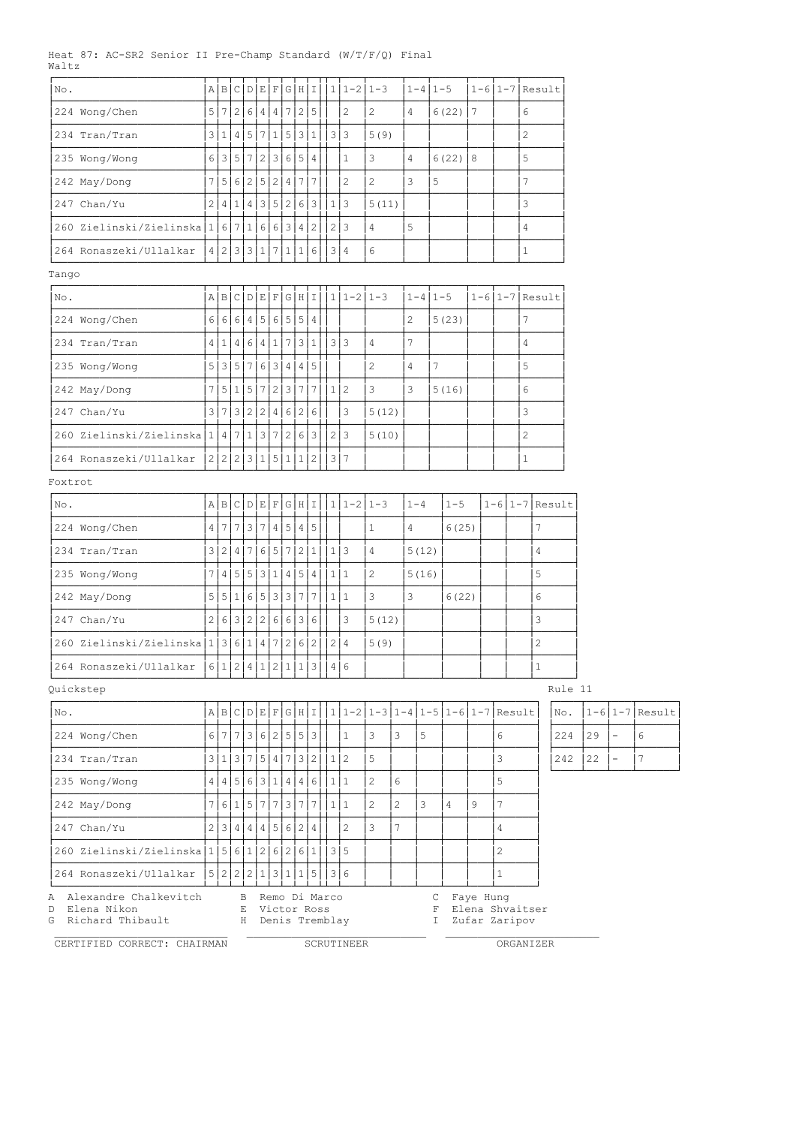Heat 87: AC-SR2 Senior II Pre-Champ Standard (W/T/F/Q) Final Waltz

| No.                                                            | AB              | l C | D                 | E              | $\mathbb F$ |   | G H               | ΙI                  |                                   | $1 1-2 1-3$                   |                |                |         | $1 - 4$   $1 - 5$                                    |           | 1-6 1-7 Result                   |                |                |         |    |                          |                      |
|----------------------------------------------------------------|-----------------|-----|-------------------|----------------|-------------|---|-------------------|---------------------|-----------------------------------|-------------------------------|----------------|----------------|---------|------------------------------------------------------|-----------|----------------------------------|----------------|----------------|---------|----|--------------------------|----------------------|
| 224 Wong/Chen                                                  |                 |     |                   |                |             |   |                   | 5 7 2 6 4 4 7 2 5   |                                   | $\overline{c}$                | 2              | 4              |         | $6(22)$   7                                          |           |                                  | 6              |                |         |    |                          |                      |
| 234 Tran/Tran                                                  |                 |     |                   |                |             |   |                   | 3 1 4 5 7 1 5 3 1   |                                   | 3 3                           | 5(9)           |                |         |                                                      |           |                                  | $\overline{c}$ |                |         |    |                          |                      |
| 235 Wong/Wong                                                  |                 |     |                   |                |             |   | 6 3 5 7 2 3 6 5 4 |                     |                                   | $\mathbf{1}$                  | 3              | 4              |         | $6(22)$ 8                                            |           |                                  | 5              |                |         |    |                          |                      |
| 242 May/Dong                                                   |                 |     |                   |                |             |   |                   | 7 5 6 2 5 2 4 7 7   |                                   | $\overline{c}$                | $\sqrt{2}$     | 3              |         | 5                                                    |           |                                  | $\overline{7}$ |                |         |    |                          |                      |
| 247 Chan/Yu                                                    | 2 4             |     |                   |                |             |   |                   | 1 4 3 5 2 6 3       |                                   | 1 3                           | 5(11)          |                |         |                                                      |           |                                  | 3              |                |         |    |                          |                      |
| 260 Zielinski/Zielinska 1 6 7 1 6 6 3 4 2                      |                 |     |                   |                |             |   |                   |                     |                                   | 2 3                           | $\overline{4}$ | 5              |         |                                                      |           |                                  | $\overline{4}$ |                |         |    |                          |                      |
| 264 Ronaszeki/Ullalkar                                         | 4 2 3 3 1 7 1 1 |     |                   |                |             |   |                   | 6                   |                                   | 3 4                           | $6\,$          |                |         |                                                      |           |                                  | $1\,$          |                |         |    |                          |                      |
| Tango                                                          |                 |     |                   |                |             |   |                   |                     |                                   |                               |                |                |         |                                                      |           |                                  |                |                |         |    |                          |                      |
| No.                                                            |                 |     |                   |                |             |   |                   |                     |                                   | $A B C D E F G H I 1 1-2 1-3$ |                |                |         | $1 - 4$   $1 - 5$                                    |           | $1-6$  1-7 Result                |                |                |         |    |                          |                      |
| 224 Wong/Chen                                                  |                 |     |                   |                |             |   |                   | 6 6 6 4 5 6 5 5 4   |                                   |                               |                | $\overline{c}$ |         | 5(23)                                                |           |                                  | 7              |                |         |    |                          |                      |
| 234 Tran/Tran                                                  |                 |     |                   |                |             |   |                   | 4 1 4 6 4 1 7 3 1   | 3 3                               |                               | $\overline{4}$ | $\overline{7}$ |         |                                                      |           |                                  | $\overline{4}$ |                |         |    |                          |                      |
| 235 Wong/Wong                                                  |                 |     |                   |                |             |   | 5 3 5 7 6 3 4 4 5 |                     |                                   |                               | $\overline{c}$ | 4              |         | $\overline{7}$                                       |           |                                  | 5              |                |         |    |                          |                      |
| 242 May/Dong                                                   |                 |     |                   |                |             |   |                   | 7 5 1 5 7 2 3 7 7   | 1 2                               |                               | 3              | 3              |         | 5(16)                                                |           |                                  | 6              |                |         |    |                          |                      |
| 247 Chan/Yu                                                    | 3 7             |     |                   |                |             |   | 3 2 2 4 6 2 6     |                     |                                   | 3                             | 5(12)          |                |         |                                                      |           |                                  | 3              |                |         |    |                          |                      |
| 260 Zielinski/Zielinska   1   4                                |                 | 7   | (1)               |                | 3 7         | 2 | 6                 | 3                   |                                   | 2 3                           | 5(10)          |                |         |                                                      |           |                                  | $\overline{c}$ |                |         |    |                          |                      |
| 264 Ronaszeki/Ullalkar                                         | 2 2 2 3 1 5 1   |     |                   |                |             |   | $\vert$ 1         | $\overline{2}$      |                                   | 3 7                           |                |                |         |                                                      |           |                                  | $\,1\,$        |                |         |    |                          |                      |
| Foxtrot                                                        |                 |     |                   |                |             |   |                   |                     |                                   |                               |                |                |         |                                                      |           |                                  |                |                |         |    |                          |                      |
| No.                                                            |                 |     |                   |                |             |   |                   | A B C D E F G H I   |                                   | $111-211-3$                   |                |                | $1 - 4$ | $1 - 5$                                              |           | $1-6$   1-7 Result               |                |                |         |    |                          |                      |
| 224 Wong/Chen                                                  |                 |     |                   |                |             |   |                   | 4 7 7 3 7 4 5 4 5   |                                   |                               | $\mathbf{1}$   | $\overline{4}$ |         | 6(25)                                                |           |                                  |                | 7              |         |    |                          |                      |
| 234 Tran/Tran                                                  |                 |     |                   |                |             |   |                   | 3 2 4 7 6 5 7 2 1   |                                   | $1 \mid 3$                    | $\overline{4}$ |                | 5(12)   |                                                      |           |                                  |                | $\overline{4}$ |         |    |                          |                      |
| 235 Wong/Wong                                                  | 7 4             |     |                   |                |             |   | 5 5 3 1 4 5 4     |                     |                                   | 1 1                           | 2              |                | 5(16)   |                                                      |           |                                  |                | 5              |         |    |                          |                      |
| 242 May/Dong                                                   |                 |     |                   |                |             |   |                   |                     | 5 5 1 6 5 3 3 7 7 111             |                               | 3              | $\mathfrak{Z}$ |         | 6(22)                                                |           |                                  |                | 6              |         |    |                          |                      |
| 247 Chan/Yu                                                    | 2 6 3 2         |     |                   | $\overline{2}$ | 6           |   | 6 3 6             |                     |                                   | $\mathbf{3}$                  | 5(12)          |                |         |                                                      |           |                                  |                | 3              |         |    |                          |                      |
| 260 Zielinski/Zielinska 1 3 6 1 4 7 2 6 2                      |                 |     |                   |                |             |   |                   |                     |                                   | 2 4                           | 5(9)           |                |         |                                                      |           |                                  |                | $\overline{c}$ |         |    |                          |                      |
| 264 Ronaszeki/Ullalkar                                         |                 |     |                   |                |             |   |                   | 6 1 2 4 1 2 1 1 3 1 |                                   | 4 6                           |                |                |         |                                                      |           |                                  |                | $\mathbf{1}$   |         |    |                          |                      |
| Quickstep                                                      |                 |     |                   |                |             |   |                   |                     |                                   |                               |                |                |         |                                                      |           |                                  |                |                | Rule 11 |    |                          |                      |
| No.                                                            |                 |     |                   |                |             |   |                   |                     |                                   |                               |                |                |         | $A B C D E F G H I 1 1-2 1-3 1-4 1-5 1-6 1-7 Result$ |           |                                  |                |                | No.     |    |                          | $1-6$   1-7   Result |
| 224 Wong/Chen                                                  |                 |     |                   |                |             |   |                   | 6 7 7 3 6 2 5 5 3   |                                   | $\vert$ 1                     | 3              | 3              | 5       |                                                      |           | 6                                |                |                | 224     | 29 | $\bar{ }$                | 6                    |
| 234 Tran/Tran                                                  |                 |     |                   |                |             |   |                   | 3 1 3 7 5 4 7 3 2   |                                   | 1 2                           | 5              |                |         |                                                      |           | 3                                |                |                | 242     | 22 | $\overline{\phantom{a}}$ | $7\overline{ }$      |
| 235 Wong/Wong                                                  |                 |     |                   |                |             |   |                   | 4 4 5 6 3 1 4 4 6   |                                   | 1 1                           | $\overline{c}$ | $\epsilon$     |         |                                                      |           | 5                                |                |                |         |    |                          |                      |
| 242 May/Dong                                                   |                 |     |                   |                |             |   |                   |                     | 7 6 1 5 7 7 3 7 7 1 11            |                               | $\overline{c}$ | 2              | 3       | $\overline{4}$                                       | 9         | $\overline{7}$                   |                |                |         |    |                          |                      |
| 247 Chan/Yu                                                    |                 |     |                   |                |             |   |                   | 2 3 4 4 4 5 6 2 4   |                                   | $\overline{c}$                | 3              | $\overline{7}$ |         |                                                      |           | 4                                |                |                |         |    |                          |                      |
| 260 Zielinski/Zielinska 1 5 6 1 2 6 2 6 1                      |                 |     |                   |                |             |   |                   |                     | 3 5                               |                               |                |                |         |                                                      |           | 2                                |                |                |         |    |                          |                      |
| 264 Ronaszeki/Ullalkar                                         | 5 2 2 2 1 3 1   |     |                   |                |             |   | $\mathbf{1}$      | 5 <sup>1</sup>      |                                   | 3 6                           |                |                |         |                                                      |           | $\mathbf{1}$                     |                |                |         |    |                          |                      |
| A Alexandre Chalkevitch<br>D Elena Nikon<br>G Richard Thibault |                 |     | $\mathbf{B}$<br>E |                |             |   |                   | Victor Ross         | Remo Di Marco<br>H Denis Tremblay |                               |                |                |         | С<br>$\mathbf{F}$<br>I.                              | Faye Hung | Elena Shvaitser<br>Zufar Zaripov |                |                |         |    |                          |                      |
| CERTIFIED CORRECT: CHAIRMAN                                    |                 |     |                   |                |             |   |                   |                     |                                   | SCRUTINEER                    |                |                |         |                                                      |           | ORGANIZER                        |                |                |         |    |                          |                      |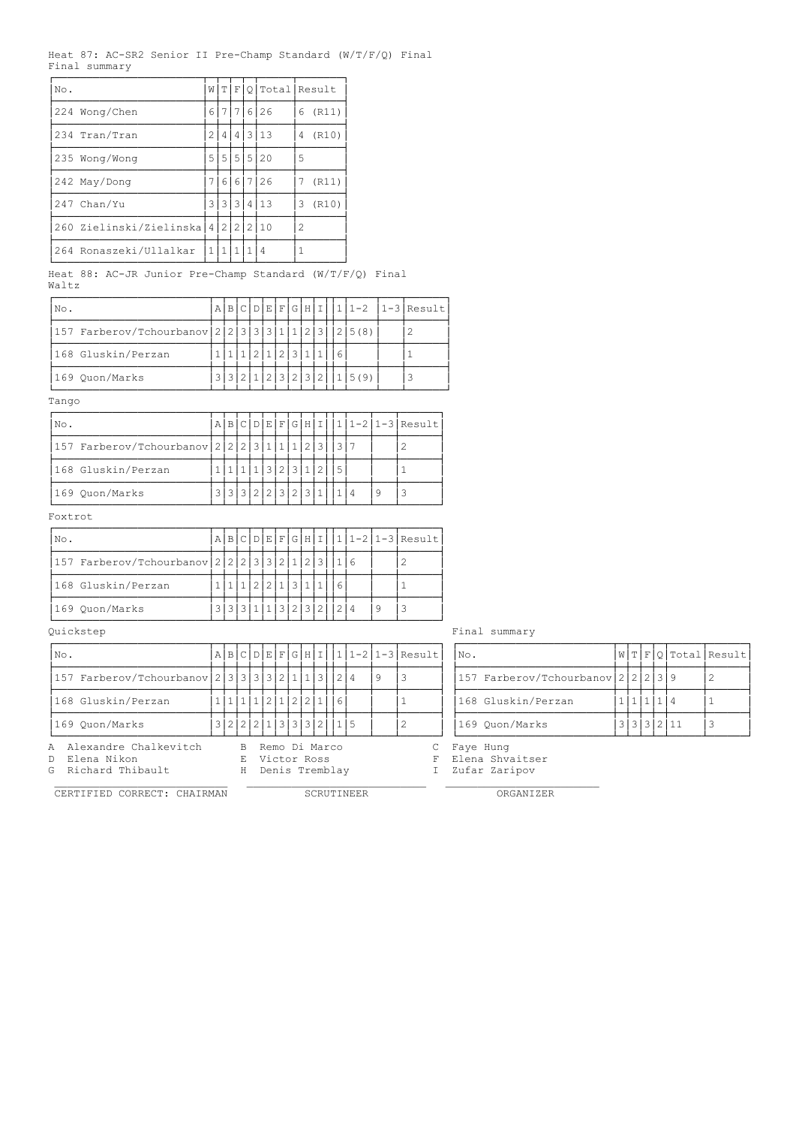|  |               |  | Heat 87: AC-SR2 Senior II Pre-Champ Standard $(W/T/F/Q)$ Final |  |  |
|--|---------------|--|----------------------------------------------------------------|--|--|
|  | Final summary |  |                                                                |  |  |

| No.            |                                    |     |         |  | W[T F Q Total Result |               |       |
|----------------|------------------------------------|-----|---------|--|----------------------|---------------|-------|
| 224 Wong/Chen  |                                    | 61  |         |  | 7 7 6 26             | 6             | (R11) |
| 1234 Tran/Tran |                                    | 21  |         |  | 4 4 3 13             | 4             | (R10) |
| 235 Wong/Wong  |                                    |     |         |  | 5 5 5 5 20           | 5             |       |
| 242 May/Dong   |                                    | 7 I |         |  | 66726                |               | (R11) |
| 247 Chan/Yu    |                                    |     |         |  | 3 3 3 3 4 1 1 3      | 3             | (R10) |
|                | 260 Zielinski/Zielinska 4 2 2 2 10 |     |         |  |                      | $\mathcal{D}$ |       |
|                | 264 Ronaszeki/Ullalkar             |     | 1 1 1 1 |  | 14                   |               |       |

Heat 88: AC-JR Junior Pre-Champ Standard (W/T/F/Q) Final Waltz

| No.                                                |  |  |  |             |  |    |                          | A B C D E F G H I  1 1-2  1-3 Result |
|----------------------------------------------------|--|--|--|-------------|--|----|--------------------------|--------------------------------------|
| 157 Farberov/Tchourbanov 2 2 3 3 3 1 1 2 3  2 5(8) |  |  |  |             |  |    |                          |                                      |
| 168 Gluskin/Perzan                                 |  |  |  | 2 1 2 3 1 1 |  | 16 |                          |                                      |
| 169 Ouon/Marks                                     |  |  |  |             |  |    | 3 3 2 1 2 3 2 3 2 1 5(9) |                                      |

Tango

| No.                          |  |                     |          |   |                |     |   | A B C D E F G H I |   |  | $1 1-2 1-3 $ Result |
|------------------------------|--|---------------------|----------|---|----------------|-----|---|-------------------|---|--|---------------------|
| 157 Farberov/Tchourbanov 222 |  |                     | $  \;$ 3 |   |                |     |   |                   |   |  |                     |
| 168 Gluskin/Perzan           |  |                     |          | 3 | 2 <sub>1</sub> | 3 I |   |                   | 5 |  |                     |
| 169 Quon/Marks               |  | 3 3 3 3 2 2 2 3 2 2 |          |   |                |     | 3 |                   |   |  |                     |

Foxtrot

| No.                                           |  |           |  |         |            |  |   | ABCDEFGHI1 11-2 1-3 Result |
|-----------------------------------------------|--|-----------|--|---------|------------|--|---|----------------------------|
| 157 Farberov/Tchourbanov 2 2 2 3 3 2 1 2 3  1 |  |           |  |         |            |  |   |                            |
| 168 Gluskin/Perzan                            |  |           |  | 2 1 3 1 |            |  |   |                            |
| 169 Ouon/Marks                                |  | 3 3 1 1 3 |  |         | 2 3 2 12 4 |  | Q |                            |

| INo.                                                           |  |   |                                                    |  |  |    | A B C D E F G H I  1 1-2 1-3 Result | INo.                                              |  |         |            | W T F O Total Result |
|----------------------------------------------------------------|--|---|----------------------------------------------------|--|--|----|-------------------------------------|---------------------------------------------------|--|---------|------------|----------------------|
| $157$ Farberov/Tchourbanov $23333321113$                       |  |   |                                                    |  |  | -9 |                                     | 157 Farberov/Tchourbanov 2 2 2 3 9                |  |         |            |                      |
| 168 Gluskin/Perzan                                             |  |   | $1 1 1 1 2 1 2 2 1 $   6                           |  |  |    |                                     | 168 Gluskin/Perzan                                |  | 1111114 |            |                      |
| 169 Ouon/Marks                                                 |  |   | 3 2 2 2 1 3 3 3 2 1 1 5                            |  |  |    |                                     | 169 Ouon/Marks                                    |  |         | 3 3 3 2 11 |                      |
| A Alexandre Chalkevitch<br>D Elena Nikon<br>G Richard Thibault |  | H | B Remo Di Marco<br>E Victor Ross<br>Denis Tremblay |  |  |    |                                     | C Faye Hung<br>F Elena Shvaitser<br>Zufar Zaripov |  |         |            |                      |

Quickstep Final summary

| INo.                                            |  |  |  |  |                      |  | $ A B C D E F G H I 111-2 1-3 Result $ | $N\circ$ .                         |  |           | W T F Q Total Result |  |
|-------------------------------------------------|--|--|--|--|----------------------|--|----------------------------------------|------------------------------------|--|-----------|----------------------|--|
| 157 Farberov/Tchourbanov 2 3 3 3 3 2 1 1 3  2 4 |  |  |  |  |                      |  |                                        | 157 Farberov/Tchourbanov 2 2 2 3 9 |  |           |                      |  |
| 168 Gluskin/Perzan                              |  |  |  |  | 1 1 1 1 2 1 2 2 1  6 |  |                                        | 168 Gluskin/Perzan                 |  | 1 1 1 1 4 |                      |  |
| 169 Ouon/Marks                                  |  |  |  |  | 3 2 2 2 1 3 3 3 2    |  |                                        | 169 Ouon/Marks                     |  |           | 3 3 3 2 11           |  |

CERTIFIED CORRECT: CHAIRMAN

 ${\tt SCRUTINEER} \hspace{25mm} {\tt ORGANIZER}$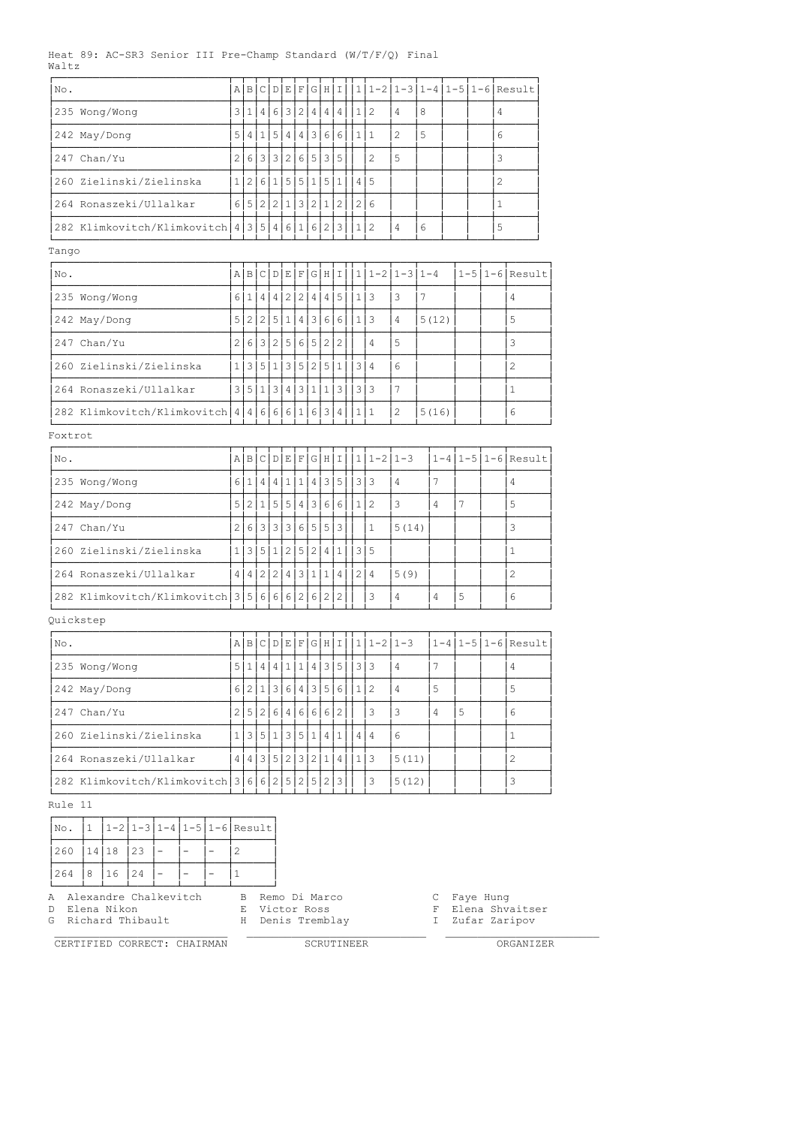### Heat 89: AC-SR3 Senior III Pre-Champ Standard (W/T/F/Q) Final Waltz

| No.                                           |                | AB  | C                       | D            | Е     | F        | G H         |                | Ι                     |   |                  |                 |                |   | $1 1-2 1-3 1-4 1-5 1-6 $ Result |
|-----------------------------------------------|----------------|-----|-------------------------|--------------|-------|----------|-------------|----------------|-----------------------|---|------------------|-----------------|----------------|---|---------------------------------|
| 235 Wong/Wong                                 |                |     |                         |              |       |          |             |                | 3 1 4 6 3 2 4 4 4     |   | 1 2              | 4               | 8              |   | 4                               |
| 242 May/Dong                                  | 5              |     | 4 1                     |              |       |          | 5 4 4 3 6 6 |                |                       |   | 1 1              | $\mathbf{2}$    | 5              |   | 6                               |
| Chan/Yu<br>247                                | $\overline{2}$ |     | $6 3 $                  |              |       |          | 3 2 6 5 3   |                | 5                     |   | $\overline{c}$   | 5               |                |   | 3                               |
| 260 Zielinski/Zielinska                       |                | 1 2 |                         |              |       |          | 6 1 5 5 1 5 |                | $\mathbf{1}$          |   | 4 5              |                 |                |   | $\overline{c}$                  |
| 264 Ronaszeki/Ullalkar                        |                |     | 6 5 2 2 1 3 2 1         |              |       |          |             |                | $\mathbf{2}$          |   | 2 6              |                 |                |   | $\mathbf{1}$                    |
| 282 Klimkovitch/Klimkovitch 4 3 5 4 6 1 6 2 3 |                |     |                         |              |       |          |             |                |                       |   | 1 2              | 4               | 6              |   | 5                               |
| Tango                                         |                |     |                         |              |       |          |             |                |                       |   |                  |                 |                |   |                                 |
| No.                                           |                |     | A B C D E F G H I       |              |       |          |             |                |                       |   | $ 1 1-2 1-3 1-4$ |                 |                |   | $1-5$  1-6 Result               |
| 235 Wong/Wong                                 |                |     |                         |              |       |          |             |                | 6 1 4 4 2 2 4 4 5     |   | 1 3              | 3               | 7              |   | $\overline{4}$                  |
| 242 May/Dong                                  | 5 I            |     |                         |              |       |          |             |                | 2 2 5 1 4 3 6 6       |   | 1 3              | 4               | 5(12)          |   | 5                               |
| 247 Chan/Yu                                   | 2 <sup>1</sup> |     | 6 3 2 5 6 5 2           |              |       |          |             |                | $\overline{c}$        |   | 4                | 5               |                |   | 3                               |
| 260 Zielinski/Zielinska                       | 1 <sup>1</sup> | 3 I | 5 <sub>1</sub>          |              |       |          | 1 3 5 2 5   |                | $\mathbf{1}$          |   | 3 4              | 6               |                |   | $\overline{2}$                  |
| 264 Ronaszeki/Ullalkar                        | 3              |     | 5 1 3 4 3 1 1           |              |       |          |             |                | 3                     |   | 3 3              | 7               |                |   | $\mathbf{1}$                    |
| 282 Klimkovitch/Klimkovitch 4 4 6 6 6 1 6 3 4 |                |     |                         |              |       |          |             |                |                       |   | 1 1              | $\mathbf{2}$    | 5(16)          |   | 6                               |
| Foxtrot                                       |                |     |                         |              |       |          |             |                |                       |   |                  |                 |                |   |                                 |
| No.                                           |                | ABI | $\circ$                 |              | D E F |          |             | GHI            |                       |   | $1 1-2 1-3$      |                 |                |   | $1-4$  1-5 1-6 Result           |
| 235 Wong/Wong                                 |                |     | 6 1 4 4 1 1 1           |              |       |          |             | 4 3 5          |                       | 3 | 3                | 4               | 7              |   | 4                               |
| 242 May/Dong                                  | 5              | 21  | 1 <sup>1</sup>          |              | 5 5   |          | 4 3         | 6              | 6                     |   | 1 2              | 3               | 4              | 7 | 5                               |
| 247 Chan/Yu                                   | $\overline{2}$ | 6   | $\overline{\mathbf{3}}$ | 3            |       |          | 3 6 5 5     |                | 3                     |   | $\mathbf{1}$     | 5(14)           |                |   | 3                               |
| 260 Zielinski/Zielinska                       | $1\vert$       | 3   | 5                       | $\mathbf{1}$ | 2     | 5        | 2           | $\overline{4}$ | $\mathbf 1$           |   | 3 5              |                 |                |   | $\mathbf{1}$                    |
| 264 Ronaszeki/Ullalkar                        | 4 <sub>1</sub> | 4   | 2 <sub>1</sub>          | 2            |       | 4 3      | 1 1         |                | 4                     |   | 2 4              | 5(9)            |                |   | 2                               |
| 282 Klimkovitch/Klimkovitch 3 5 6 6 6 2 6 2 2 |                |     |                         |              |       |          |             |                |                       |   | 3                | 4               | 4              | 5 | 6                               |
| Quickstep                                     |                |     |                         |              |       |          |             |                |                       |   |                  |                 |                |   |                                 |
| No.                                           |                | ABI |                         |              |       | C[D]E[F] |             | $G$   H   I    |                       |   | $1 1-2 1-3$      |                 |                |   | $1-4$   1-5  1-6  Result        |
| 235 Wong/Wong                                 |                |     |                         |              |       |          |             |                | 5 1 4 4 1 1 4 3 5 33  |   |                  | 4               | $\overline{7}$ |   | 4                               |
| 242 May/Dong                                  |                |     |                         |              |       |          |             |                | 6 2 1 3 6 4 3 5 6 1 2 |   |                  | $\overline{4}$  | 5              |   | 5                               |
| 247 Chan/Yu                                   |                |     | 2 5 2 6 4 6 6 6 2       |              |       |          |             |                |                       |   | 3                | 3               | $\overline{4}$ | 5 | 6                               |
| 260 Zielinski/Zielinska                       |                |     | 1 3 5 1 3 5 1 4 1       |              |       |          |             |                |                       |   | 4 4              | $6\phantom{.}6$ |                |   | $\mathbf{1}$                    |
| 264 Ronaszeki/Ullalkar                        |                |     | 4 4 3 5 2 3 2 1 4       |              |       |          |             |                |                       |   | 1 3              | 5(11)           |                |   | 2                               |
| 282 Klimkovitch/Klimkovitch 3 6 6 2 5 2 5 2 3 |                |     |                         |              |       |          |             |                |                       |   | 3                | 5(12)           |                |   | 3                               |

Rule 11

| 260 14 18 23<br> 8 16 24 | $1 \ 1 - 2 \ 1 - 3 \ 1 - 4 \ 1 - 5 \ 1 - 6 \  \text{Result}$ |  |  |  | $ N\circ.$                                 |
|--------------------------|--------------------------------------------------------------|--|--|--|--------------------------------------------|
|                          |                                                              |  |  |  |                                            |
|                          |                                                              |  |  |  | $\begin{array}{c} \boxed{264} \end{array}$ |

A Alexandre Chalkevitch B Remo Di Marco C Faye Hung

G Richard Thibault H Denis Tremblay I Zufar Zaripov

CERTIFIED CORRECT: CHAIRMAN SCRUTINEER ORGANIZER

D Elena Nikon E Victor Ross F Elena Shvaitser

\_\_\_\_\_\_\_\_\_\_\_\_\_\_\_\_\_\_\_\_\_\_\_\_\_\_\_ \_\_\_\_\_\_\_\_\_\_\_\_\_\_\_\_\_\_\_\_\_\_\_\_\_\_\_\_ \_\_\_\_\_\_\_\_\_\_\_\_\_\_\_\_\_\_\_\_\_\_\_\_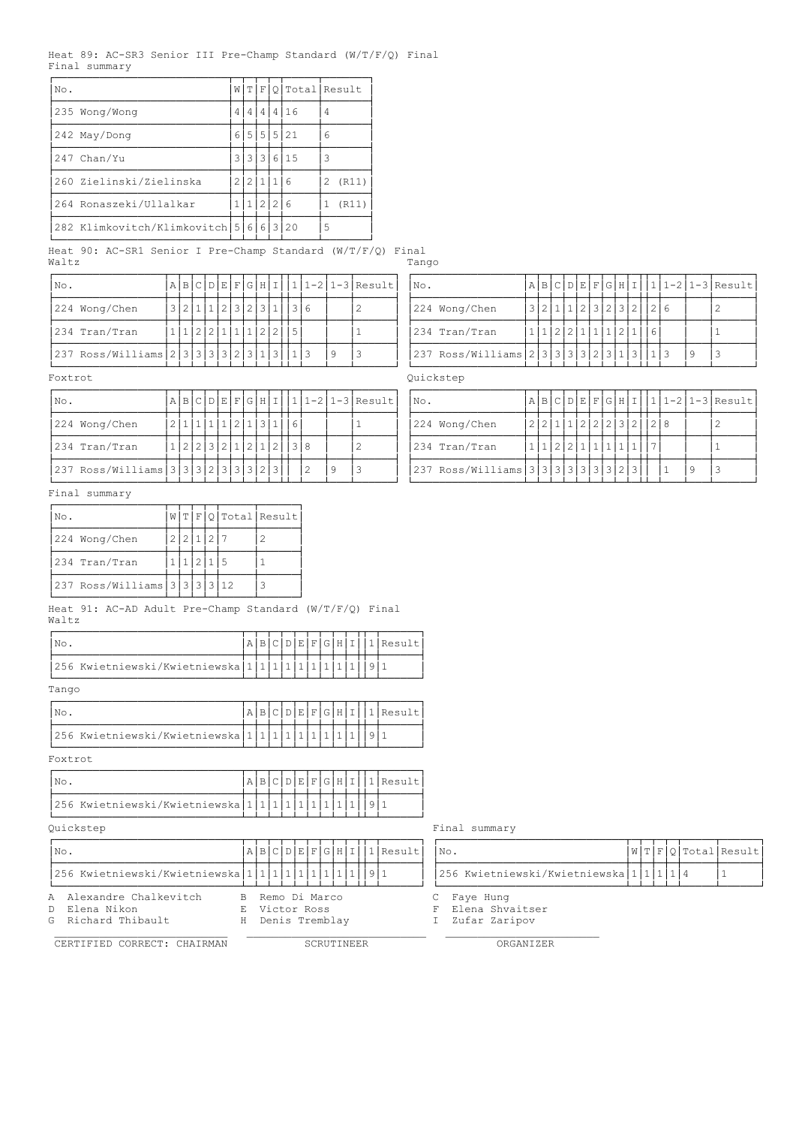## Heat 89: AC-SR3 Senior III Pre-Champ Standard (W/T/F/Q) Final Final summary

| No. |                                        |    |       |   |              | W[T F Q Total Result |   |       |
|-----|----------------------------------------|----|-------|---|--------------|----------------------|---|-------|
|     | 235 Wong/Wong                          | 4  | 4     | 4 | 4            | 16                   | 4 |       |
|     | 242 May/Dong                           |    |       |   |              | 6 5 5 5 21           | 6 |       |
|     | $247$ Chan/Yu                          |    |       |   |              | 3 3 3 3 6 1 5        | 3 |       |
|     | 260 Zielinski/Zielinska                | 21 | 2 1   |   | $\mathbf{1}$ | 16                   | 2 | (R11) |
|     | 264 Ronaszeki/Ullalkar                 |    | 11122 |   |              | l 6                  | 1 | (R11) |
|     | 282 Klimkovitch/Klimkovitch 5 6 6 3 20 |    |       |   |              |                      | 5 |       |

Heat 90: AC-SR1 Senior I Pre-Champ Standard (W/T/F/Q) Final Waltz **Tango** 

| INo.                                         |                         |  |  |  |  |  |  | $A B C D E F G H I 1 1-2 1-3 Result $ | $\mathsf{N}_\mathsf{O}$ . |                                                 |  |  |  |  |                         |  | $ A B C D E F G H I 1 1-2 1-3 Result$ |
|----------------------------------------------|-------------------------|--|--|--|--|--|--|---------------------------------------|---------------------------|-------------------------------------------------|--|--|--|--|-------------------------|--|---------------------------------------|
| 224 Wong/Chen                                | 3 2 1 1 2 3 2 3 1 1 3 6 |  |  |  |  |  |  |                                       |                           | 224 Wong/Chen                                   |  |  |  |  | 3 2 1 1 2 3 2 3 2 1 2 6 |  |                                       |
| 234 Tran/Tran                                | 11222111122215          |  |  |  |  |  |  |                                       |                           | 234 Tran/Tran                                   |  |  |  |  | 11122211112116          |  |                                       |
| $ 237 Ross/Willians  2 3 3 3 2 3 1 3 1 3 13$ |                         |  |  |  |  |  |  |                                       |                           | 237 Ross/Williams 2 3 3 3 3 3 2 3 1 3 1 3 1 1 3 |  |  |  |  |                         |  |                                       |

| $ N\circ.$                                                    |  |                         |  |  |  |  | $ A B C D E F G H I 1 1-2 1-3 Result $ | $\overline{\text{No}}$ . |                                                                   |  |  |               |  |                       |  | A B C D E F G H I  1 1-2 1-3 Result |
|---------------------------------------------------------------|--|-------------------------|--|--|--|--|----------------------------------------|--------------------------|-------------------------------------------------------------------|--|--|---------------|--|-----------------------|--|-------------------------------------|
| 224 Wong/Chen                                                 |  | 2 1 1 1 1 2 1 3 1 6     |  |  |  |  |                                        |                          | 224 Wong/Chen                                                     |  |  |               |  | 2 2 1 1 2 2 2 3 2 2 8 |  |                                     |
| 234 Tran/Tran                                                 |  | 1 2 2 3 2 1 2 1 2 1 3 8 |  |  |  |  |                                        |                          | 234 Tran/Tran                                                     |  |  | 1 1 2 2 1 1 1 |  |                       |  |                                     |
| $ 237 \text{ Ross/Williams}   3   3   2   3   3   3   2   3 $ |  |                         |  |  |  |  |                                        |                          | $ 237 \text{ Ross/Williams}   3   3   3   3   3   3   3   2   3 $ |  |  |               |  |                       |  |                                     |

Final summary

| INo.                                   |           |           |  | W[T F Q Total Result |
|----------------------------------------|-----------|-----------|--|----------------------|
| 224 Wong/Chen                          | 2 2 1 2 7 |           |  |                      |
| 234 Tran/Tran                          |           | 1 1 2 1 5 |  |                      |
| 237 Ross/Williams   3   3   3   3   12 |           |           |  |                      |

ÀÄÄÄÄÄÄÄÄÄÄÄÄÄÄÄÄÄÁÄÁÄÁÄÁÄÁÄÄÄÄÄÁÄÄÄÄÄÄÙ Heat 91: AC-AD Adult Pre-Champ Standard (W/T/F/Q) Final Waltz

| No                                            |  |  |  |  |  | A B C D E F G H I 1 Result |
|-----------------------------------------------|--|--|--|--|--|----------------------------|
| 256 Kwietniewski/Kwietniewska 1 1 1 1 1 1 1 1 |  |  |  |  |  |                            |

Tango

| No                                            |  |  |  |  |  | A B C D E F G H I 1 Result |
|-----------------------------------------------|--|--|--|--|--|----------------------------|
| 256 Kwietniewski/Kwietniewska 1 1 1 1 1 1 1 1 |  |  |  |  |  |                            |

Foxtrot

|                                       |  |  |  |  |  | A B C D E F G H I 1 Result |
|---------------------------------------|--|--|--|--|--|----------------------------|
| 256 Kwietniewski/Kwietniewska 1 1 1 1 |  |  |  |  |  |                            |

| INo.                                                           |   |                                                    |  |  |  | ABCDEFGHIIIResult | No.                                               |  |  | W T F Q Total Result |
|----------------------------------------------------------------|---|----------------------------------------------------|--|--|--|-------------------|---------------------------------------------------|--|--|----------------------|
| $ 256$ Kwietniewski/Kwietniewska $ 1 1 1 1 1 1 1 1 1 1 9 1$    |   |                                                    |  |  |  |                   | 256 Kwietniewski/Kwietniewska   1   1   1   1   4 |  |  |                      |
| A Alexandre Chalkevitch<br>D Elena Nikon<br>G Richard Thibault | H | B Remo Di Marco<br>E Victor Ross<br>Denis Tremblay |  |  |  |                   | C Faye Hung<br>Elena Shvaitser<br>Zufar Zaripov   |  |  |                      |

CERTIFIED CORRECT: CHAIRMAN SCRUTINEER SCRUTINEER ORGANIZER

| No.                                          |                         |  |  |  |  |  |  |   | A B C D E F G H I  1 1-2 1-3 Result | $\overline{\text{NO}}$ . |                                             |  |  |                        |  |  |  |  | $A B C D E F G H I 11-2 1-3 Result$ |
|----------------------------------------------|-------------------------|--|--|--|--|--|--|---|-------------------------------------|--------------------------|---------------------------------------------|--|--|------------------------|--|--|--|--|-------------------------------------|
| 224 Wong/Chen                                | 3 2 1 1 2 3 2 3 1 1 3 6 |  |  |  |  |  |  |   |                                     |                          | 224 Wong/Chen                               |  |  | 3 2 1 1 2 3 2 3 2 12 6 |  |  |  |  |                                     |
| 234 Tran/Tran                                | 11122111112215          |  |  |  |  |  |  |   |                                     |                          | 1234 Tran/Tran                              |  |  | 11122111111211161      |  |  |  |  |                                     |
| $ 237 Ross/Willizams 2 3 3 3 2 3 1 3 1 3 13$ |                         |  |  |  |  |  |  | 9 |                                     |                          | $ 237 Ross/Williams 2 3 3 3 2 3 1 3 1 3 13$ |  |  |                        |  |  |  |  |                                     |

Foxtrot **Quickstep** 

| INo.                                                 |                   |  |  |         |  |  |  |  | A B C D E F G H I  1 1-2 1-3 Result | $'$ No. |                                   |  |  |  |  |                 |  | A B C D E F G H I  1 1-2 1-3 Result |  |
|------------------------------------------------------|-------------------|--|--|---------|--|--|--|--|-------------------------------------|---------|-----------------------------------|--|--|--|--|-----------------|--|-------------------------------------|--|
| 224 Wong/Chen                                        |                   |  |  | 1 2 1 3 |  |  |  |  |                                     |         | 224 Wong/Chen                     |  |  |  |  | 2 2 1 1 2 2 2 3 |  |                                     |  |
| 234 Tran/Tran                                        | 1 2 2 3 2 1 2 1 2 |  |  |         |  |  |  |  |                                     |         | 234 Tran/Tran                     |  |  |  |  |                 |  |                                     |  |
| $ 237 Ross/Williams   3   3   2   3   3   3   2   3$ |                   |  |  |         |  |  |  |  |                                     |         | 237 Ross/Williams 3 3 3 3 3 3 2 3 |  |  |  |  |                 |  |                                     |  |

Quickstep Final summary

|  |                                                    |  |  | W T F Q Total Result |
|--|----------------------------------------------------|--|--|----------------------|
|  | 1256 Kwietniewski/Kwietniewska   1   1   1   1   4 |  |  |                      |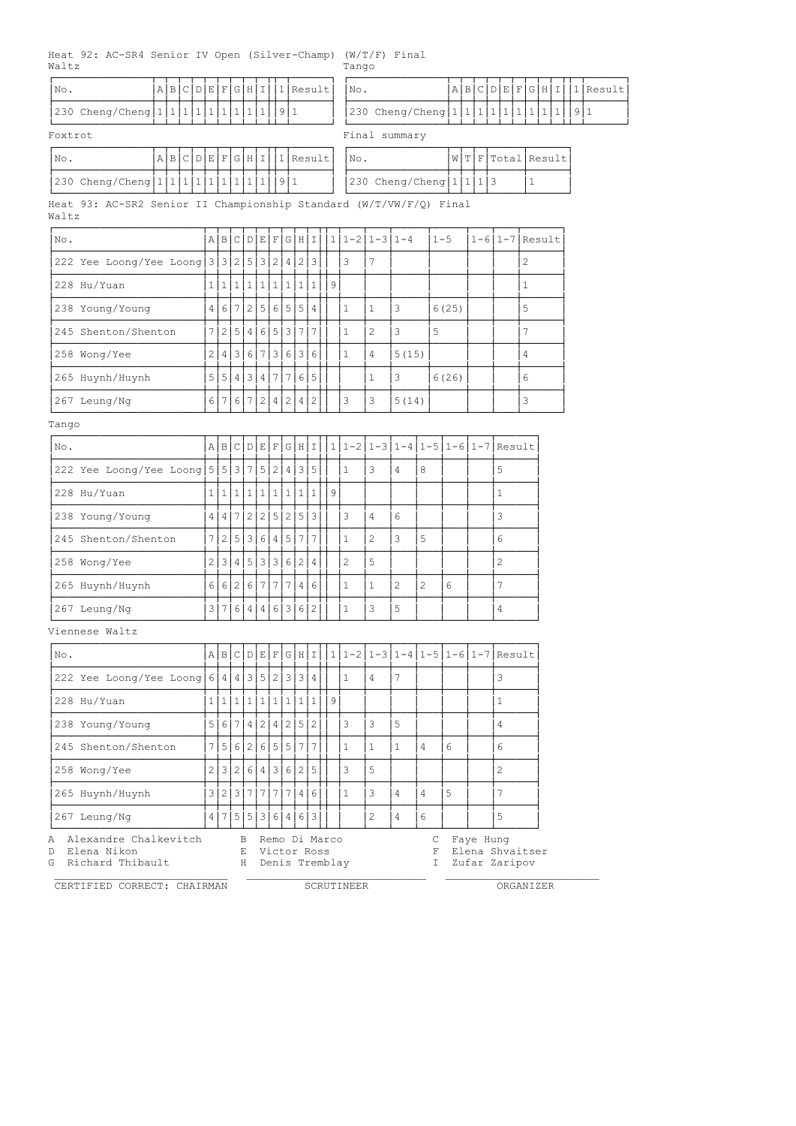Heat 92: AC-SR4 Senior IV Open (Silver-Champ) (W/T/F) Final Waltz Tango

ÚÄÄÄÄÄÄÄÄÄÄÄÄÄÄÄÂÄÂÄÂÄÂÄÂÄÂÄÂÄÂÄÂÄÂÂÄÂÄÄÄÄÄÄ¿ ÚÄÄÄÄÄÄÄÄÄÄÄÄÄÄÄÂÄÂÄÂÄÂÄÂÄÂÄÂÄÂÄÂÄÂÂÄÂÄÄÄÄÄÄ¿ |No. | |a|B|c|p|E|F|G|H|I||1|Result||No. | |a|B|c|p|E|F|G|H|I||1|Result  $\frac{1}{230}$  Cheng/Cheng $\frac{1}{1}\frac{1}{1}\frac{1}{1}\frac{1}{1}\frac{1}{1}\frac{1}{1}\frac{1}{1}\frac{1}{1}\frac{1}{1}\frac{1}{1}\frac{1}{1}\frac{1}{1}\frac{1}{1}\frac{1}{1}\frac{1}{1}\frac{1}{1}\frac{1}{1}\frac{1}{1}\frac{1}{1}\frac{1}{1}\frac{1}{1}\frac{1}{1}\frac{1}{1}\frac{1}{1}\frac{1}{1}\frac{1}{1}\frac{1}{1}\frac{1}{1}\frac{1}{1}\frac{1}{1}\frac{1}{1}\frac{1}{1}\frac{1}{$  $230$  Cheng/Cheng|1|1|1|1|1|1|1|1|1| ÀÄÄÄÄÄÄÄÄÄÄÄÄÄÄÄÁÄÁÄÁÄÁÄÁÄÁÄÁÄÁÄÁÄÁÁÄÁÄÄÄÄÄÄÙ ÀÄÄÄÄÄÄÄÄÄÄÄÄÄÄÄÁÄÁÄÁÄÁÄÁÄÁÄÁÄÁÄÁÄÁÁÄÁÄÄÄÄÄÄÙ Foxtrot Foxtrot Final summary ÚÄÄÄÄÄÄÄÄÄÄÄÄÄÄÄÂÄÂÄÂÄÂÄÂÄÂÄÂÄÂÄÂÄÂÂÄÂÄÄÄÄÄÄ¿ ÚÄÄÄÄÄÄÄÄÄÄÄÄÄÄÄÂÄÂÄÂÄÂÄÄÄÄÄÂÄÄÄÄÄÄ¿ ³No. ³A³B³C³D³E³F³G³H³I³³1³Result³ ³No. ³W³T³F³Total³Result³ <u>Ӑ<del>Ӑ</del>ӐӬӐӬӐӬӐӬӐӬӐӁӁӁӁӁӁӁӁӁӁӁӁӁӁӁӁӁӁӁӁӁӁӁӁ</u> ³230 Cheng/Cheng³1³1³1³1³1³1³1³1³1³³9³1 ³ ³230 Cheng/Cheng³1³1³1³3 ³1 ³ ÀÄÄÄÄÄÄÄÄÄÄÄÄÄÄÄÁÄÁÄÁÄÁÄÁÄÁÄÁÄÁÄÁÄÁÁÄÁÄÄÄÄÄÄÙ ÀÄÄÄÄÄÄÄÄÄÄÄÄÄÄÄÁÄÁÄÁÄÁÄÄÄÄÄÁÄÄÄÄÄÄÙ Heat 93: AC-SR2 Senior II Championship Standard (W/T/VW/F/Q) Final Waltz ÚÄÄÄÄÄÄÄÄÄÄÄÄÄÄÄÄÄÄÄÄÄÄÄÂÄÂÄÂÄÂÄÂÄÂÄÂÄÂÄÂÄÂÂÄÂÄÄÄÂÄÄÄÂÄÄÄÄÄÂÄÄÄÄÄÂÄÄÄÂÄÄÄÂÄÄÄÄÄÄ¿  $\text{No.}$   $\text{A} \text{B} |c| \text{D} |E| \text{F} |c| \text{H} |1| |1|1-2|1-3|1-4 |1-5 |1-6|1-7|\text{Result}$ ÃÄÄÄÄÄÄÄÄÄÄÄÄÄÄÄÄÄÄÄÄÄÄÄÅÄÅÄÅÄÅÄÅÄÅÄÅÄÅÄÅÄÅÅÄÅÄÄÄÅÄÄÄÅÄÄÄÄÄÅÄÄÄÄÄÅÄÄÄÅÄÄÄÅÄÄÄÄÄÄ´ ³222 Yee Loong/Yee Loong³3³3³2³5³3³2³4³2³3³³ ³3 ³7 ³ ³ ³ ³ ³2 ³ ÃÄÄÄÄÄÄÄÄÄÄÄÄÄÄÄÄÄÄÄÄÄÄÄÅÄÅÄÅÄÅÄÅÄÅÄÅÄÅÄÅÄÅÅÄÅÄÄÄÅÄÄÄÅÄÄÄÄÄÅÄÄÄÄÄÅÄÄÄÅÄÄÄÅÄÄÄÄÄÄ´  $228$  Hu/Yuan  $|1|1|1|1|1|1|1|1|1|1|9|$  | | | | | | | ÃÄÄÄÄÄÄÄÄÄÄÄÄÄÄÄÄÄÄÄÄÄÄÄÅÄÅÄÅÄÅÄÅÄÅÄÅÄÅÄÅÄÅÅÄÅÄÄÄÅÄÄÄÅÄÄÄÄÄÅÄÄÄÄÄÅÄÄÄÅÄÄÄÅÄÄÄÄÄÄ´  $238$  Young/Young  $|4|6|7|2|5|6|5|5|4||1|1|3$   $|6(25)|$  | |5 ÃÄÄÄÄÄÄÄÄÄÄÄÄÄÄÄÄÄÄÄÄÄÄÄÅÄÅÄÅÄÅÄÅÄÅÄÅÄÅÄÅÄÅÅÄÅÄÄÄÅÄÄÄÅÄÄÄÄÄÅÄÄÄÄÄÅÄÄÄÅÄÄÄÅÄÄÄÄÄÄ´  $245$  Shenton/Shenton  $|7|2|5|4|6|5|3|7|7|$   $|1|2|3$   $|3|3|5$   $|5|3|7$ ÃÄÄÄÄÄÄÄÄÄÄÄÄÄÄÄÄÄÄÄÄÄÄÄÅÄÅÄÅÄÅÄÅÄÅÄÅÄÅÄÅÄÅÅÄÅÄÄÄÅÄÄÄÅÄÄÄÄÄÅÄÄÄÄÄÅÄÄÄÅÄÄÄÅÄÄÄÄÄÄ´  $258 \text{ Wong/Yee}$   $|2|4|3|6|7|3|6|3|6|$  | 1  $|4|3(15)$  |  $|4|3$ ÃÄÄÄÄÄÄÄÄÄÄÄÄÄÄÄÄÄÄÄÄÄÄÄÅÄÅÄÅÄÅÄÅÄÅÄÅÄÅÄÅÄÅÅÄÅÄÄÄÅÄÄÄÅÄÄÄÄÄÅÄÄÄÄÄÅÄÄÄÅÄÄÄÅÄÄÄÄÄÄ´  $265$  Huynh/Huynh  $|5|5|4|3|4|7|7|6|5||$   $|1|3$   $|6(26)|$   $|$   $|6$ ÃÄÄÄÄÄÄÄÄÄÄÄÄÄÄÄÄÄÄÄÄÄÄÄÅÄÅÄÅÄÅÄÅÄÅÄÅÄÅÄÅÄÅÅÄÅÄÄÄÅÄÄÄÅÄÄÄÄÄÅÄÄÄÄÄÅÄÄÄÅÄÄÄÅÄÄÄÄÄÄ´  $267$  Leung/Ng  $|6|7|6|7|2|4|2|4|2|$ ] | 3  $|5(14)|$  | | 3 ÀÄÄÄÄÄÄÄÄÄÄÄÄÄÄÄÄÄÄÄÄÄÄÄÁÄÁÄÁÄÁÄÁÄÁÄÁÄÁÄÁÄÁÁÄÁÄÄÄÁÄÄÄÁÄÄÄÄÄÁÄÄÄÄÄÁÄÄÄÁÄÄÄÁÄÄÄÄÄÄÙ Tango ÚÄÄÄÄÄÄÄÄÄÄÄÄÄÄÄÄÄÄÄÄÄÄÄÂÄÂÄÂÄÂÄÂÄÂÄÂÄÂÄÂÄÂÂÄÂÄÄÄÂÄÄÄÂÄÄÄÂÄÄÄÂÄÄÄÂÄÄÄÂÄÄÄÄÄÄ¿  $\lceil N \circ. \rceil$   $\lceil A \rceil B \rceil C \rceil D \rceil E \rceil G \rceil H \rceil I \rceil 1 - 2 \rceil 1 - 3 \rceil 1 - 4 \rceil 1 - 5 \rceil 1 - 6 \rceil 1 - 7 \rceil R \text{esult}$ ÃÄÄÄÄÄÄÄÄÄÄÄÄÄÄÄÄÄÄÄÄÄÄÄÅÄÅÄÅÄÅÄÅÄÅÄÅÄÅÄÅÄÅÅÄÅÄÄÄÅÄÄÄÅÄÄÄÅÄÄÄÅÄÄÄÅÄÄÄÅÄÄÄÄÄÄ´ ³222 Yee Loong/Yee Loong³5³5³3³7³5³2³4³3³5³³ ³1 ³3 ³4 ³8 ³ ³ ³5 ³ ÃÄÄÄÄÄÄÄÄÄÄÄÄÄÄÄÄÄÄÄÄÄÄÄÅÄÅÄÅÄÅÄÅÄÅÄÅÄÅÄÅÄÅÅÄÅÄÄÄÅÄÄÄÅÄÄÄÅÄÄÄÅÄÄÄÅÄÄÄÅÄÄÄÄÄÄ´  $228$  Hu/Yuan  $|1|1|1|1|1|1|1|1|1|s|s|$   $|1|1|s|s|$ ÃÄÄÄÄÄÄÄÄÄÄÄÄÄÄÄÄÄÄÄÄÄÄÄÅÄÅÄÅÄÅÄÅÄÅÄÅÄÅÄÅÄÅÅÄÅÄÄÄÅÄÄÄÅÄÄÄÅÄÄÄÅÄÄÄÅÄÄÄÅÄÄÄÄÄÄ´ 238 Young/Young  $\left| \frac{4}{4} \right| \frac{7}{2} \left| \frac{5}{2} \right| \frac{5}{3} \left| \frac{3}{1} \right| \left| \frac{3}{4} \right| \left| \frac{6}{1} \right| \left| \frac{1}{1} \right| \left| \frac{3}{3} \right|$ ÃÄÄÄÄÄÄÄÄÄÄÄÄÄÄÄÄÄÄÄÄÄÄÄÅÄÅÄÅÄÅÄÅÄÅÄÅÄÅÄÅÄÅÅÄÅÄÄÄÅÄÄÄÅÄÄÄÅÄÄÄÅÄÄÄÅÄÄÄÅÄÄÄÄÄÄ´  $245$  Shenton/Shenton  $|7|2|5|3|6|4|5|7|7|$  |  $|1|2|3|3|6|4|5|7|7|$ <u>ॕ</u> ³258 Wong/Yee ³2³3³4³5³3³3³6³2³4³³ ³2 ³5 ³ ³ ³ ³ ³2 ³ <u>ॕ</u>  $265$  Huynh/Huynh  $|6|6|2|6|7|7|7|4|6|1|1 |1|2|2|6|2|6|7$ <u>ॕ</u> |267 Leung/Ng |3|7|6|4|4|6|3|6|2|| |1 |3 |5 | | | |4 ÀÄÄÄÄÄÄÄÄÄÄÄÄÄÄÄÄÄÄÄÄÄÄÄÁÄÁÄÁÄÁÄÁÄÁÄÁÄÁÄÁÄÁÁÄÁÄÄÄÁÄÄÄÁÄÄÄÁÄÄÄÁÄÄÄÁÄÄÄÁÄÄÄÄÄÄÙ Viennese Waltz ÚÄÄÄÄÄÄÄÄÄÄÄÄÄÄÄÄÄÄÄÄÄÄÄÂÄÂÄÂÄÂÄÂÄÂÄÂÄÂÄÂÄÂÂÄÂÄÄÄÂÄÄÄÂÄÄÄÂÄÄÄÂÄÄÄÂÄÄÄÂÄÄÄÄÄÄ¿ ³No. ³A³B³C³D³E³F³G³H³I³³1³1-2³1-3³1-4³1-5³1-6³1-7³Result³ <u>ॕ</u> ³222 Yee Loong/Yee Loong³6³4³4³3³5³2³3³3³4³³ ³1 ³4 ³7 ³ ³ ³ ³3 ³ <u>ॕ</u>  $\frac{1}{228}$  Hu/Yuan  $\frac{1}{121}$ 1|1|1|1|1|1|1|1||9| | | | | | | | | <u>ॕ</u>  $238$  Young/Young  $|5|6|7|4|2|4|2|5|2||3|3$   $|3|5$   $|1|1|1$ <u>ॕ</u> ³245 Shenton/Shenton ³7³5³6³2³6³5³5³7³7³³ ³1 ³1 ³1 ³4 ³6 ³ ³6 ³ <u>ॕ</u>  $\frac{1}{258}$  Wong/Yee  $\frac{1}{2}\frac{3}{2}\frac{1}{6}\frac{1}{4}\frac{1}{3}\frac{1}{6}\frac{1}{2}\frac{1}{5}\frac{1}{1}$   $\frac{1}{3}$   $\frac{1}{5}$   $\frac{1}{1}$   $\frac{1}{1}$   $\frac{1}{2}$ <u>ॕ</u> |265 Huynh/Huynh |3|2|3|7|7|7|4|6|| |1 |3 |4 |4 |5 | |7 <u>ॕ</u> |267 Leung/Ng |4|7|5|5|3|6|4|6|3|| | |2 |4 |6 | | |5 ÀÄÄÄÄÄÄÄÄÄÄÄÄÄÄÄÄÄÄÄÄÄÄÄÁÄÁÄÁÄÁÄÁÄÁÄÁÄÁÄÁÄÁÁÄÁÄÄÄÁÄÄÄÁÄÄÄÁÄÄÄÁÄÄÄÁÄÄÄÁÄÄÄÄÄÄÙ A Alexandre Chalkevitch B Remo Di Marco C Faye Hung<br>
D Elena Nikon B C Cor Ross C F Elena Shv. D Elena Nikon E Victor Ross F Elena Shvaitser

G Richard Thibault H Denis Tremblay I

 $\mathcal{L}_\text{max}$  , and the set of the set of the set of the set of the set of the set of the set of the set of the set of CERTIFIED CORRECT: CHAIRMAN SCRUTINEER ORGANIZER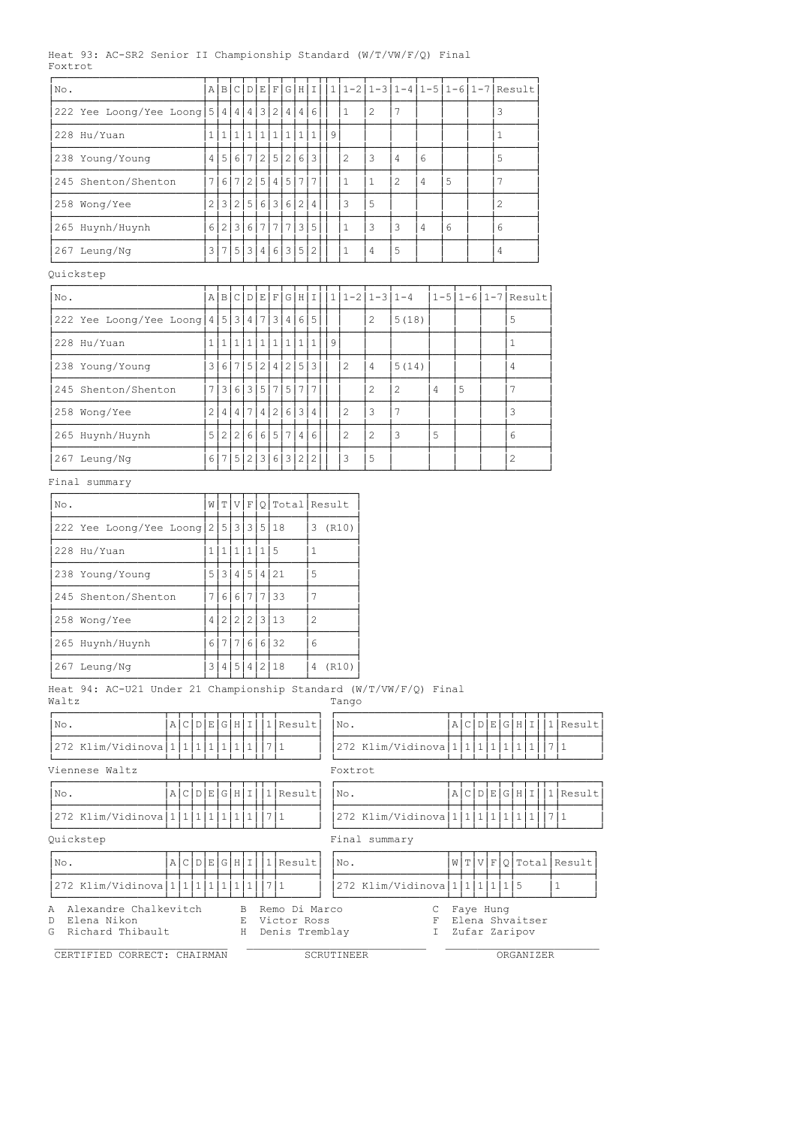|         |  | Heat 93: AC-SR2 Senior II Championship Standard $(W/T/ VW/F/Q)$ Final |  |  |  |  |  |  |  |  |  |
|---------|--|-----------------------------------------------------------------------|--|--|--|--|--|--|--|--|--|
| Foxtrot |  |                                                                       |  |  |  |  |  |  |  |  |  |
|         |  |                                                                       |  |  |  |  |  |  |  |  |  |

| No.                                                                           |              |             |     |                   |                                                |  |                |                | $A B C D E F G H I 11-2 1-3 1-4 1-5 1-6 1-7 Result$ |              |                                  |   |                            |                |                 |     |                        |
|-------------------------------------------------------------------------------|--------------|-------------|-----|-------------------|------------------------------------------------|--|----------------|----------------|-----------------------------------------------------|--------------|----------------------------------|---|----------------------------|----------------|-----------------|-----|------------------------|
| 222 Yee Loong/Yee Loong $\frac{1}{3}$ 4 4 4 3 2 4 4 6                         |              |             |     |                   |                                                |  | $\mathbf{1}$   | 2              | 7                                                   |              |                                  |   |                            | 3              |                 |     |                        |
| 228 Hu/Yuan                                                                   |              |             |     |                   | 1 1 1 1 1 1 1 1 1 1 9                          |  |                |                |                                                     |              |                                  |   |                            | $\mathbf{1}$   |                 |     |                        |
| 238 Young/Young                                                               |              |             |     |                   | 4 5 6 7 2 5 2 6 3                              |  | 2              | 3              | 4                                                   | 6            |                                  |   |                            | 5              |                 |     |                        |
| 245 Shenton/Shenton                                                           |              |             |     | 7 6 7 2 5 4 5 7 7 |                                                |  | $\mathbf{1}$   | $\mathbf{1}$   | $\mathbf{2}^{\prime}$                               | 4            | 5                                |   |                            | 7              |                 |     |                        |
| 258 Wong/Yee                                                                  |              |             |     | 2 3 2 5 6 3 6 2 4 |                                                |  | 3              | 5              |                                                     |              |                                  |   |                            | 2              |                 |     |                        |
| 265 Huynh/Huynh                                                               |              |             |     |                   | 6 2 3 6 7 7 7 3 5                              |  | $\mathbf{1}$   | 3              | 3                                                   | 4            | 6                                |   |                            | 6              |                 |     |                        |
| 267 Leung/Ng                                                                  |              |             |     |                   | 3 7 5 3 4 6 3 5 2                              |  | 1              | 4              | 5                                                   |              |                                  |   |                            | $\overline{4}$ |                 |     |                        |
| Quickstep                                                                     |              |             |     |                   |                                                |  |                |                |                                                     |              |                                  |   |                            |                |                 |     |                        |
| No.                                                                           |              |             |     |                   |                                                |  |                |                | $A B C D E F G H I 111-2 1-3 1-4$                   |              | $1 - 5   1 - 6   1 - 7  $ Result |   |                            |                |                 |     |                        |
| 222 Yee Loong/Yee Loong   $4$   $5$   $3$   $4$   $7$   $3$   $4$   $6$   $5$ |              |             |     |                   |                                                |  |                | 2              | 5(18)                                               |              |                                  |   |                            | 5              |                 |     |                        |
| 228 Hu/Yuan                                                                   |              |             |     |                   | 1 1 1 1 1 1 1 1 1 1 9                          |  |                |                |                                                     |              |                                  |   |                            | $\mathbf{1}$   |                 |     |                        |
| 238 Young/Young                                                               |              |             |     |                   | 3 6 7 5 2 4 2 5 3                              |  | 2              | 4              | 5(14)                                               |              |                                  |   |                            | 4              |                 |     |                        |
| 245 Shenton/Shenton                                                           |              |             |     |                   | 7 3 6 3 5 7 5 7 7                              |  |                | 2              | $\overline{2}$                                      | 4            |                                  | 5 |                            | 7              |                 |     |                        |
| 258 Wong/Yee                                                                  |              |             |     |                   | 2 4 4 7 4 2 6 3 4                              |  | 2              | 3              | 7                                                   |              |                                  |   |                            | 3              |                 |     |                        |
| 265 Huynh/Huynh                                                               |              |             |     | 5 2 2 6 6 5 7 4   | 6                                              |  | $\overline{c}$ | $\overline{c}$ | 3                                                   | 5            |                                  |   |                            | 6              |                 |     |                        |
| 267 Leung/Ng                                                                  |              |             |     | 6 7 5 2 3 6 3 2   | 2                                              |  | 3              | 5              |                                                     |              |                                  |   |                            | 2              |                 |     |                        |
| Final summary                                                                 |              |             |     |                   |                                                |  |                |                |                                                     |              |                                  |   |                            |                |                 |     |                        |
| No.                                                                           |              |             |     |                   | W T V F Q Total Result                         |  |                |                |                                                     |              |                                  |   |                            |                |                 |     |                        |
| 222 Yee Loong/Yee Loong $2 5 3 3 5 18$                                        |              |             |     |                   |                                                |  | 3 (R10)        |                |                                                     |              |                                  |   |                            |                |                 |     |                        |
| 228 Hu/Yuan                                                                   | 1 1 1 1 1 5  |             |     |                   | $\mathbf{1}$                                   |  |                |                |                                                     |              |                                  |   |                            |                |                 |     |                        |
| 238 Young/Young                                                               | 5 3 4 5 4 21 |             |     |                   | 5                                              |  |                |                |                                                     |              |                                  |   |                            |                |                 |     |                        |
| 245 Shenton/Shenton                                                           | 7 6 6 7 7 33 |             |     |                   | $7\phantom{.0}$                                |  |                |                |                                                     |              |                                  |   |                            |                |                 |     |                        |
| 258 Wong/Yee                                                                  | 4 2 2 2 3 13 |             |     |                   | $\overline{2}$                                 |  |                |                |                                                     |              |                                  |   |                            |                |                 |     |                        |
| 265 Huynh/Huynh                                                               | 6 7 7 6 6 32 |             |     |                   | 6                                              |  |                |                |                                                     |              |                                  |   |                            |                |                 |     |                        |
| 267 Leung/Ng                                                                  | 3 4 5 4 2 18 |             |     |                   |                                                |  | 4 (R10)        |                |                                                     |              |                                  |   |                            |                |                 |     |                        |
| Heat 94: AC-U21 Under 21 Championship Standard (W/T/VW/F/Q) Final<br>Waltz    |              |             |     |                   |                                                |  | Tango          |                |                                                     |              |                                  |   |                            |                |                 |     |                        |
| No.<br>ACDEGHIIIResult                                                        |              |             |     |                   |                                                |  | No.            |                |                                                     |              |                                  |   | A C D E G H I              |                |                 |     | l1 Result              |
| 272 Klim/Vidinova 1 1 1 1 1 1 1 1 1 1   7   1                                 |              |             |     |                   |                                                |  |                |                | 272 Klim/Vidinova   1   1   1   1   1   1   1       |              |                                  |   |                            |                |                 | 7 1 |                        |
| Viennese Waltz                                                                |              |             |     |                   |                                                |  | Foxtrot        |                |                                                     |              |                                  |   |                            |                |                 |     |                        |
| A C D E G H I<br>No.                                                          |              |             |     | $1$ Result        |                                                |  | No.            |                |                                                     |              |                                  |   | A C D E G H I              |                |                 |     | $1$ Result             |
| 272 Klim/Vidinova $1 1 1 1 1 1 1$                                             |              |             | 7 1 |                   |                                                |  |                |                | 272 Klim/Vidinova $1111111111$                      |              |                                  |   |                            |                |                 |     | 711                    |
| Quickstep                                                                     |              |             |     |                   |                                                |  |                | Final summary  |                                                     |              |                                  |   |                            |                |                 |     |                        |
| A C D E G H I<br>No.                                                          |              |             |     | 1 Result          |                                                |  | No.            |                |                                                     |              |                                  |   |                            |                |                 |     | W[T V F Q Total Result |
| 272 Klim/Vidinova   1   1   1                                                 | 1 1 1 1      |             | 7 1 |                   |                                                |  |                |                | 272 Klim/Vidinova 1 1 1 1 1 1 1 1 5                 |              |                                  |   |                            |                |                 |     | $\mathbf{1}$           |
| Alexandre Chalkevitch<br>Α<br>Elena Nikon<br>D<br>Richard Thibault<br>G       |              | B<br>Ε<br>Н |     |                   | Remo Di Marco<br>Victor Ross<br>Denis Tremblay |  |                |                |                                                     | C<br>F<br>I. |                                  |   | Faye Hung<br>Zufar Zaripov |                | Elena Shvaitser |     |                        |
| CERTIFIED CORRECT: CHAIRMAN                                                   |              |             |     |                   |                                                |  | SCRUTINEER     |                |                                                     |              |                                  |   |                            |                | ORGANIZER       |     |                        |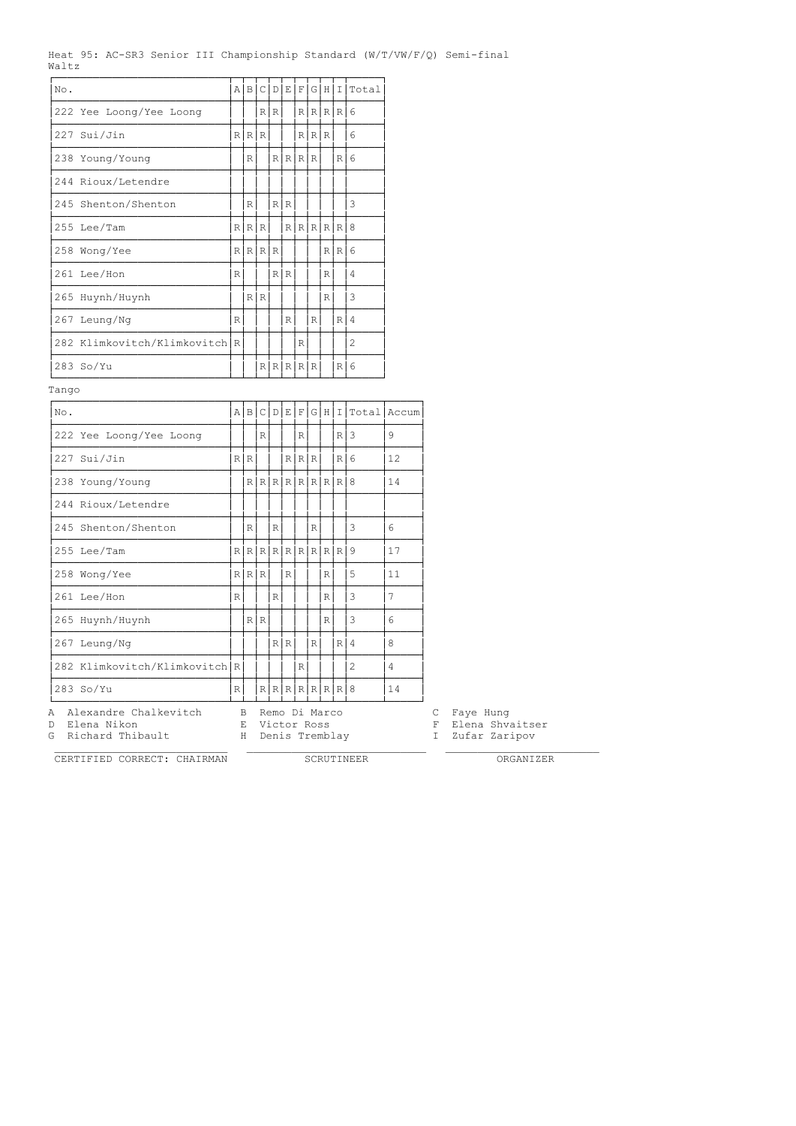|       |  |  | Heat 95: AC-SR3 Senior III Championship Standard (W/T/VW/F/Q) Semi-final |  |  |
|-------|--|--|--------------------------------------------------------------------------|--|--|
| Waltz |  |  |                                                                          |  |  |

| No.                           | ΑI |         |     |     |           |   |     |                         |                  | B C D E F G H I Total |
|-------------------------------|----|---------|-----|-----|-----------|---|-----|-------------------------|------------------|-----------------------|
| 222 Yee Loong/Yee Loong       |    |         |     | R R |           |   |     | $R$ $R$ $R$ $R$ $R$ $6$ |                  |                       |
| 227 Sui/Jin                   |    | R R R   |     |     |           |   | R R |                         |                  | 6                     |
| 238 Young/Young               |    | R       |     |     | R[R R R   |   |     |                         | RI6              |                       |
| 244 Rioux/Letendre            |    |         |     |     |           |   |     |                         |                  |                       |
| 245 Shenton/Shenton           |    | R       |     |     | R I R     |   |     |                         |                  | 3                     |
| 255 Lee/Tam                   |    | R R R   |     |     |           |   |     | RRRRRRR8                |                  |                       |
| 258 Wong/Yee                  |    | R[R R R |     |     |           |   |     |                         | RR <sub>16</sub> |                       |
| 261 Lee/Hon                   | R  |         |     |     | R R       |   |     | R                       |                  | 4                     |
| 265 Huynh/Huynh               |    |         | R R |     |           |   |     | $\mathbb{R}$            |                  | 3                     |
| 267 Leung/Ng                  | R  |         |     |     | R         |   | R   |                         | R14              |                       |
| 282 Klimkovitch/Klimkovitch R |    |         |     |     |           | R |     |                         |                  | 2                     |
| $283$ So/Yu                   |    |         |     |     | R[R R R R |   |     |                         | $R$   6          |                       |

Tango

| No.                                                                      |                |               |     |              |                                                |             |              |              |         |                | A B C D E F G H I Total Accum |                  |           |                                  |  |
|--------------------------------------------------------------------------|----------------|---------------|-----|--------------|------------------------------------------------|-------------|--------------|--------------|---------|----------------|-------------------------------|------------------|-----------|----------------------------------|--|
| 222 Yee Loong/Yee Loong                                                  |                |               | R   |              |                                                | R           |              |              | $R$   3 |                | 9                             |                  |           |                                  |  |
| 227 Sui/Jin                                                              | R <sub>l</sub> | R             |     |              |                                                | R R R       |              |              |         | $R$ 6          | 12                            |                  |           |                                  |  |
| 238 Young/Young                                                          |                |               |     |              | R[R[R[R[R[R R 8])                              |             |              |              |         |                | 14                            |                  |           |                                  |  |
| 244 Rioux/Letendre                                                       |                |               |     |              |                                                |             |              |              |         |                |                               |                  |           |                                  |  |
| 245 Shenton/Shenton                                                      |                | R             |     | $\mathbb{R}$ |                                                |             | $\mathbb{R}$ |              |         | 3              | 6                             |                  |           |                                  |  |
| 255 Lee/Tam                                                              | R              |               |     |              | R[R[R[R[R[R R]]                                |             |              |              |         |                | 17                            |                  |           |                                  |  |
| 258 Wong/Yee                                                             |                | R[R R]        |     |              | $\mathbb{R}$                                   |             |              | $\mathbb{R}$ |         | 5              | 11                            |                  |           |                                  |  |
| 261 Lee/Hon                                                              | $\mathbb{R}$   |               |     | $\mathbb R$  |                                                |             |              | R            |         | 3              | 7                             |                  |           |                                  |  |
| 265 Huynh/Huynh                                                          |                |               | R R |              |                                                |             |              | R            |         | 3              | 6                             |                  |           |                                  |  |
| 267 Leung/Ng                                                             |                |               |     |              | R R                                            |             | R            |              | R 4     |                | 8                             |                  |           |                                  |  |
| 282 Klimkovitch/Klimkovitch R                                            |                |               |     |              |                                                | $\mathbb R$ |              |              |         | $\overline{c}$ | 4                             |                  |           |                                  |  |
| 283 So/Yu                                                                | $\mathbb{R}$   |               |     |              | R[R[R[R R R 8]                                 |             |              |              |         |                | 14                            |                  |           |                                  |  |
| Alexandre Chalkevitch<br>A<br>Elena Nikon<br>D.<br>Richard Thibault<br>G |                | B.<br>E.<br>H |     |              | Remo Di Marco<br>Victor Ross<br>Denis Tremblay |             |              |              |         |                |                               | C<br>F<br>$\top$ | Faye Hung | Elena Shvaitser<br>Zufar Zaripov |  |

CERTIFIED CORRECT: CHAIRMAN SCRUTINEER ORGANIZER

 $\mathcal{L}_\text{max}$  , and the set of the set of the set of the set of the set of the set of the set of the set of the set of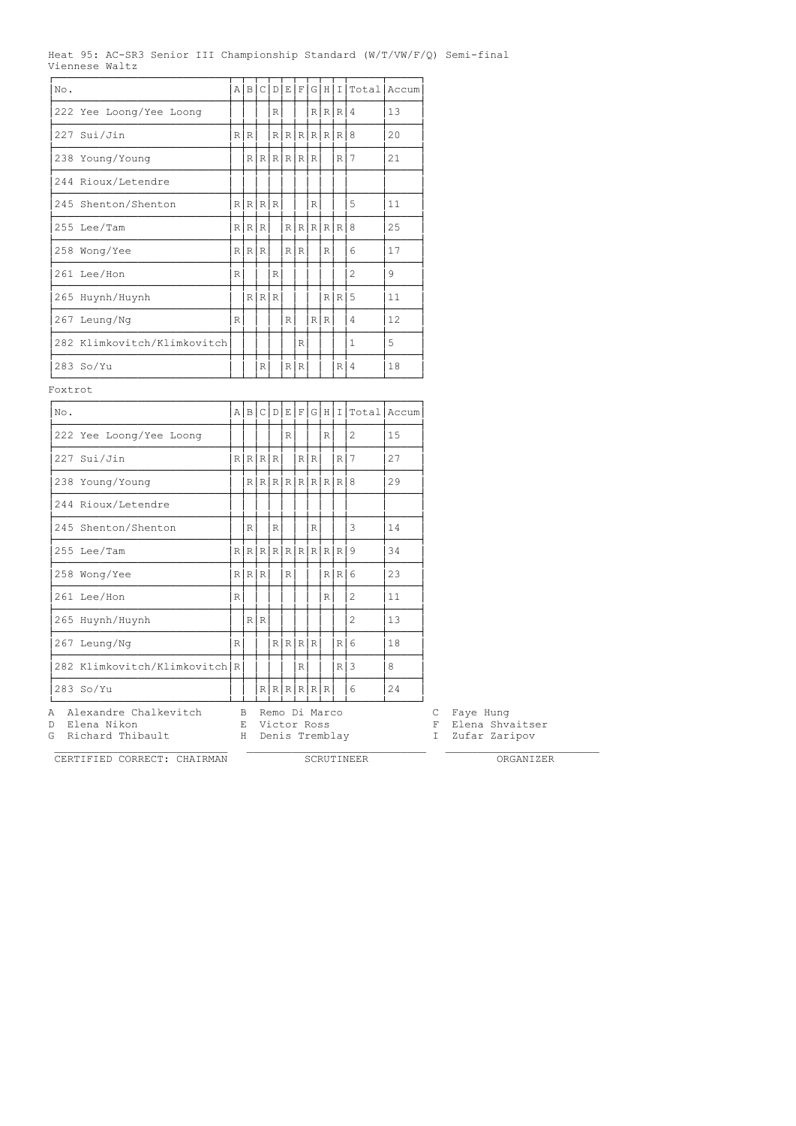|  |                |  | Heat 95: AC-SR3 Senior III Championship Standard (W/T/VW/F/O) Semi-final |  |  |
|--|----------------|--|--------------------------------------------------------------------------|--|--|
|  | Viennese Waltz |  |                                                                          |  |  |

| No.                         | A |         | B C D |            |   |     |   |               |       | E F G H I Total | <b>LAccum</b> |
|-----------------------------|---|---------|-------|------------|---|-----|---|---------------|-------|-----------------|---------------|
| 222 Yee Loong/Yee Loong     |   |         |       | R          |   |     |   | R R R         |       |                 | 13            |
| 227 Sui/Jin                 |   | R R I   |       |            |   |     |   | R[R[R[R R R 8 |       |                 | 20            |
| 238 Young/Young             |   |         |       | R[R[R R R] |   |     |   |               | R I   | 7               | 21            |
| 244 Rioux/Letendre          |   |         |       |            |   |     |   |               |       |                 |               |
| 245 Shenton/Shenton         |   | R R R R |       |            |   |     | R |               |       | 5               | 11            |
| 255 Lee/Tam                 |   | R R R   |       |            |   |     |   | R[R R R R 8   |       |                 | 25            |
| 258 Wong/Yee                |   | R R R   |       |            |   | RR  |   | $\mathbb{R}$  |       | 6               | 17            |
| 261 Lee/Hon                 | R |         |       | R          |   |     |   |               |       | 2               | 9             |
| 265 Huynh/Huynh             |   |         | R R R |            |   |     |   |               | R R 5 |                 | 11            |
| 267 Leung/Ng                | R |         |       |            | R |     |   | R R           |       | 4               | 12            |
| 282 Klimkovitch/Klimkovitch |   |         |       |            |   | R   |   |               |       | 1               | 5             |
| 283 So/Yu                   |   |         | R     |            |   | R R |   |               | R I   | 4               | 18            |

Foxtrot

| No.                                            |              |                      |     |                              |              |                |     |              |                     | A B C D E F G H I Total | Accum |        |                              |  |
|------------------------------------------------|--------------|----------------------|-----|------------------------------|--------------|----------------|-----|--------------|---------------------|-------------------------|-------|--------|------------------------------|--|
| 222 Yee Loong/Yee Loong                        |              |                      |     |                              | R            |                |     | $\mathbb{R}$ |                     | $\overline{c}$          | 15    |        |                              |  |
| 227 Sui/Jin                                    |              | R R R R              |     |                              |              | R <sub>l</sub> | IR. |              | R I                 | 7                       | 2.7   |        |                              |  |
| 238 Young/Young                                |              |                      |     |                              |              |                |     |              | $R[R[R[R[R[R R R 8$ |                         | 29    |        |                              |  |
| 244 Rioux/Letendre                             |              |                      |     |                              |              |                |     |              |                     |                         |       |        |                              |  |
| 245 Shenton/Shenton                            |              | $\mathbb{R}$         |     | $\mathbb R$                  |              |                | R   |              |                     | 3                       | 14    |        |                              |  |
| 255 Lee/Tam                                    |              | $R[R[R[R[R[R[R[RR])$ |     |                              |              |                |     |              |                     |                         | 34    |        |                              |  |
| 258 Wong/Yee                                   |              | R R R                |     |                              | $\mathbb{R}$ |                |     |              | R R 6               |                         | 23    |        |                              |  |
| 261 Lee/Hon                                    | $\mathbb{R}$ |                      |     |                              |              |                |     | $\mathbb{R}$ |                     | $\overline{c}$          | 11    |        |                              |  |
| 265 Huynh/Huynh                                |              |                      | R R |                              |              |                |     |              |                     | 2                       | 13    |        |                              |  |
| 267 Leung/Ng                                   | R            |                      |     |                              |              | R R R R        |     |              | $R$ 6               |                         | 18    |        |                              |  |
| 282 Klimkovitch/Klimkovitch R                  |              |                      |     |                              |              | R              |     |              | $R$   3             |                         | 8     |        |                              |  |
| 283 So/Yu                                      |              |                      |     | R[R[R R R]                   |              |                |     |              |                     | 6                       | 24    |        |                              |  |
| Alexandre Chalkevitch<br>A<br>Elena Nikon<br>D |              | B.<br>F.             |     | Remo Di Marco<br>Victor Ross |              |                |     |              |                     |                         |       | C<br>F | Faye Hung<br>Elena Shvaitser |  |

 $\mathcal{L}_\text{max}$  , and the set of the set of the set of the set of the set of the set of the set of the set of the set of CERTIFIED CORRECT: CHAIRMAN SCRUTINEER ORGANIZER

G Richard Thibault H Denis Tremblay I Zufar Zaripov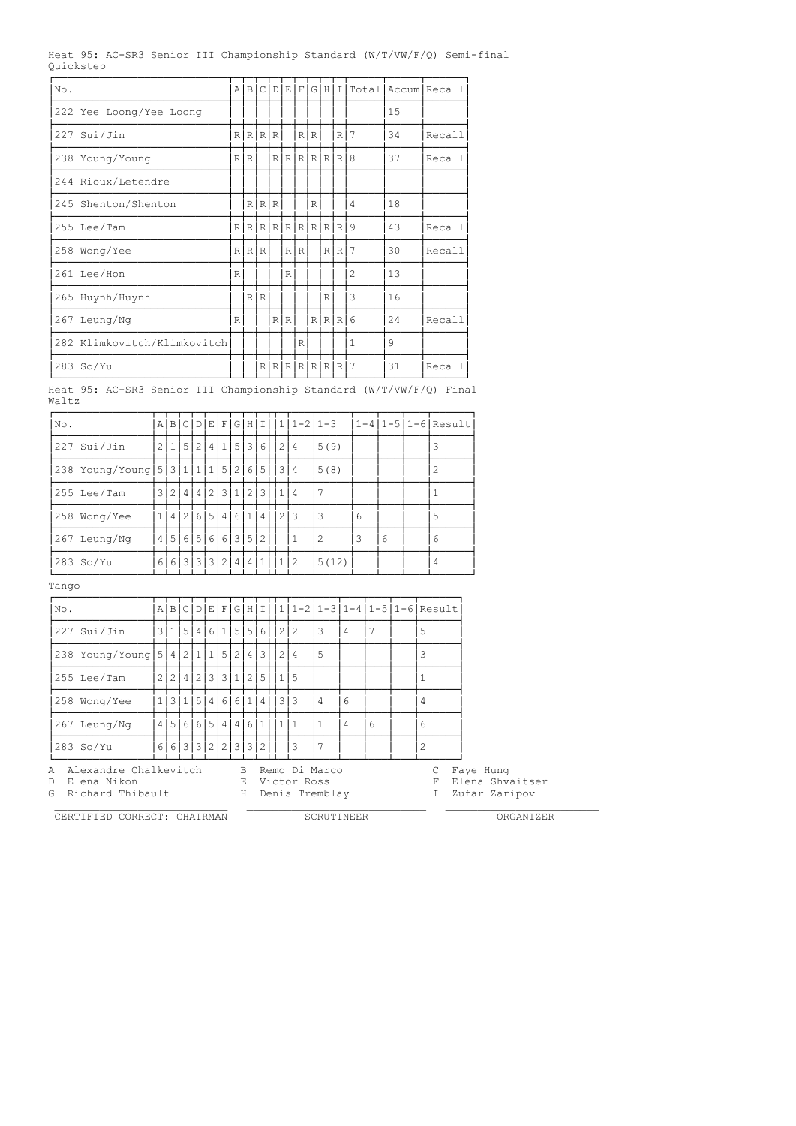Heat 95: AC-SR3 Senior III Championship Standard (W/T/VW/F/Q) Semi-final Quickstep

| No. |                             | A            | $\overline{B}$ | $\lfloor$ C |       |     | D E F G H             |              |         | $\mathbf I$  |   |     | TotallAccumlRecall |
|-----|-----------------------------|--------------|----------------|-------------|-------|-----|-----------------------|--------------|---------|--------------|---|-----|--------------------|
|     | 222 Yee Loong/Yee Loong     |              |                |             |       |     |                       |              |         |              |   | 15  |                    |
|     | 227 Sui/Jin                 |              | R[R R R        |             |       |     |                       | RR           |         | $\mathbb{R}$ | 7 | 34  | Recall             |
|     | 238 Young/Young             | $\mathbb{R}$ | IR I           |             |       |     | R[R[R R R 8]          |              |         |              |   | 37  | Recall             |
|     | 244 Rioux/Letendre          |              |                |             |       |     |                       |              |         |              |   |     |                    |
|     | 245 Shenton/Shenton         |              |                |             | R R R |     |                       | $\mathbb{R}$ |         |              | 4 | 18  |                    |
|     | 255 Lee/Tam                 |              |                |             |       |     | $R[R[R[R[R[R[R R R])$ |              |         |              | 9 | 43  | Recall             |
|     | 258 Wong/Yee                |              | R R R          |             |       |     | R R                   |              |         | R R          | 7 | 30  | Recall             |
|     | 261 Lee/Hon                 | R            |                |             |       | R   |                       |              |         |              | 2 | 13  |                    |
|     | 265 Huynh/Huynh             |              |                | R R         |       |     |                       |              | R       |              | 3 | 16  |                    |
| 267 | Leung/Ng                    | R            |                |             |       | R R |                       |              | R R R 6 |              |   | 2.4 | Recall             |
|     | 282 Klimkovitch/Klimkovitch |              |                |             |       |     | R                     |              |         |              | 1 | 9   |                    |
|     | 283 So/Yu                   |              |                |             |       |     | R[R[R[R R R ]         |              |         |              |   | 31  | Recall             |

Heat 95: AC-SR3 Senior III Championship Standard (W/T/VW/F/Q) Final Waltz

| No.          |                                                                                                                                                                                                                                                                                                                                                                                                                                                                                                                                                                                                                                                                                                                                                                                                                                                                                                                                                                                                                                                                                 | ΑI           | B        |          | C D | l E-           | $\mathbf{F}$ | G | H <sub>1</sub> | $\top$         | $\mathbf{1}$ | $1 - 21 - 3$ |                                 |   |   |  |                | $1 - 4   1 - 5   1 - 6  $ Result                             |
|--------------|---------------------------------------------------------------------------------------------------------------------------------------------------------------------------------------------------------------------------------------------------------------------------------------------------------------------------------------------------------------------------------------------------------------------------------------------------------------------------------------------------------------------------------------------------------------------------------------------------------------------------------------------------------------------------------------------------------------------------------------------------------------------------------------------------------------------------------------------------------------------------------------------------------------------------------------------------------------------------------------------------------------------------------------------------------------------------------|--------------|----------|----------|-----|----------------|--------------|---|----------------|----------------|--------------|--------------|---------------------------------|---|---|--|----------------|--------------------------------------------------------------|
| 227          | Sui/Jin                                                                                                                                                                                                                                                                                                                                                                                                                                                                                                                                                                                                                                                                                                                                                                                                                                                                                                                                                                                                                                                                         |              | 2 1      |          | 5 2 | $\overline{4}$ | $\mathbf{1}$ | 5 | $\frac{3}{ }$  | 6              |              | 2 4          | 5(9)                            |   |   |  |                | 3                                                            |
|              | 238 Young/Young $ 5 3 1 $<br>3 4<br>$\mathbf{1}$<br>5 <sup>1</sup><br>2 <sup>1</sup><br>5<br>$\overline{c}$<br>$\mathbf{1}$<br>6 <br>5(8)<br>2<br>2<br>7<br>255 Lee/Tam<br>3 <br>4 <sup>1</sup><br>$\overline{4}$<br>3<br>2 <sup>1</sup><br>3<br>$\mathbf{1}$<br>$\mathbf{1}$<br>$\mathbf{1}$<br>$\overline{4}$<br>$\overline{c}$<br>6<br>5<br>2 3<br>5<br>$\mathbf{1}$<br>6<br>3<br>258 Wong/Yee<br>4<br>4<br>$1\vert$<br>4<br>6<br>$\overline{c}$<br>3<br>4 <br>5<br>6<br>6<br>3 <br>5<br>6<br>6<br>267 Leung/Ng<br>-5<br>6<br>2<br>1<br>6 6 3 3 3 2 <br>$283$ So/Yu<br>  2<br>5(12)<br>4 <br>4 1<br>4<br>1<br>A B C D E F <br>$1 1-2 1-3 1-4 1-5 1-6 $ Result<br>G[H I]<br>3 1<br>5 <br>6<br>5 <br>5 <br>212<br>227 Sui/Jin<br>4 <br>$\mathbf{1}$<br>3<br>7<br>5<br>$6\overline{6}$<br>$\overline{4}$<br>238 Young/Young   5   4   2   1<br>5<br>2 <br>5<br>3<br>$\mathbf{1}$<br>4 <br>3<br>2 4<br>$\overline{c}$<br>$\overline{3}$<br> 3 <br>255 Lee/Tam<br>$\mathbf{2}^{\prime}$<br>$\overline{c}$<br>$\mathbf{1}$<br>2 <sup>1</sup><br>5<br>ا 5<br>4<br>1<br>$\mathbf{1}$ |              |          |          |     |                |              |   |                |                |              |              |                                 |   |   |  |                |                                                              |
|              |                                                                                                                                                                                                                                                                                                                                                                                                                                                                                                                                                                                                                                                                                                                                                                                                                                                                                                                                                                                                                                                                                 |              |          |          |     |                |              |   |                |                |              |              |                                 |   |   |  |                |                                                              |
|              |                                                                                                                                                                                                                                                                                                                                                                                                                                                                                                                                                                                                                                                                                                                                                                                                                                                                                                                                                                                                                                                                                 |              |          |          |     |                |              |   |                |                |              |              |                                 |   |   |  |                |                                                              |
|              |                                                                                                                                                                                                                                                                                                                                                                                                                                                                                                                                                                                                                                                                                                                                                                                                                                                                                                                                                                                                                                                                                 |              |          |          |     |                |              |   |                |                |              |              |                                 |   |   |  |                |                                                              |
|              |                                                                                                                                                                                                                                                                                                                                                                                                                                                                                                                                                                                                                                                                                                                                                                                                                                                                                                                                                                                                                                                                                 |              |          |          |     |                |              |   |                |                |              |              |                                 |   |   |  |                |                                                              |
| Tango        |                                                                                                                                                                                                                                                                                                                                                                                                                                                                                                                                                                                                                                                                                                                                                                                                                                                                                                                                                                                                                                                                                 |              |          |          |     |                |              |   |                |                |              |              |                                 |   |   |  |                |                                                              |
| No.          |                                                                                                                                                                                                                                                                                                                                                                                                                                                                                                                                                                                                                                                                                                                                                                                                                                                                                                                                                                                                                                                                                 |              |          |          |     |                |              |   |                |                |              |              |                                 |   |   |  |                |                                                              |
|              |                                                                                                                                                                                                                                                                                                                                                                                                                                                                                                                                                                                                                                                                                                                                                                                                                                                                                                                                                                                                                                                                                 |              |          |          |     |                |              |   |                |                |              |              |                                 |   |   |  |                |                                                              |
|              |                                                                                                                                                                                                                                                                                                                                                                                                                                                                                                                                                                                                                                                                                                                                                                                                                                                                                                                                                                                                                                                                                 |              |          |          |     |                |              |   |                |                |              |              |                                 |   |   |  |                |                                                              |
|              |                                                                                                                                                                                                                                                                                                                                                                                                                                                                                                                                                                                                                                                                                                                                                                                                                                                                                                                                                                                                                                                                                 |              |          |          |     |                |              |   |                |                |              |              |                                 |   |   |  |                |                                                              |
|              | 258 Wong/Yee                                                                                                                                                                                                                                                                                                                                                                                                                                                                                                                                                                                                                                                                                                                                                                                                                                                                                                                                                                                                                                                                    | $\mathbf{1}$ | 3        | $1\vert$ | 5   | 4              | 6            | 6 | $\mathbf{1}$   | 4              |              | 3 3          | $\overline{4}$                  | 6 |   |  | 4              |                                                              |
|              | 267 Leung/Ng                                                                                                                                                                                                                                                                                                                                                                                                                                                                                                                                                                                                                                                                                                                                                                                                                                                                                                                                                                                                                                                                    |              | 4 5      |          |     | 6 6 5          | $\vert$ 4    | 4 | 6              | 1              | 1            | l 1          | $\mathbf{1}$                    | 4 | 6 |  | 6              |                                                              |
|              | 283 So/Yu                                                                                                                                                                                                                                                                                                                                                                                                                                                                                                                                                                                                                                                                                                                                                                                                                                                                                                                                                                                                                                                                       | 6            | $6 \mid$ |          |     | 3 3 2          | 2            | 3 | (3)            | $\overline{c}$ |              | 3            | 7                               |   |   |  | $\overline{c}$ |                                                              |
| Α<br>D.<br>G | Alexandre Chalkevitch<br>Elena Nikon<br>Richard Thibault                                                                                                                                                                                                                                                                                                                                                                                                                                                                                                                                                                                                                                                                                                                                                                                                                                                                                                                                                                                                                        |              |          |          |     |                |              |   | B<br>F.<br>H   |                |              | Victor Ross  | Remo Di Marco<br>Denis Tremblay |   |   |  |                | Faye Hung<br>C<br>Elena Shvaitser<br>F<br>Τ<br>Zufar Zaripov |

CERTIFIED CORRECT: CHAIRMAN SCRUTINEER ORGANIZER

 $\mathcal{L}_\text{max}$  , and the set of the set of the set of the set of the set of the set of the set of the set of the set of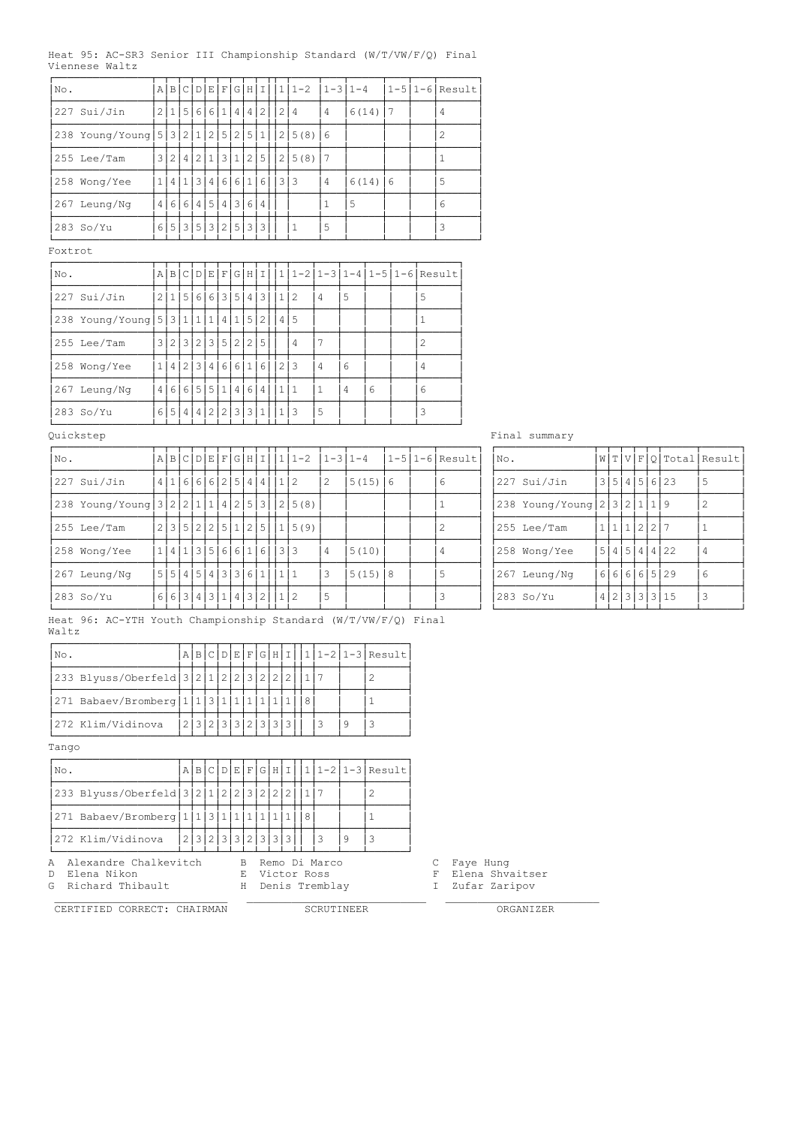|  |                |  | Heat 95: AC-SR3 Senior III Championship Standard (W/T/VW/F/Q) Final |  |  |
|--|----------------|--|---------------------------------------------------------------------|--|--|
|  | Viennese Waltz |  |                                                                     |  |  |

| No.     |                                 |                         | AB                |              | CDI            | EF             |                |                | GIHII |                   | 1              | $1 - 2$                         |              | $1 - 3$   $1 - 4$ |            |   | $1-5$  1-6 Result |
|---------|---------------------------------|-------------------------|-------------------|--------------|----------------|----------------|----------------|----------------|-------|-------------------|----------------|---------------------------------|--------------|-------------------|------------|---|-------------------|
|         | 227 Sui/Jin                     |                         | 2 1               | 5 6          |                | 6              | (1)            | $\overline{4}$ | 4     | 2                 |                | 2 4                             | 4            |                   | $6(14)$  7 |   | 4                 |
|         | 238 Young/Young                 |                         | 5 3               | 211          |                | 2              | 5              | 2              | 5     | 1                 | 2 <sup>1</sup> | 5(8)                            | 6            |                   |            |   | $\overline{c}$    |
|         | 255 Lee/Tam                     |                         | 3 2 4 2 1         |              |                |                |                | 3 1 2 5        |       |                   |                | 2 5(8)                          | 17           |                   |            |   | 1                 |
|         | 258 Wong/Yee                    | $\mathbf{1}$            | 4                 | $\mathbf{1}$ | 3              | 4              | 6              | $6 \mid$       | 1     | $6 \mid$          |                | 3 3                             | 4            |                   | $6(14)$ 6  |   | 5                 |
|         | 267 Leung/Ng                    | 4                       | <sup>6</sup>      |              | 6 4 5 4 3      |                |                |                | 61    | $\overline{4}$    |                |                                 | 1            | 5                 |            |   | 6                 |
|         | 283 So/Yu                       |                         | 6 5 3 5 3 2 5 3 3 |              |                |                |                |                |       |                   |                | 1                               | 5            |                   |            |   | 3                 |
| Foxtrot |                                 |                         |                   |              |                |                |                |                |       |                   |                |                                 |              |                   |            |   |                   |
| No.     |                                 |                         | A B C D E F G H I |              |                |                |                |                |       |                   |                | $1 1-2 1-3 1-4 1-5 1-6 $ Result |              |                   |            |   |                   |
|         | 227 Sui/Jin                     |                         | 2 1 5 6           |              |                |                |                | 6 3 5          | 4     | 3                 | 1              | 2                               | 4            | 5                 |            | 5 |                   |
|         | 238 Young/Young   5   3   1   1 |                         |                   |              |                | $\mathbf{1}$   | 4 <sup>1</sup> | (1)            | 5     | $\mathcal{L}$     | 4              | -5                              |              |                   |            | 1 |                   |
|         | 255 Lee/Tam                     | $\overline{\mathbf{3}}$ | 2                 |              | 3 2            |                | 3 5 2          |                |       | 215               |                | 4                               | 7            |                   |            | 2 |                   |
|         | 258 Wong/Yee                    | $1\vert$                | 4                 |              | 2 3            |                |                | 4 6 6 1        |       | 6, 6              |                | 2 3                             | 4            | 6                 |            | 4 |                   |
|         | 267 Leung/Ng                    | 4                       | $6 \mid$          |              | 6   5          |                | 5 1            | 4              | 61    | $\cdot$ 4 $\cdot$ | 1   1          |                                 | $\mathbf{1}$ | 4                 | 6          | 6 |                   |
|         | 283 So/Yu                       |                         | $6 5$             | 4            | 4 <sup>1</sup> | 2 <sub>1</sub> |                | 2 3            | 3 1   |                   | 1.             | 13                              | 5            |                   |            | 3 |                   |

# Quickstep Final summary

| No.                               |  |  |  |  |                        | a в c p е f g н I  1 1-2 |   | $1-31-4$  |                | $ 1-5 1-6 $ Result | INo. |                             |          |  |  |              | W T V F O Total Result |
|-----------------------------------|--|--|--|--|------------------------|--------------------------|---|-----------|----------------|--------------------|------|-----------------------------|----------|--|--|--------------|------------------------|
| 227 Sui/Jin                       |  |  |  |  | 4 1 6 6 6 2 5 4 4 1 2  |                          | 2 | 5(15)     | $\overline{6}$ | 6                  |      | 227 Sui/Jin                 |          |  |  | 3 5 4 5 6 23 | -5                     |
| 238 Young/Young 3 2 2 1 1 4 2 5 3 |  |  |  |  |                        | 2 5(8)                   |   |           |                |                    |      | 238 Young/Young 2 3 2 1 1 9 |          |  |  |              | -2                     |
| 1255 Lee/Tam                      |  |  |  |  |                        | 2 3 5 2 2 5 1 2 5 1 5(9) |   |           |                |                    |      | 255 Lee/Tam                 | 11112227 |  |  |              |                        |
| 258 Wong/Yee                      |  |  |  |  | 1 4 1 3 5 6 6 1 6 33   |                          | 4 | 5(10)     |                |                    |      | 258 Wong/Yee                |          |  |  | 5 4 5 4 4 22 | $\overline{4}$         |
| 267 Leung/Ng                      |  |  |  |  | 5 5 4 5 4 3 3 6 1  1 1 |                          | 3 | $5(15)$ 8 |                | .5                 |      | 267 Leung/Ng                |          |  |  | 66666529     | 6                      |
| 283 So/Yu                         |  |  |  |  | 663431431432112        |                          | 5 |           |                |                    |      | 283 So/Yu                   |          |  |  | 4 2 3 3 3 15 | 3                      |

Heat 96: AC-YTH Youth Championship Standard (W/T/VW/F/Q) Final Waltz

| No.                                                     |  |  |                   |  |  |  |  | A B C D E F G H I  1 1-2 1-3 Result |
|---------------------------------------------------------|--|--|-------------------|--|--|--|--|-------------------------------------|
| 233 Blyuss/Oberfeld 3 2 1 2 2 3 2 2 2 1                 |  |  |                   |  |  |  |  |                                     |
| 271 Babaev/Bromberg   1   1   3   1   1   1   1   1   1 |  |  |                   |  |  |  |  |                                     |
| 272 Klim/Vidinova                                       |  |  | 2 3 2 3 3 2 3 3 3 |  |  |  |  |                                     |

Tango

| No.                                         |  |  |  |  |                   |  |    | $A B C D E F G H I 1 1-2 1-3 Result$ |
|---------------------------------------------|--|--|--|--|-------------------|--|----|--------------------------------------|
| 233 Blyuss/Oberfeld 3 2 1 2 2 3 2 2 2 1 1 7 |  |  |  |  |                   |  |    |                                      |
| 271 Babaev/Bromberg 1 1 3 1 1 1 1 1 1       |  |  |  |  |                   |  |    |                                      |
| 272 Klim/Vidinova                           |  |  |  |  | 2 3 2 3 3 2 3 3 3 |  | 19 |                                      |

A Alexandre Chalkevitch B Remo Di Marco<br>D Elena Nikon B Victor Ross

G Richard Thibault

D Elena Nikon E Victor Ross F Elena Shvaitser

 $\mathcal{L}_\text{max}$  , and the set of the set of the set of the set of the set of the set of the set of the set of the set of CERTIFIED CORRECT: CHAIRMAN SCRUTINEER ORGANIZER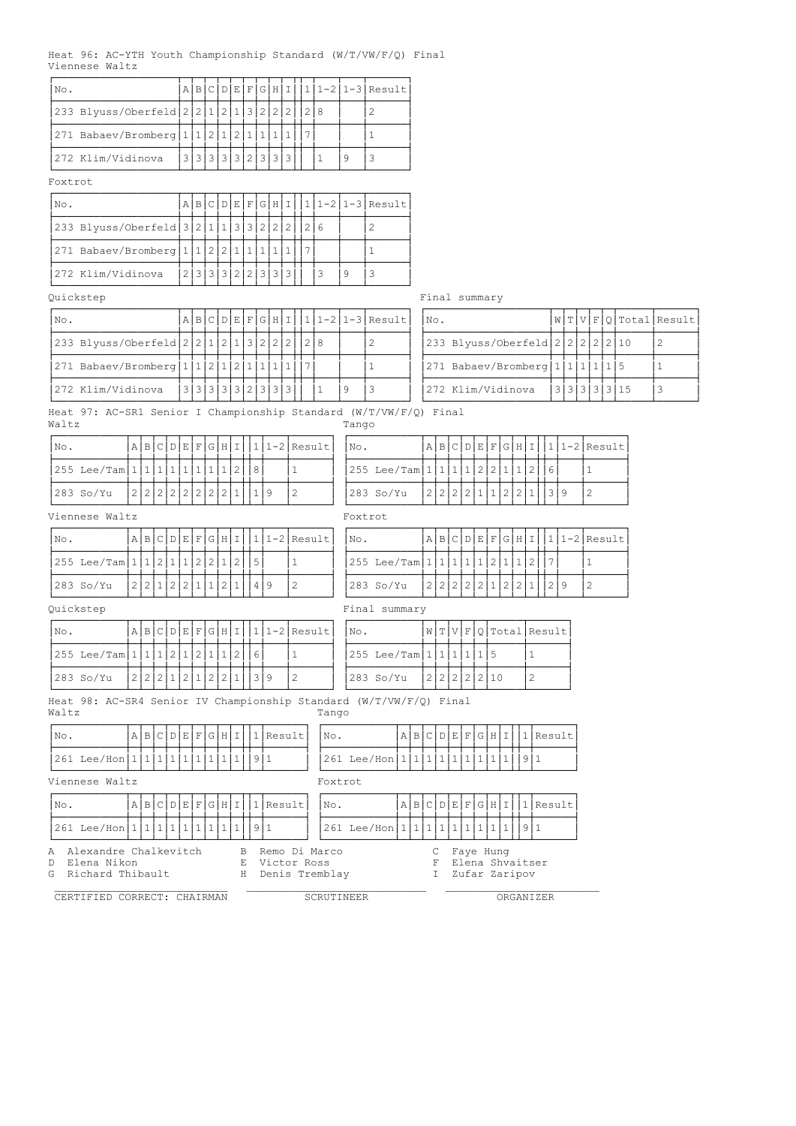|  |                | Heat 96: AC-YTH Youth Championship Standard (W/T/VW/F/Q) Final |  |  |
|--|----------------|----------------------------------------------------------------|--|--|
|  | Viennese Waltz |                                                                |  |  |

| No.                                        | A                 | $.1B+$ |  |      |  |  |  |  | C D E F G H I  1 1-2 1-3 Result |
|--------------------------------------------|-------------------|--------|--|------|--|--|--|--|---------------------------------|
| 233 Blyuss/Oberfeld 2 2 1 2 1 3 2 2 2  2 8 |                   |        |  |      |  |  |  |  |                                 |
| 271 Babaev/Bromberg   1   1   2   1        |                   |        |  | 1211 |  |  |  |  |                                 |
| 272 Klim/Vidinova                          | 3 3 3 3 3 2 3 3 3 |        |  |      |  |  |  |  |                                 |

### Foxtrot

| No.                                                     |  |  |                   |  |  |  |  | $A B C D E F G H I 1 1-2 1-3 Result$ |
|---------------------------------------------------------|--|--|-------------------|--|--|--|--|--------------------------------------|
| 233 Blyuss/Oberfeld 3 2 1 1 3 3 2 2 2 2 2 2 6           |  |  |                   |  |  |  |  |                                      |
| 271 Babaev/Bromberg   1   1   2   2   1   1   1   1   1 |  |  |                   |  |  |  |  |                                      |
| 272 Klim/Vidinova                                       |  |  | 2 3 3 3 2 2 3 3 3 |  |  |  |  |                                      |

# Quickstep Final summary

| INo.                                        |  |  |  |  |                   |  | A B C D E F G H I  1 1-2 1-3 Result | INo.                                 |  |  |                        | W T V F O Total Result |
|---------------------------------------------|--|--|--|--|-------------------|--|-------------------------------------|--------------------------------------|--|--|------------------------|------------------------|
| 233 Blyuss/Oberfeld 2 2 1 2 1 3 2 2 2 2 8   |  |  |  |  |                   |  |                                     | 233 Blyuss/Oberfeld 2 2 2 2 2 2 10   |  |  |                        |                        |
| $ 271$ Babaev/Bromberg $ 1 1 2 1 2 1 1 1 1$ |  |  |  |  |                   |  |                                     | $ 271$ Babaev/Bromberg $ 1 1 1 1 15$ |  |  |                        |                        |
| 272 Klim/Vidinova                           |  |  |  |  | 3 3 3 3 3 2 3 3 3 |  |                                     | 272 Klim/Vidinova                    |  |  | 3   3   3   3   3   15 |                        |

| No. |                                    |  |  |              | W T V F Q Total Result |
|-----|------------------------------------|--|--|--------------|------------------------|
|     | 233 Blyuss/Oberfeld 2 2 2 2 2 2 10 |  |  |              |                        |
|     | 271 Babaev/Bromberg 1 1 1 1 5      |  |  |              |                        |
|     | 272 Klim/Vidinova                  |  |  | 3 3 3 3 3 15 |                        |

Heat 97: AC-SR1 Senior I Championship Standard (W/T/VW/F/Q) Final Waltz Tango

| $ NO$ . |                                |  |  |  |  |  | $A B C D E F G H I 1 1-2 Result $ | $\mathsf{N} \circ$ . |                                       |  |  |  |  |  | A B C D E F G H I  1 1-2 Result |
|---------|--------------------------------|--|--|--|--|--|-----------------------------------|----------------------|---------------------------------------|--|--|--|--|--|---------------------------------|
|         | $ 255 \text{ Lee/Tam} 1 1 1 .$ |  |  |  |  |  |                                   |                      | $ 255 \text{ Lee/Tam} 1 1 1 1 2 2 $ . |  |  |  |  |  |                                 |
|         | 283 So/Yu                      |  |  |  |  |  |                                   |                      | 283 So/Yu                             |  |  |  |  |  |                                 |

### Viennese Waltz Foxtrot

| $ N\circ$ . |                                              |  |  |  |  |  | $A B C D E F G H I 1 1-2 Result $ No. |  |                                             |  |  |  |  |  |  | $ \mathbf{A} \mathbf{B} \mathbf{C} \mathbf{D} \mathbf{E} \mathbf{F} \mathbf{G} \mathbf{H} \mathbf{I}  1 1-2 \text{Result} $ |
|-------------|----------------------------------------------|--|--|--|--|--|---------------------------------------|--|---------------------------------------------|--|--|--|--|--|--|-----------------------------------------------------------------------------------------------------------------------------|
|             | $ 255 \text{ Lee/Tam} 1 1 2 1 1 2 2 1 2 15 $ |  |  |  |  |  |                                       |  | $ 255 \text{ Lee/Tam} 1 1 1 1 1 2 1 1 2 17$ |  |  |  |  |  |  |                                                                                                                             |
|             | 283 So/Yu                                    |  |  |  |  |  |                                       |  | 283 So/Yu                                   |  |  |  |  |  |  |                                                                                                                             |

# p and the state of the Final summary

| Quickstep |
|-----------|
|           |

| No. |                                             |  |                        |  |  |  |  | $A B C D E F G H I 1 1-2 Result $ | INO. |                                    |  |  |              | W T V F Q Total Result |
|-----|---------------------------------------------|--|------------------------|--|--|--|--|-----------------------------------|------|------------------------------------|--|--|--------------|------------------------|
|     | $ 255 \text{ Lee/Tam} 1 1 1 2 1 2 1 1 2 16$ |  |                        |  |  |  |  |                                   |      | $ 255 \text{ Lee/Tam} 1 1 1 1 1 5$ |  |  |              |                        |
|     | 283 So/Yu                                   |  | 2 2 2 1 2 1 2 2 1  3 9 |  |  |  |  |                                   |      | 283 So/Yu                          |  |  | 2 2 2 2 2 10 |                        |

Heat 98: AC-SR4 Senior IV Championship Standard (W/T/VW/F/Q) Final

Waltz Tango ÚÄÄÄÄÄÄÄÄÄÄÄÂÄÂÄÂÄÂÄÂÄÂÄÂÄÂÄÂÄÂÂÄÂÄÄÄÄÄÄ¿ ÚÄÄÄÄÄÄÄÄÄÄÄÂÄÂÄÂÄÂÄÂÄÂÄÂÄÂÄÂÄÂÂÄÂÄÄÄÄÄÄ¿  $\vert$ No.  $\vert$ A $\vert$ B $\vert$ C $\vert$ D $\vert$ E $\vert$ F $\vert$ G $\vert$ H $\vert$ I $\vert$ I $\vert$ I $\vert$ Result $\vert$ I $\vert$ No.  $\vert$ A $\vert$ B $\vert$ C $\vert$ D $\vert$ E $\vert$ F $\vert$ G $\vert$ H $\vert$ I $\vert$ I $\vert$ Result ÃÄÄÄÄÄÄÄÄÄÄÄÅÄÅÄÅÄÅÄÅÄÅÄÅÄÅÄÅÄÅÅÄÅÄÄÄÄÄÄ´ ÃÄÄÄÄÄÄÄÄÄÄÄÅÄÅÄÅÄÅÄÅÄÅÄÅÄÅÄÅÄÅÅÄÅÄÄÄÄÄÄ´  $|261$  Lee/Hon $|111111111111111|3|1$ ÀÄÄÄÄÄÄÄÄÄÄÄÁÄÁÄÁÄÁÄÁÄÁÄÁÄÁÄÁÄÁÁÄÁÄÄÄÄÄÄÙ ÀÄÄÄÄÄÄÄÄÄÄÄÁÄÁÄÁÄÁÄÁÄÁÄÁÄÁÄÁÄÁÁÄÁÄÄÄÄÄÄÙ Viennese Waltz Foxtrot ÚÄÄÄÄÄÄÄÄÄÄÄÂÄÂÄÂÄÂÄÂÄÂÄÂÄÂÄÂÄÂÂÄÂÄÄÄÄÄÄ¿ ÚÄÄÄÄÄÄÄÄÄÄÄÂÄÂÄÂÄÂÄÂÄÂÄÂÄÂÄÂÄÂÂÄÂÄÄÄÄÄÄ¿  $\lvert \text{No.} \rvert$   $\lvert \text{A} \rvert$   $\lvert \text{B} \rvert$   $\lvert \text{C} \rvert$   $\lvert \text{D} \rvert$   $\lvert \text{E} \rvert$   $\lvert \text{F} \rvert$   $\lvert \text{G} \rvert$   $\lvert \text{F} \rvert$   $\lvert \text{C} \rvert$   $\lvert \text{D} \rvert$   $\lvert \text{E} \rvert$   $\lvert \text{F} \rvert$   $\lvert \text{C} \rvert$   $\lvert \text{D} \rvert$   $\lvert \text{E} \$ ÃÄÄÄÄÄÄÄÄÄÄÄÅÄÅÄÅÄÅÄÅÄÅÄÅÄÅÄÅÄÅÅÄÅÄÄÄÄÄÄ´ ÃÄÄÄÄÄÄÄÄÄÄÄÅÄÅÄÅÄÅÄÅÄÅÄÅÄÅÄÅÄÅÅÄÅÄÄÄÄÄÄ´ ³261 Lee/Hon³1³1³1³1³1³1³1³1³1³³9³1 ³ ³261 Lee/Hon³1³1³1³1³1³1³1³1³1³³9³1 ³ ÀÄÄÄÄÄÄÄÄÄÄÄÁÄÁÄÁÄÁÄÁÄÁÄÁÄÁÄÁÄÁÁÄÁÄÄÄÄÄÄÙ ÀÄÄÄÄÄÄÄÄÄÄÄÁÄÁÄÁÄÁÄÁÄÁÄÁÄÁÄÁÄÁÁÄÁÄÄÄÄÄÄÙ A Alexandre Chalkevitch B Remo Di Marco C Faye Hung D Elena Nikon E Victor Ross F Elena Shvaitser G Richard Thibault H Denis Tremblay I Zufar Zaripov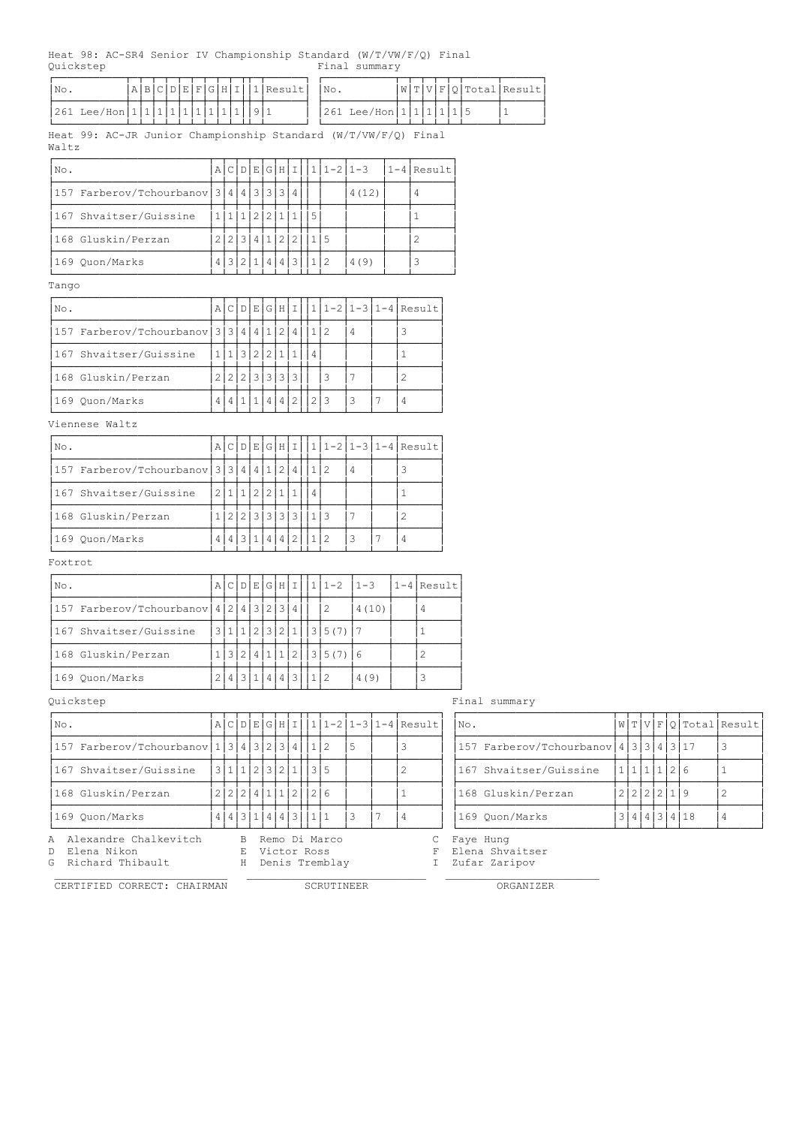98: AC-SR4 Senior IV Championship Standard (W/T/VW/F/O) Final Quickstep Final summary

| Heat 98: AC-SR4 Senior IV Championship Standard (W/T/VW/F/Q) Final<br>Ouickstep |  |   |  |                     |   |                                     | Final summary                            |       |                |                |                        |                                               |              |                        |  |  |             |              |                        |
|---------------------------------------------------------------------------------|--|---|--|---------------------|---|-------------------------------------|------------------------------------------|-------|----------------|----------------|------------------------|-----------------------------------------------|--------------|------------------------|--|--|-------------|--------------|------------------------|
| A B C D E F G H I 1 Result<br>No.                                               |  |   |  |                     |   | No.                                 |                                          |       |                |                |                        | W[T V F Q Total Result                        |              |                        |  |  |             |              |                        |
| $261 \text{ Lee/Hon} 111111111111119911$                                        |  |   |  |                     |   |                                     | 261 Lee/Hon   1   1   1   1   5          |       |                |                |                        |                                               | $\mathbf{1}$ |                        |  |  |             |              |                        |
| Heat 99: AC-JR Junior Championship Standard (W/T/VW/F/Q) Final<br>Waltz         |  |   |  |                     |   |                                     |                                          |       |                |                |                        |                                               |              |                        |  |  |             |              |                        |
| No.                                                                             |  |   |  |                     |   |                                     | $\Delta$ CDEGHII $\vert 1\vert 1$ -2 1-3 |       | $1-4$ Result   |                |                        |                                               |              |                        |  |  |             |              |                        |
| 157 Farberov/Tchourbanov $3444333434$                                           |  |   |  |                     |   |                                     | 4(12)                                    |       |                | $\overline{4}$ |                        |                                               |              |                        |  |  |             |              |                        |
| 167 Shvaitser/Guissine                                                          |  |   |  | 1 1 1 2 2 1 1 1 5   |   |                                     |                                          |       |                | $\mathbf{1}$   |                        |                                               |              |                        |  |  |             |              |                        |
| 168 Gluskin/Perzan                                                              |  |   |  | 2 2 3 4 1 2 2 1 15  |   |                                     |                                          |       |                | $\mathbf{2}$   |                        |                                               |              |                        |  |  |             |              |                        |
| 169 Quon/Marks                                                                  |  |   |  | 4 3 2 1 4 4 3 1 2   |   |                                     | 4(9)                                     |       |                | 3              |                        |                                               |              |                        |  |  |             |              |                        |
| Tango                                                                           |  |   |  |                     |   |                                     |                                          |       |                |                |                        |                                               |              |                        |  |  |             |              |                        |
| No.                                                                             |  |   |  |                     |   |                                     | A C D E G H I  1 1-2 1-3 1-4 Result      |       |                |                |                        |                                               |              |                        |  |  |             |              |                        |
| 157 Farberov/Tchourbanov 3 3 4 4 4 1 2 4 1 2 4                                  |  |   |  |                     |   |                                     | 4                                        |       | 3              |                |                        |                                               |              |                        |  |  |             |              |                        |
| 167 Shvaitser/Guissine                                                          |  |   |  | 1 1 3 2 2 1 1 1 4   |   |                                     |                                          |       | $\mathbf{1}$   |                |                        |                                               |              |                        |  |  |             |              |                        |
| 168 Gluskin/Perzan                                                              |  |   |  | 2 2 2 3 3 3 3       |   | 3                                   | 7                                        |       | $\mathbf{2}$   |                |                        |                                               |              |                        |  |  |             |              |                        |
| 169 Quon/Marks                                                                  |  |   |  | 4 4 1 1 4 4 2 2 3   |   |                                     | 3                                        | 7     | $\overline{4}$ |                |                        |                                               |              |                        |  |  |             |              |                        |
| Viennese Waltz                                                                  |  |   |  |                     |   |                                     |                                          |       |                |                |                        |                                               |              |                        |  |  |             |              |                        |
| No.                                                                             |  |   |  | A C D E G H I       |   |                                     | $11-21-31-4$ Result                      |       |                |                |                        |                                               |              |                        |  |  |             |              |                        |
| 157 Farberov/Tchourbanov 3 3 4 4 1 2 4                                          |  |   |  |                     |   | 1 2                                 | 4                                        |       | 3              |                |                        |                                               |              |                        |  |  |             |              |                        |
| 167 Shvaitser/Guissine                                                          |  |   |  | 2 1 1 2 2 1 1       | 4 |                                     |                                          |       | $\mathbf{1}$   |                |                        |                                               |              |                        |  |  |             |              |                        |
| 168 Gluskin/Perzan                                                              |  |   |  | 1 2 2 3 3 3 3 1 1 3 |   |                                     | 7                                        |       | $\overline{c}$ |                |                        |                                               |              |                        |  |  |             |              |                        |
| 169 Quon/Marks                                                                  |  |   |  | 4 4 3 1 4 4 2 11 2  |   |                                     | 3                                        | 7     | $\overline{4}$ |                |                        |                                               |              |                        |  |  |             |              |                        |
| Foxtrot                                                                         |  |   |  |                     |   |                                     |                                          |       |                |                |                        |                                               |              |                        |  |  |             |              |                        |
| No.                                                                             |  |   |  |                     |   |                                     | а с р е с н I  1 1-2  1-3                |       |                |                | $1-4$ Result           |                                               |              |                        |  |  |             |              |                        |
| 157 Farberov/Tchourbanov $ 4 2 4 3 2 3 4 $                                      |  |   |  |                     |   | $\overline{2}$                      |                                          | 4(10) |                | $\overline{4}$ |                        |                                               |              |                        |  |  |             |              |                        |
| 167 Shvaitser/Guissine                                                          |  |   |  |                     |   | 3 1 1 2 3 2 1 13 5(7) 7             |                                          |       |                | $\mathbf{1}$   |                        |                                               |              |                        |  |  |             |              |                        |
| 168 Gluskin/Perzan                                                              |  |   |  |                     |   | 1 3 2 4 1 1 2 35(7) 6               |                                          |       |                | $\overline{2}$ |                        |                                               |              |                        |  |  |             |              |                        |
| 169 Quon/Marks                                                                  |  |   |  | 2 4 3 1 4 4 3 1 2   |   |                                     | 4(9)                                     |       |                | 3              |                        |                                               |              |                        |  |  |             |              |                        |
| Quickstep                                                                       |  |   |  |                     |   |                                     |                                          |       |                |                |                        | Final summary                                 |              |                        |  |  |             |              |                        |
| No.                                                                             |  |   |  |                     |   |                                     | a c p E G н I  1 1-2 1-3 1-4 Result      |       |                |                |                        | No.                                           |              |                        |  |  |             |              | W[T V F Q Total Result |
| 157 Farberov/Tchourbanov $1\overline{3}4\overline{3}2\overline{3}4\overline{1}$ |  |   |  |                     |   |                                     | 5                                        |       | 3              |                |                        | 157 Farberov/Tchourbanov $14 3 3 4 3 17$      |              |                        |  |  |             |              | 3                      |
| 167 Shvaitser/Guissine                                                          |  |   |  | 3 1 1 2 3 2 1 3 5   |   |                                     |                                          |       | 2              |                |                        |                                               |              | 167 Shvaitser/Guissine |  |  | 1 1 1 1 2 6 |              | $\mathbf{1}$           |
| 168 Gluskin/Perzan                                                              |  |   |  | 2 2 2 4 1 1 2       |   | 2 6                                 |                                          |       | $\mathbf{1}$   |                |                        | 168 Gluskin/Perzan                            |              |                        |  |  | 2 2 2 2 1 9 |              | $\overline{c}$         |
| 169 Quon/Marks                                                                  |  |   |  | 4 4 3 1 4 4 3 11 1  |   |                                     | 3                                        | 7     | $\overline{4}$ |                |                        | 169 Quon/Marks                                |              |                        |  |  |             | 3 4 4 3 4 18 | $\overline{4}$         |
| Alexandre Chalkevitch<br>Α<br>Elena Nikon<br>D<br>Richard Thibault<br>G         |  | Е |  | Victor Ross         |   | B Remo Di Marco<br>H Denis Tremblay |                                          |       |                |                | С<br>F<br>$\mathbb{I}$ | Faye Hung<br>Elena Shvaitser<br>Zufar Zaripov |              |                        |  |  |             |              |                        |

| $\cdots$ . |                                                   |  |             |  |  |
|------------|---------------------------------------------------|--|-------------|--|--|
|            | 157 Farberov/Tchourbanov   4   3   3   4   3   17 |  |             |  |  |
|            | 167 Shvaitser/Guissine                            |  | 1111216     |  |  |
|            | 168 Gluskin/Perzan                                |  | 2 2 2 2 1 9 |  |  |
|            | 169 Ouon/Marks                                    |  |             |  |  |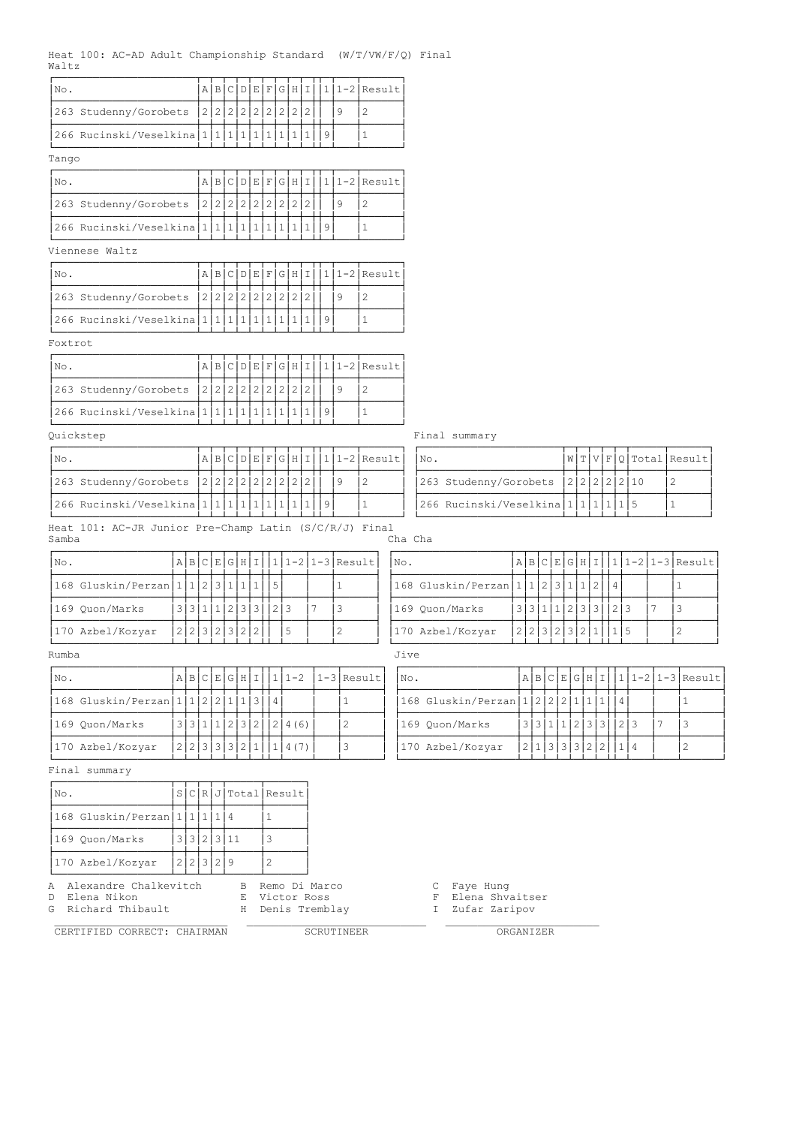|       | Heat 100: AC-AD Adult Championship Standard $(W/T/ VW/F/Q)$ Final |  |  |  |  |  |  |  |  |  |
|-------|-------------------------------------------------------------------|--|--|--|--|--|--|--|--|--|
| Waltz |                                                                   |  |  |  |  |  |  |  |  |  |
|       |                                                                   |  |  |  |  |  |  |  |  |  |

| No.                          | Α               |       |  |           |               |     |        |    |   | $B C D E F G H I 1 11-2 Result $ |
|------------------------------|-----------------|-------|--|-----------|---------------|-----|--------|----|---|----------------------------------|
| 263 Studenny/Gorobets        | 2 2 2 2 2 2 2 2 |       |  |           |               |     |        |    | 9 | 2                                |
| 266 Rucinski/Veselkina 1 1 1 |                 |       |  | $\vert$ 1 |               |     |        | -9 |   |                                  |
| Tango                        |                 |       |  |           |               |     |        |    |   |                                  |
| No.                          | ΑI              | BCDEF |  |           | $\cdot$ IG I. | Η   | $\top$ |    |   | 1   1 - 2   Result               |
| 263 Studenny/Gorobets        | 2 2 2 2 2 2 2   |       |  |           |               | 2 2 |        |    |   |                                  |

ÃÄÄÄÄÄÄÄÄÄÄÄÄÄÄÄÄÄÄÄÄÄÄÅÄÅÄÅÄÅÄÅÄÅÄÅÄÅÄÅÄÅÅÄÅÄÄÄÅÄÄÄÄÄÄ´  $|266 \text{ Rucinski/Veselkina}|1|1|1|1|1|1|1|1|1|9| 1$ 

#### ÀÄÄÄÄÄÄÄÄÄÄÄÄÄÄÄÄÄÄÄÄÄÄÁÄÁÄÁÄÁÄÁÄÁÄÁÄÁÄÁÄÁÁÄÁÄÄÄÁÄÄÄÄÄÄÙ Viennese Waltz

| 'No.                         |  |  |  |  |                     |  | $A B C D E F G H I 1 1-2 Result $ |
|------------------------------|--|--|--|--|---------------------|--|-----------------------------------|
| 263 Studenny/Gorobets        |  |  |  |  | 2 2 2 2 2 2 2 2 2 2 |  |                                   |
| 266 Rucinski/Veselkina 1 1 1 |  |  |  |  |                     |  |                                   |

#### Foxtrot

| 'No.                         |                   |  |  |  |  |  | $ A B C D E F G H I 1 1-2 Result $ |
|------------------------------|-------------------|--|--|--|--|--|------------------------------------|
| 263 Studenny/Gorobets        | 2 2 2 2 2 2 2 2 2 |  |  |  |  |  |                                    |
| 266 Rucinski/Veselkina 1 1 1 |                   |  |  |  |  |  |                                    |

#### Quickstep Final summary

| 'No.                                      |  |  |  |  |  |  | $\lceil A \rceil B \rceil C \rceil D \rceil E \rceil G \rceil H \rceil I \rceil 1 \rceil 1 - 2 \rceil \text{Result}$ | $\blacksquare$ No. |                                       |  |  |  | W T V F Q Total Result |
|-------------------------------------------|--|--|--|--|--|--|----------------------------------------------------------------------------------------------------------------------|--------------------|---------------------------------------|--|--|--|------------------------|
| $ 263$ Studenny/Gorobets $ 2 2 2 2 2 2 $  |  |  |  |  |  |  |                                                                                                                      |                    | 263 Studenny/Gorobets $ 2 2 2 2 2 10$ |  |  |  |                        |
| $ 266$ Rucinski/Veselkina $ 1 1 1 1 1 1 $ |  |  |  |  |  |  |                                                                                                                      |                    | 266 Rucinski/Veselkina 1 1 1 1        |  |  |  |                        |

|       |  | Heat 101: AC-JR Junior Pre-Champ Latin (S/C/R/J) Final |  |  |
|-------|--|--------------------------------------------------------|--|--|
| Samba |  |                                                        |  |  |

-<br>Cha Cha

| $ N\circ.$                          |  |  |  |               |                     |  | $A B C E G H I 1 11-2 1-3 Result $ | $\mathsf{No}$ . |                                  |  |                     |  |  |  | $A B C E G H I 1 1-2 1-3 Result $ |
|-------------------------------------|--|--|--|---------------|---------------------|--|------------------------------------|-----------------|----------------------------------|--|---------------------|--|--|--|-----------------------------------|
| 168 Gluskin/Perzan 1 1 2 3 1 1 1  5 |  |  |  |               |                     |  |                                    |                 | 168 Gluskin/Perzan 1 1 2 3 1 1 2 |  |                     |  |  |  |                                   |
| 169 Quon/Marks                      |  |  |  |               | '3 3 1 1 2 3 3  2 3 |  |                                    |                 | 169 Quon/Marks                   |  | '3 3 1 1 2 3 3  2 3 |  |  |  |                                   |
| 170 Azbel/Kozyar                    |  |  |  | 2 2 3 2 3 2 2 | -5                  |  |                                    |                 | 170 Azbel/Kozyar                 |  | 2 2 3 2 3 2 1       |  |  |  |                                   |

# Rumba Jive

| $ N\circ.$                          |  |               |  |  |  |                      | A B C E G H I  1 1-2  1-3 Result | INo. |                                                |  |  |  |             |                     |  | A B C E G H I  1 1-2 1-3 Result |
|-------------------------------------|--|---------------|--|--|--|----------------------|----------------------------------|------|------------------------------------------------|--|--|--|-------------|---------------------|--|---------------------------------|
| 168 Gluskin/Perzan 1 1 2 2 1 1 3  4 |  |               |  |  |  |                      |                                  |      | 168 Gluskin/Perzan   1   2   2   2   1   1   1 |  |  |  |             |                     |  |                                 |
| 169 Ouon/Marks                      |  |               |  |  |  | 3 3 1 1 2 3 2 2 4(6) |                                  |      | 169 Quon/Marks                                 |  |  |  |             | '3 3 1 1 2 3 3  2 3 |  |                                 |
| 170 Azbel/Kozyar                    |  | 2 2 3 3 3 2 1 |  |  |  |                      |                                  |      | 170 Azbel/Kozyar                               |  |  |  | ! 3 3 3 2 2 |                     |  |                                 |

Final summary

| No. |                                         |           |  |             | S C R J Total Result |
|-----|-----------------------------------------|-----------|--|-------------|----------------------|
|     | $ 168 \text{ Gluskin/Perzan} 1 1 1 1 4$ |           |  |             |                      |
|     | 169 Quon/Marks                          |           |  | 3 3 2 3 11  |                      |
|     | 170 Azbel/Kozyar                        | 2 2 3 2 9 |  |             |                      |
|     | A Alexandre Chalkevitch                 |           |  | $\mathbb B$ | Remo Di Marco        |

CERTIFIED CORRECT: CHAIRMAN SCRUTINEER ORGANIZER

G Richard Thibault **H** Denis Tremblay **I II Zufar Zaripov** 

\_\_\_\_\_\_\_\_\_\_\_\_\_\_\_\_\_\_\_\_\_\_\_\_\_\_\_ \_\_\_\_\_\_\_\_\_\_\_\_\_\_\_\_\_\_\_\_\_\_\_\_\_\_\_\_ \_\_\_\_\_\_\_\_\_\_\_\_\_\_\_\_\_\_\_\_\_\_\_\_

| No. |                                     |  |  |  | W[T V F Q Total Result |
|-----|-------------------------------------|--|--|--|------------------------|
|     | 263 Studenny/Gorobets  2 2 2 2 2 10 |  |  |  |                        |
|     | 266 Rucinski/Veselkina 1 1 1        |  |  |  |                        |

| No.                                 |  |  |  |  |                       | $A B C E G H I 1 1-2  1-3 Result $ | INO. |                                                |  |  |  |                     |  |  | $ \mathbf{A} \mathbf{B} \mathbf{C} \mathbf{E} \mathbf{G} \mathbf{H} \mathbf{I}  1 1-2 1-3 \text{Result} $ |
|-------------------------------------|--|--|--|--|-----------------------|------------------------------------|------|------------------------------------------------|--|--|--|---------------------|--|--|-----------------------------------------------------------------------------------------------------------|
| 168 Gluskin/Perzan 1 1 2 2 1 1 3  4 |  |  |  |  |                       |                                    |      | $ 168 \text{ Gluskin/Perzan} 1 2 2 2 1 1 1 4 $ |  |  |  |                     |  |  |                                                                                                           |
| 169 Quon/Marks                      |  |  |  |  | 3 3 1 1 2 3 2 12 4(6) |                                    |      | 169 Quon/Marks                                 |  |  |  | 3 3 1 1 2 3 3 1 2 3 |  |  |                                                                                                           |
| 170 Azbel/Kozyar                    |  |  |  |  | 2 2 3 3 3 2 1 1 4(7)  |                                    |      | 170 Azbel/Kozyar                               |  |  |  | 2 1 3 3 3 2 2 1 1 4 |  |  |                                                                                                           |

D Elena Nikon E Victor Ross F Elena Shvaitser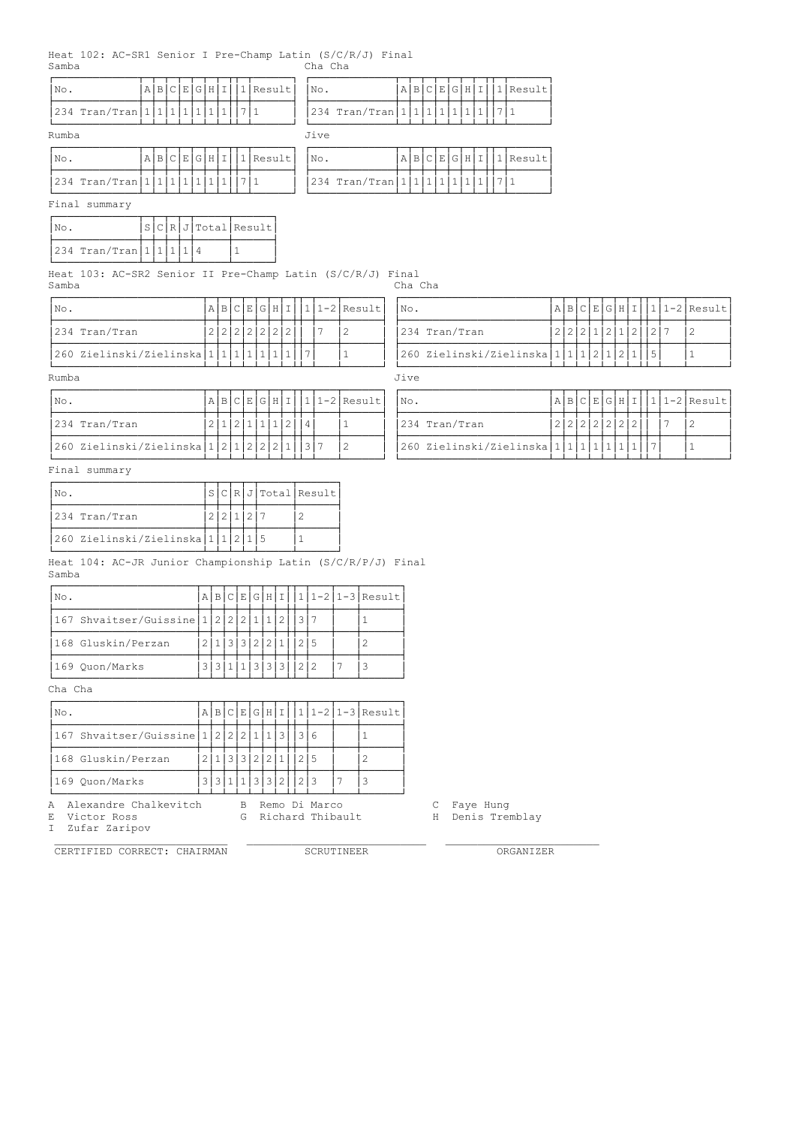|       |  |  | Heat 102: AC-SR1 Senior I Pre-Champ Latin (S/C/R/J) Final |         |  |
|-------|--|--|-----------------------------------------------------------|---------|--|
| Samba |  |  |                                                           | Cha Cha |  |

| No.     |                                                              | A B                  | C E G | H             | I            |              |     |              |              | 1 Result   |                                              | No.                                   |                |                                  | A B     | $\circ$<br>E | G | H             | I            |     |                  | 1 Result                      |  |            |   |               |   |   |     |              |                               |
|---------|--------------------------------------------------------------|----------------------|-------|---------------|--------------|--------------|-----|--------------|--------------|------------|----------------------------------------------|---------------------------------------|----------------|----------------------------------|---------|--------------|---|---------------|--------------|-----|------------------|-------------------------------|--|------------|---|---------------|---|---|-----|--------------|-------------------------------|
|         | 234 $Tran/Tran[1 1 1 1 1 1]$                                 |                      |       |               | $\vert$ 1    |              | 7 1 |              |              |            |                                              |                                       |                | 234 $Tran/Tran[1 1 1 1 1]$       |         |              |   | 1             | $\vert$ 1    | 7 1 |                  |                               |  |            |   |               |   |   |     |              |                               |
| Rumba   |                                                              |                      |       |               |              |              |     |              |              |            |                                              | Jive                                  |                |                                  |         |              |   |               |              |     |                  |                               |  |            |   |               |   |   |     |              |                               |
| No.     |                                                              | A B C E G H I        |       |               |              |              |     |              |              | $1$ Result |                                              | No.                                   |                |                                  |         |              |   | A B C E G H I |              |     |                  | 1 Result                      |  |            |   |               |   |   |     |              |                               |
|         | 234 Tran/Tran   1   1   1   1   1   1                        |                      |       |               | $\mathbf{1}$ |              | 7 1 |              |              |            |                                              |                                       |                | 234 Tran/Tran $ 1 1 1 1 1 $      |         |              |   | $\vert$ 1     | $\mathbf{1}$ | 7 1 |                  |                               |  |            |   |               |   |   |     |              |                               |
|         | Final summary                                                |                      |       |               |              |              |     |              |              |            |                                              |                                       |                |                                  |         |              |   |               |              |     |                  |                               |  |            |   |               |   |   |     |              |                               |
| No.     |                                                              | S C R J Total Result |       |               |              |              |     |              |              |            |                                              |                                       |                |                                  |         |              |   |               |              |     |                  |                               |  |            |   |               |   |   |     |              |                               |
|         | 234 Tran/Tran $111114$                                       |                      |       |               |              | $\mathbf{1}$ |     |              |              |            |                                              |                                       |                |                                  |         |              |   |               |              |     |                  |                               |  |            |   |               |   |   |     |              |                               |
| Samba   | Heat 103: AC-SR2 Senior II Pre-Champ Latin (S/C/R/J) Final   |                      |       |               |              |              |     |              |              |            |                                              |                                       |                |                                  | Cha Cha |              |   |               |              |     |                  |                               |  |            |   |               |   |   |     |              |                               |
| No.     |                                                              |                      |       | A B C E G H I |              |              |     |              |              |            |                                              |                                       |                | 1 1-2 Result                     | No.     |              |   |               |              |     |                  |                               |  |            |   |               |   |   |     |              | $A B C E G H I 1 1-2 Result$  |
|         | 234 Tran/Tran                                                |                      |       | 2 2 2 2 2 2 2 |              |              |     |              |              |            |                                              | 7                                     | $\overline{c}$ |                                  |         |              |   | 234 Tran/Tran |              |     |                  |                               |  |            |   | 2 2 2 1 2 1 2 |   |   | 2 7 | 2            |                               |
|         | 260 Zielinski/Zielinska 111111                               |                      |       |               |              |              |     | 1            | $\mathbf{1}$ | 1          |                                              | 7                                     | $\mathbf{1}$   |                                  |         |              |   |               |              |     |                  | 260 Zielinski/Zielinska 1 1 1 |  | $\sqrt{2}$ | 1 | $\vert$ 2     | 1 | 5 |     | $1\,$        |                               |
| Rumba   |                                                              |                      |       |               |              |              |     |              |              |            |                                              |                                       |                |                                  | Jive    |              |   |               |              |     |                  |                               |  |            |   |               |   |   |     |              |                               |
| No.     |                                                              |                      |       | A B C E G H I |              |              |     |              |              |            |                                              |                                       |                | $1 1-2 $ Result                  | No.     |              |   |               |              |     |                  |                               |  |            |   |               |   |   |     |              | $A B C E G H I  1 1-2 Result$ |
|         | 234 Tran/Tran                                                |                      |       | 2 1 2 1       |              |              |     | $\mathbf{1}$ |              | 1/2        |                                              | 4                                     | 1              |                                  |         |              |   | 234 Tran/Tran |              |     |                  |                               |  |            |   | 2 2 2 2 2 2 2 |   |   | 7   | 2            |                               |
|         | 260 Zielinski/Zielinska                                      |                      |       | 1 2 1 2 2     |              |              |     |              | 2            | 1          |                                              | 3 7                                   | $\overline{c}$ |                                  |         |              |   |               |              |     |                  | 260 Zielinski/Zielinska 1 1 1 |  | 1          |   | 1 1           | 1 | 7 |     | $\mathbf{1}$ |                               |
|         | Final summary                                                |                      |       |               |              |              |     |              |              |            |                                              |                                       |                |                                  |         |              |   |               |              |     |                  |                               |  |            |   |               |   |   |     |              |                               |
| No.     |                                                              |                      |       |               |              |              |     |              |              |            |                                              | S[C[R]J]Total[Result]                 |                |                                  |         |              |   |               |              |     |                  |                               |  |            |   |               |   |   |     |              |                               |
|         | 234 Tran/Tran                                                |                      |       | 2 2 1 2 7     |              |              |     |              |              |            | $\mathbf{2}$                                 |                                       |                |                                  |         |              |   |               |              |     |                  |                               |  |            |   |               |   |   |     |              |                               |
|         | 260 Zielinski/Zielinska 1 1 2 1 5                            |                      |       |               |              |              |     |              |              |            | 1                                            |                                       |                |                                  |         |              |   |               |              |     |                  |                               |  |            |   |               |   |   |     |              |                               |
| Samba   | Heat 104: AC-JR Junior Championship Latin (S/C/R/P/J) Final  |                      |       |               |              |              |     |              |              |            |                                              |                                       |                |                                  |         |              |   |               |              |     |                  |                               |  |            |   |               |   |   |     |              |                               |
| No.     |                                                              |                      |       |               |              |              |     |              |              |            |                                              |                                       |                | $A B C E G H I 1 1-2 1-3 Result$ |         |              |   |               |              |     |                  |                               |  |            |   |               |   |   |     |              |                               |
|         | 167 Shvaitser/Guissine   1   2   2   2   1   1   2           |                      |       |               |              |              |     |              |              |            | 3 7                                          |                                       |                | $\mathbf{1}$                     |         |              |   |               |              |     |                  |                               |  |            |   |               |   |   |     |              |                               |
|         | 168 Gluskin/Perzan                                           |                      |       | 2 1 3 3 2 2 1 |              |              |     |              |              |            | $\begin{array}{c c c c c} 2 & 5 \end{array}$ |                                       |                | $\mathbf{2}$                     |         |              |   |               |              |     |                  |                               |  |            |   |               |   |   |     |              |                               |
|         | 169 Ouon/Marks                                               |                      |       |               |              |              |     |              |              |            | 3 3 1 1 3 3 3 1 2 2<br><u>ili ili ili il</u> |                                       | 7              | 3                                |         |              |   |               |              |     |                  |                               |  |            |   |               |   |   |     |              |                               |
| Cha Cha |                                                              |                      |       |               |              |              |     |              |              |            |                                              |                                       |                |                                  |         |              |   |               |              |     |                  |                               |  |            |   |               |   |   |     |              |                               |
| No.     |                                                              |                      |       |               |              |              |     |              |              |            |                                              |                                       |                | $A B C E G H I 1 1-2 1-3 Result$ |         |              |   |               |              |     |                  |                               |  |            |   |               |   |   |     |              |                               |
|         | 167 Shvaitser/Guissine   1   2   2   2   1   1   3     3   6 |                      |       |               |              |              |     |              |              |            |                                              |                                       |                | $\mathbf{1}$                     |         |              |   |               |              |     |                  |                               |  |            |   |               |   |   |     |              |                               |
|         | 168 Gluskin/Perzan                                           |                      |       |               |              |              |     |              |              |            | 2 1 3 3 2 2 1  2 5                           |                                       |                | $\mathbf{2}$                     |         |              |   |               |              |     |                  |                               |  |            |   |               |   |   |     |              |                               |
|         | 169 Quon/Marks                                               |                      |       |               |              |              |     |              |              |            | 3 3 1 1 3 3 2 2 3                            |                                       | 7              | 3                                |         |              |   |               |              |     |                  |                               |  |            |   |               |   |   |     |              |                               |
| Ε<br>I  | A Alexandre Chalkevitch<br>Victor Ross<br>Zufar Zaripov      |                      |       |               |              |              |     |              |              |            |                                              | B Remo Di Marco<br>G Richard Thibault |                |                                  |         | С            |   | Faye Hung     |              |     | H Denis Tremblay |                               |  |            |   |               |   |   |     |              |                               |
|         | CERTIFIED CORRECT: CHAIRMAN                                  |                      |       |               |              |              |     |              |              |            |                                              | SCRUTINEER                            |                |                                  |         |              |   |               |              |     |                  | ORGANIZER                     |  |            |   |               |   |   |     |              |                               |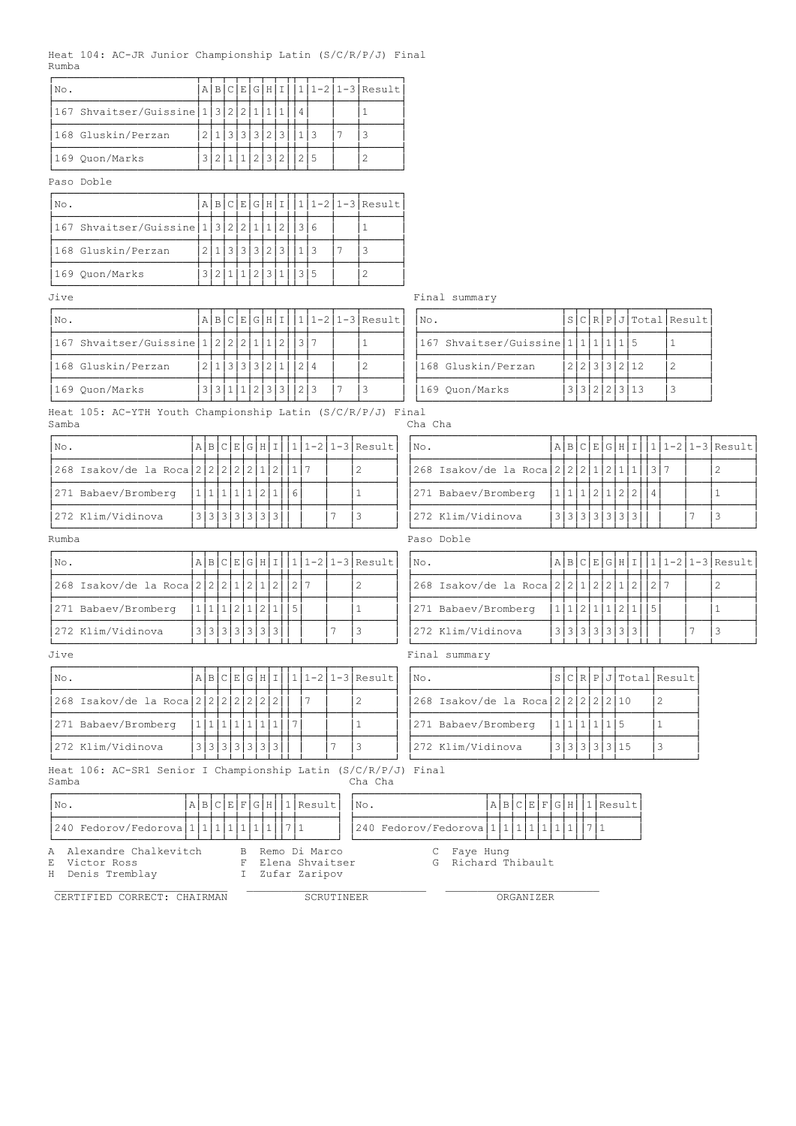|       |  | Heat 104: AC-JR Junior Championship Latin (S/C/R/P/J) Final |  |  |
|-------|--|-------------------------------------------------------------|--|--|
| Rumba |  |                                                             |  |  |

| No.                                            | ΑI |  | <b>B</b> ICIEIGIHII |  |  |     |  | $11-21-3$ Result |
|------------------------------------------------|----|--|---------------------|--|--|-----|--|------------------|
| 167 Shvaitser/Guissine   1   3   2   2   1   1 |    |  |                     |  |  |     |  |                  |
| 168 Gluskin/Perzan                             |    |  | 131312131           |  |  |     |  |                  |
| 169 Ouon/Marks                                 |    |  |                     |  |  | 215 |  |                  |

### Paso Doble

| No.                                       |                 |                   |  |  |  | A B C E G H I  1 1-2 1-3 Result |
|-------------------------------------------|-----------------|-------------------|--|--|--|---------------------------------|
| 167 Shvaitser/Guissine 1 3 2 2 1 1 2  3 6 |                 |                   |  |  |  |                                 |
| 168 Gluskin/Perzan                        | 2 1 3 3 3 3 2 3 |                   |  |  |  |                                 |
| 169 Ouon/Marks                            |                 | 11 12 13 13 13 15 |  |  |  |                                 |

| Jive                                                                 |                |               |     |                         |           |        |                                  |  |         | Final summary                                                                                                                                                                                                                                                                                                                                                                                                                                                                         |     |             |   |                         |                |              |                        |                                                                                                                                                    |
|----------------------------------------------------------------------|----------------|---------------|-----|-------------------------|-----------|--------|----------------------------------|--|---------|---------------------------------------------------------------------------------------------------------------------------------------------------------------------------------------------------------------------------------------------------------------------------------------------------------------------------------------------------------------------------------------------------------------------------------------------------------------------------------------|-----|-------------|---|-------------------------|----------------|--------------|------------------------|----------------------------------------------------------------------------------------------------------------------------------------------------|
| No.                                                                  |                |               |     |                         |           |        | $A B C E G H I 1 1-2 1-3 Result$ |  | No.     |                                                                                                                                                                                                                                                                                                                                                                                                                                                                                       |     |             |   |                         |                |              | S C R P J Total Result |                                                                                                                                                    |
| 167 Shvaitser/Guissine   1   2   2   2   1   1   2   1   3   7       |                |               |     |                         |           |        |                                  |  |         | 167 Shvaitser/Guissine 1 1 1 1 1 5                                                                                                                                                                                                                                                                                                                                                                                                                                                    |     |             |   |                         |                | 1            |                        |                                                                                                                                                    |
| 168 Gluskin/Perzan                                                   |                |               |     | 2 1 3 3 3 2 1           |           | 2 4    | 2                                |  |         | 168 Gluskin/Perzan                                                                                                                                                                                                                                                                                                                                                                                                                                                                    |     |             |   | 2 2 3 3 2 12            |                | $\mathbf{2}$ |                        |                                                                                                                                                    |
| 169 Quon/Marks                                                       |                | 3 3 1 1 2 3   |     |                         |           | 3  2 3 | 3                                |  |         | 169 Quon/Marks                                                                                                                                                                                                                                                                                                                                                                                                                                                                        |     |             |   | 3 3 2 2 3 13            |                | 3            |                        |                                                                                                                                                    |
| Heat 105: AC-YTH Youth Championship Latin (S/C/R/P/J) Final<br>Samba |                |               |     |                         |           |        |                                  |  | Cha Cha |                                                                                                                                                                                                                                                                                                                                                                                                                                                                                       |     |             |   |                         |                |              |                        |                                                                                                                                                    |
| No.                                                                  |                | A B C E G H I |     |                         | $\vert$ 1 |        | 1-2 1-3 Result                   |  | No.     |                                                                                                                                                                                                                                                                                                                                                                                                                                                                                       |     |             |   |                         |                |              |                        | $A B C E G H I 1 1-2 1-3 Result$                                                                                                                   |
| 268 Isakov/de la Roca 2 2 2 2 2 2 1                                  |                |               |     | $\overline{2}$          |           |        | 2                                |  |         | 268 Isakov/de la Roca 2 2 2 2 1 2 1                                                                                                                                                                                                                                                                                                                                                                                                                                                   |     |             |   | 1                       |                | $317$        |                        | 2                                                                                                                                                  |
| 271 Babaev/Bromberg                                                  | $\mathbf{1}$   | 1 1 1         | 112 |                         | 6         |        |                                  |  |         | 271 Babaev/Bromberg                                                                                                                                                                                                                                                                                                                                                                                                                                                                   | 1 1 | 11211       | 2 | 2                       | $\overline{4}$ |              |                        |                                                                                                                                                    |
| 272 Klim/Vidinova                                                    | $\overline{3}$ | 3 3 3 3 3     |     | 3                       |           |        | 3                                |  |         | 272 Klim/Vidinova                                                                                                                                                                                                                                                                                                                                                                                                                                                                     |     | 3 3 3 3 3 3 |   | 3                       |                |              |                        | 3                                                                                                                                                  |
| Rumba                                                                |                |               |     |                         |           |        |                                  |  |         | Paso Doble                                                                                                                                                                                                                                                                                                                                                                                                                                                                            |     |             |   |                         |                |              |                        |                                                                                                                                                    |
| No.                                                                  |                |               |     |                         |           |        | A B C E G H I  1 1-2 1-3 Result  |  | No.     |                                                                                                                                                                                                                                                                                                                                                                                                                                                                                       |     |             |   |                         |                |              |                        | $\texttt{A} \texttt{B} \texttt{C} \texttt{E} \texttt{G} \texttt{H} \texttt{I} \texttt{I} \texttt{I} \texttt{I} - 2 \texttt{I} - 3 \texttt{Result}$ |
| 268 Isakov/de la Roca 2 2 2 2 1 2 1 2 1                              |                |               |     |                         | 2 7       |        | $\overline{c}$                   |  |         | 268 Isakov/de la Roca 2 2 2 1 2 2 1                                                                                                                                                                                                                                                                                                                                                                                                                                                   |     |             |   | 2                       |                | 2 7          |                        | 2                                                                                                                                                  |
| $\frac{1}{2}$                                                        |                |               |     | المللد الململم الململما |           |        |                                  |  |         | $\mathbf{I} \circ \mathbf{I} \circ \mathbf{I} \circ \mathbf{I} \circ \mathbf{I} \circ \mathbf{I} \circ \mathbf{I} \circ \mathbf{I} \circ \mathbf{I} \circ \mathbf{I} \circ \mathbf{I} \circ \mathbf{I} \circ \mathbf{I} \circ \mathbf{I} \circ \mathbf{I} \circ \mathbf{I} \circ \mathbf{I} \circ \mathbf{I} \circ \mathbf{I} \circ \mathbf{I} \circ \mathbf{I} \circ \mathbf{I} \circ \mathbf{I} \circ \mathbf{I} \circ \mathbf{I} \circ \mathbf{I} \circ \mathbf{I} \circ \mathbf{$ |     |             |   | أعلليلم الدالململد الدا |                |              |                        |                                                                                                                                                    |

| Jive |                                           |  |           |  |                            |  |                                 | Final summary                        |  |
|------|-------------------------------------------|--|-----------|--|----------------------------|--|---------------------------------|--------------------------------------|--|
| No.  |                                           |  |           |  |                            |  | A B C E G H I  1 1-2 1-3 Result | S C R P J Total Result <br>INo.      |  |
|      | 268 Isakov/de la Roca 2 2 2 2 2 2 2 2 2 1 |  |           |  |                            |  |                                 | 268 Isakov/de la Roca 2 2 2 2 2 2 10 |  |
|      | 271 Babaev/Bromberg                       |  | 111111111 |  |                            |  |                                 | 271 Babaev/Bromberg                  |  |
|      | 272 Klim/Vidinova                         |  |           |  | 13   3   3   3   3   3   3 |  |                                 | '3 3 3 3 3 15<br>272 Klim/Vidinova   |  |

| $ NQ$ .                                       |  |                            |  |  |  |  | A B C E G H I  1 1-2 1-3 Result | INo. |                                               |  |                           |  |  |  | A B C E G H I  1 1-2 1-3 Result |
|-----------------------------------------------|--|----------------------------|--|--|--|--|---------------------------------|------|-----------------------------------------------|--|---------------------------|--|--|--|---------------------------------|
| 268 Isakov/de la Roca 2 2 2 2 1 2 1 2 1 2 1 2 |  |                            |  |  |  |  |                                 |      | 268 Isakov/de la Roca 2 2 2 1 2 2 1 2 2 1 2 2 |  |                           |  |  |  |                                 |
| 271 Babaev/Bromberg                           |  | 1 1 1 2 1 2                |  |  |  |  |                                 |      | 271 Babaev/Bromberg                           |  | 1 1 2 1 1 2               |  |  |  |                                 |
| 1272 Klim/Vidinova                            |  | 13   3   3   3   3   3   3 |  |  |  |  |                                 |      | 272 Klim/Vidinova                             |  | 3   3   3   3   3   3   3 |  |  |  |                                 |
| ATİ TA                                        |  |                            |  |  |  |  |                                 |      | Final summary                                 |  |                           |  |  |  |                                 |

| No.                                  |           |  |              | S C R P J Total Result |
|--------------------------------------|-----------|--|--------------|------------------------|
| 268 Isakov/de la Roca 2 2 2 2 2 2 10 |           |  |              |                        |
| 271 Babaev/Bromberg                  | 1 1 1 1 5 |  |              |                        |
| 272 Klim/Vidinova                    |           |  | 3 3 3 3 3 15 |                        |

Heat 106: AC-SR1 Senior I Championship Latin (S/C/R/P/J) Final Samba Cha Cha

| No.                                                      | A B C E F G H 1 Result <br>INo.                          | A B C E F G H 1 Result |
|----------------------------------------------------------|----------------------------------------------------------|------------------------|
| 240 Fedorov/Fedorova   1   1   1   1   1   1   1   7   1 | 240 Fedorov/Fedorova   1   1   1   1   1   1   1   7   1 |                        |
| A Alexandre Chalkevitch                                  | B Remo Di Marco<br>C Faye Hung                           |                        |

E Victor Ross F Elena Shvaitser G Richard Thibault

H Denis Tremblay I Zufar Zaripov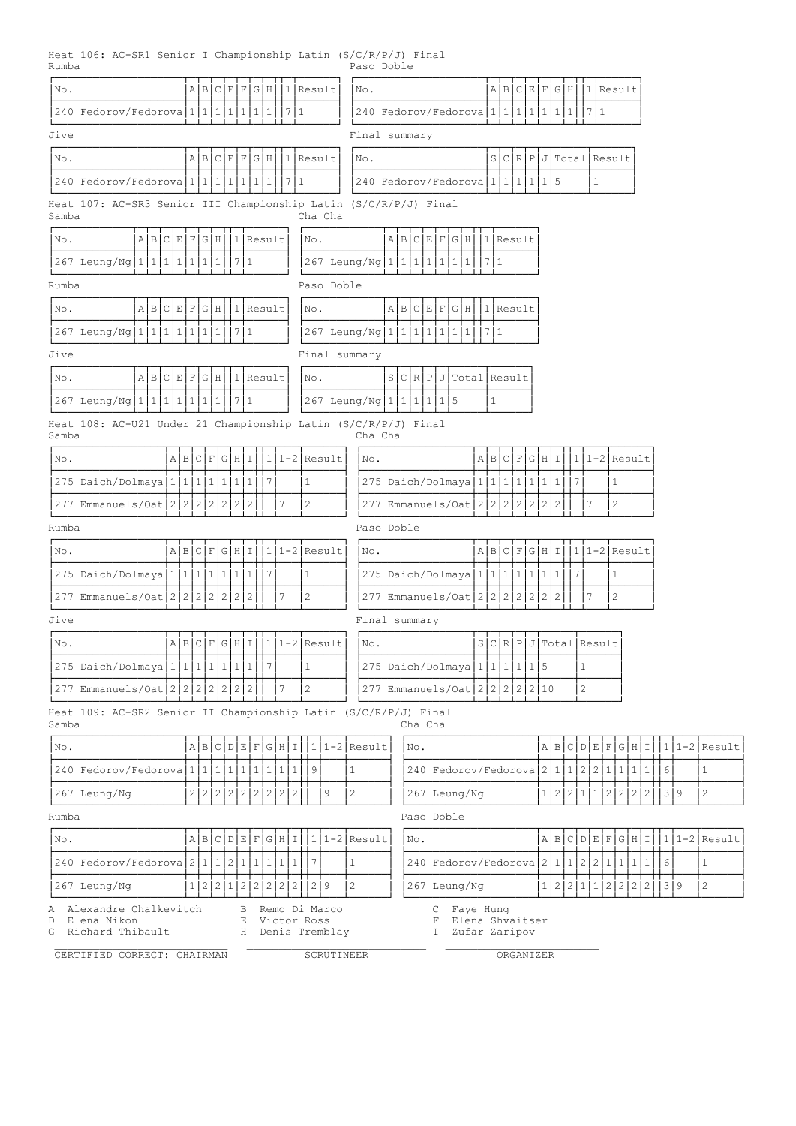Heat 106: AC-SR1 Senior I Championship Latin (S/C/R/P/J) Final Rumba Paso Doble

| No.                                                                       |                                                                                        |  | A B C E F           |   |           | G/H |   |                |   | 1 Result               |                              |  | No.                                              |            |             |                                                    |   | A B C E F G H |  |  |   |   | 1 Result                     |                |  |              |   |     |                  |
|---------------------------------------------------------------------------|----------------------------------------------------------------------------------------|--|---------------------|---|-----------|-----|---|----------------|---|------------------------|------------------------------|--|--------------------------------------------------|------------|-------------|----------------------------------------------------|---|---------------|--|--|---|---|------------------------------|----------------|--|--------------|---|-----|------------------|
| 240 Fedorov/Fedorova 1 1 1 1 1 1 1 1 1 1 1 7 1                            |                                                                                        |  |                     |   |           |     |   |                |   |                        |                              |  | 240 Fedorov/Fedorova 1 1 1 1 1 1 1 1 1 1 1 7 1   |            |             |                                                    |   |               |  |  |   |   |                              |                |  |              |   |     |                  |
| Jive                                                                      |                                                                                        |  |                     |   |           |     |   |                |   |                        |                              |  | Final summary                                    |            |             |                                                    |   |               |  |  |   |   |                              |                |  |              |   |     |                  |
| No.                                                                       |                                                                                        |  |                     |   |           |     |   |                |   | A B C E F G H 1 Result |                              |  | No.                                              |            |             |                                                    |   |               |  |  |   |   | S C R P J Total Result       |                |  |              |   |     |                  |
| 240 Fedorov/Fedorova   1   1   1   1   1   1   1   1   7   1              |                                                                                        |  |                     |   |           |     |   |                |   |                        |                              |  | 240 Fedorov/Fedorova   1   1   1   1   5         |            |             |                                                    |   |               |  |  |   |   | $\mathbf{1}$                 |                |  |              |   |     |                  |
| Heat 107: AC-SR3 Senior III Championship Latin (S/C/R/P/J) Final<br>Samba |                                                                                        |  |                     |   |           |     |   |                |   |                        | Cha Cha                      |  |                                                  |            |             |                                                    |   |               |  |  |   |   |                              |                |  |              |   |     |                  |
| $A B C E F G H  1 $ Result<br>No.                                         |                                                                                        |  |                     |   |           |     |   |                |   | No.                    |                              |  |                                                  |            |             | A B C E F G H 1 Result                             |   |               |  |  |   |   |                              |                |  |              |   |     |                  |
| 267 Leung/Ng 1 1 1 1 1 1                                                  |                                                                                        |  |                     |   | 1711      |     |   |                |   |                        |                              |  | 267 Leung/Ng   1   1   1   1   1   1   1   7   1 |            |             |                                                    |   |               |  |  |   |   |                              |                |  |              |   |     |                  |
| Rumba                                                                     |                                                                                        |  |                     |   |           |     |   |                |   |                        | Paso Doble                   |  |                                                  |            |             |                                                    |   |               |  |  |   |   |                              |                |  |              |   |     |                  |
| $A B C E F G H  1 $ Result<br>No.                                         |                                                                                        |  |                     |   |           |     |   |                |   | No.                    |                              |  |                                                  |            |             | A B C E F G H 1 Result                             |   |               |  |  |   |   |                              |                |  |              |   |     |                  |
| $ 267 \text{ Leung}/\text{Ng} 1 1 1 1 1 1 1 1 $                           |                                                                                        |  |                     |   | 1711      |     |   |                |   |                        |                              |  | 267 Leung/Ng   1   1   1   1   1   1   1   7   1 |            |             |                                                    |   |               |  |  |   |   |                              |                |  |              |   |     |                  |
| Jive                                                                      |                                                                                        |  |                     |   |           |     |   |                |   |                        |                              |  | Final summary                                    |            |             |                                                    |   |               |  |  |   |   |                              |                |  |              |   |     |                  |
| A B C E F G H <br>No.                                                     |                                                                                        |  |                     |   | 11 Result |     |   |                |   | No.                    |                              |  |                                                  |            |             | S C R P J Total Result                             |   |               |  |  |   |   |                              |                |  |              |   |     |                  |
| 267 Leung/Ng   1   1   1   1   1   1   1                                  |                                                                                        |  |                     |   | 1711      |     |   |                |   |                        |                              |  | 267 Leung/Ng   1   1   1   1   5                 |            |             |                                                    | 1 |               |  |  |   |   |                              |                |  |              |   |     |                  |
| Heat 108: AC-U21 Under 21 Championship Latin (S/C/R/P/J) Final<br>Samba   |                                                                                        |  |                     |   |           |     |   |                |   |                        |                              |  | Cha Cha                                          |            |             |                                                    |   |               |  |  |   |   |                              |                |  |              |   |     |                  |
| No.                                                                       | $ 1 1-2 $ Result<br>A B C F G H I                                                      |  |                     |   |           |     |   |                |   |                        |                              |  | No.                                              |            |             |                                                    |   | A B C F G H I |  |  |   |   | $ 1 1-2 $ Result             |                |  |              |   |     |                  |
| 275 Daich/Dolmaya   1   1   1   1   1                                     |                                                                                        |  |                     | 1 | 1         |     | 7 |                |   | $\mathbf{1}$           |                              |  | 275 Daich/Dolmaya 1 1 1 1 1 1 1 1 1              |            |             |                                                    |   |               |  |  | 7 |   |                              | $\mathbf{1}$   |  |              |   |     |                  |
|                                                                           |                                                                                        |  |                     |   |           |     |   | 7              |   | $\overline{c}$         |                              |  | 277 Emmanuels/Oat 2 2 2 2 2 2 2 2 2              |            |             |                                                    |   |               |  |  |   | 7 |                              | 2              |  |              |   |     |                  |
| Rumba                                                                     | 277 Emmanuels/Oat 222222<br>2 <sup>1</sup><br>2                                        |  |                     |   |           |     |   |                |   |                        |                              |  | Paso Doble                                       |            |             |                                                    |   |               |  |  |   |   |                              |                |  |              |   |     |                  |
| No.                                                                       |                                                                                        |  |                     |   |           |     |   |                |   |                        | $A B C F G H I 1 1-2 Result$ |  | No.                                              |            |             |                                                    |   |               |  |  |   |   | $A B C F G H I 1 1-2 Result$ |                |  |              |   |     |                  |
| 275 Daich/Dolmaya   1   1   1   1   1   1   1   7                         |                                                                                        |  |                     |   |           |     |   |                |   | $\mathbf{1}$           |                              |  | 275 Daich/Dolmaya 1 1 1 1 1 1 1 1 1 1   1        |            |             |                                                    |   |               |  |  |   |   |                              | 1              |  |              |   |     |                  |
| 277 Emmanuels/Oat 22222222                                                |                                                                                        |  |                     |   |           |     |   | 7              |   | 2                      |                              |  | 277 Emmanuels/Oat 2 2 2 2 2 2 2 2 2              |            |             |                                                    |   |               |  |  |   | 7 |                              | $\overline{c}$ |  |              |   |     |                  |
| Jive                                                                      |                                                                                        |  |                     |   |           |     |   |                |   |                        |                              |  | Final summary                                    |            |             |                                                    |   |               |  |  |   |   |                              |                |  |              |   |     |                  |
| No.                                                                       | A B C F G H I                                                                          |  |                     |   |           |     |   |                |   |                        | $ 111-2 $ Result             |  | No.                                              |            |             |                                                    |   |               |  |  |   |   | S[C[R]P]J[Total]Result       |                |  |              |   |     |                  |
| 275 Daich/Dolmaya 1111111111                                              |                                                                                        |  |                     |   |           |     | 7 |                |   | 1                      |                              |  | 275 Daich/Dolmaya   1   1   1   1   5            |            |             |                                                    |   |               |  |  |   | 1 |                              |                |  |              |   |     |                  |
| 277 Emmanuels/Oat 22222222                                                |                                                                                        |  |                     |   |           |     |   | 7              |   | $\overline{2}$         |                              |  | 277 Emmanuels/Oat 2 2 2 2 2 2 10                 |            |             |                                                    |   |               |  |  |   | 2 |                              |                |  |              |   |     |                  |
| Heat 109: AC-SR2 Senior II Championship Latin (S/C/R/P/J) Final<br>Samba  |                                                                                        |  |                     |   |           |     |   |                |   |                        |                              |  |                                                  | Cha Cha    |             |                                                    |   |               |  |  |   |   |                              |                |  |              |   |     |                  |
| No.                                                                       |                                                                                        |  | A B C D E F G H I   |   |           |     |   |                |   |                        |                              |  | $ 1 1-2 $ Result                                 | No.        |             |                                                    |   |               |  |  |   |   | A B C D E F G H I            |                |  |              |   |     | $ 111-2 $ Result |
| 240 Fedorov/Fedorova 1 1 1 1 1 1 1 1 1 1 1 1                              |                                                                                        |  |                     |   |           |     |   |                |   | $\overline{9}$         |                              |  | $\mathbf{1}$                                     |            |             | 240 Fedorov/Fedorova 2   1   1   2   2   1   1   1 |   |               |  |  |   |   |                              |                |  | $\mathbf{1}$ | 6 |     | $\mathbf{1}$     |
| 267 Leung/Ng                                                              |                                                                                        |  | 2 2 2 2 2 2 2 2 2 2 |   |           |     |   |                |   |                        | 9                            |  | 2                                                |            |             | 267 Leung/Ng                                       |   |               |  |  |   |   | 1 2 2 1 1 2 2 2              |                |  | 2            |   | 39  | $\overline{c}$   |
| Rumba                                                                     |                                                                                        |  |                     |   |           |     |   |                |   |                        |                              |  |                                                  | Paso Doble |             |                                                    |   |               |  |  |   |   |                              |                |  |              |   |     |                  |
| No.                                                                       |                                                                                        |  | A B C D E F G H I   |   |           |     |   |                |   |                        |                              |  | $ 1 1-2 $ Result                                 | No.        |             |                                                    |   |               |  |  |   |   | A B C D E F G H I            |                |  |              |   |     | $ 1 1-2 $ Result |
| 240 Fedorov/Fedorova 2 1 1 2 1 1 1 1                                      |                                                                                        |  |                     |   |           |     |   | 1 1            |   | 7                      |                              |  | $\mathbf{1}$                                     |            |             | 240 Fedorov/Fedorova 2 1 1 2 2 1 1 1               |   |               |  |  |   |   |                              |                |  | $\mathbf{1}$ | 6 |     | $\mathbf{1}$     |
| 267 Leung/Ng                                                              | 1 <sup>1</sup>                                                                         |  | 2 2 1 2             |   |           | 2 2 |   | $\overline{c}$ | 2 | 2                      | l 9                          |  | $\mathbf{2}$                                     |            |             | 267 Leung/Ng                                       |   |               |  |  |   |   | 1 2 2 1 1 2 2 2 2            |                |  |              |   | 3 9 | $\sqrt{2}$       |
| Α<br>Elena Nikon<br>D<br>Richard Thibault<br>G                            | Alexandre Chalkevitch<br>Remo Di Marco<br>В<br>Victor Ross<br>Ε<br>Denis Tremblay<br>Н |  |                     |   |           |     |   |                |   |                        |                              |  |                                                  |            | С<br>F<br>I | Faye Hung<br>Elena Shvaitser<br>Zufar Zaripov      |   |               |  |  |   |   |                              |                |  |              |   |     |                  |
|                                                                           | CERTIFIED CORRECT: CHAIRMAN                                                            |  |                     |   |           |     |   |                |   |                        | SCRUTINEER                   |  |                                                  |            |             |                                                    |   | ORGANIZER     |  |  |   |   |                              |                |  |              |   |     |                  |